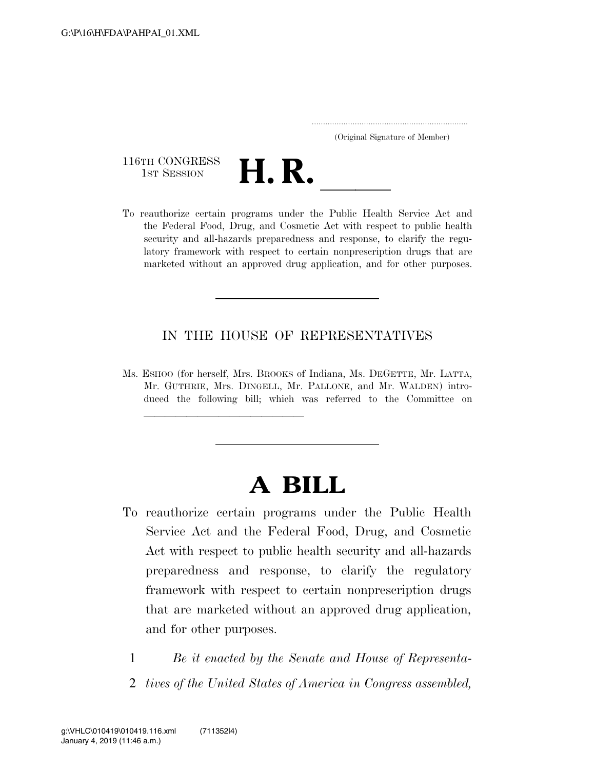..................................................................... (Original Signature of Member)

116TH CONGRESS<br>1st Session



116TH CONGRESS<br>
1st SESSION<br>
To reauthorize certain programs under the Public Health Service Act and the Federal Food, Drug, and Cosmetic Act with respect to public health security and all-hazards preparedness and response, to clarify the regulatory framework with respect to certain nonprescription drugs that are marketed without an approved drug application, and for other purposes.

### IN THE HOUSE OF REPRESENTATIVES

Ms. ESHOO (for herself, Mrs. BROOKS of Indiana, Ms. DEGETTE, Mr. LATTA, Mr. GUTHRIE, Mrs. DINGELL, Mr. PALLONE, and Mr. WALDEN) introduced the following bill; which was referred to the Committee on

llland and a state of the state of the state of the state of the state of the state of the state of the state o<br>State of the state of the state of the state of the state of the state of the state of the state of the state

# **A BILL**

- To reauthorize certain programs under the Public Health Service Act and the Federal Food, Drug, and Cosmetic Act with respect to public health security and all-hazards preparedness and response, to clarify the regulatory framework with respect to certain nonprescription drugs that are marketed without an approved drug application, and for other purposes.
	- 1 *Be it enacted by the Senate and House of Representa-*
	- 2 *tives of the United States of America in Congress assembled,*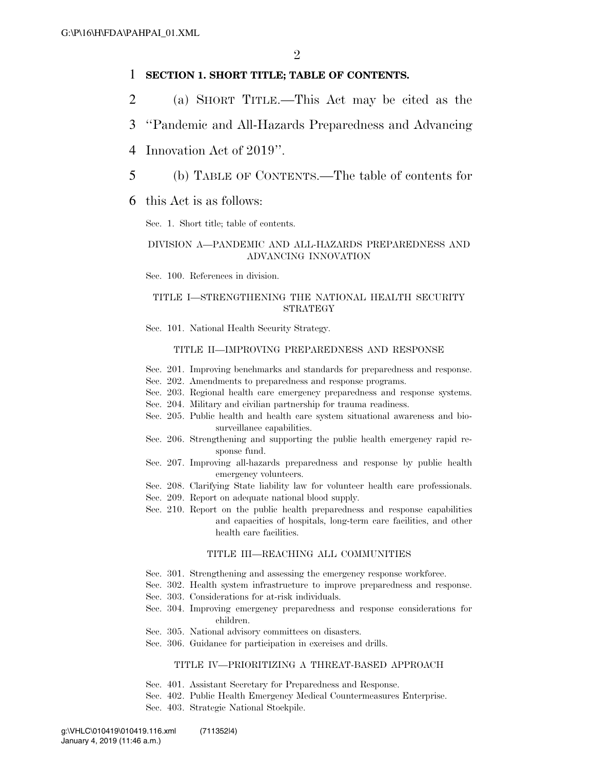#### 1 **SECTION 1. SHORT TITLE; TABLE OF CONTENTS.**

- 2 (a) SHORT TITLE.—This Act may be cited as the
- 3 ''Pandemic and All-Hazards Preparedness and Advancing
- 4 Innovation Act of 2019''.
- 5 (b) TABLE OF CONTENTS.—The table of contents for
- 6 this Act is as follows:

Sec. 1. Short title; table of contents.

#### DIVISION A—PANDEMIC AND ALL-HAZARDS PREPAREDNESS AND ADVANCING INNOVATION

Sec. 100. References in division.

#### TITLE I—STRENGTHENING THE NATIONAL HEALTH SECURITY STRATEGY

Sec. 101. National Health Security Strategy.

#### TITLE II—IMPROVING PREPAREDNESS AND RESPONSE

- Sec. 201. Improving benchmarks and standards for preparedness and response.
- Sec. 202. Amendments to preparedness and response programs.
- Sec. 203. Regional health care emergency preparedness and response systems.
- Sec. 204. Military and civilian partnership for trauma readiness.
- Sec. 205. Public health and health care system situational awareness and biosurveillance capabilities.
- Sec. 206. Strengthening and supporting the public health emergency rapid response fund.
- Sec. 207. Improving all-hazards preparedness and response by public health emergency volunteers.
- Sec. 208. Clarifying State liability law for volunteer health care professionals.
- Sec. 209. Report on adequate national blood supply.
- Sec. 210. Report on the public health preparedness and response capabilities and capacities of hospitals, long-term care facilities, and other health care facilities.

#### TITLE III—REACHING ALL COMMUNITIES

- Sec. 301. Strengthening and assessing the emergency response workforce.
- Sec. 302. Health system infrastructure to improve preparedness and response.
- Sec. 303. Considerations for at-risk individuals.
- Sec. 304. Improving emergency preparedness and response considerations for children.
- Sec. 305. National advisory committees on disasters.
- Sec. 306. Guidance for participation in exercises and drills.

#### TITLE IV—PRIORITIZING A THREAT-BASED APPROACH

- Sec. 401. Assistant Secretary for Preparedness and Response.
- Sec. 402. Public Health Emergency Medical Countermeasures Enterprise.
- Sec. 403. Strategic National Stockpile.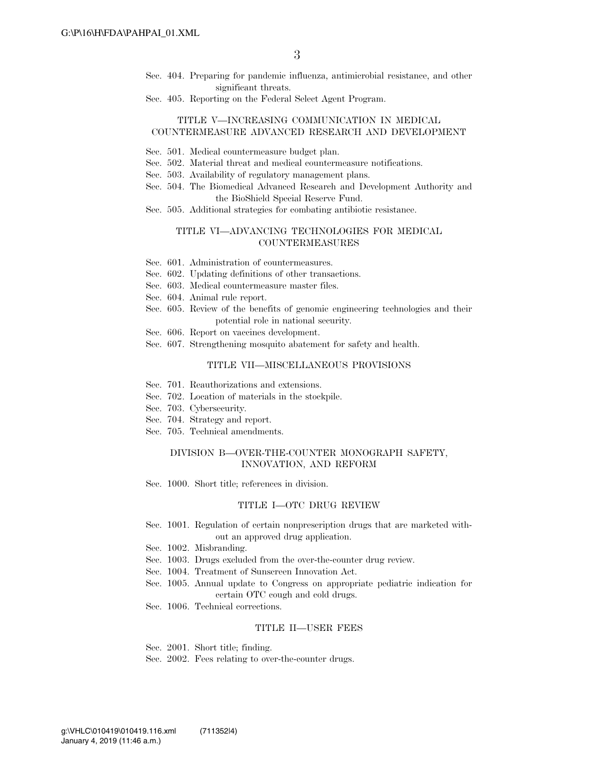- Sec. 404. Preparing for pandemic influenza, antimicrobial resistance, and other significant threats.
- Sec. 405. Reporting on the Federal Select Agent Program.

#### TITLE V—INCREASING COMMUNICATION IN MEDICAL COUNTERMEASURE ADVANCED RESEARCH AND DEVELOPMENT

- Sec. 501. Medical countermeasure budget plan.
- Sec. 502. Material threat and medical countermeasure notifications.
- Sec. 503. Availability of regulatory management plans.
- Sec. 504. The Biomedical Advanced Research and Development Authority and the BioShield Special Reserve Fund.
- Sec. 505. Additional strategies for combating antibiotic resistance.

#### TITLE VI—ADVANCING TECHNOLOGIES FOR MEDICAL COUNTERMEASURES

- Sec. 601. Administration of countermeasures.
- Sec. 602. Updating definitions of other transactions.
- Sec. 603. Medical countermeasure master files.
- Sec. 604. Animal rule report.
- Sec. 605. Review of the benefits of genomic engineering technologies and their potential role in national security.
- Sec. 606. Report on vaccines development.
- Sec. 607. Strengthening mosquito abatement for safety and health.

#### TITLE VII—MISCELLANEOUS PROVISIONS

- Sec. 701. Reauthorizations and extensions.
- Sec. 702. Location of materials in the stockpile.
- Sec. 703. Cybersecurity.
- Sec. 704. Strategy and report.
- Sec. 705. Technical amendments.

#### DIVISION B—OVER-THE-COUNTER MONOGRAPH SAFETY, INNOVATION, AND REFORM

Sec. 1000. Short title; references in division.

#### TITLE I—OTC DRUG REVIEW

- Sec. 1001. Regulation of certain nonprescription drugs that are marketed without an approved drug application.
- Sec. 1002. Misbranding.
- Sec. 1003. Drugs excluded from the over-the-counter drug review.
- Sec. 1004. Treatment of Sunscreen Innovation Act.
- Sec. 1005. Annual update to Congress on appropriate pediatric indication for certain OTC cough and cold drugs.
- Sec. 1006. Technical corrections.

#### TITLE II—USER FEES

- Sec. 2001. Short title; finding.
- Sec. 2002. Fees relating to over-the-counter drugs.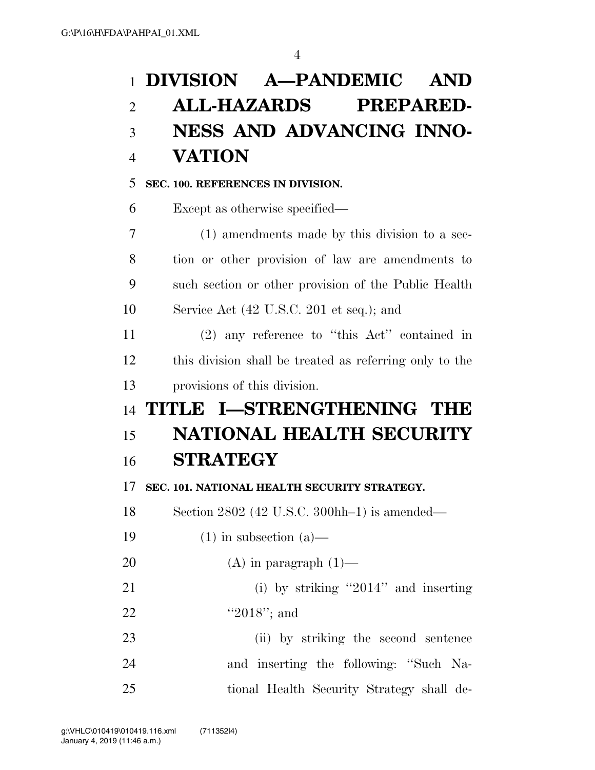### **DIVISION A—PANDEMIC AND**

## **ALL-HAZARDS PREPARED-**

## **NESS AND ADVANCING INNO-VATION**

### **SEC. 100. REFERENCES IN DIVISION.**

Except as otherwise specified—

 (1) amendments made by this division to a sec- tion or other provision of law are amendments to such section or other provision of the Public Health Service Act (42 U.S.C. 201 et seq.); and

 (2) any reference to ''this Act'' contained in this division shall be treated as referring only to the provisions of this division.

# **TITLE I—STRENGTHENING THE NATIONAL HEALTH SECURITY STRATEGY**

**SEC. 101. NATIONAL HEALTH SECURITY STRATEGY.** 

Section 2802 (42 U.S.C. 300hh–1) is amended—

- 19  $(1)$  in subsection  $(a)$ —
- 20  $(A)$  in paragraph  $(1)$ —

 (i) by striking ''2014'' and inserting 22 "'2018"; and

 (ii) by striking the second sentence and inserting the following: ''Such Na-tional Health Security Strategy shall de-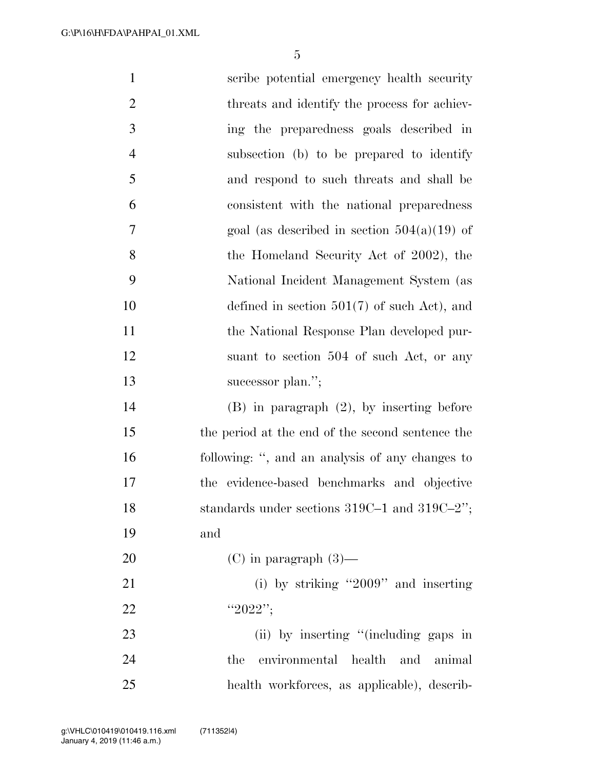| $\mathbf{1}$   | scribe potential emergency health security        |
|----------------|---------------------------------------------------|
| $\overline{2}$ | threats and identify the process for achiev-      |
| 3              | ing the preparedness goals described in           |
| $\overline{4}$ | subsection (b) to be prepared to identify         |
| 5              | and respond to such threats and shall be          |
| 6              | consistent with the national preparedness         |
| $\overline{7}$ | goal (as described in section $504(a)(19)$ of     |
| 8              | the Homeland Security Act of 2002), the           |
| 9              | National Incident Management System (as           |
| 10             | defined in section $501(7)$ of such Act), and     |
| 11             | the National Response Plan developed pur-         |
| 12             | suant to section 504 of such Act, or any          |
| 13             | successor plan.";                                 |
| 14             | $(B)$ in paragraph $(2)$ , by inserting before    |
| 15             | the period at the end of the second sentence the  |
| 16             | following: ", and an analysis of any changes to   |
| 17             | the evidence-based benchmarks and objective       |
| 18             | standards under sections $319C-1$ and $319C-2$ "; |
| 19             | and                                               |
| 20             | $(C)$ in paragraph $(3)$ —                        |
| 21             | (i) by striking "2009" and inserting              |
| 22             | "2022";                                           |
| 23             | (ii) by inserting "(including gaps in             |
| 24             | environmental health and animal<br>the            |
| 25             | health workforces, as applicable), describ-       |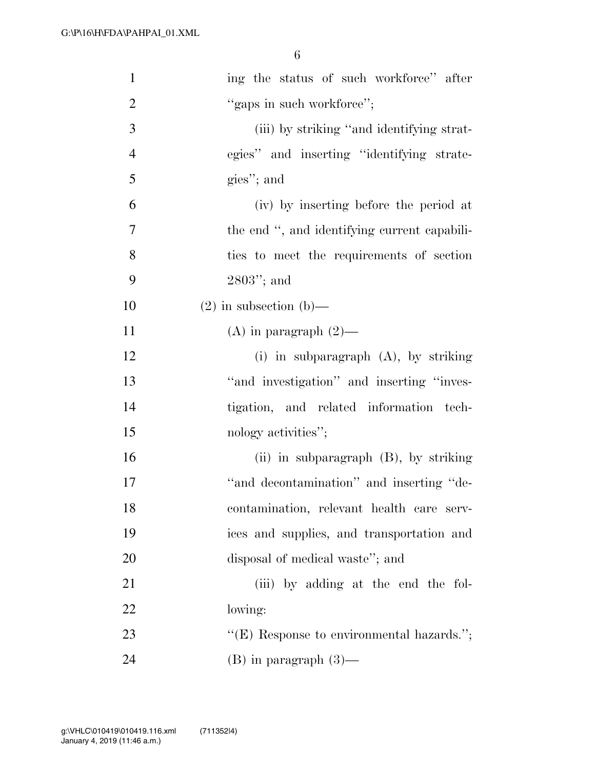| $\mathbf{1}$   | ing the status of such workforce" after      |
|----------------|----------------------------------------------|
| $\overline{2}$ | "gaps in such workforce";                    |
| 3              | (iii) by striking "and identifying strat-    |
| $\overline{4}$ | egies" and inserting "identifying strate-    |
| 5              | gies"; and                                   |
| 6              | (iv) by inserting before the period at       |
| 7              | the end ", and identifying current capabili- |
| 8              | ties to meet the requirements of section     |
| 9              | $2803$ "; and                                |
| 10             | $(2)$ in subsection $(b)$ —                  |
| 11             | (A) in paragraph $(2)$ —                     |
| 12             | (i) in subparagraph (A), by striking         |
| 13             | "and investigation" and inserting "inves-    |
| 14             | tigation, and related information tech-      |
| 15             | nology activities";                          |
| 16             | (ii) in subparagraph (B), by striking        |
| 17             | "and decontamination" and inserting "de-     |
| 18             | contamination, relevant health care serv-    |
| 19             | ices and supplies, and transportation and    |
| 20             | disposal of medical waste"; and              |
| 21             | (iii) by adding at the end the fol-          |
| 22             | lowing:                                      |
| 23             | " $(E)$ Response to environmental hazards."; |
| 24             | $(B)$ in paragraph $(3)$ —                   |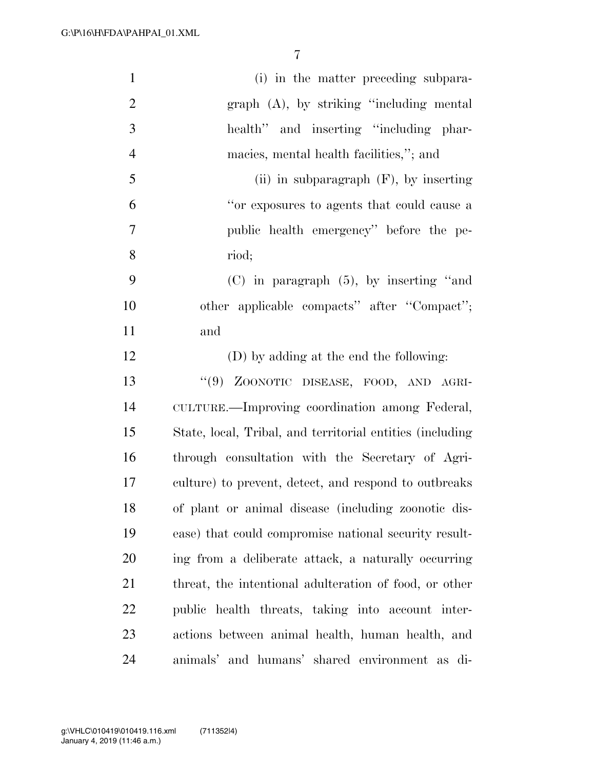| $\mathbf{1}$   | (i) in the matter preceding subpara-                       |
|----------------|------------------------------------------------------------|
| $\mathbf{2}$   | $graph$ $(A)$ , by striking "including mental              |
| 3              | health" and inserting "including phar-                     |
| $\overline{4}$ | macies, mental health facilities,"; and                    |
| 5              | (ii) in subparagraph $(F)$ , by inserting                  |
| 6              | "or exposures to agents that could cause a                 |
| $\overline{7}$ | public health emergency" before the pe-                    |
| 8              | riod;                                                      |
| 9              | $(C)$ in paragraph $(5)$ , by inserting "and               |
| 10             | other applicable compacts" after "Compact";                |
| 11             | and                                                        |
| 12             | (D) by adding at the end the following:                    |
| 13             | "(9) ZOONOTIC DISEASE, FOOD, AND AGRI-                     |
| 14             | CULTURE.—Improving coordination among Federal,             |
| 15             | State, local, Tribal, and territorial entities (including) |
| 16             | through consultation with the Secretary of Agri-           |
| 17             | culture) to prevent, detect, and respond to outbreaks      |
| 18             | of plant or animal disease (including zoonotic dis-        |
| 19             | ease) that could compromise national security result-      |
| 20             | ing from a deliberate attack, a naturally occurring        |
| 21             | threat, the intentional adulteration of food, or other     |
| 22             | public health threats, taking into account inter-          |
| 23             | actions between animal health, human health, and           |
| 24             | animals' and humans' shared environment as di-             |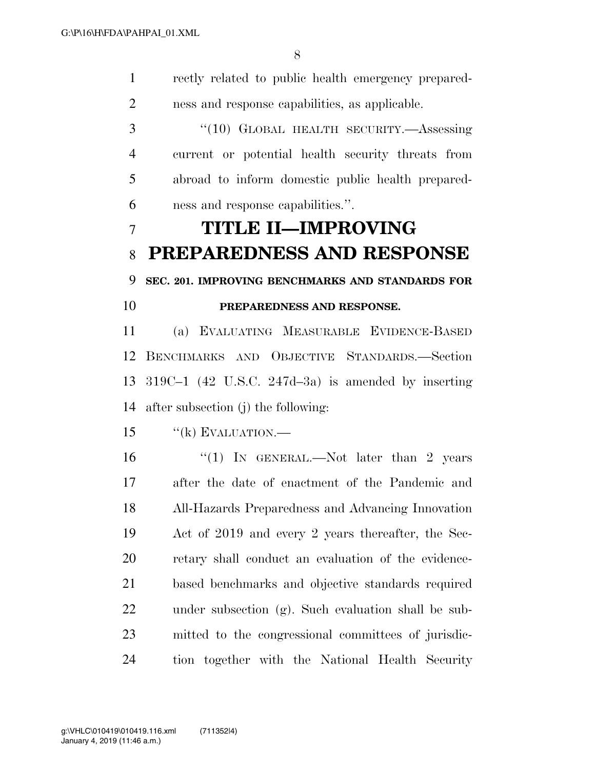rectly related to public health emergency prepared- ness and response capabilities, as applicable. ''(10) GLOBAL HEALTH SECURITY.—Assessing current or potential health security threats from abroad to inform domestic public health prepared- ness and response capabilities.''. **TITLE II—IMPROVING PREPAREDNESS AND RESPONSE SEC. 201. IMPROVING BENCHMARKS AND STANDARDS FOR PREPAREDNESS AND RESPONSE.**  (a) EVALUATING MEASURABLE EVIDENCE-BASED BENCHMARKS AND OBJECTIVE STANDARDS.—Section 319C–1 (42 U.S.C. 247d–3a) is amended by inserting after subsection (j) the following: ''(k) EVALUATION.— 16 "(1) In GENERAL.—Not later than 2 years after the date of enactment of the Pandemic and All-Hazards Preparedness and Advancing Innovation Act of 2019 and every 2 years thereafter, the Sec- retary shall conduct an evaluation of the evidence- based benchmarks and objective standards required under subsection (g). Such evaluation shall be sub- mitted to the congressional committees of jurisdic-tion together with the National Health Security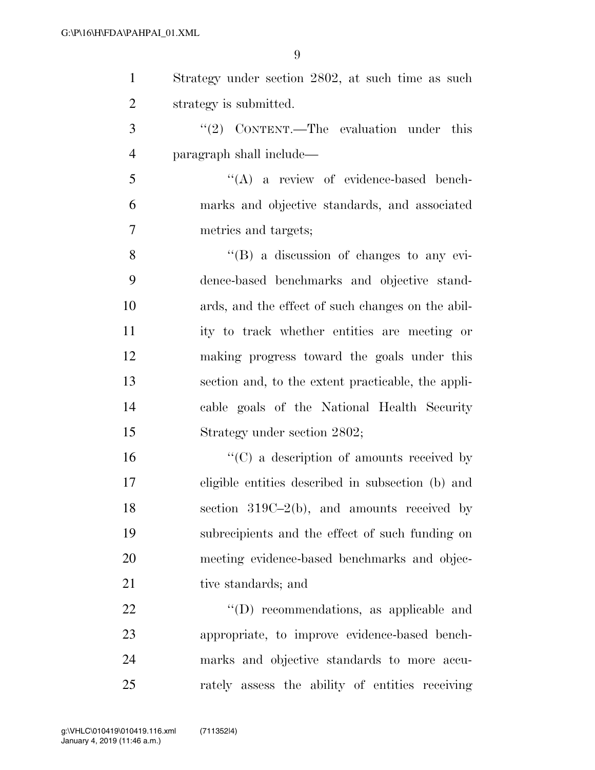| $\mathbf{1}$   | Strategy under section 2802, at such time as such  |
|----------------|----------------------------------------------------|
| $\overline{2}$ | strategy is submitted.                             |
| 3              | "(2) CONTENT.—The evaluation under this            |
| $\overline{4}$ | paragraph shall include—                           |
| 5              | $\lq\lq$ a review of evidence-based bench-         |
| 6              | marks and objective standards, and associated      |
| 7              | metrics and targets;                               |
| 8              | $\lq\lq (B)$ a discussion of changes to any evi-   |
| 9              | dence-based benchmarks and objective stand-        |
| 10             | ards, and the effect of such changes on the abil-  |
| 11             | ity to track whether entities are meeting or       |
| 12             | making progress toward the goals under this        |
| 13             | section and, to the extent practicable, the appli- |
| 14             | cable goals of the National Health Security        |
| 15             | Strategy under section 2802;                       |
| 16             | $\lq\lq$ (C) a description of amounts received by  |
| 17             | eligible entities described in subsection (b) and  |
| 18             | section $319C-2(b)$ , and amounts received by      |
| 19             | subrecipients and the effect of such funding on    |
| 20             | meeting evidence-based benchmarks and objec-       |
| 21             | tive standards; and                                |
| 22             | $\lq\lq$ recommendations, as applicable and        |
| 23             | appropriate, to improve evidence-based bench-      |
| 24             | marks and objective standards to more accu-        |
| 25             | rately assess the ability of entities receiving    |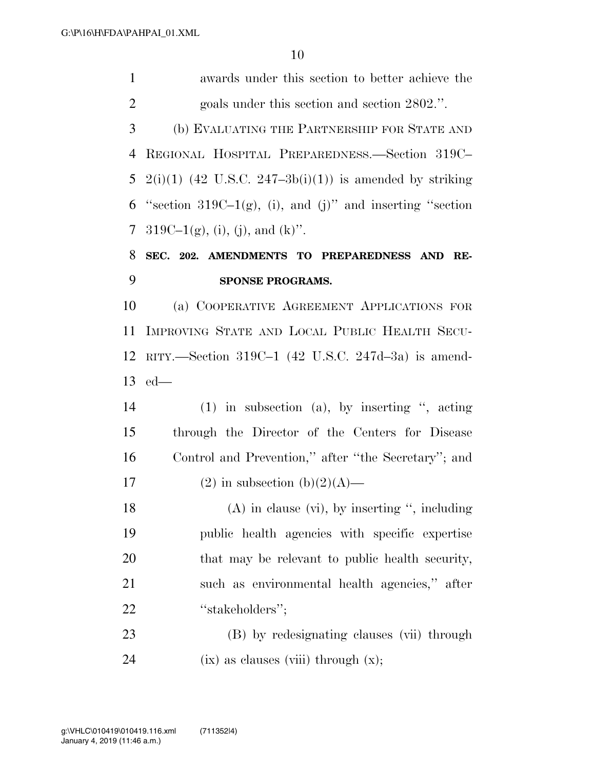awards under this section to better achieve the goals under this section and section 2802.''. (b) EVALUATING THE PARTNERSHIP FOR STATE AND REGIONAL HOSPITAL PREPAREDNESS.—Section 319C– 5 2(i)(1) (42 U.S.C. 247-3b(i)(1)) is amended by striking 6 "section 319C–1 $(g)$ , (i), and (j)" and inserting "section 7 319C–1(g), (i), (i), and (k)". **SEC. 202. AMENDMENTS TO PREPAREDNESS AND RE- SPONSE PROGRAMS.**  (a) COOPERATIVE AGREEMENT APPLICATIONS FOR IMPROVING STATE AND LOCAL PUBLIC HEALTH SECU- RITY.—Section 319C–1 (42 U.S.C. 247d–3a) is amend- ed— (1) in subsection (a), by inserting '', acting through the Director of the Centers for Disease Control and Prevention,'' after ''the Secretary''; and 17 (2) in subsection  $(b)(2)(A)$ — 18 (A) in clause (vi), by inserting ", including public health agencies with specific expertise that may be relevant to public health security, such as environmental health agencies,'' after 22 "stakeholders"; (B) by redesignating clauses (vii) through  $(ix)$  as clauses (viii) through  $(x)$ ;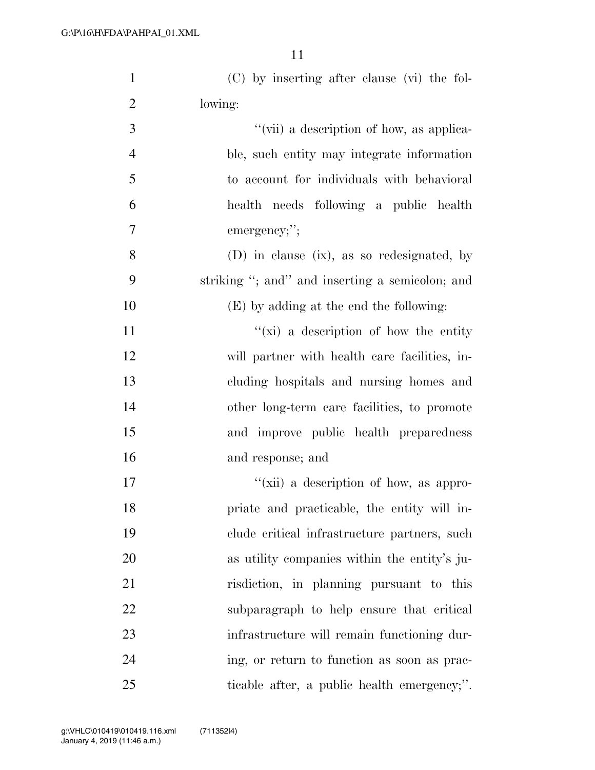| $\mathbf{1}$   | (C) by inserting after clause (vi) the fol-     |
|----------------|-------------------------------------------------|
| $\overline{2}$ | lowing:                                         |
| 3              | "(vii) a description of how, as applica-        |
| $\overline{4}$ | ble, such entity may integrate information      |
| 5              | to account for individuals with behavioral      |
| 6              | health needs following a public health          |
| $\tau$         | emergency;";                                    |
| 8              | (D) in clause (ix), as so redesignated, by      |
| 9              | striking "; and" and inserting a semicolon; and |
| 10             | (E) by adding at the end the following:         |
| 11             | "(xi) a description of how the entity           |
| 12             | will partner with health care facilities, in-   |
| 13             | cluding hospitals and nursing homes and         |
| 14             | other long-term care facilities, to promote     |
| 15             | and improve public health preparedness          |
| 16             | and response; and                               |
| 17             | "(xii) a description of how, as appro-          |
| 18             | priate and practicable, the entity will in-     |
| 19             | clude critical infrastructure partners, such    |
| 20             | as utility companies within the entity's ju-    |
| 21             | risdiction, in planning pursuant to this        |
| 22             | subparagraph to help ensure that critical       |
| 23             | infrastructure will remain functioning dur-     |
| 24             | ing, or return to function as soon as prac-     |
| 25             | ticable after, a public health emergency;".     |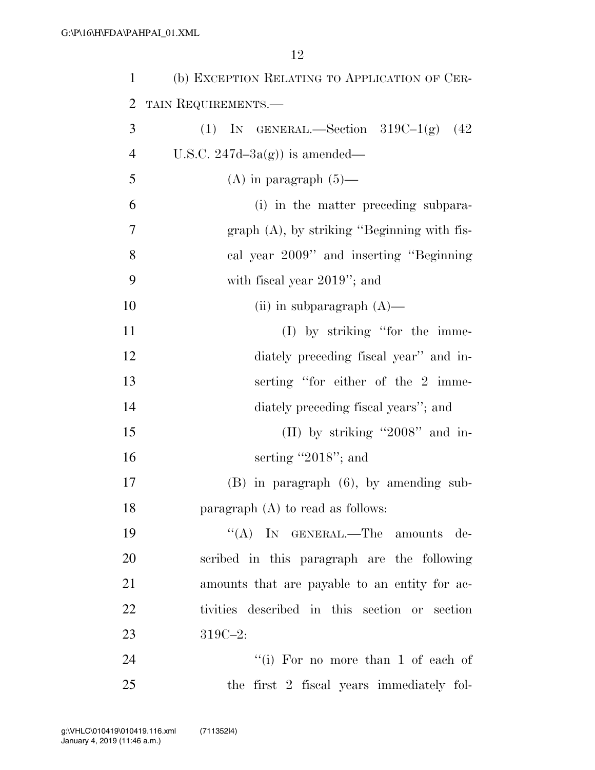| $\mathbf{1}$   | (b) EXCEPTION RELATING TO APPLICATION OF CER- |
|----------------|-----------------------------------------------|
| 2              | TAIN REQUIREMENTS.                            |
| 3              | (1) IN GENERAL.—Section $319C-1(g)$ (42)      |
| $\overline{4}$ | U.S.C. $247d-3a(g)$ is amended—               |
| 5              | (A) in paragraph $(5)$ —                      |
| 6              | (i) in the matter preceding subpara-          |
| 7              | $graph(A)$ , by striking "Beginning with fis- |
| 8              | cal year 2009" and inserting "Beginning"      |
| 9              | with fiscal year $2019$ "; and                |
| 10             | (ii) in subparagraph $(A)$ —                  |
| 11             | $(I)$ by striking "for the imme-              |
| 12             | diately preceding fiscal year" and in-        |
| 13             | serting "for either of the 2 imme-            |
| 14             | diately preceding fiscal years"; and          |
| 15             | (II) by striking "2008" and in-               |
| 16             | serting "2018"; and                           |
| 17             | $(B)$ in paragraph $(6)$ , by amending sub-   |
| 18             | paragraph $(A)$ to read as follows:           |
| 19             | "(A) IN GENERAL.—The amounts de-              |
| 20             | scribed in this paragraph are the following   |
| 21             | amounts that are payable to an entity for ac- |
| 22             | tivities described in this section or section |
| 23             | $319C - 2$ :                                  |
| 24             | "(i) For no more than 1 of each of            |
| 25             | the first 2 fiscal years immediately fol-     |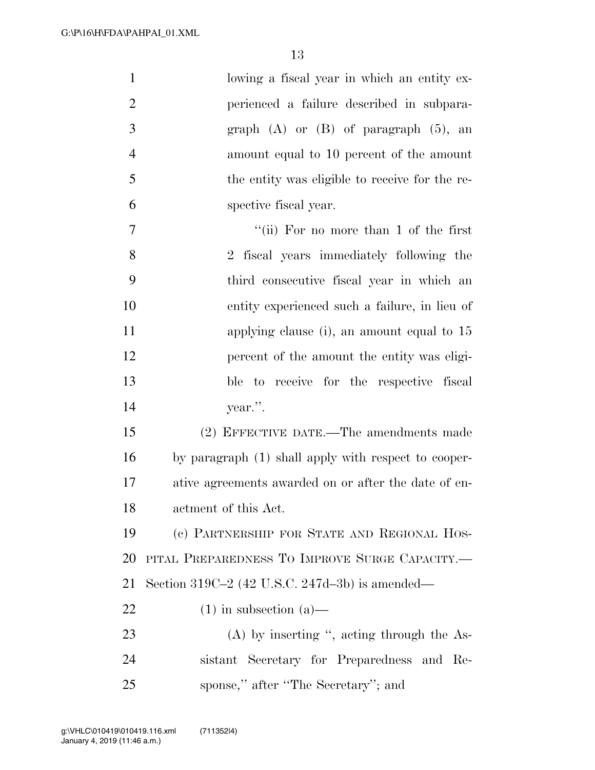| $\mathbf{1}$   | lowing a fiscal year in which an entity ex-          |
|----------------|------------------------------------------------------|
| $\overline{2}$ | perienced a failure described in subpara-            |
| 3              | graph $(A)$ or $(B)$ of paragraph $(5)$ , an         |
| $\overline{4}$ | amount equal to 10 percent of the amount             |
| 5              | the entity was eligible to receive for the re-       |
| 6              | spective fiscal year.                                |
| $\tau$         | "(ii) For no more than 1 of the first                |
| 8              | 2 fiscal years immediately following the             |
| 9              | third consecutive fiscal year in which an            |
| 10             | entity experienced such a failure, in lieu of        |
| 11             | applying clause (i), an amount equal to 15           |
| 12             | percent of the amount the entity was eligi-          |
| 13             | ble to receive for the respective fiscal             |
| 14             | year.".                                              |
| 15             | (2) EFFECTIVE DATE.—The amendments made              |
| 16             | by paragraph (1) shall apply with respect to cooper- |
| $17\,$         | ative agreements awarded on or after the date of en- |
| 18             | actment of this Act.                                 |
| 19             | (c) PARTNERSHIP FOR STATE AND REGIONAL HOS-          |
| <b>20</b>      | PITAL PREPAREDNESS TO IMPROVE SURGE CAPACITY.-       |
| 21             | Section 319C-2 (42 U.S.C. 247d-3b) is amended—       |
| 22             | $(1)$ in subsection $(a)$ —                          |
| 23             | $(A)$ by inserting ", acting through the As-         |
| 24             | sistant Secretary for Preparedness and Re-           |
| 25             | sponse," after "The Secretary"; and                  |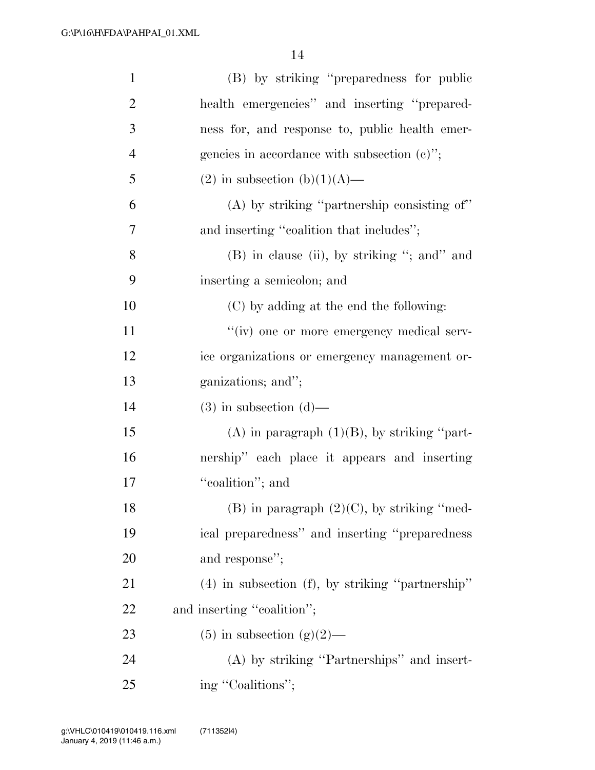| $\mathbf{1}$   | (B) by striking "preparedness for public              |
|----------------|-------------------------------------------------------|
| $\overline{2}$ | health emergencies" and inserting "prepared-          |
| 3              | ness for, and response to, public health emer-        |
| $\overline{4}$ | gencies in accordance with subsection $(c)$ ";        |
| 5              | $(2)$ in subsection $(b)(1)(A)$ —                     |
| 6              | $(A)$ by striking "partnership consisting of"         |
| $\overline{7}$ | and inserting "coalition that includes";              |
| 8              | (B) in clause (ii), by striking "; and" and           |
| 9              | inserting a semicolon; and                            |
| 10             | (C) by adding at the end the following:               |
| 11             | "(iv) one or more emergency medical serv-             |
| 12             | ice organizations or emergency management or-         |
| 13             | ganizations; and";                                    |
| 14             | $(3)$ in subsection $(d)$ —                           |
| 15             | $(A)$ in paragraph $(1)(B)$ , by striking "part-      |
| 16             | nership" each place it appears and inserting          |
| 17             | "coalition"; and                                      |
| 18             | $(B)$ in paragraph $(2)(C)$ , by striking "med-       |
| 19             | ical preparedness" and inserting "preparedness        |
| 20             | and response";                                        |
| 21             | $(4)$ in subsection $(f)$ , by striking "partnership" |
| 22             | and inserting "coalition";                            |
| 23             | $(5)$ in subsection $(g)(2)$ —                        |
| 24             | (A) by striking "Partnerships" and insert-            |
| 25             | ing "Coalitions";                                     |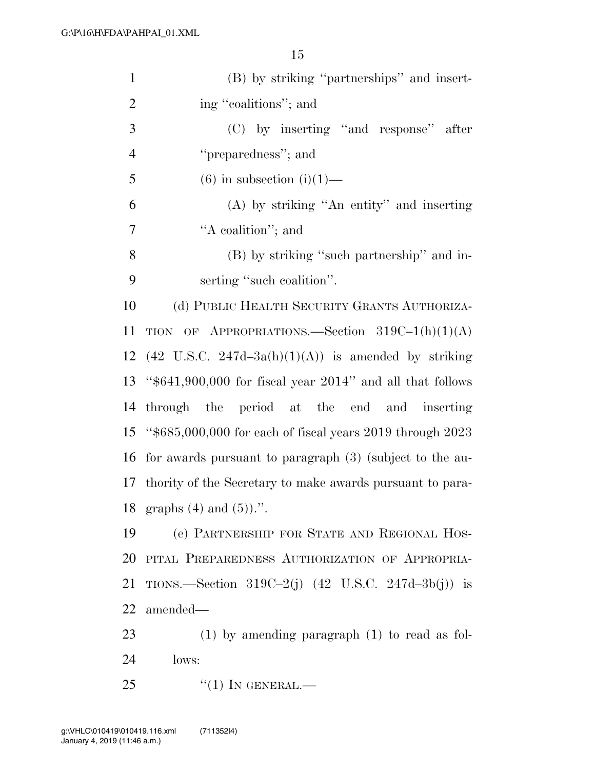| $\mathbf{1}$   | (B) by striking "partnerships" and insert-                     |
|----------------|----------------------------------------------------------------|
| $\overline{2}$ | ing "coalitions"; and                                          |
| 3              | (C) by inserting "and response" after                          |
| $\overline{4}$ | "preparedness"; and                                            |
| 5              | $(6)$ in subsection $(i)(1)$ —                                 |
| 6              | $(A)$ by striking "An entity" and inserting                    |
| $\overline{7}$ | "A coalition"; and                                             |
| 8              | (B) by striking "such partnership" and in-                     |
| 9              | serting "such coalition".                                      |
| 10             | (d) PUBLIC HEALTH SECURITY GRANTS AUTHORIZA-                   |
| 11             | TION OF APPROPRIATIONS. Section $319C-1(h)(1)(A)$              |
| 12             | $(42 \text{ U.S.C. } 247d-3a(h)(1)(A))$ is amended by striking |
| 13             | " $$641,900,000$ for fiscal year 2014" and all that follows    |
| 14             | through the period at the end and inserting                    |
| 15             | " $$685,000,000$ for each of fiscal years 2019 through 2023    |
| 16             | for awards pursuant to paragraph (3) (subject to the au-       |
| 17             | thority of the Secretary to make awards pursuant to para-      |
|                | 18 graphs $(4)$ and $(5)$ ).".                                 |
| 19             | (e) PARTNERSHIP FOR STATE AND REGIONAL HOS-                    |
| 20             | PITAL PREPAREDNESS AUTHORIZATION OF APPROPRIA-                 |
| 21             | TIONS.—Section 319C-2(j) $(42 \text{ U.S.C. } 247d-3b(j))$ is  |
| 22             | amended—                                                       |
| 23             | $(1)$ by amending paragraph $(1)$ to read as fol-              |
| 24             | lows:                                                          |
| 25             | $``(1)$ In GENERAL.—                                           |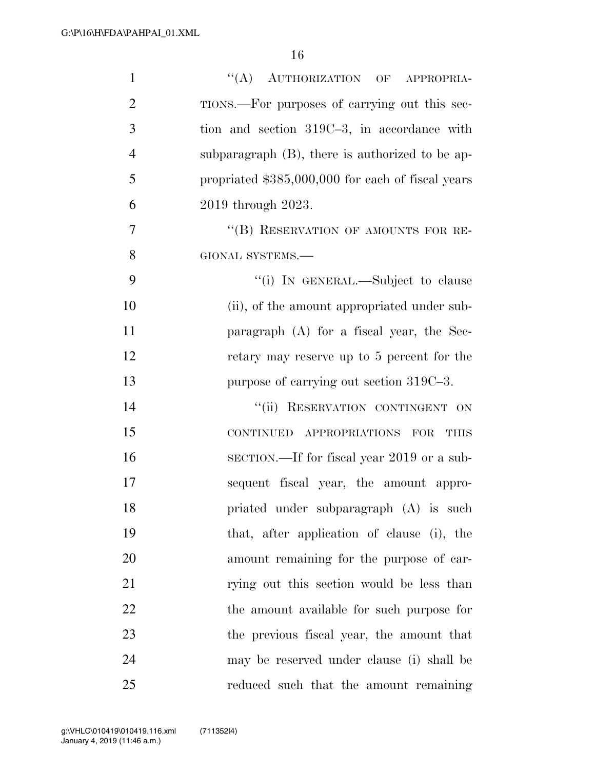| $\mathbf{1}$   | "(A) AUTHORIZATION OF APPROPRIA-                   |
|----------------|----------------------------------------------------|
| $\overline{2}$ | TIONS.—For purposes of carrying out this sec-      |
| 3              | tion and section 319C-3, in accordance with        |
| $\overline{4}$ | subparagraph $(B)$ , there is authorized to be ap- |
| 5              | propriated \$385,000,000 for each of fiscal years  |
| 6              | 2019 through 2023.                                 |
| 7              | "(B) RESERVATION OF AMOUNTS FOR RE-                |
| 8              | GIONAL SYSTEMS.-                                   |
| 9              | "(i) IN GENERAL.—Subject to clause                 |
| 10             | (ii), of the amount appropriated under sub-        |
| 11             | paragraph $(A)$ for a fiscal year, the Sec-        |
| 12             | retary may reserve up to 5 percent for the         |
| 13             | purpose of carrying out section 319C-3.            |
| 14             | "(ii) RESERVATION CONTINGENT ON                    |
| 15             | CONTINUED APPROPRIATIONS FOR<br><b>THIS</b>        |
| 16             | SECTION.—If for fiscal year 2019 or a sub-         |
| 17             | sequent fiscal year, the amount appro-             |
| 18             | priated under subparagraph (A) is such             |
| 19             | that, after application of clause (i), the         |
| 20             | amount remaining for the purpose of car-           |
| 21             | rying out this section would be less than          |
| 22             | the amount available for such purpose for          |
| 23             | the previous fiscal year, the amount that          |
| 24             | may be reserved under clause (i) shall be          |
| 25             | reduced such that the amount remaining             |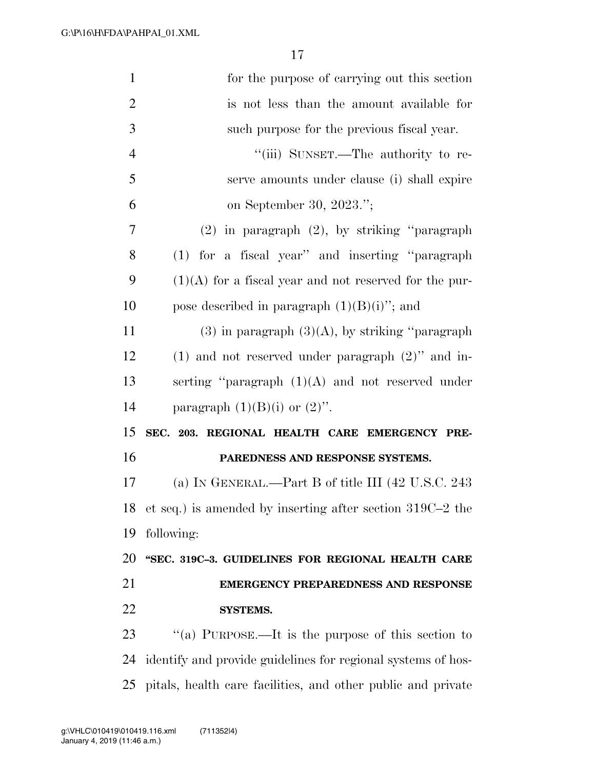| $\mathbf{1}$   | for the purpose of carrying out this section                   |
|----------------|----------------------------------------------------------------|
| $\overline{2}$ | is not less than the amount available for                      |
| 3              | such purpose for the previous fiscal year.                     |
| $\overline{4}$ | "(iii) SUNSET.—The authority to re-                            |
| 5              | serve amounts under clause (i) shall expire                    |
| 6              | on September 30, 2023.";                                       |
| 7              | $(2)$ in paragraph $(2)$ , by striking "paragraph"             |
| 8              | (1) for a fiscal year" and inserting "paragraph"               |
| 9              | $(1)(A)$ for a fiscal year and not reserved for the pur-       |
| 10             | pose described in paragraph $(1)(B)(i)$ ; and                  |
| 11             | $(3)$ in paragraph $(3)(A)$ , by striking "paragraph"          |
| 12             | $(1)$ and not reserved under paragraph $(2)$ " and in-         |
| 13             | serting "paragraph $(1)(A)$ and not reserved under             |
| 14             | paragraph $(1)(B)(i)$ or $(2)$ ".                              |
| 15             | SEC. 203. REGIONAL HEALTH CARE EMERGENCY PRE-                  |
| 16             | PAREDNESS AND RESPONSE SYSTEMS.                                |
| 17             | (a) IN GENERAL.—Part B of title III $(42 \text{ U.S.C. } 243)$ |
| 18             | et seq.) is amended by inserting after section $319C-2$ the    |
| 19             | following:                                                     |
| 20             | "SEC. 319C-3. GUIDELINES FOR REGIONAL HEALTH CARE              |
| 21             | <b>EMERGENCY PREPAREDNESS AND RESPONSE</b>                     |
| 22             | <b>SYSTEMS.</b>                                                |
| 23             | "(a) PURPOSE.—It is the purpose of this section to             |
| 24             | identify and provide guidelines for regional systems of hos-   |
| 25             | pitals, health care facilities, and other public and private   |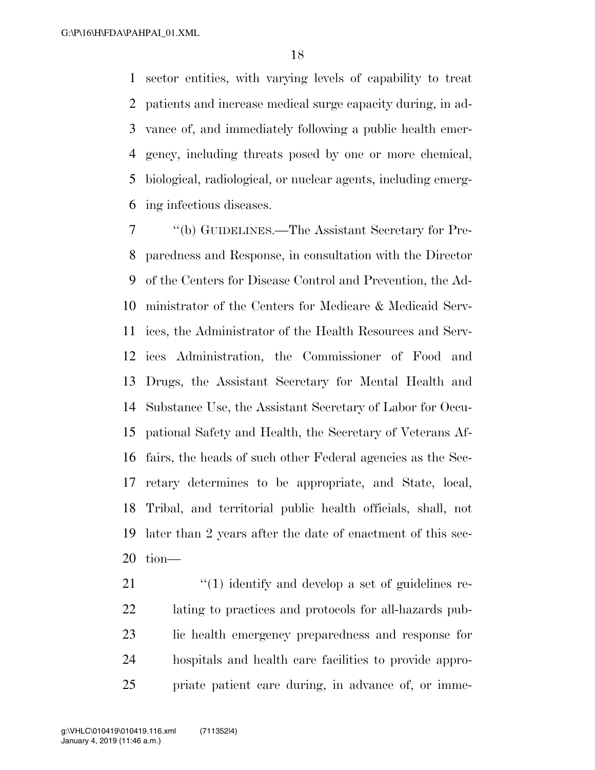sector entities, with varying levels of capability to treat patients and increase medical surge capacity during, in ad- vance of, and immediately following a public health emer- gency, including threats posed by one or more chemical, biological, radiological, or nuclear agents, including emerg-ing infectious diseases.

 ''(b) GUIDELINES.—The Assistant Secretary for Pre- paredness and Response, in consultation with the Director of the Centers for Disease Control and Prevention, the Ad- ministrator of the Centers for Medicare & Medicaid Serv- ices, the Administrator of the Health Resources and Serv- ices Administration, the Commissioner of Food and Drugs, the Assistant Secretary for Mental Health and Substance Use, the Assistant Secretary of Labor for Occu- pational Safety and Health, the Secretary of Veterans Af- fairs, the heads of such other Federal agencies as the Sec- retary determines to be appropriate, and State, local, Tribal, and territorial public health officials, shall, not later than 2 years after the date of enactment of this sec-tion—

21 ''(1) identify and develop a set of guidelines re- lating to practices and protocols for all-hazards pub- lic health emergency preparedness and response for hospitals and health care facilities to provide appro-priate patient care during, in advance of, or imme-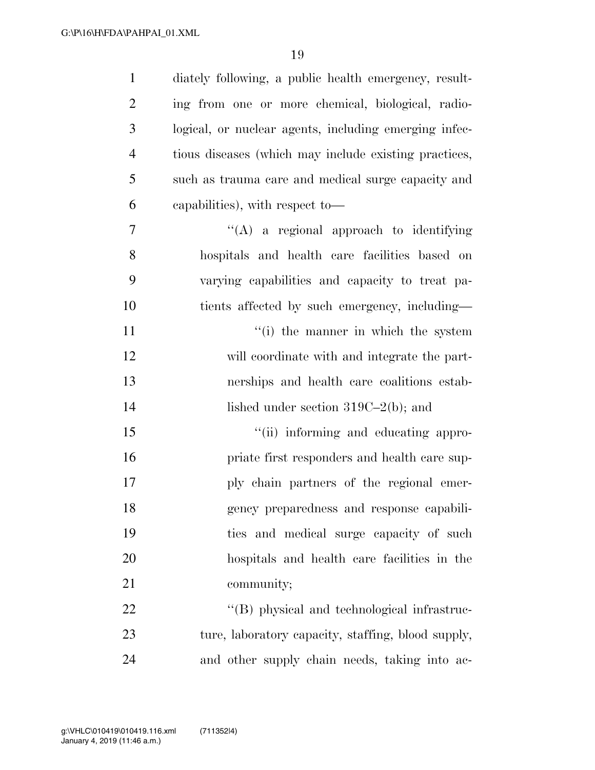| $\mathbf{1}$   | diately following, a public health emergency, result- |
|----------------|-------------------------------------------------------|
| $\overline{2}$ | ing from one or more chemical, biological, radio-     |
| 3              | logical, or nuclear agents, including emerging infec- |
| $\overline{4}$ | tious diseases (which may include existing practices, |
| 5              | such as trauma care and medical surge capacity and    |
| 6              | capabilities), with respect to-                       |
| 7              | $\lq\lq$ a regional approach to identifying           |
| 8              | hospitals and health care facilities based on         |
| 9              | varying capabilities and capacity to treat pa-        |
| 10             | tients affected by such emergency, including—         |
| 11             | "(i) the manner in which the system                   |
| 12             | will coordinate with and integrate the part-          |
| 13             | nerships and health care coalitions estab-            |
| 14             | lished under section $319C-2(b)$ ; and                |
| 15             | "(ii) informing and educating appro-                  |
| 16             | priate first responders and health care sup-          |
| 17             | ply chain partners of the regional emer-              |
| 18             | gency preparedness and response capabili-             |
| 19             | ties and medical surge capacity of such               |
| 20             | hospitals and health care facilities in the           |
| 21             | community;                                            |
| 22             | "(B) physical and technological infrastruc-           |
| 23             | ture, laboratory capacity, staffing, blood supply,    |
| 24             | and other supply chain needs, taking into ac-         |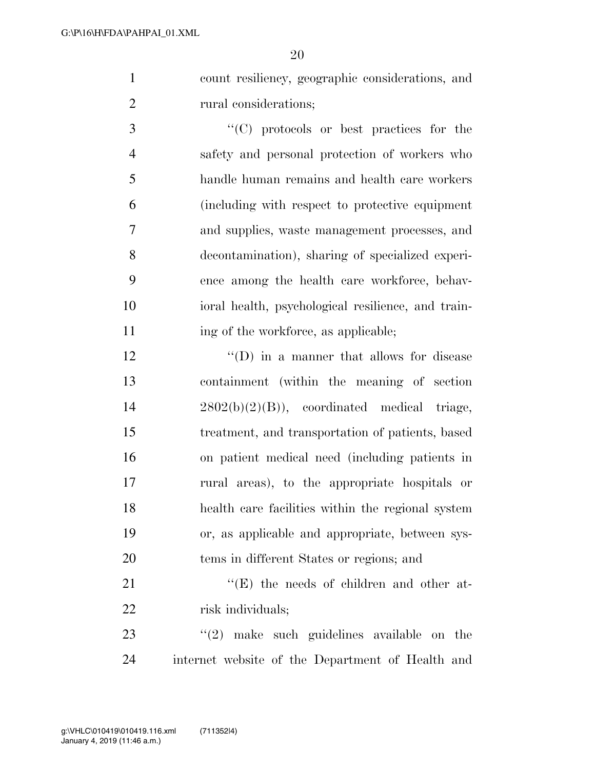count resiliency, geographic considerations, and 2 rural considerations;

 ''(C) protocols or best practices for the safety and personal protection of workers who handle human remains and health care workers (including with respect to protective equipment and supplies, waste management processes, and decontamination), sharing of specialized experi- ence among the health care workforce, behav- ioral health, psychological resilience, and train-11 ing of the workforce, as applicable;

12 ''(D) in a manner that allows for disease containment (within the meaning of section 2802(b)(2)(B)), coordinated medical triage, treatment, and transportation of patients, based on patient medical need (including patients in rural areas), to the appropriate hospitals or health care facilities within the regional system or, as applicable and appropriate, between sys-tems in different States or regions; and

21 ''(E) the needs of children and other at-22 risk individuals;

23  $\frac{1}{2}$  make such guidelines available on the internet website of the Department of Health and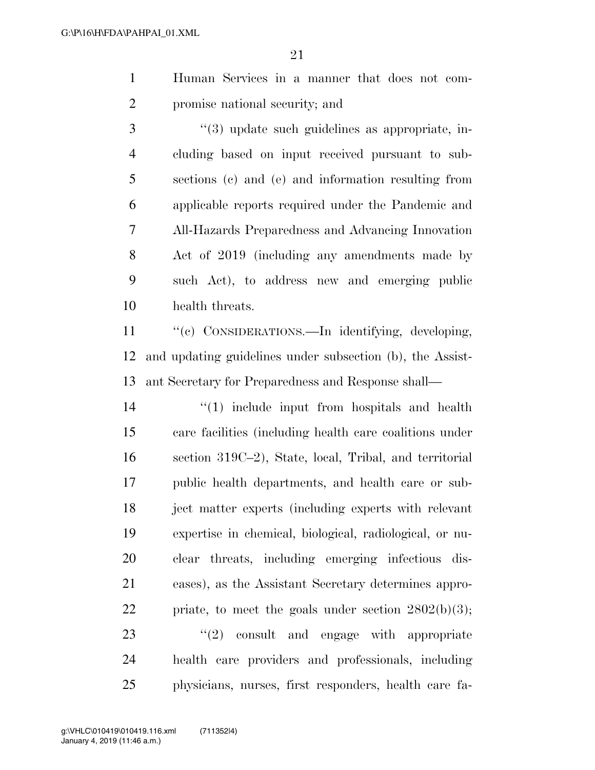- Human Services in a manner that does not com-promise national security; and
- 3 (4) update such guidelines as appropriate, in- cluding based on input received pursuant to sub- sections (c) and (e) and information resulting from applicable reports required under the Pandemic and All-Hazards Preparedness and Advancing Innovation Act of 2019 (including any amendments made by such Act), to address new and emerging public health threats.

11 "'(c) CONSIDERATIONS.—In identifying, developing, and updating guidelines under subsection (b), the Assist-ant Secretary for Preparedness and Response shall—

14 ''(1) include input from hospitals and health care facilities (including health care coalitions under section 319C–2), State, local, Tribal, and territorial public health departments, and health care or sub- ject matter experts (including experts with relevant expertise in chemical, biological, radiological, or nu- clear threats, including emerging infectious dis- eases), as the Assistant Secretary determines appro-22 priate, to meet the goals under section  $2802(b)(3)$ ;  $\frac{u(2)}{2}$  consult and engage with appropriate health care providers and professionals, including physicians, nurses, first responders, health care fa-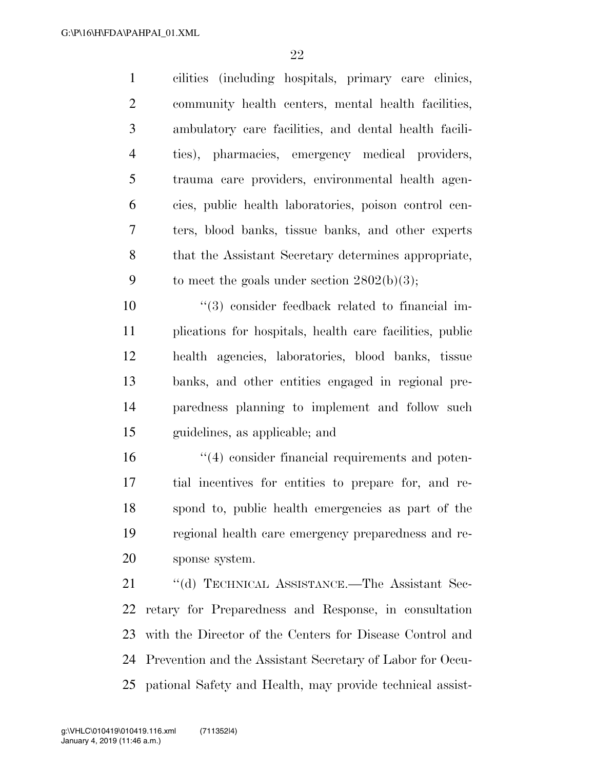| $\mathbf{1}$   | cilities (including hospitals, primary care clinics,  |
|----------------|-------------------------------------------------------|
| $\overline{2}$ | community health centers, mental health facilities,   |
| 3              | ambulatory care facilities, and dental health facili- |
| 4              | ties), pharmacies, emergency medical providers,       |
| 5              | trauma care providers, environmental health agen-     |
| 6              | cies, public health laboratories, poison control cen- |
| 7              | ters, blood banks, tissue banks, and other experts    |
| 8              | that the Assistant Secretary determines appropriate,  |
| 9              | to meet the goals under section $2802(b)(3)$ ;        |

 $(3)$  consider feedback related to financial im- plications for hospitals, health care facilities, public health agencies, laboratories, blood banks, tissue banks, and other entities engaged in regional pre- paredness planning to implement and follow such guidelines, as applicable; and

 $\frac{1}{2}$  (4) consider financial requirements and poten- tial incentives for entities to prepare for, and re- spond to, public health emergencies as part of the regional health care emergency preparedness and re-sponse system.

21 "(d) TECHNICAL ASSISTANCE.—The Assistant Sec- retary for Preparedness and Response, in consultation with the Director of the Centers for Disease Control and Prevention and the Assistant Secretary of Labor for Occu-pational Safety and Health, may provide technical assist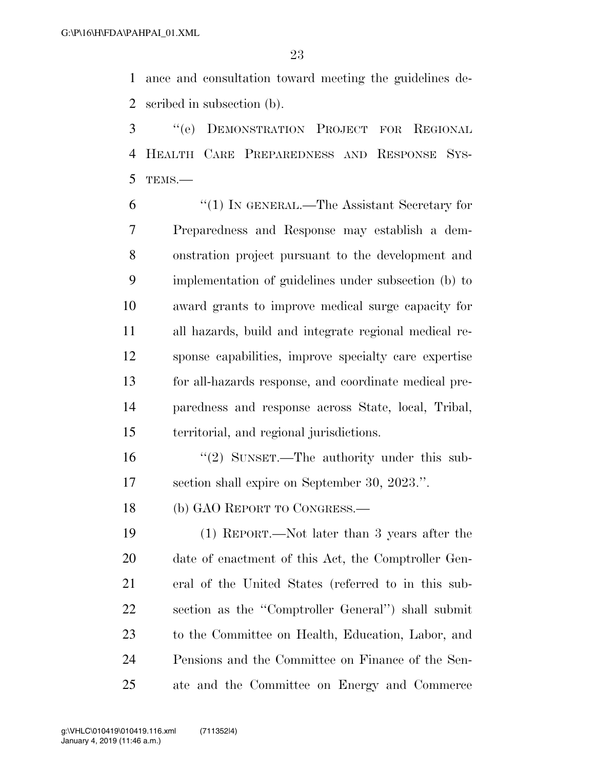ance and consultation toward meeting the guidelines de-scribed in subsection (b).

 ''(e) DEMONSTRATION PROJECT FOR REGIONAL HEALTH CARE PREPAREDNESS AND RESPONSE SYS-TEMS.—

 ''(1) IN GENERAL.—The Assistant Secretary for Preparedness and Response may establish a dem- onstration project pursuant to the development and implementation of guidelines under subsection (b) to award grants to improve medical surge capacity for all hazards, build and integrate regional medical re- sponse capabilities, improve specialty care expertise for all-hazards response, and coordinate medical pre- paredness and response across State, local, Tribal, territorial, and regional jurisdictions.

16 ''(2) SUNSET.—The authority under this sub-section shall expire on September 30, 2023.''.

18 (b) GAO REPORT TO CONGRESS.—

 (1) REPORT.—Not later than 3 years after the date of enactment of this Act, the Comptroller Gen- eral of the United States (referred to in this sub- section as the ''Comptroller General'') shall submit to the Committee on Health, Education, Labor, and Pensions and the Committee on Finance of the Sen-ate and the Committee on Energy and Commerce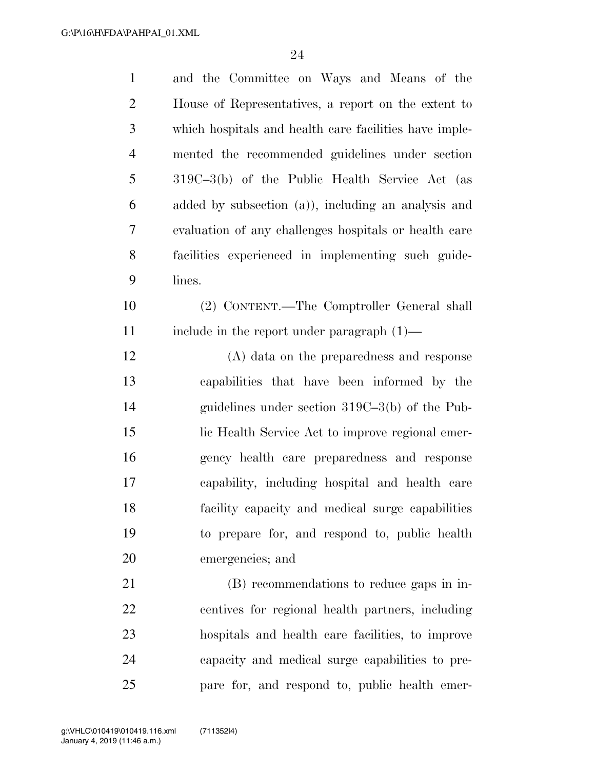| $\mathbf{1}$   | and the Committee on Ways and Means of the             |
|----------------|--------------------------------------------------------|
| $\overline{2}$ | House of Representatives, a report on the extent to    |
| 3              | which hospitals and health care facilities have imple- |
| $\overline{4}$ | mented the recommended guidelines under section        |
| 5              | 319C-3(b) of the Public Health Service Act (as         |
| 6              | added by subsection (a)), including an analysis and    |
| 7              | evaluation of any challenges hospitals or health care  |
| 8              | facilities experienced in implementing such guide-     |
| 9              | lines.                                                 |
| 10             | (2) CONTENT.—The Comptroller General shall             |
| 11             | include in the report under paragraph $(1)$ —          |
| 12             | (A) data on the preparedness and response              |
| 13             | capabilities that have been informed by the            |
| 14             | guidelines under section $319C-3(b)$ of the Pub-       |
| 15             | lic Health Service Act to improve regional emer-       |
| 16             | gency health care preparedness and response            |
| 17             | capability, including hospital and health care         |
| 18             | facility capacity and medical surge capabilities       |
| 19             | to prepare for, and respond to, public health          |
| 20             | emergencies; and                                       |
| 21             | (B) recommendations to reduce gaps in in-              |
| 22             | centives for regional health partners, including       |
| 23             | hospitals and health care facilities, to improve       |
| 24             | capacity and medical surge capabilities to pre-        |
| 25             | pare for, and respond to, public health emer-          |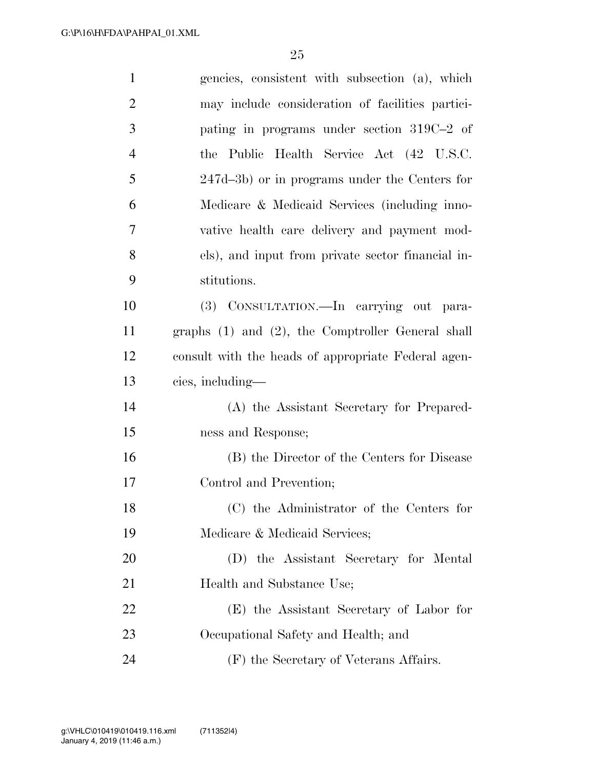| $\mathbf{1}$   | gencies, consistent with subsection (a), which         |
|----------------|--------------------------------------------------------|
| $\overline{2}$ | may include consideration of facilities partici-       |
| 3              | pating in programs under section 319C-2 of             |
| $\overline{4}$ | the Public Health Service Act (42 U.S.C.               |
| 5              | 247d–3b) or in programs under the Centers for          |
| 6              | Medicare & Medicaid Services (including inno-          |
| 7              | vative health care delivery and payment mod-           |
| 8              | els), and input from private sector financial in-      |
| 9              | stitutions.                                            |
| 10             | (3) CONSULTATION.—In carrying out para-                |
| 11             | graphs $(1)$ and $(2)$ , the Comptroller General shall |
| 12             | consult with the heads of appropriate Federal agen-    |
| 13             | cies, including—                                       |
| 14             | (A) the Assistant Secretary for Prepared-              |
| 15             | ness and Response;                                     |
| 16             | (B) the Director of the Centers for Disease            |
| 17             | Control and Prevention;                                |
| 18             | (C) the Administrator of the Centers for               |
| 19             | Medicare & Medicaid Services;                          |
| 20             | (D) the Assistant Secretary for Mental                 |
| 21             | Health and Substance Use;                              |
| 22             | (E) the Assistant Secretary of Labor for               |
| 23             | Occupational Safety and Health; and                    |
| 24             | (F) the Secretary of Veterans Affairs.                 |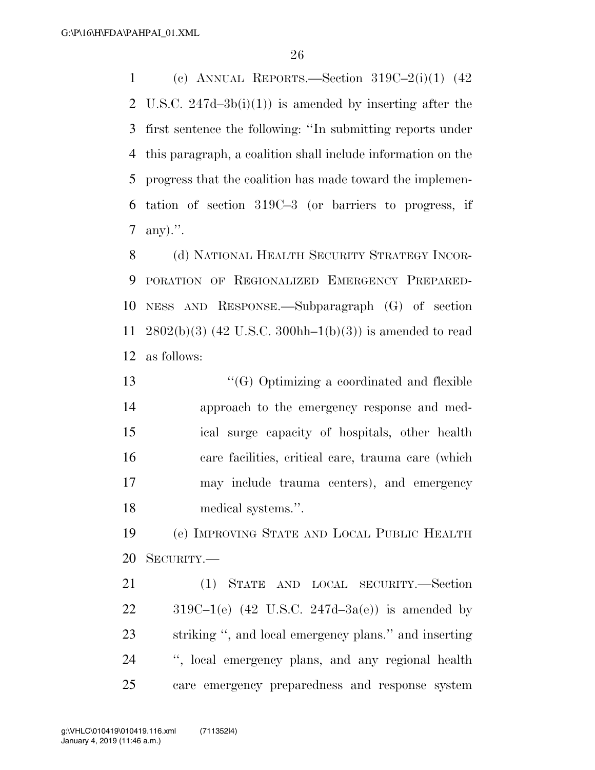1 (c) ANNUAL REPORTS.—Section  $319C-2(i)(1)$  (42) U.S.C. 247d–3b(i)(1)) is amended by inserting after the first sentence the following: ''In submitting reports under this paragraph, a coalition shall include information on the progress that the coalition has made toward the implemen- tation of section 319C–3 (or barriers to progress, if any).''.

8 (d) NATIONAL HEALTH SECURITY STRATEGY INCOR- PORATION OF REGIONALIZED EMERGENCY PREPARED- NESS AND RESPONSE.—Subparagraph (G) of section 2802(b)(3) (42 U.S.C. 300hh–1(b)(3)) is amended to read as follows:

 ''(G) Optimizing a coordinated and flexible approach to the emergency response and med- ical surge capacity of hospitals, other health care facilities, critical care, trauma care (which may include trauma centers), and emergency medical systems.''.

 (e) IMPROVING STATE AND LOCAL PUBLIC HEALTH SECURITY.—

 (1) STATE AND LOCAL SECURITY.—Section  $319C-1(e)$  (42 U.S.C. 247d-3a(e)) is amended by striking '', and local emergency plans.'' and inserting '', local emergency plans, and any regional health care emergency preparedness and response system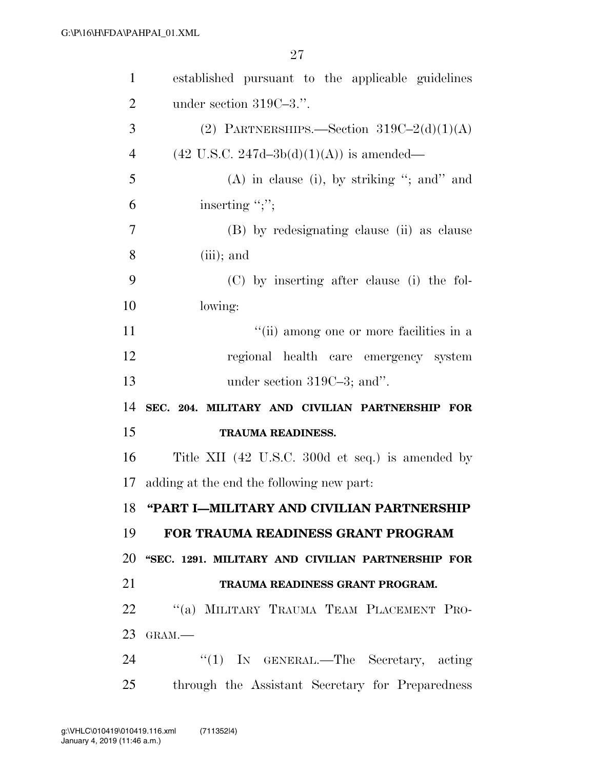| $\mathbf{1}$   | established pursuant to the applicable guidelines     |
|----------------|-------------------------------------------------------|
| $\overline{2}$ | under section $319C-3$ .".                            |
| 3              | (2) PARTNERSHIPS.—Section $319C-2(d)(1)(A)$           |
| $\overline{4}$ | $(42 \text{ U.S.C. } 247d - 3b(d)(1)(A))$ is amended— |
| 5              | $(A)$ in clause (i), by striking "; and" and          |
| 6              | inserting ";";                                        |
| 7              | (B) by redesignating clause (ii) as clause            |
| 8              | $(iii)$ ; and                                         |
| 9              | (C) by inserting after clause (i) the fol-            |
| 10             | lowing:                                               |
| 11             | "(ii) among one or more facilities in a               |
| 12             | regional health care emergency system                 |
| 13             | under section $319C-3$ ; and".                        |
| 14             | SEC. 204. MILITARY AND CIVILIAN PARTNERSHIP FOR       |
|                |                                                       |
| 15             | <b>TRAUMA READINESS.</b>                              |
| 16             | Title XII (42 U.S.C. 300d et seq.) is amended by      |
| 17             | adding at the end the following new part.             |
|                | 18 "PART I-MILITARY AND CIVILIAN PARTNERSHIP          |
| 19             | FOR TRAUMA READINESS GRANT PROGRAM                    |
| 20             | "SEC. 1291. MILITARY AND CIVILIAN PARTNERSHIP FOR     |
| 21             | TRAUMA READINESS GRANT PROGRAM.                       |
| 22             | "(a) MILITARY TRAUMA TEAM PLACEMENT PRO-              |
| 23             | GRAM.-                                                |
| 24             | " $(1)$ IN GENERAL.—The Secretary, acting             |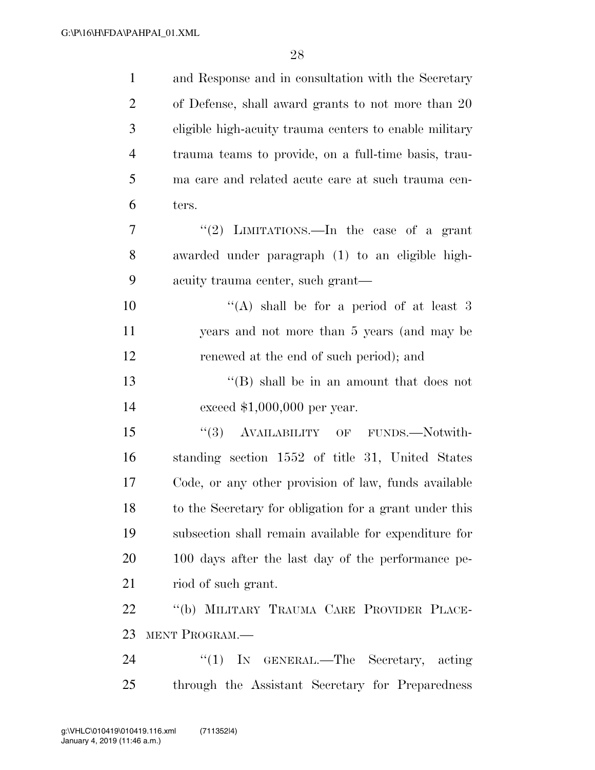| $\mathbf{1}$   | and Response and in consultation with the Secretary    |
|----------------|--------------------------------------------------------|
| $\overline{2}$ | of Defense, shall award grants to not more than 20     |
| 3              | eligible high-acuity trauma centers to enable military |
| $\overline{4}$ | trauma teams to provide, on a full-time basis, trau-   |
| 5              | ma care and related acute care at such trauma cen-     |
| 6              | ters.                                                  |
| 7              | "(2) LIMITATIONS.—In the case of a grant               |
| 8              | awarded under paragraph (1) to an eligible high-       |
| 9              | acuity trauma center, such grant—                      |
| 10             | "(A) shall be for a period of at least 3               |
| 11             | years and not more than 5 years (and may be            |
| 12             | renewed at the end of such period); and                |
| 13             | $\lq\lq (B)$ shall be in an amount that does not       |
| 14             | exceed $$1,000,000$ per year.                          |
| 15             | (3)<br>AVAILABILITY OF FUNDS.-Notwith-                 |
| 16             | standing section 1552 of title 31, United States       |
| 17             | Code, or any other provision of law, funds available   |
| 18             | to the Secretary for obligation for a grant under this |
| 19             | subsection shall remain available for expenditure for  |
| 20             | 100 days after the last day of the performance pe-     |
| 21             | riod of such grant.                                    |
| 22             | "(b) MILITARY TRAUMA CARE PROVIDER PLACE-              |
| 23             | MENT PROGRAM.-                                         |
| 24             | ``(1)<br>IN GENERAL.—The Secretary, acting             |
| 25             | through the Assistant Secretary for Preparedness       |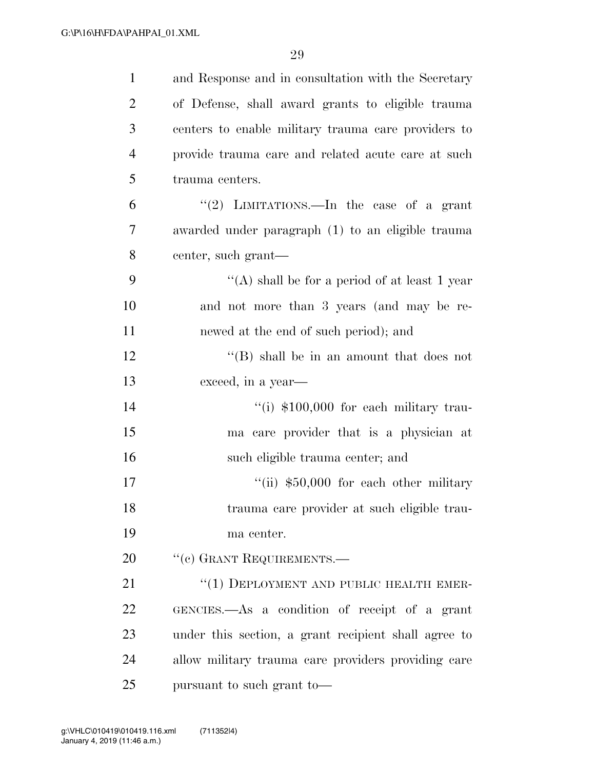| $\mathbf{1}$   | and Response and in consultation with the Secretary  |
|----------------|------------------------------------------------------|
| $\overline{2}$ | of Defense, shall award grants to eligible trauma    |
| 3              | centers to enable military trauma care providers to  |
| $\overline{4}$ | provide trauma care and related acute care at such   |
| 5              | trauma centers.                                      |
| 6              | "(2) LIMITATIONS.—In the case of a grant             |
| 7              | awarded under paragraph (1) to an eligible trauma    |
| 8              | center, such grant—                                  |
| 9              | "(A) shall be for a period of at least 1 year        |
| 10             | and not more than 3 years (and may be re-            |
| 11             | newed at the end of such period); and                |
| 12             | $\lq\lq$ Shall be in an amount that does not         |
| 13             | exceed, in a year—                                   |
| 14             | "(i) $$100,000$ for each military trau-              |
| 15             | ma care provider that is a physician at              |
| 16             | such eligible trauma center; and                     |
| 17             | "(ii) $$50,000$ for each other military              |
| 18             | trauma care provider at such eligible trau-          |
| 19             | ma center.                                           |
| 20             | "(c) GRANT REQUIREMENTS.—                            |
| 21             | "(1) DEPLOYMENT AND PUBLIC HEALTH EMER-              |
| 22             | GENCIES.—As a condition of receipt of a grant        |
| 23             | under this section, a grant recipient shall agree to |
| 24             | allow military trauma care providers providing care  |
| 25             | pursuant to such grant to—                           |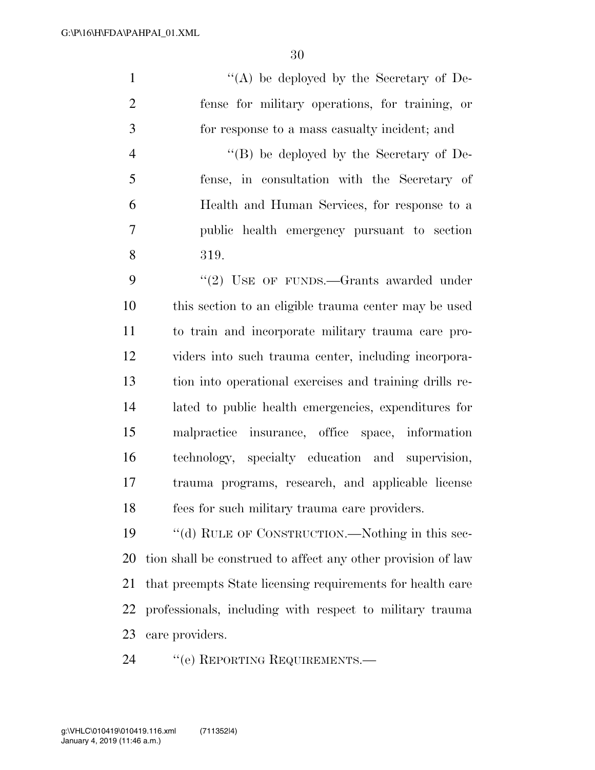''(A) be deployed by the Secretary of De- fense for military operations, for training, or for response to a mass casualty incident; and ''(B) be deployed by the Secretary of De- fense, in consultation with the Secretary of Health and Human Services, for response to a public health emergency pursuant to section 319. 9 "(2) USE OF FUNDS.—Grants awarded under this section to an eligible trauma center may be used to train and incorporate military trauma care pro- viders into such trauma center, including incorpora- tion into operational exercises and training drills re- lated to public health emergencies, expenditures for malpractice insurance, office space, information technology, specialty education and supervision, trauma programs, research, and applicable license fees for such military trauma care providers. ''(d) RULE OF CONSTRUCTION.—Nothing in this sec- tion shall be construed to affect any other provision of law that preempts State licensing requirements for health care

 professionals, including with respect to military trauma care providers.

24 "(e) REPORTING REQUIREMENTS.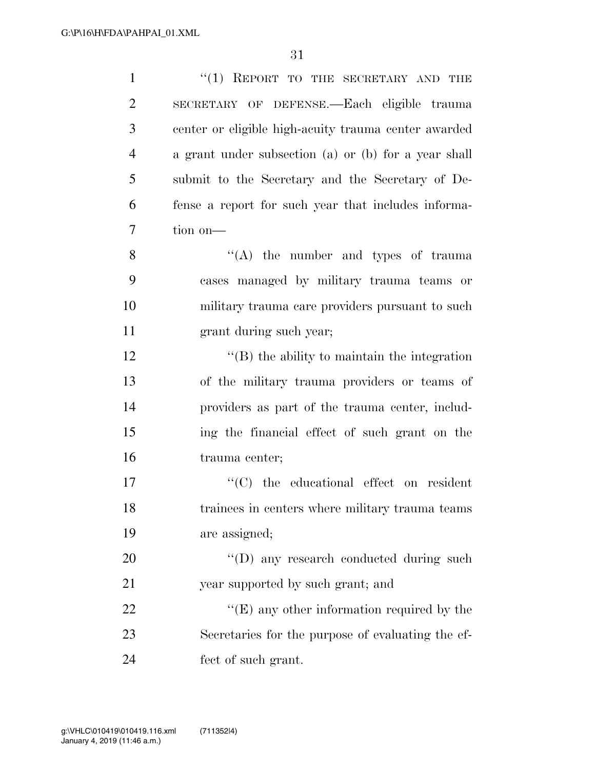| $\mathbf{1}$   | "(1) REPORT TO THE SECRETARY AND THE                 |
|----------------|------------------------------------------------------|
| $\overline{2}$ | SECRETARY OF DEFENSE.—Each eligible trauma           |
| 3              | center or eligible high-acuity trauma center awarded |
| $\overline{4}$ | a grant under subsection (a) or (b) for a year shall |
| 5              | submit to the Secretary and the Secretary of De-     |
| 6              | fense a report for such year that includes informa-  |
| 7              | tion on-                                             |
| 8              | $\lq\lq$ the number and types of trauma              |
| 9              | cases managed by military trauma teams or            |
| 10             | military trauma care providers pursuant to such      |
| 11             | grant during such year;                              |
| 12             | $\lq\lq$ the ability to maintain the integration     |
| 13             | of the military trauma providers or teams of         |
| 14             | providers as part of the trauma center, includ-      |
| 15             | ing the financial effect of such grant on the        |
| 16             | trauma center;                                       |
| 17             | "(C) the educational effect on resident              |
| 18             | trainees in centers where military trauma teams      |
| 19             | are assigned;                                        |
| 20             | "(D) any research conducted during such              |
| 21             | year supported by such grant; and                    |
| 22             | " $(E)$ any other information required by the        |
| 23             | Secretaries for the purpose of evaluating the ef-    |
| 24             | fect of such grant.                                  |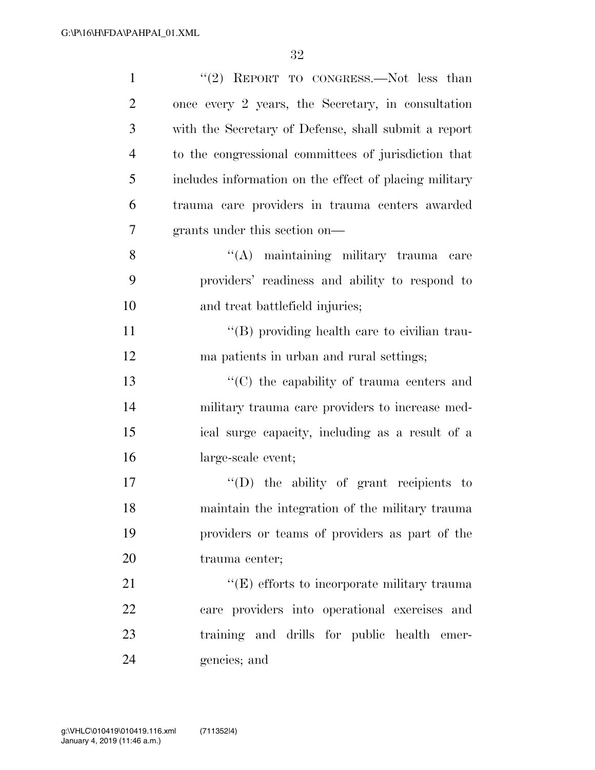| $\mathbf{1}$   | "(2) REPORT TO CONGRESS.—Not less than                 |
|----------------|--------------------------------------------------------|
| $\overline{2}$ | once every 2 years, the Secretary, in consultation     |
| 3              | with the Secretary of Defense, shall submit a report   |
| $\overline{4}$ | to the congressional committees of jurisdiction that   |
| 5              | includes information on the effect of placing military |
| 6              | trauma care providers in trauma centers awarded        |
| 7              | grants under this section on—                          |
| 8              | "(A) maintaining military trauma care                  |
| 9              | providers' readiness and ability to respond to         |
| 10             | and treat battlefield injuries;                        |
| 11             | "(B) providing health care to civilian trau-           |
| 12             | ma patients in urban and rural settings;               |
| 13             | $\cdot$ (C) the capability of trauma centers and       |
| 14             | military trauma care providers to increase med-        |
| 15             | ical surge capacity, including as a result of a        |
| 16             | large-scale event;                                     |
| 17             | $\lq\lq$ (D) the ability of grant recipients to        |
| 18             | maintain the integration of the military trauma        |
| 19             | providers or teams of providers as part of the         |
| 20             | trauma center;                                         |
| 21             | $\lq\lq(E)$ efforts to incorporate military trauma     |
| 22             | care providers into operational exercises and          |
| 23             | training and drills for public health emer-            |
| 24             | gencies; and                                           |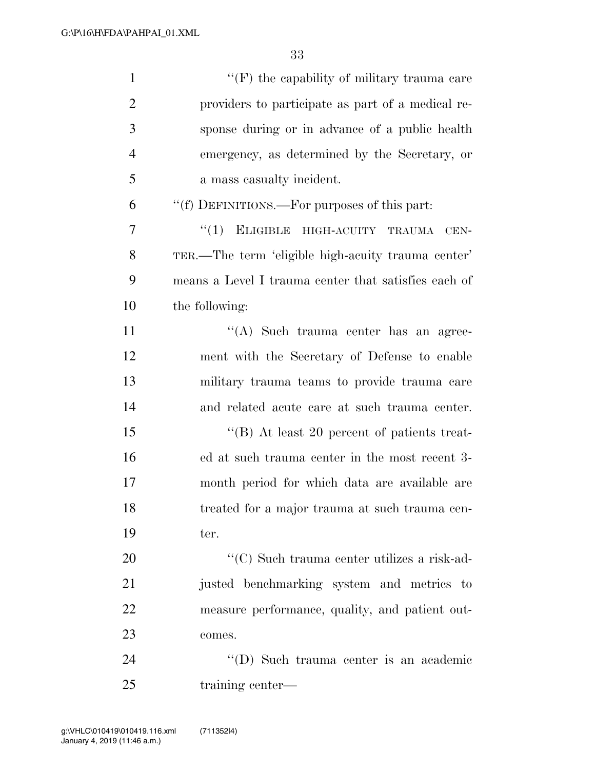| $\mathbf{1}$   | $``(F)$ the capability of military trauma care       |
|----------------|------------------------------------------------------|
| $\overline{2}$ | providers to participate as part of a medical re-    |
| 3              | sponse during or in advance of a public health       |
| $\overline{4}$ | emergency, as determined by the Secretary, or        |
| 5              | a mass casualty incident.                            |
| 6              | "(f) DEFINITIONS.—For purposes of this part:         |
| 7              | ELIGIBLE HIGH-ACUITY TRAUMA<br>``(1)<br>CEN-         |
| 8              | TER.—The term 'eligible high-acuity trauma center'   |
| 9              | means a Level I trauma center that satisfies each of |
| 10             | the following:                                       |
| 11             | "(A) Such trauma center has an agree-                |
| 12             | ment with the Secretary of Defense to enable         |
| 13             | military trauma teams to provide trauma care         |
| 14             | and related acute care at such trauma center.        |
| 15             | "(B) At least 20 percent of patients treat-          |
| 16             | ed at such trauma center in the most recent 3-       |
| 17             | month period for which data are available are        |
| 18             | treated for a major trauma at such trauma cen-       |
| 19             | ter.                                                 |
| 20             | "(C) Such trauma center utilizes a risk-ad-          |
| 21             | justed benchmarking system and metrics to            |
| 22             | measure performance, quality, and patient out-       |
| 23             | comes.                                               |
| 24             | "(D) Such trauma center is an academic               |
| 25             | training center—                                     |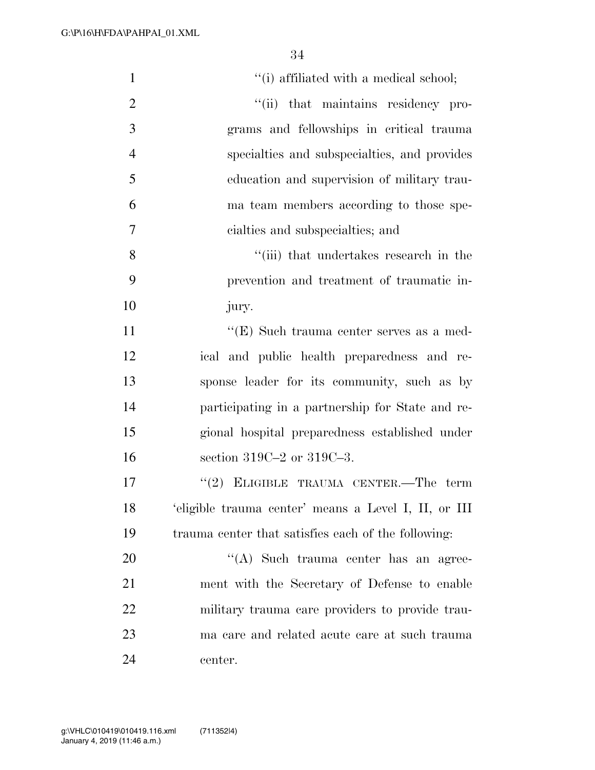| $\mathbf{1}$   | "(i) affiliated with a medical school;               |
|----------------|------------------------------------------------------|
| $\overline{2}$ | "(ii) that maintains residency pro-                  |
| 3              | grams and fellowships in critical trauma             |
| $\overline{4}$ | specialties and subspecialties, and provides         |
| 5              | education and supervision of military trau-          |
| 6              | ma team members according to those spe-              |
| 7              | cialties and subspecialties; and                     |
| 8              | "(iii) that undertakes research in the               |
| 9              | prevention and treatment of traumatic in-            |
| 10             | jury.                                                |
| 11             | $\lq\lq(E)$ Such trauma center serves as a med-      |
| 12             | ical and public health preparedness and re-          |
| 13             | sponse leader for its community, such as by          |
| 14             | participating in a partnership for State and re-     |
| 15             | gional hospital preparedness established under       |
| 16             | section 319C-2 or 319C-3.                            |
| 17             | $(2)$ ELIGIBLE TRAUMA CENTER.—The term               |
| 18             | 'eligible trauma center' means a Level I, II, or III |
| 19             | trauma center that satisfies each of the following:  |
| 20             | "(A) Such trauma center has an agree-                |
| 21             | ment with the Secretary of Defense to enable         |
| 22             | military trauma care providers to provide trau-      |
| 23             | ma care and related acute care at such trauma        |
| 24             | center.                                              |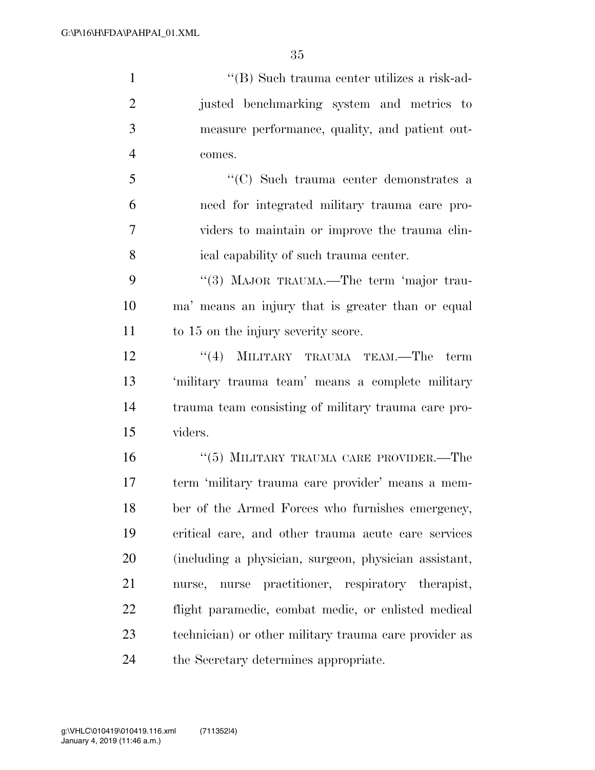''(B) Such trauma center utilizes a risk-ad-

 justed benchmarking system and metrics to measure performance, quality, and patient out- comes. ''(C) Such trauma center demonstrates a need for integrated military trauma care pro- viders to maintain or improve the trauma clin- ical capability of such trauma center. 9 "(3) MAJOR TRAUMA.—The term 'major trau- ma' means an injury that is greater than or equal to 15 on the injury severity score. 12 ''(4) MILITARY TRAUMA TEAM.—The term 'military trauma team' means a complete military trauma team consisting of military trauma care pro- viders. ''(5) MILITARY TRAUMA CARE PROVIDER.—The term 'military trauma care provider' means a mem- ber of the Armed Forces who furnishes emergency, critical care, and other trauma acute care services (including a physician, surgeon, physician assistant, nurse, nurse practitioner, respiratory therapist, flight paramedic, combat medic, or enlisted medical technician) or other military trauma care provider as

the Secretary determines appropriate.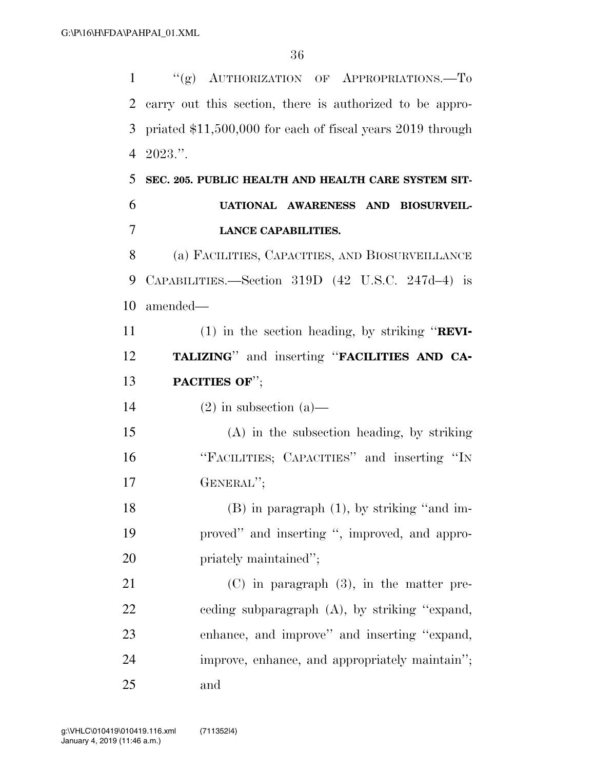1 "(g) AUTHORIZATION OF APPROPRIATIONS.—To carry out this section, there is authorized to be appro- priated \$11,500,000 for each of fiscal years 2019 through 2023.''. **SEC. 205. PUBLIC HEALTH AND HEALTH CARE SYSTEM SIT- UATIONAL AWARENESS AND BIOSURVEIL- LANCE CAPABILITIES.**  (a) FACILITIES, CAPACITIES, AND BIOSURVEILLANCE CAPABILITIES.—Section 319D (42 U.S.C. 247d–4) is amended— (1) in the section heading, by striking ''**REVI- TALIZING**'' and inserting ''**FACILITIES AND CA- PACITIES OF**''; 14 (2) in subsection (a)— (A) in the subsection heading, by striking ''FACILITIES; CAPACITIES'' and inserting ''IN GENERAL''; (B) in paragraph (1), by striking ''and im- proved'' and inserting '', improved, and appro-20 priately maintained''; (C) in paragraph (3), in the matter pre- ceding subparagraph (A), by striking ''expand, enhance, and improve'' and inserting ''expand, improve, enhance, and appropriately maintain''; and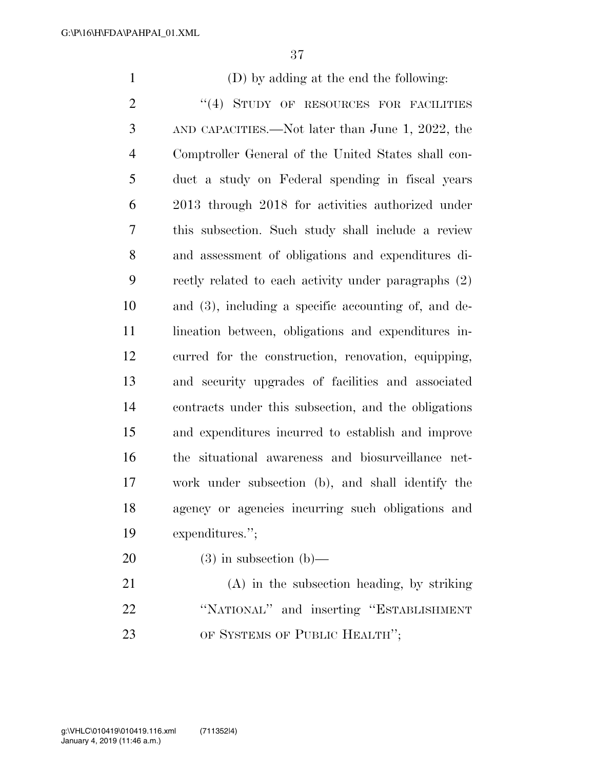(D) by adding at the end the following: 2 "(4) STUDY OF RESOURCES FOR FACILITIES AND CAPACITIES.—Not later than June 1, 2022, the Comptroller General of the United States shall con- duct a study on Federal spending in fiscal years 2013 through 2018 for activities authorized under this subsection. Such study shall include a review and assessment of obligations and expenditures di- rectly related to each activity under paragraphs (2) and (3), including a specific accounting of, and de-11 lineation between, obligations and expenditures in- curred for the construction, renovation, equipping, and security upgrades of facilities and associated contracts under this subsection, and the obligations and expenditures incurred to establish and improve the situational awareness and biosurveillance net- work under subsection (b), and shall identify the agency or agencies incurring such obligations and expenditures.'';  $(3)$  in subsection  $(b)$ —

 (A) in the subsection heading, by striking ''NATIONAL'' and inserting ''ESTABLISHMENT 23 OF SYSTEMS OF PUBLIC HEALTH";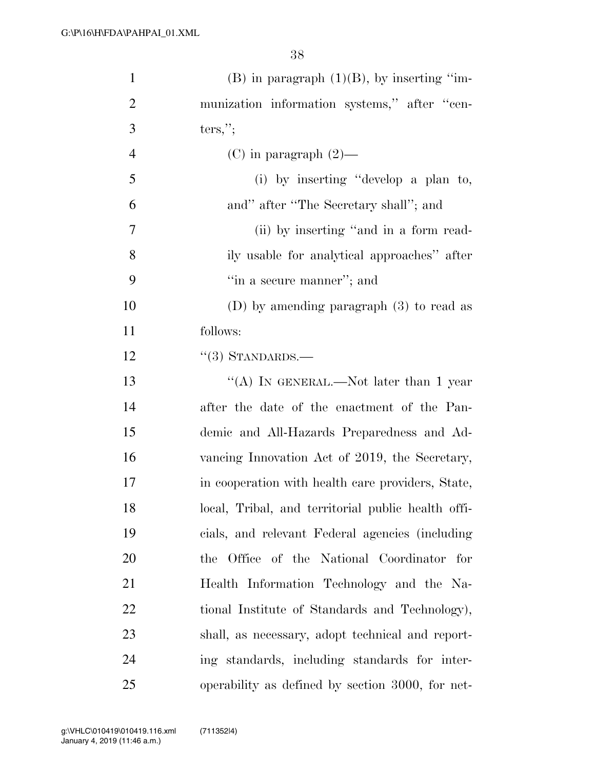| $\mathbf{1}$   | $(B)$ in paragraph $(1)(B)$ , by inserting "im-    |
|----------------|----------------------------------------------------|
| $\overline{2}$ | munization information systems," after "cen-       |
| 3              | $ters,$ ";                                         |
| $\overline{4}$ | (C) in paragraph $(2)$ —                           |
| 5              | (i) by inserting "develop a plan to,               |
| 6              | and" after "The Secretary shall"; and              |
| 7              | (ii) by inserting "and in a form read-             |
| 8              | ily usable for analytical approaches" after        |
| 9              | "in a secure manner"; and                          |
| 10             | (D) by amending paragraph $(3)$ to read as         |
| 11             | follows:                                           |
| 12             | $\cdot\cdot(3)$ STANDARDS.—                        |
| 13             | "(A) IN GENERAL.—Not later than 1 year             |
| 14             | after the date of the enactment of the Pan-        |
| 15             | demic and All-Hazards Preparedness and Ad-         |
| 16             | vancing Innovation Act of 2019, the Secretary,     |
| 17             | in cooperation with health care providers, State,  |
| 18             | local, Tribal, and territorial public health offi- |
| 19             | cials, and relevant Federal agencies (including    |
| 20             | the Office of the National Coordinator for         |
| 21             | Health Information Technology and the Na-          |
| 22             | tional Institute of Standards and Technology),     |
| 23             | shall, as necessary, adopt technical and report-   |
| 24             | ing standards, including standards for inter-      |
| 25             | operability as defined by section 3000, for net-   |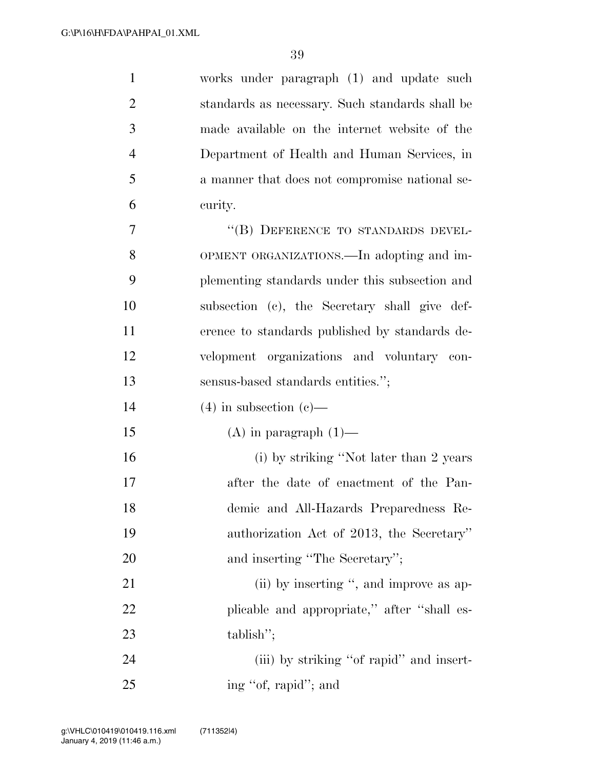| $\mathbf{1}$   | works under paragraph (1) and update such       |
|----------------|-------------------------------------------------|
| 2              | standards as necessary. Such standards shall be |
| 3              | made available on the internet website of the   |
| $\overline{4}$ | Department of Health and Human Services, in     |
| 5              | a manner that does not compromise national se-  |
| 6              | curity.                                         |
| 7              | "(B) DEFERENCE TO STANDARDS DEVEL-              |
| 8              | OPMENT ORGANIZATIONS.—In adopting and im-       |
| 9              | plementing standards under this subsection and  |
| 10             | subsection (c), the Secretary shall give def-   |
| 11             | erence to standards published by standards de-  |
| 12             | velopment organizations and voluntary con-      |
| 13             | sensus-based standards entities.";              |
| 14             | $(4)$ in subsection $(e)$ —                     |
| 15             | $(A)$ in paragraph $(1)$ —                      |
| 16             | (i) by striking "Not later than 2 years         |
| 17             | after the date of enactment of the Pan-         |
| 18             | demic and All-Hazards Preparedness Re-          |
| 19             | authorization Act of 2013, the Secretary"       |
| 20             | and inserting "The Secretary";                  |
| 21             | (ii) by inserting ", and improve as ap-         |
| 22             | plicable and appropriate," after "shall es-     |
| 23             | tablish";                                       |
| 24             | (iii) by striking "of rapid" and insert-        |
| 25             | ing "of, rapid"; and                            |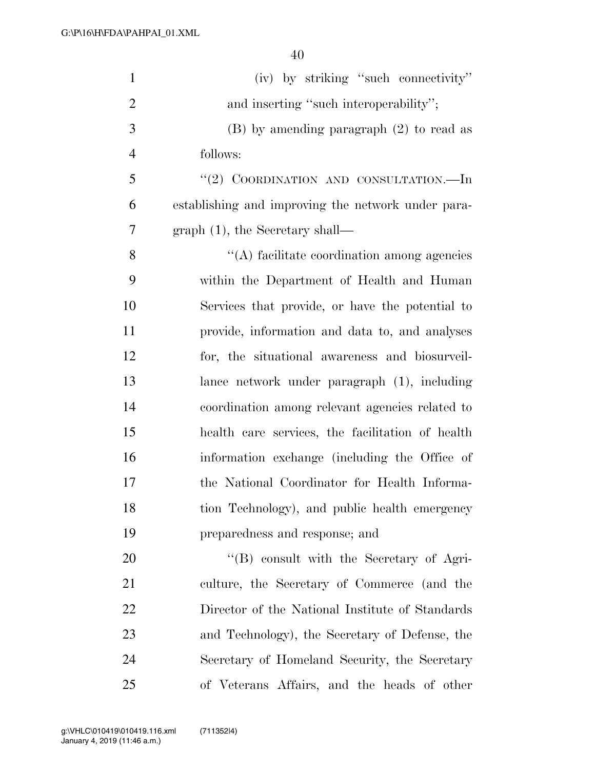| $\mathbf{1}$   | (iv) by striking "such connectivity"               |
|----------------|----------------------------------------------------|
| $\overline{2}$ | and inserting "such interoperability";             |
| 3              | $(B)$ by amending paragraph $(2)$ to read as       |
| $\overline{4}$ | follows:                                           |
| 5              | "(2) COORDINATION AND CONSULTATION.—In             |
| 6              | establishing and improving the network under para- |
| $\overline{7}$ | $graph(1)$ , the Secretary shall—                  |
| 8              | $\lq\lq$ facilitate coordination among agencies    |
| 9              | within the Department of Health and Human          |
| 10             | Services that provide, or have the potential to    |
| 11             | provide, information and data to, and analyses     |
| 12             | for, the situational awareness and biosurveil-     |
| 13             | lance network under paragraph (1), including       |
| 14             | coordination among relevant agencies related to    |
| 15             | health care services, the facilitation of health   |
| 16             | information exchange (including the Office of      |
| 17             | the National Coordinator for Health Informa-       |
| 18             | tion Technology), and public health emergency      |
| 19             | preparedness and response; and                     |
| 20             | "(B) consult with the Secretary of Agri-           |
| 21             | culture, the Secretary of Commerce (and the        |
| 22             | Director of the National Institute of Standards    |
| 23             | and Technology), the Secretary of Defense, the     |
| 24             | Secretary of Homeland Security, the Secretary      |
| 25             | of Veterans Affairs, and the heads of other        |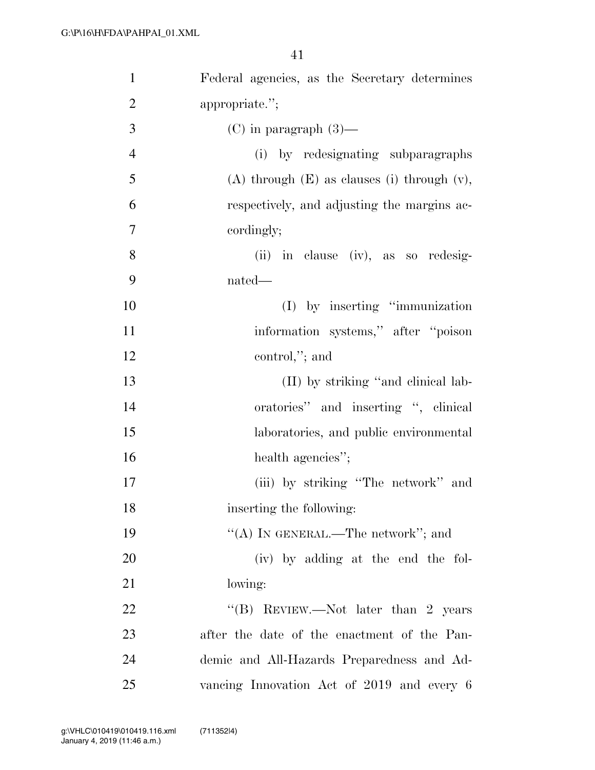| $\mathbf{1}$   | Federal agencies, as the Secretary determines      |
|----------------|----------------------------------------------------|
| $\overline{2}$ | appropriate.";                                     |
| 3              | $(C)$ in paragraph $(3)$ —                         |
| $\overline{4}$ | (i) by redesignating subparagraphs                 |
| 5              | $(A)$ through $(E)$ as clauses (i) through $(v)$ , |
| 6              | respectively, and adjusting the margins ac-        |
| $\overline{7}$ | cordingly;                                         |
| 8              | (ii) in clause (iv), as so redesig-                |
| 9              | nated—                                             |
| 10             | (I) by inserting "immunization                     |
| 11             | information systems," after "poison"               |
| 12             | control,"; and                                     |
| 13             | (II) by striking "and clinical lab-                |
| 14             | oratories" and inserting ", clinical               |
| 15             | laboratories, and public environmental             |
| 16             | health agencies";                                  |
| 17             | (iii) by striking "The network" and                |
| 18             | inserting the following:                           |
| 19             | "(A) IN GENERAL.—The network"; and                 |
| 20             | (iv) by adding at the end the fol-                 |
| 21             | lowing:                                            |
| 22             | "(B) REVIEW.—Not later than 2 years                |
| 23             | after the date of the enactment of the Pan-        |
| 24             | demic and All-Hazards Preparedness and Ad-         |
| 25             | vancing Innovation Act of 2019 and every 6         |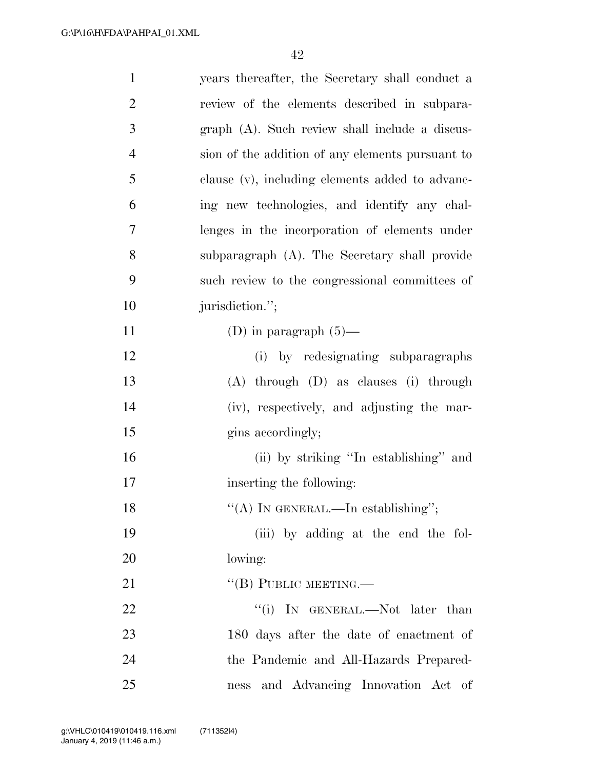| $\mathbf{1}$   | years thereafter, the Secretary shall conduct a  |
|----------------|--------------------------------------------------|
| $\overline{2}$ | review of the elements described in subpara-     |
| 3              | graph (A). Such review shall include a discus-   |
| $\overline{4}$ | sion of the addition of any elements pursuant to |
| 5              | clause (v), including elements added to advanc-  |
| 6              | ing new technologies, and identify any chal-     |
| 7              | lenges in the incorporation of elements under    |
| 8              | subparagraph (A). The Secretary shall provide    |
| 9              | such review to the congressional committees of   |
| 10             | jurisdiction.";                                  |
| 11             | (D) in paragraph $(5)$ —                         |
| 12             | (i) by redesignating subparagraphs               |
| 13             | $(A)$ through $(D)$ as clauses $(i)$ through     |
| 14             | (iv), respectively, and adjusting the mar-       |
| 15             | gins accordingly;                                |
| 16             | (ii) by striking "In establishing" and           |
| 17             | inserting the following:                         |
| 18             | "(A) IN GENERAL.—In establishing";               |
| 19             | (iii) by adding at the end the fol-              |
| 20             | lowing:                                          |
| 21             | "(B) PUBLIC MEETING.—                            |
| 22             | "(i) IN GENERAL.—Not later than                  |
| 23             | 180 days after the date of enactment of          |
| 24             | the Pandemic and All-Hazards Prepared-           |
| 25             | and Advancing Innovation Act of<br>ness          |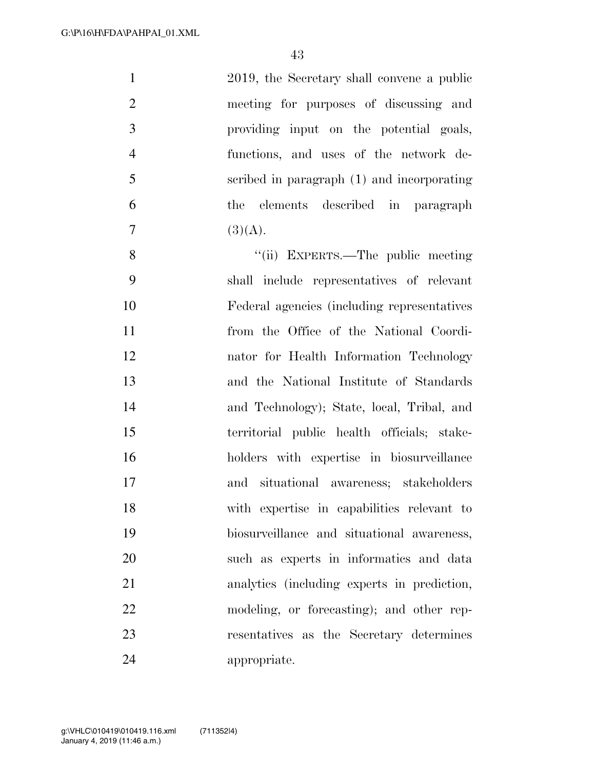| $\mathbf{1}$   | 2019, the Secretary shall convene a public   |
|----------------|----------------------------------------------|
| $\overline{2}$ | meeting for purposes of discussing and       |
| 3              | providing input on the potential goals,      |
| $\overline{4}$ | functions, and uses of the network de-       |
| 5              | scribed in paragraph (1) and incorporating   |
| 6              | the elements described in paragraph          |
| $\overline{7}$ | (3)(A).                                      |
| 8              | "(ii) EXPERTS.—The public meeting            |
| 9              | shall include representatives of relevant    |
| 10             | Federal agencies (including representatives) |
| 11             | from the Office of the National Coordi-      |
| 12             | nator for Health Information Technology      |
| 13             | and the National Institute of Standards      |
| 14             | and Technology); State, local, Tribal, and   |
| 15             | territorial public health officials; stake-  |
| 16             | holders with expertise in biosurveillance    |
| 17             | and situational awareness; stakeholders      |
| 18             | with expertise in capabilities relevant to   |
| 19             | biosurveillance and situational awareness,   |
| 20             | such as experts in informatics and data      |
| 21             | analytics (including experts in prediction,  |
| 22             | modeling, or forecasting); and other rep-    |
| 23             | resentatives as the Secretary determines     |
| 24             | appropriate.                                 |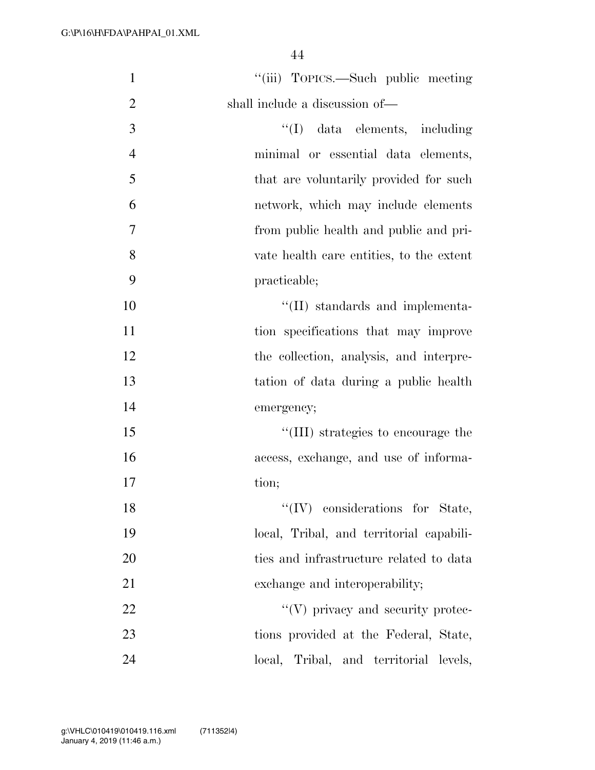| $\mathbf{1}$   | "(iii) TOPICS.—Such public meeting       |
|----------------|------------------------------------------|
| $\overline{2}$ | shall include a discussion of—           |
| $\mathfrak{Z}$ | "(I) data elements, including            |
| $\overline{4}$ | minimal or essential data elements,      |
| 5              | that are voluntarily provided for such   |
| 6              | network, which may include elements      |
| 7              | from public health and public and pri-   |
| 8              | vate health care entities, to the extent |
| 9              | practicable;                             |
| 10             | $\lq\lq$ (II) standards and implementa-  |
| 11             | tion specifications that may improve     |
| 12             | the collection, analysis, and interpre-  |
| 13             | tation of data during a public health    |
| 14             | emergency;                               |
| 15             | "(III) strategies to encourage the       |
| 16             | access, exchange, and use of informa-    |
| 17             | tion;                                    |
| 18             | $\lq\lq$ (IV) considerations for State,  |
| 19             | local, Tribal, and territorial capabili- |
| 20             | ties and infrastructure related to data  |
| 21             | exchange and interoperability;           |
| 22             | $\lq\lq(V)$ privacy and security protec- |
| 23             | tions provided at the Federal, State,    |
| 24             | local, Tribal, and territorial levels,   |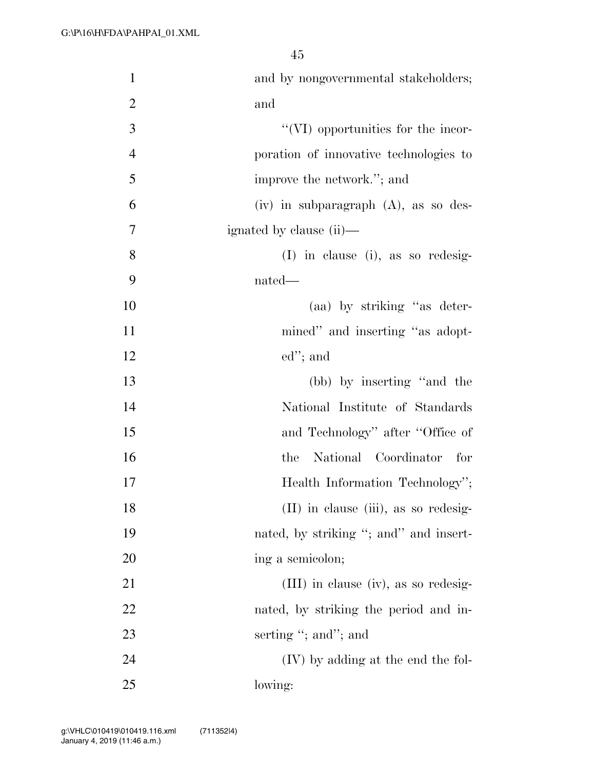| $\mathbf{1}$   | and by nongovernmental stakeholders;      |
|----------------|-------------------------------------------|
| $\overline{2}$ | and                                       |
| 3              | "(VI) opportunities for the incor-        |
| $\overline{4}$ | poration of innovative technologies to    |
| 5              | improve the network."; and                |
| 6              | $(iv)$ in subparagraph $(A)$ , as so des- |
| 7              | ignated by clause (ii)—                   |
| $8\,$          | $(I)$ in clause (i), as so redesig-       |
| 9              | nated—                                    |
| 10             | (aa) by striking "as deter-               |
| 11             | mined" and inserting "as adopt-           |
| 12             | $ed$ "; and                               |
| 13             | (bb) by inserting "and the                |
| 14             | National Institute of Standards           |
| 15             | and Technology" after "Office of          |
| 16             | National Coordinator for<br>the           |
| 17             | Health Information Technology";           |
| 18             | (II) in clause (iii), as so redesig-      |
| 19             | nated, by striking "; and " and insert-   |
| 20             | ing a semicolon;                          |
| 21             | $(III)$ in clause (iv), as so redesig-    |
| 22             | nated, by striking the period and in-     |
| 23             | serting "; and"; and                      |
| 24             | $(IV)$ by adding at the end the fol-      |
| 25             | lowing:                                   |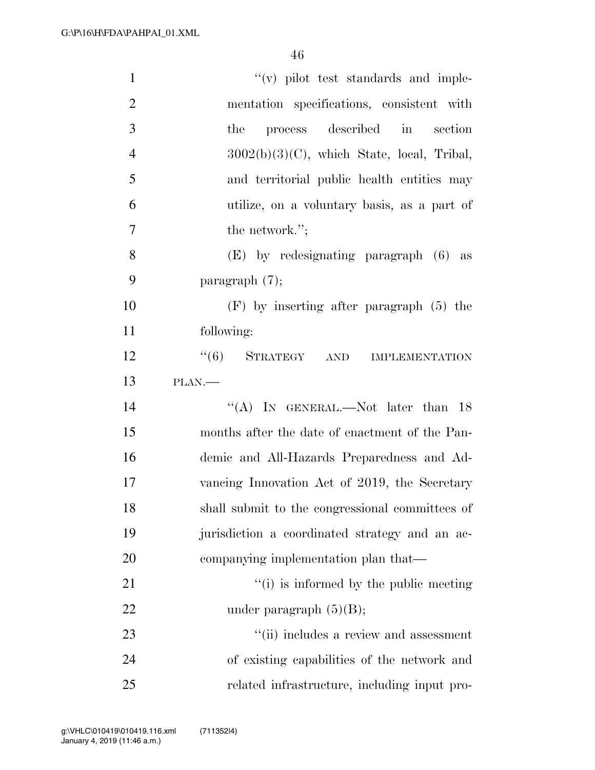| $\mathbf{1}$   | $f'(v)$ pilot test standards and imple-         |
|----------------|-------------------------------------------------|
| $\overline{2}$ | mentation specifications, consistent with       |
| 3              | process described in<br>the<br>section          |
| $\overline{4}$ | $3002(b)(3)(C)$ , which State, local, Tribal,   |
| 5              | and territorial public health entities may      |
| 6              | utilize, on a voluntary basis, as a part of     |
| $\overline{7}$ | the network.";                                  |
| 8              | $(E)$ by redesignating paragraph $(6)$ as       |
| 9              | paragraph $(7)$ ;                               |
| 10             | $(F)$ by inserting after paragraph $(5)$ the    |
| 11             | following:                                      |
| 12             | $``(6)$ STRATEGY AND<br><b>IMPLEMENTATION</b>   |
| 13             | PLAN.                                           |
| 14             | "(A) IN GENERAL.—Not later than $18$            |
| 15             | months after the date of enactment of the Pan-  |
| 16             | demic and All-Hazards Preparedness and Ad-      |
| 17             | vancing Innovation Act of 2019, the Secretary   |
| 18             | shall submit to the congressional committees of |
| 19             | jurisdiction a coordinated strategy and an ac-  |
| 20             | companying implementation plan that—            |
| 21             | "(i) is informed by the public meeting          |
| 22             | under paragraph $(5)(B)$ ;                      |
| 23             | "(ii) includes a review and assessment          |
| 24             | of existing capabilities of the network and     |
| 25             | related infrastructure, including input pro-    |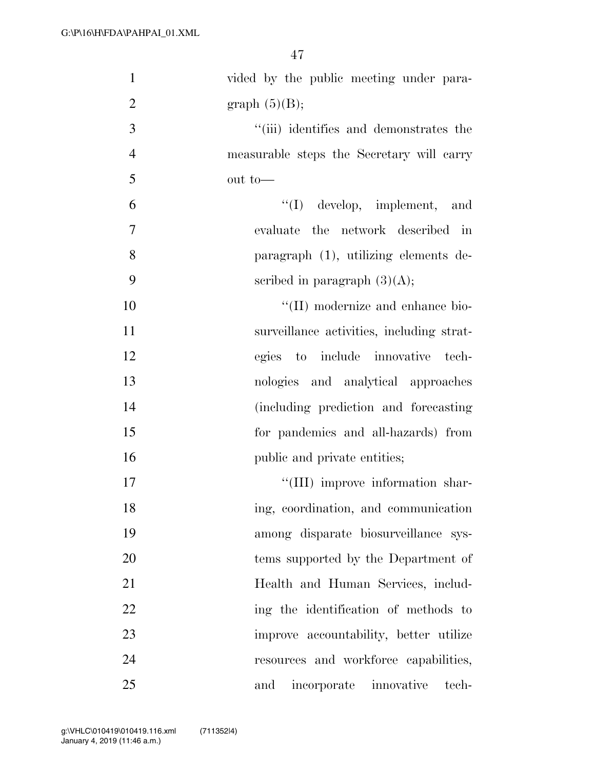| $\mathbf{1}$   | vided by the public meeting under para-   |
|----------------|-------------------------------------------|
| $\overline{2}$ | graph $(5)(B)$ ;                          |
| 3              | "(iii) identifies and demonstrates the    |
| $\overline{4}$ | measurable steps the Secretary will carry |
| 5              | out to-                                   |
| 6              | $\lq\lq$ develop, implement, and          |
| $\tau$         | evaluate the network described in         |
| 8              | paragraph (1), utilizing elements de-     |
| 9              | scribed in paragraph $(3)(A);$            |
| 10             | "(II) modernize and enhance bio-          |
| 11             | surveillance activities, including strat- |
| 12             | egies to include innovative tech-         |
| 13             | nologies and analytical approaches        |
| 14             | (including prediction and forecasting)    |
| 15             | for pandemics and all-hazards) from       |
| 16             | public and private entities;              |
| 17             | "(III) improve information shar-          |
| 18             | ing, coordination, and communication      |
| 19             | among disparate biosurveillance sys-      |
| 20             | tems supported by the Department of       |
| 21             | Health and Human Services, includ-        |
| 22             | ing the identification of methods to      |
| 23             | improve accountability, better utilize    |
| 24             | resources and workforce capabilities,     |
| 25             | incorporate innovative<br>and<br>tech-    |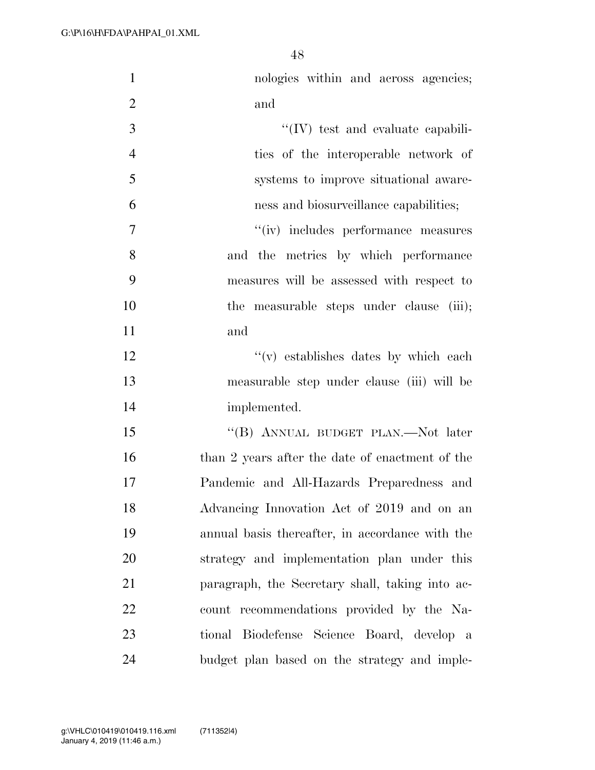| $\mathbf{1}$   | nologies within and across agencies;            |
|----------------|-------------------------------------------------|
| $\overline{2}$ | and                                             |
| 3              | $\lq\lq$ (IV) test and evaluate capabili-       |
| $\overline{4}$ | ties of the interoperable network of            |
| 5              | systems to improve situational aware-           |
| 6              | ness and biosurveillance capabilities;          |
| $\overline{7}$ | "(iv) includes performance measures             |
| 8              | and the metrics by which performance            |
| 9              | measures will be assessed with respect to       |
| 10             | the measurable steps under clause (iii);        |
| 11             | and                                             |
| 12             | "(v) establishes dates by which each            |
| 13             | measurable step under clause (iii) will be      |
| 14             | implemented.                                    |
| 15             | "(B) ANNUAL BUDGET PLAN.—Not later              |
| 16             | than 2 years after the date of enactment of the |
| 17             | Pandemic and All-Hazards Preparedness and       |
| 18             | Advancing Innovation Act of 2019 and on an      |
| 19             | annual basis thereafter, in accordance with the |
| 20             | strategy and implementation plan under this     |
| 21             | paragraph, the Secretary shall, taking into ac- |
| 22             | count recommendations provided by the Na-       |
| 23             | tional Biodefense Science Board, develop a      |
| 24             | budget plan based on the strategy and imple-    |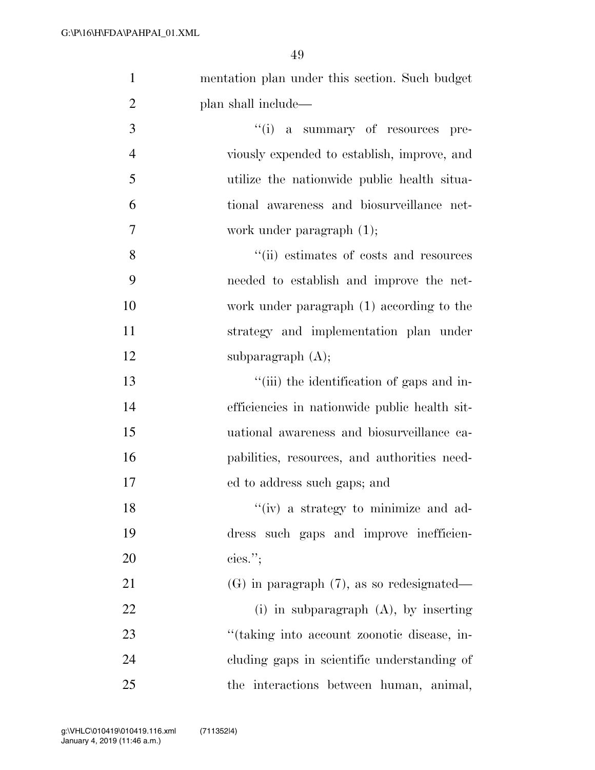| $\mathbf{1}$   | mentation plan under this section. Such budget |
|----------------|------------------------------------------------|
| $\overline{2}$ | plan shall include—                            |
| 3              | "(i) a summary of resources pre-               |
| $\overline{4}$ | viously expended to establish, improve, and    |
| 5              | utilize the nationwide public health situa-    |
| 6              | tional awareness and biosurveillance net-      |
| 7              | work under paragraph $(1)$ ;                   |
| 8              | "(ii) estimates of costs and resources         |
| 9              | needed to establish and improve the net-       |
| 10             | work under paragraph (1) according to the      |
| 11             | strategy and implementation plan under         |
| 12             | subparagraph $(A)$ ;                           |
| 13             | "(iii) the identification of gaps and in-      |
| 14             | efficiencies in nationwide public health sit-  |
| 15             | uational awareness and biosurveillance ca-     |
| 16             | pabilities, resources, and authorities need-   |
| 17             | ed to address such gaps; and                   |
| 18             | "(iv) a strategy to minimize and ad-           |
| 19             | dress such gaps and improve inefficien-        |
| 20             | cies."                                         |
| 21             | $(G)$ in paragraph $(7)$ , as so redesignated— |
| 22             | (i) in subparagraph $(A)$ , by inserting       |
| 23             | "(taking into account zoonotic disease, in-    |
| 24             | cluding gaps in scientific understanding of    |
| 25             | the interactions between human, animal,        |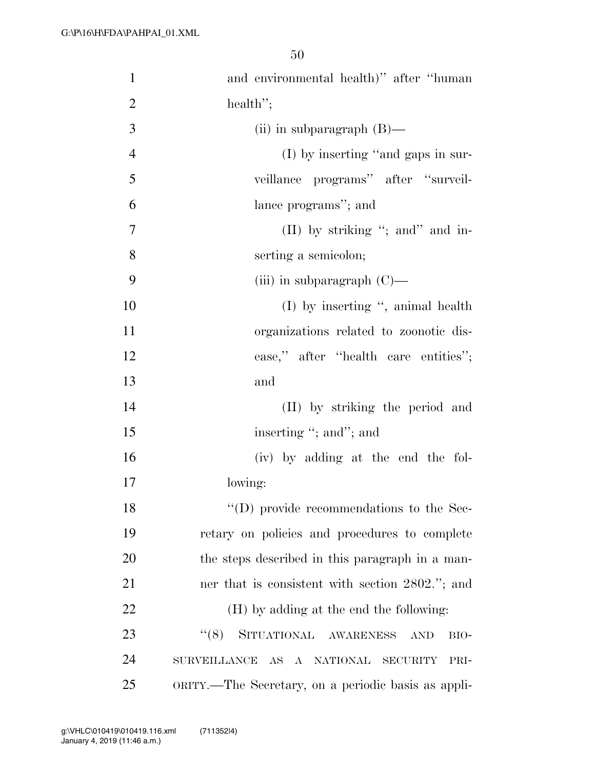| $\mathbf{1}$   | and environmental health)" after "human"             |
|----------------|------------------------------------------------------|
| $\overline{2}$ | health";                                             |
| 3              | (ii) in subparagraph $(B)$ —                         |
| $\overline{4}$ | (I) by inserting "and gaps in sur-                   |
| 5              | veillance programs" after "surveil-                  |
| 6              | lance programs"; and                                 |
| 7              | (II) by striking "; and" and in-                     |
| 8              | serting a semicolon;                                 |
| 9              | (iii) in subparagraph $(C)$ —                        |
| 10             | $(I)$ by inserting ", animal health                  |
| 11             | organizations related to zoonotic dis-               |
| 12             | ease," after "health care entities";                 |
| 13             | and                                                  |
| 14             | (II) by striking the period and                      |
| 15             | inserting "; and"; and                               |
| 16             | (iv) by adding at the end the fol-                   |
| 17             | lowing:                                              |
| 18             | "(D) provide recommendations to the Sec-             |
| 19             | retary on policies and procedures to complete        |
| 20             | the steps described in this paragraph in a man-      |
| 21             | ner that is consistent with section 2802."; and      |
| 22             | (H) by adding at the end the following:              |
| 23             | SITUATIONAL AWARENESS<br>(6(8)<br>BIO-<br><b>AND</b> |
| 24             | SURVEILLANCE AS A NATIONAL SECURITY<br>PRI-          |
| 25             | ORITY.—The Secretary, on a periodic basis as appli-  |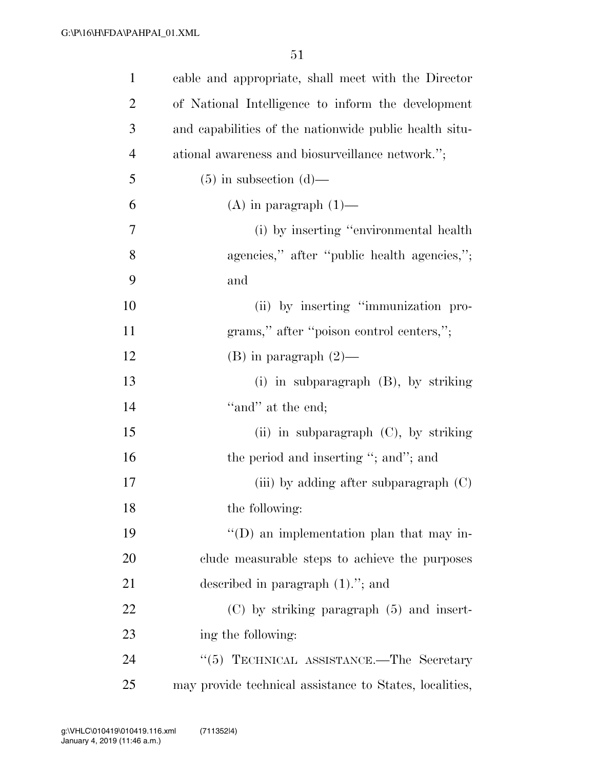| $\mathbf{1}$   | cable and appropriate, shall meet with the Director     |
|----------------|---------------------------------------------------------|
| $\overline{2}$ | of National Intelligence to inform the development      |
| 3              | and capabilities of the nationwide public health situ-  |
| $\overline{4}$ | ational awareness and biosurveillance network.";        |
| 5              | $(5)$ in subsection $(d)$ —                             |
| 6              | $(A)$ in paragraph $(1)$ —                              |
| 7              | (i) by inserting "environmental health                  |
| 8              | agencies," after "public health agencies,";             |
| 9              | and                                                     |
| 10             | (ii) by inserting "immunization pro-                    |
| 11             | grams," after "poison control centers,";                |
| 12             | $(B)$ in paragraph $(2)$ —                              |
| 13             | (i) in subparagraph (B), by striking                    |
| 14             | "and" at the end;                                       |
| 15             | (ii) in subparagraph (C), by striking                   |
| 16             | the period and inserting "; and"; and                   |
| 17             | (iii) by adding after subparagraph $(C)$                |
| 18             | the following:                                          |
| 19             | "(D) an implementation plan that may in-                |
| 20             | clude measurable steps to achieve the purposes          |
| 21             | described in paragraph $(1)$ ."; and                    |
| 22             | $(C)$ by striking paragraph $(5)$ and insert-           |
| 23             | ing the following:                                      |
| 24             | "(5) TECHNICAL ASSISTANCE.—The Secretary                |
| 25             | may provide technical assistance to States, localities, |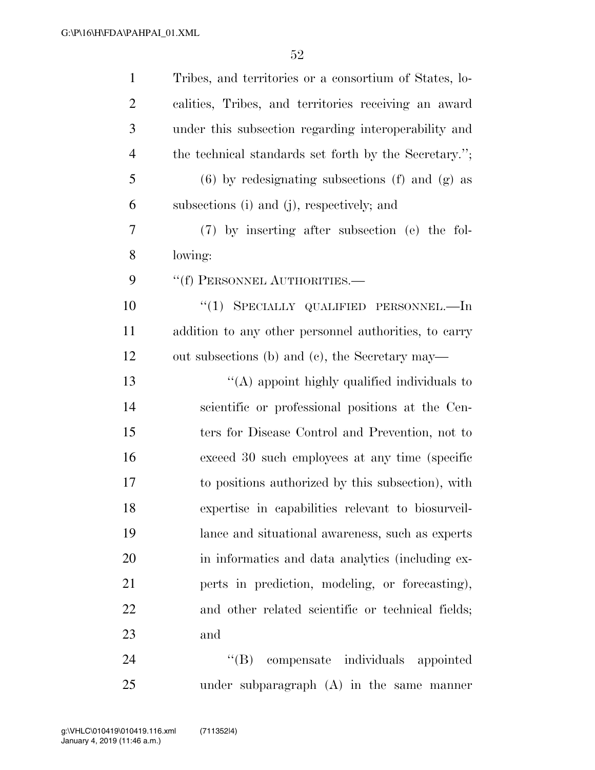| $\mathbf{1}$   | Tribes, and territories or a consortium of States, lo- |
|----------------|--------------------------------------------------------|
| $\overline{2}$ | calities, Tribes, and territories receiving an award   |
| 3              | under this subsection regarding interoperability and   |
| $\overline{4}$ | the technical standards set forth by the Secretary.";  |
| 5              | $(6)$ by redesignating subsections $(f)$ and $(g)$ as  |
| 6              | subsections (i) and (j), respectively; and             |
| 7              | (7) by inserting after subsection (e) the fol-         |
| 8              | lowing:                                                |
| 9              | "(f) PERSONNEL AUTHORITIES.-                           |
| 10             | "(1) SPECIALLY QUALIFIED PERSONNEL.—In                 |
| 11             | addition to any other personnel authorities, to carry  |
| 12             | out subsections (b) and (c), the Secretary may—        |
| 13             | "(A) appoint highly qualified individuals to           |
| 14             | scientific or professional positions at the Cen-       |
| 15             | ters for Disease Control and Prevention, not to        |
| 16             | exceed 30 such employees at any time (specific         |
| 17             | to positions authorized by this subsection), with      |
| 18             | expertise in capabilities relevant to biosurveil-      |
| 19             | lance and situational awareness, such as experts       |
| 20             | in informatics and data analytics (including ex-       |
| 21             | perts in prediction, modeling, or forecasting),        |
| 22             | and other related scientific or technical fields;      |
| 23             | and                                                    |
| 24             | compensate individuals appointed<br>$\lq\lq (B)$       |

under subparagraph (A) in the same manner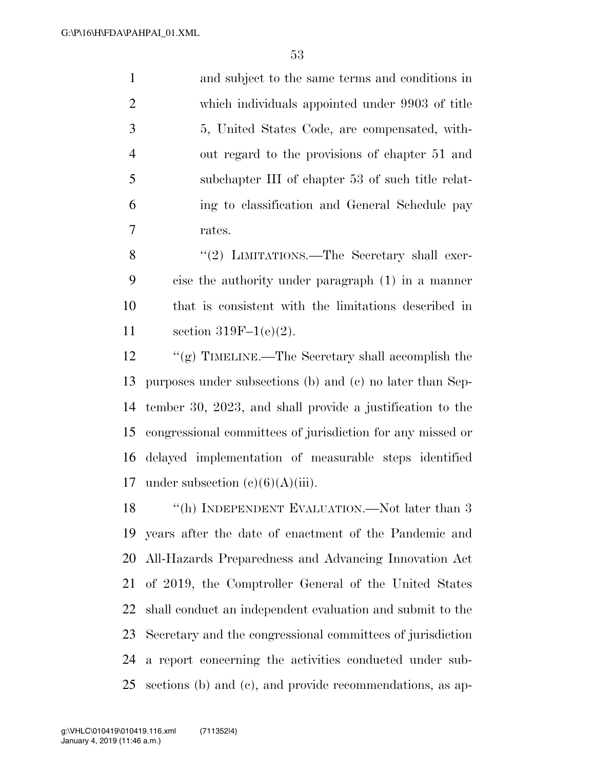and subject to the same terms and conditions in which individuals appointed under 9903 of title 5, United States Code, are compensated, with- out regard to the provisions of chapter 51 and subchapter III of chapter 53 of such title relat- ing to classification and General Schedule pay rates.

8 "(2) LIMITATIONS.—The Secretary shall exer- cise the authority under paragraph (1) in a manner that is consistent with the limitations described in section 319F–1(e)(2).

 ''(g) TIMELINE.—The Secretary shall accomplish the purposes under subsections (b) and (c) no later than Sep- tember 30, 2023, and shall provide a justification to the congressional committees of jurisdiction for any missed or delayed implementation of measurable steps identified 17 under subsection  $(c)(6)(A)(iii)$ .

18 "(h) INDEPENDENT EVALUATION.—Not later than 3 years after the date of enactment of the Pandemic and All-Hazards Preparedness and Advancing Innovation Act of 2019, the Comptroller General of the United States shall conduct an independent evaluation and submit to the Secretary and the congressional committees of jurisdiction a report concerning the activities conducted under sub-sections (b) and (c), and provide recommendations, as ap-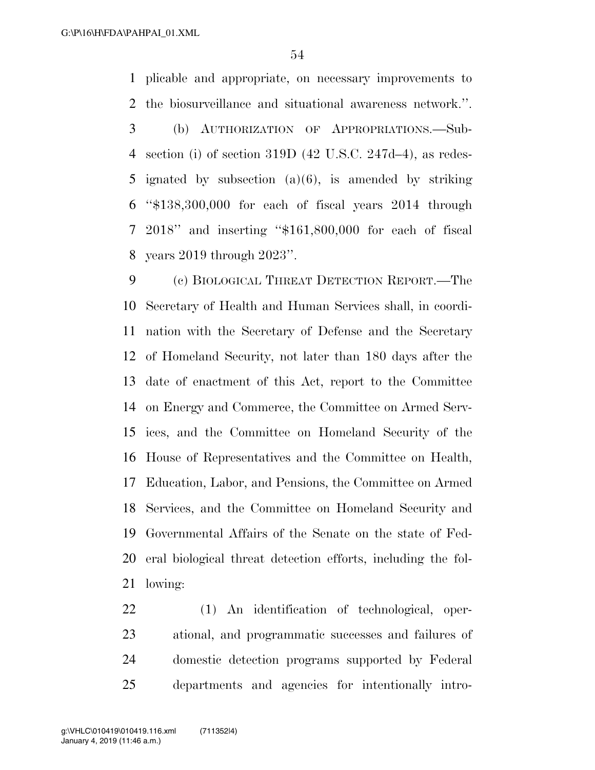plicable and appropriate, on necessary improvements to the biosurveillance and situational awareness network.''. (b) AUTHORIZATION OF APPROPRIATIONS.—Sub- section (i) of section 319D (42 U.S.C. 247d–4), as redes- ignated by subsection (a)(6), is amended by striking ''\$138,300,000 for each of fiscal years 2014 through 2018'' and inserting ''\$161,800,000 for each of fiscal years 2019 through 2023''.

 (c) BIOLOGICAL THREAT DETECTION REPORT.—The Secretary of Health and Human Services shall, in coordi- nation with the Secretary of Defense and the Secretary of Homeland Security, not later than 180 days after the date of enactment of this Act, report to the Committee on Energy and Commerce, the Committee on Armed Serv- ices, and the Committee on Homeland Security of the House of Representatives and the Committee on Health, Education, Labor, and Pensions, the Committee on Armed Services, and the Committee on Homeland Security and Governmental Affairs of the Senate on the state of Fed- eral biological threat detection efforts, including the fol-lowing:

 (1) An identification of technological, oper- ational, and programmatic successes and failures of domestic detection programs supported by Federal departments and agencies for intentionally intro-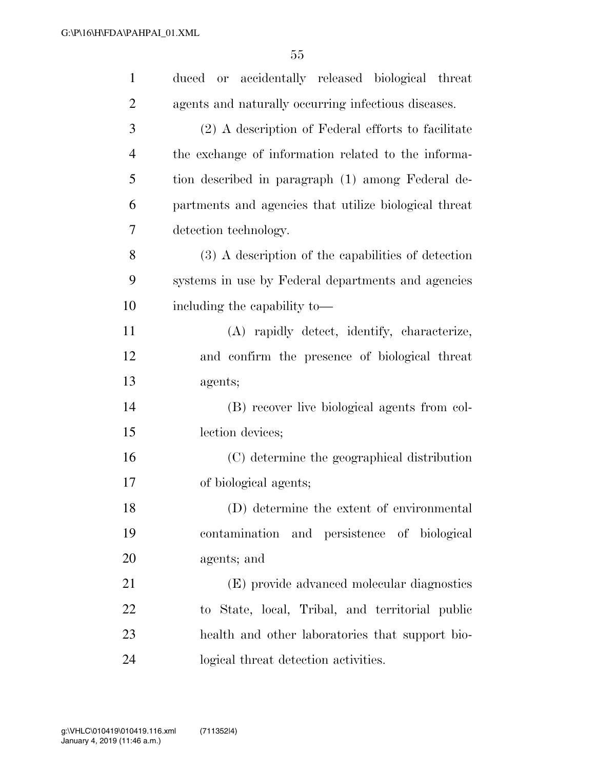| $\mathbf{1}$   | duced or accidentally released biological threat      |
|----------------|-------------------------------------------------------|
| $\overline{2}$ | agents and naturally occurring infectious diseases.   |
| 3              | (2) A description of Federal efforts to facilitate    |
| 4              | the exchange of information related to the informa-   |
| 5              | tion described in paragraph (1) among Federal de-     |
| 6              | partments and agencies that utilize biological threat |
| 7              | detection technology.                                 |
| 8              | (3) A description of the capabilities of detection    |
| 9              | systems in use by Federal departments and agencies    |
| 10             | including the capability to-                          |
| 11             | (A) rapidly detect, identify, characterize,           |
| 12             | and confirm the presence of biological threat         |
| 13             | agents;                                               |
| 14             | (B) recover live biological agents from col-          |
| 15             | lection devices;                                      |
| 16             | (C) determine the geographical distribution           |
| 17             | of biological agents;                                 |
| 18             | (D) determine the extent of environmental             |
| 19             | contamination and persistence of biological           |
| 20             | agents; and                                           |
| 21             | (E) provide advanced molecular diagnostics            |
| 22             | to State, local, Tribal, and territorial public       |
| 23             | health and other laboratories that support bio-       |
| 24             | logical threat detection activities.                  |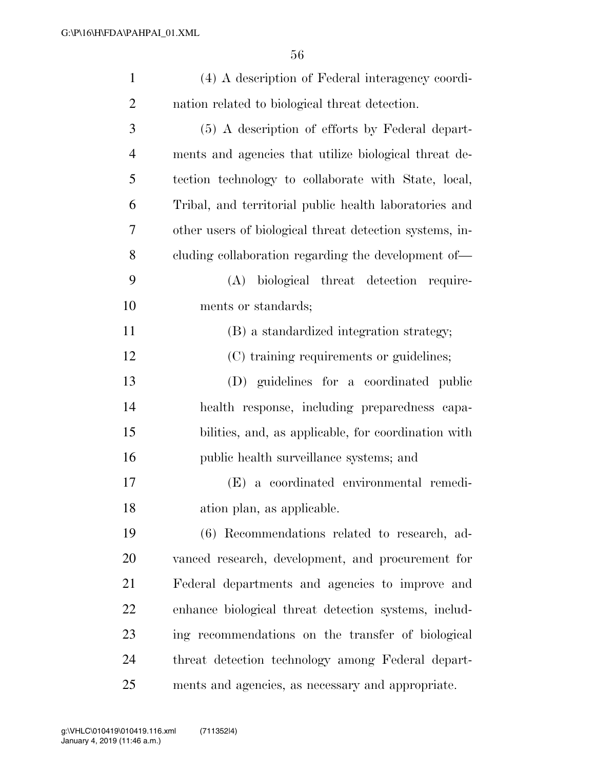| $\mathbf{1}$   | (4) A description of Federal interagency coordi-        |
|----------------|---------------------------------------------------------|
| $\overline{2}$ | nation related to biological threat detection.          |
| 3              | (5) A description of efforts by Federal depart-         |
| $\overline{4}$ | ments and agencies that utilize biological threat de-   |
| 5              | tection technology to collaborate with State, local,    |
| 6              | Tribal, and territorial public health laboratories and  |
| 7              | other users of biological threat detection systems, in- |
| 8              | cluding collaboration regarding the development of—     |
| 9              | (A) biological threat detection require-                |
| 10             | ments or standards;                                     |
| 11             | (B) a standardized integration strategy;                |
| 12             | (C) training requirements or guidelines;                |
| 13             | (D) guidelines for a coordinated public                 |
| 14             | health response, including preparedness capa-           |
| 15             | bilities, and, as applicable, for coordination with     |
| 16             | public health surveillance systems; and                 |
| 17             | (E) a coordinated environmental remedi-                 |
| 18             | ation plan, as applicable.                              |
| 19             | (6) Recommendations related to research, ad-            |
| 20             | vanced research, development, and procurement for       |
| 21             | Federal departments and agencies to improve and         |
| 22             | enhance biological threat detection systems, includ-    |
| 23             | ing recommendations on the transfer of biological       |
| 24             | threat detection technology among Federal depart-       |
| 25             | ments and agencies, as necessary and appropriate.       |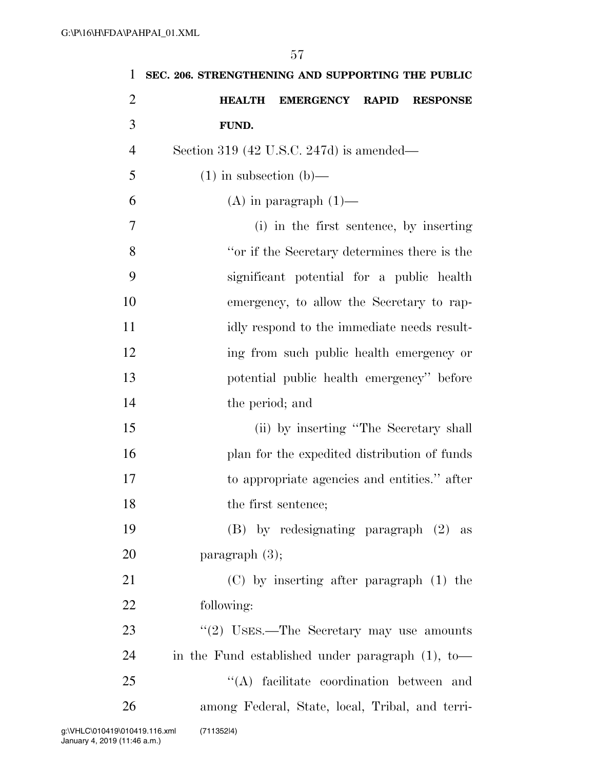| 1              | SEC. 206. STRENGTHENING AND SUPPORTING THE PUBLIC   |
|----------------|-----------------------------------------------------|
| $\overline{2}$ | EMERGENCY RAPID<br><b>HEALTH</b><br><b>RESPONSE</b> |
| 3              | FUND.                                               |
| $\overline{4}$ | Section 319 (42 U.S.C. 247d) is amended—            |
| 5              | $(1)$ in subsection $(b)$ —                         |
| 6              | $(A)$ in paragraph $(1)$ —                          |
| 7              | (i) in the first sentence, by inserting             |
| 8              | "or if the Secretary determines there is the        |
| 9              | significant potential for a public health           |
| 10             | emergency, to allow the Secretary to rap-           |
| 11             | idly respond to the immediate needs result-         |
| 12             | ing from such public health emergency or            |
| 13             | potential public health emergency" before           |
| 14             | the period; and                                     |
| 15             | (ii) by inserting "The Secretary shall              |
| 16             | plan for the expedited distribution of funds        |
| 17             | to appropriate agencies and entities." after        |
| 18             | the first sentence;                                 |
| 19             | $(B)$ by redesignating paragraph $(2)$ as           |
| 20             | paragraph $(3)$ ;                                   |
| 21             | $(C)$ by inserting after paragraph $(1)$ the        |
| 22             | following:                                          |
| 23             | "(2) USES.—The Secretary may use amounts            |
| 24             | in the Fund established under paragraph $(1)$ , to- |
| 25             | "(A) facilitate coordination between and            |
| 26             | among Federal, State, local, Tribal, and terri-     |
|                | (711352 4)<br>010419.116.xml                        |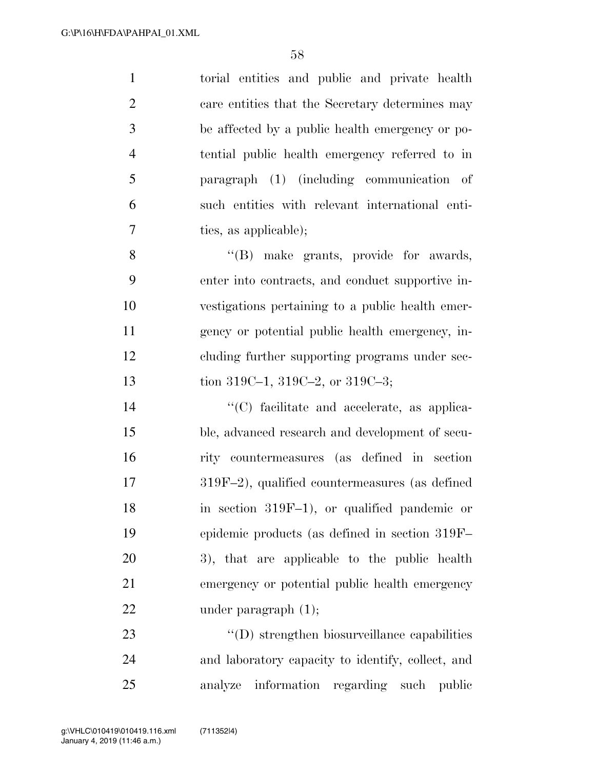| $\mathbf{1}$   | torial entities and public and private health    |
|----------------|--------------------------------------------------|
| $\overline{2}$ | care entities that the Secretary determines may  |
| 3              | be affected by a public health emergency or po-  |
| $\overline{4}$ | tential public health emergency referred to in   |
| 5              | paragraph (1) (including communication of        |
| 6              | such entities with relevant international enti-  |
| 7              | ties, as applicable);                            |
| 8              | "(B) make grants, provide for awards,            |
| 9              | enter into contracts, and conduct supportive in- |
| 10             | vestigations pertaining to a public health emer- |
| 11             | gency or potential public health emergency, in-  |
| 12             | cluding further supporting programs under sec-   |
| 13             | tion 319C-1, 319C-2, or 319C-3;                  |
|                |                                                  |
| 14             | "(C) facilitate and accelerate, as applica-      |
| 15             | ble, advanced research and development of secu-  |
| 16             | rity countermeasures (as defined in section      |
| 17             | 319F-2), qualified countermeasures (as defined   |
| 18             | in section $319F-1$ , or qualified pandemic or   |
| 19             | epidemic products (as defined in section 319F-   |
| 20             | 3), that are applicable to the public health     |
| 21             | emergency or potential public health emergency   |
| 22             | under paragraph $(1)$ ;                          |
| 23             | "(D) strengthen biosurveillance capabilities     |

analyze information regarding such public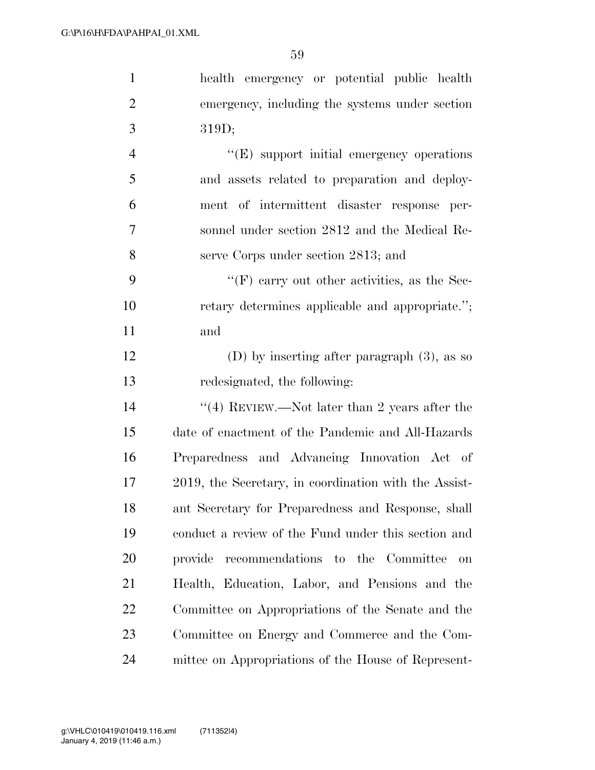| $\mathbf{1}$   | health emergency or potential public health           |
|----------------|-------------------------------------------------------|
| $\overline{2}$ | emergency, including the systems under section        |
| 3              | 319D;                                                 |
| $\overline{4}$ | $\lq\lq(E)$ support initial emergency operations      |
| 5              | and assets related to preparation and deploy-         |
| 6              | ment of intermittent disaster response per-           |
| 7              | sonnel under section 2812 and the Medical Re-         |
| 8              | serve Corps under section 2813; and                   |
| 9              | $\lq\lq(F)$ carry out other activities, as the Sec-   |
| 10             | retary determines applicable and appropriate.";       |
| 11             | and                                                   |
| 12             | (D) by inserting after paragraph $(3)$ , as so        |
| 13             | redesignated, the following:                          |
| 14             | "(4) REVIEW.—Not later than 2 years after the         |
| 15             | date of enactment of the Pandemic and All-Hazards     |
| 16             | Preparedness and Advancing Innovation Act of          |
| 17             | 2019, the Secretary, in coordination with the Assist- |
| 18             | ant Secretary for Preparedness and Response, shall    |
| 19             | conduct a review of the Fund under this section and   |
| 20             | recommendations to the Committee<br>provide<br>on     |
| 21             | Health, Education, Labor, and Pensions and the        |
| 22             | Committee on Appropriations of the Senate and the     |
| 23             | Committee on Energy and Commerce and the Com-         |
| 24             | mittee on Appropriations of the House of Represent-   |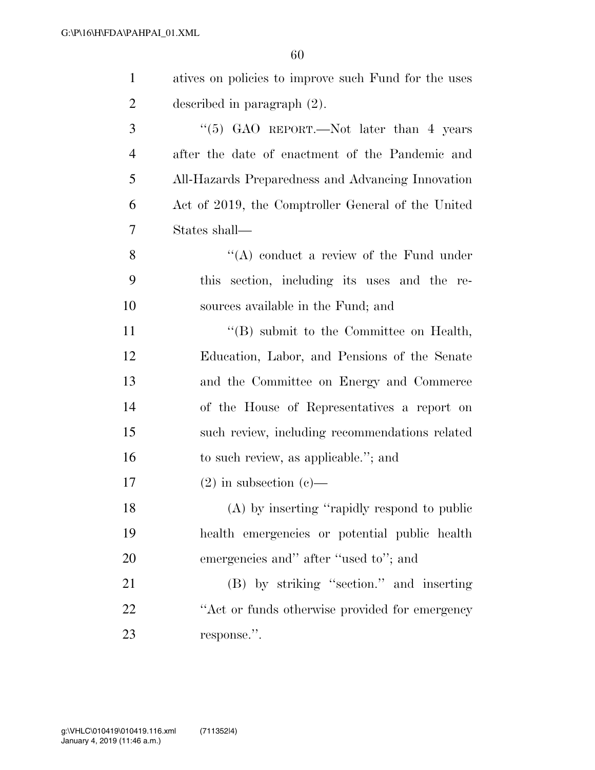| $\mathbf{1}$   | atives on policies to improve such Fund for the uses   |
|----------------|--------------------------------------------------------|
| $\overline{2}$ | described in paragraph $(2)$ .                         |
| 3              | "(5) GAO REPORT.—Not later than 4 years                |
| $\overline{4}$ | after the date of enactment of the Pandemic and        |
| 5              | All-Hazards Preparedness and Advancing Innovation      |
| 6              | Act of 2019, the Comptroller General of the United     |
| 7              | States shall—                                          |
| 8              | $\lq\lq$ conduct a review of the Fund under            |
| 9              | section, including its uses and the re-<br><i>this</i> |
| 10             | sources available in the Fund; and                     |
| 11             | $\lq\lq$ submit to the Committee on Health,            |
| 12             | Education, Labor, and Pensions of the Senate           |
| 13             | and the Committee on Energy and Commerce               |
| 14             | of the House of Representatives a report on            |
| 15             | such review, including recommendations related         |
| 16             | to such review, as applicable."; and                   |
| 17             | $(2)$ in subsection $(e)$ —                            |
| 18             | (A) by inserting "rapidly respond to public            |
| 19             | health emergencies or potential public health          |
| 20             | emergencies and" after "used to"; and                  |
| 21             | (B) by striking "section." and inserting               |
| 22             | "Act or funds otherwise provided for emergency"        |
| 23             | response.".                                            |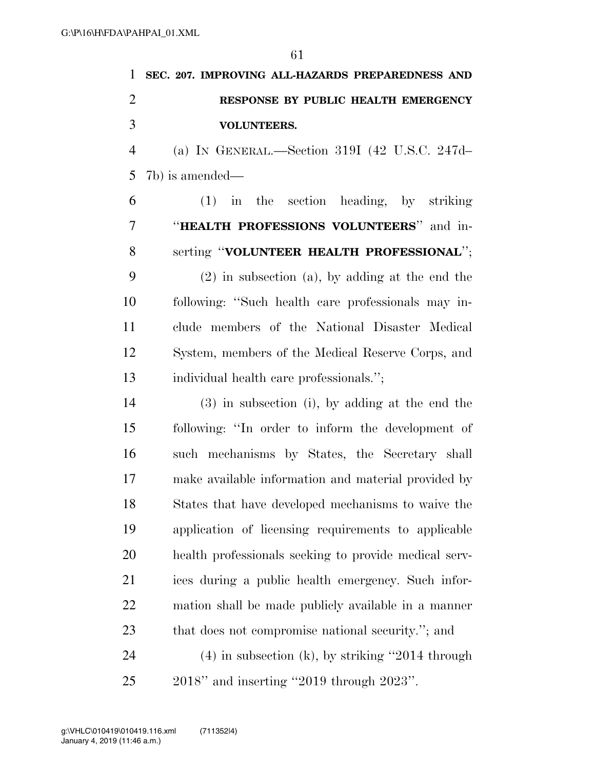|                | SEC. 207. IMPROVING ALL-HAZARDS PREPAREDNESS AND |
|----------------|--------------------------------------------------|
| $\overline{2}$ | RESPONSE BY PUBLIC HEALTH EMERGENCY              |
| 3              | <b>VOLUNTEERS.</b>                               |
| $\overline{4}$ | (a) IN GENERAL.—Section 319I (42 U.S.C. 247d-    |
|                | $5 \text{ } 7b$ ) is amended—                    |
| 6              | $(1)$ in the section heading, by striking        |
|                | "HEALTH PROFESSIONS VOLUNTEERS" and in-          |

 serting ''**VOLUNTEER HEALTH PROFESSIONAL**''; (2) in subsection (a), by adding at the end the following: ''Such health care professionals may in- clude members of the National Disaster Medical System, members of the Medical Reserve Corps, and individual health care professionals.'';

 (3) in subsection (i), by adding at the end the following: ''In order to inform the development of such mechanisms by States, the Secretary shall make available information and material provided by States that have developed mechanisms to waive the application of licensing requirements to applicable health professionals seeking to provide medical serv- ices during a public health emergency. Such infor- mation shall be made publicly available in a manner that does not compromise national security.''; and (4) in subsection (k), by striking ''2014 through 2018'' and inserting ''2019 through 2023''.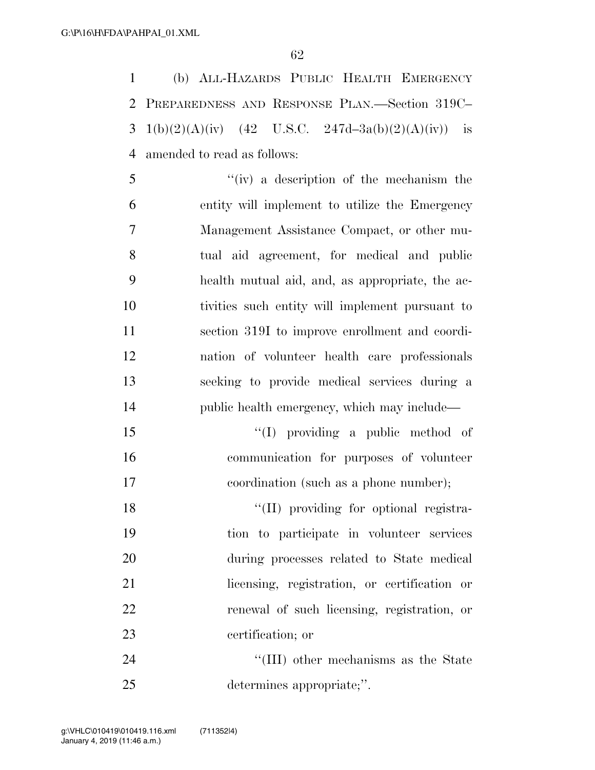(b) ALL-HAZARDS PUBLIC HEALTH EMERGENCY PREPAREDNESS AND RESPONSE PLAN.—Section 319C– 3 1(b)(2)(A)(iv) (42 U.S.C. 247d-3a(b)(2)(A)(iv)) is amended to read as follows:

 ''(iv) a description of the mechanism the entity will implement to utilize the Emergency Management Assistance Compact, or other mu- tual aid agreement, for medical and public health mutual aid, and, as appropriate, the ac- tivities such entity will implement pursuant to section 319I to improve enrollment and coordi- nation of volunteer health care professionals seeking to provide medical services during a 14 public health emergency, which may include—

 ''(I) providing a public method of communication for purposes of volunteer coordination (such as a phone number);

 ''(II) providing for optional registra- tion to participate in volunteer services during processes related to State medical licensing, registration, or certification or renewal of such licensing, registration, or certification; or

24 ''(III) other mechanisms as the State determines appropriate;''.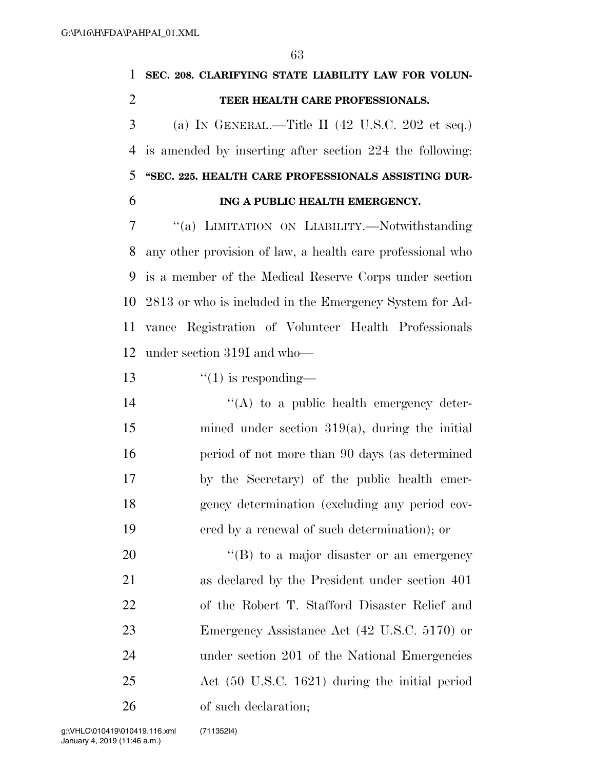## **SEC. 208. CLARIFYING STATE LIABILITY LAW FOR VOLUN- TEER HEALTH CARE PROFESSIONALS.**  (a) IN GENERAL.—Title II (42 U.S.C. 202 et seq.) is amended by inserting after section 224 the following: **''SEC. 225. HEALTH CARE PROFESSIONALS ASSISTING DUR- ING A PUBLIC HEALTH EMERGENCY.**  ''(a) LIMITATION ON LIABILITY.—Notwithstanding any other provision of law, a health care professional who is a member of the Medical Reserve Corps under section

 2813 or who is included in the Emergency System for Ad- vance Registration of Volunteer Health Professionals under section 319I and who—

13  $\frac{13}{2}$   $\frac{13}{2}$   $\frac{13}{2}$   $\frac{13}{2}$   $\frac{13}{2}$   $\frac{13}{2}$   $\frac{13}{2}$   $\frac{13}{2}$   $\frac{13}{2}$   $\frac{13}{2}$   $\frac{13}{2}$   $\frac{13}{2}$   $\frac{13}{2}$   $\frac{13}{2}$   $\frac{13}{2}$   $\frac{13}{2}$   $\frac{13}{2}$   $\frac{13}{2}$   $\frac{13}{2}$   $\frac{13}{2}$ 

 $((A)$  to a public health emergency deter- mined under section 319(a), during the initial period of not more than 90 days (as determined by the Secretary) of the public health emer- gency determination (excluding any period cov-ered by a renewal of such determination); or

20 "(B) to a major disaster or an emergency as declared by the President under section 401 of the Robert T. Stafford Disaster Relief and Emergency Assistance Act (42 U.S.C. 5170) or under section 201 of the National Emergencies Act (50 U.S.C. 1621) during the initial period of such declaration;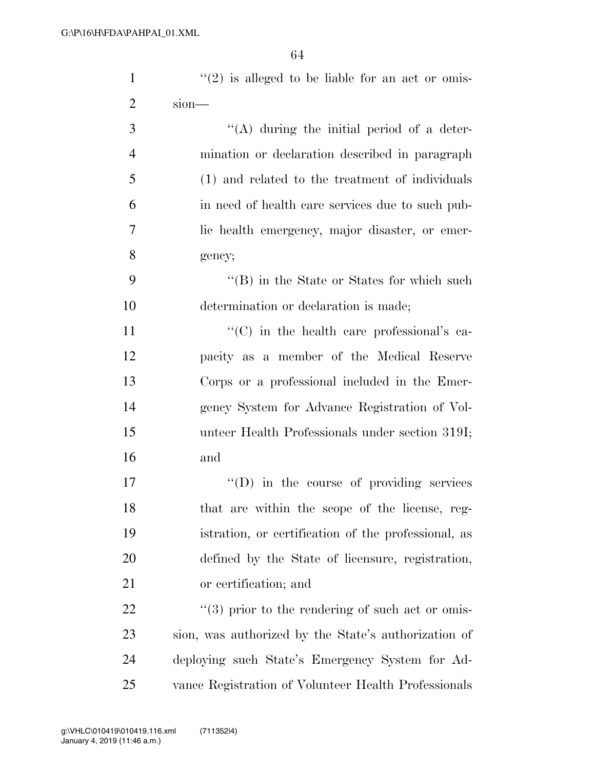| $\mathbf{1}$   | $\lq(2)$ is alleged to be liable for an act or omis- |
|----------------|------------------------------------------------------|
| $\overline{2}$ | $sion$ —                                             |
| 3              | $\lq\lq$ during the initial period of a deter-       |
| $\overline{4}$ | mination or declaration described in paragraph       |
| 5              | (1) and related to the treatment of individuals      |
| 6              | in need of health care services due to such pub-     |
| 7              | lic health emergency, major disaster, or emer-       |
| 8              | gency;                                               |
| 9              | "(B) in the State or States for which such           |
| 10             | determination or declaration is made;                |
| 11             | "(C) in the health care professional's ca-           |
| 12             | pacity as a member of the Medical Reserve            |
| 13             | Corps or a professional included in the Emer-        |
| 14             | gency System for Advance Registration of Vol-        |
| 15             | unteer Health Professionals under section 319I;      |
| 16             | and                                                  |
| 17             | $\lq\lq$ (D) in the course of providing services     |
| 18             | that are within the scope of the license, reg-       |
| 19             | istration, or certification of the professional, as  |
| 20             | defined by the State of licensure, registration,     |
| 21             | or certification; and                                |
| 22             | $\lq(3)$ prior to the rendering of such act or omis- |
| 23             | sion, was authorized by the State's authorization of |
| 24             | deploying such State's Emergency System for Ad-      |
| 25             | vance Registration of Volunteer Health Professionals |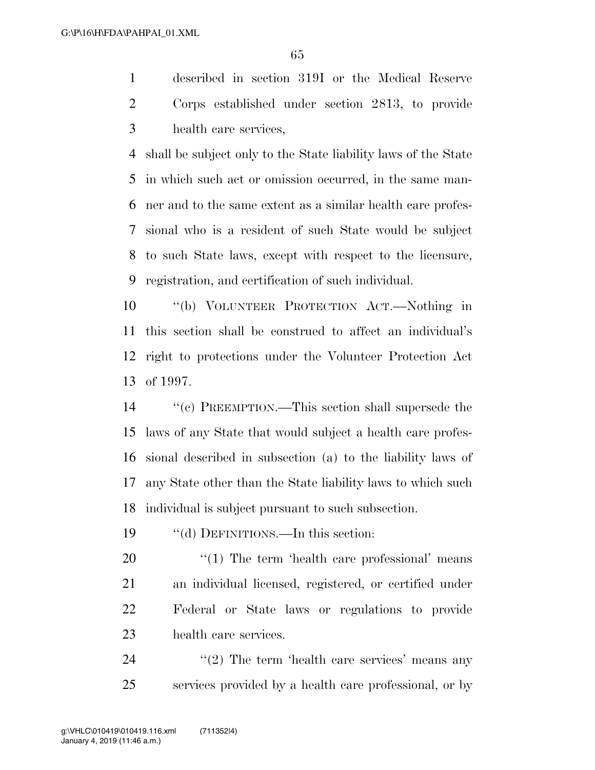described in section 319I or the Medical Reserve Corps established under section 2813, to provide health care services,

 shall be subject only to the State liability laws of the State in which such act or omission occurred, in the same man- ner and to the same extent as a similar health care profes- sional who is a resident of such State would be subject to such State laws, except with respect to the licensure, registration, and certification of such individual.

 ''(b) VOLUNTEER PROTECTION ACT.—Nothing in this section shall be construed to affect an individual's right to protections under the Volunteer Protection Act of 1997.

 ''(c) PREEMPTION.—This section shall supersede the laws of any State that would subject a health care profes- sional described in subsection (a) to the liability laws of any State other than the State liability laws to which such individual is subject pursuant to such subsection.

''(d) DEFINITIONS.—In this section:

 $\frac{1}{20}$  The term 'health care professional' means an individual licensed, registered, or certified under Federal or State laws or regulations to provide health care services.

24 ''(2) The term 'health care services' means any services provided by a health care professional, or by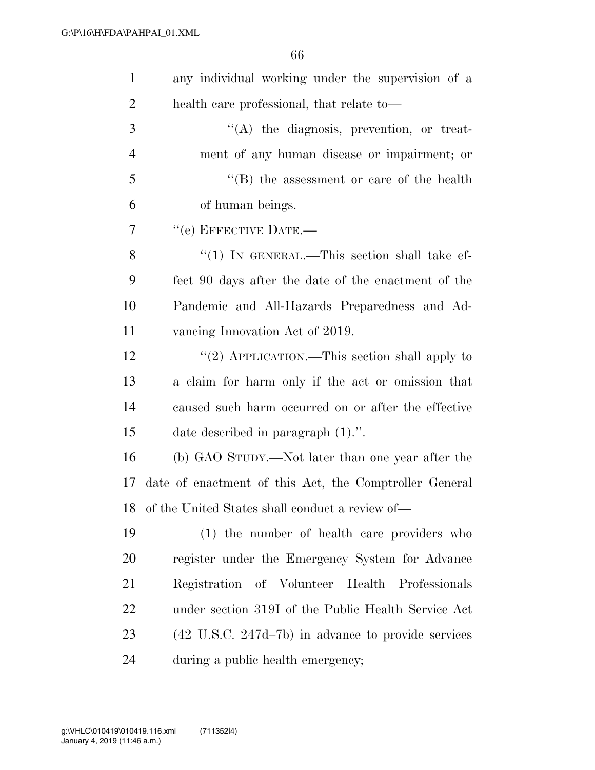| $\mathbf{1}$   | any individual working under the supervision of a               |
|----------------|-----------------------------------------------------------------|
| $\overline{2}$ | health care professional, that relate to—                       |
| 3              | $\lq\lq$ the diagnosis, prevention, or treat-                   |
| $\overline{4}$ | ment of any human disease or impairment; or                     |
| 5              | $\lq\lq$ the assessment or care of the health                   |
| 6              | of human beings.                                                |
| 7              | $``$ (e) EFFECTIVE DATE.—                                       |
| 8              | "(1) IN GENERAL.—This section shall take ef-                    |
| 9              | fect 90 days after the date of the enactment of the             |
| 10             | Pandemic and All-Hazards Preparedness and Ad-                   |
| 11             | vancing Innovation Act of 2019.                                 |
| 12             | "(2) APPLICATION.—This section shall apply to                   |
| 13             | a claim for harm only if the act or omission that               |
| 14             | caused such harm occurred on or after the effective             |
| 15             | date described in paragraph $(1)$ .".                           |
| 16             | (b) GAO STUDY.—Not later than one year after the                |
| 17             | date of enactment of this Act, the Comptroller General          |
| 18             | of the United States shall conduct a review of—                 |
| 19             | (1) the number of health care providers who                     |
| 20             | register under the Emergency System for Advance                 |
| 21             | Registration of Volunteer Health Professionals                  |
| 22             | under section 319I of the Public Health Service Act             |
| 23             | $(42 \text{ U.S.C. } 247d - 7b)$ in advance to provide services |
| 24             | during a public health emergency;                               |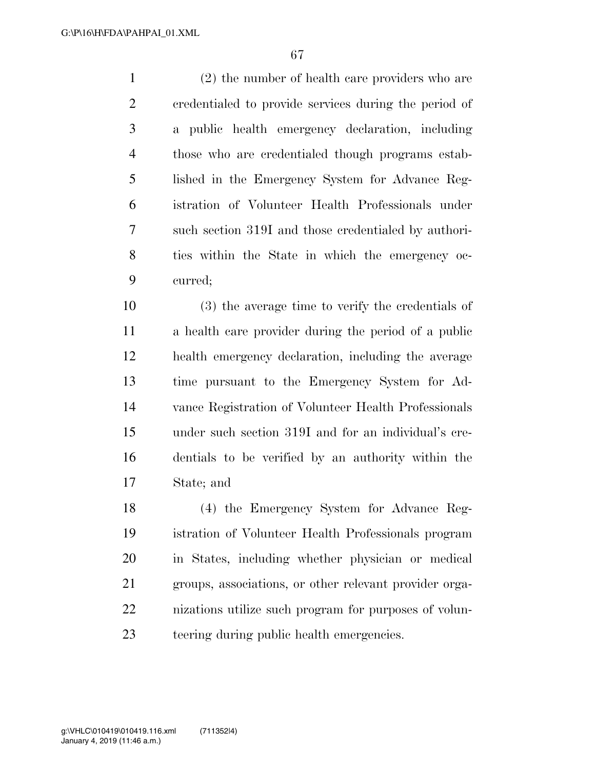(2) the number of health care providers who are credentialed to provide services during the period of a public health emergency declaration, including those who are credentialed though programs estab- lished in the Emergency System for Advance Reg- istration of Volunteer Health Professionals under such section 319I and those credentialed by authori- ties within the State in which the emergency oc-curred;

 (3) the average time to verify the credentials of a health care provider during the period of a public health emergency declaration, including the average time pursuant to the Emergency System for Ad- vance Registration of Volunteer Health Professionals under such section 319I and for an individual's cre- dentials to be verified by an authority within the State; and

 (4) the Emergency System for Advance Reg- istration of Volunteer Health Professionals program in States, including whether physician or medical groups, associations, or other relevant provider orga- nizations utilize such program for purposes of volun-teering during public health emergencies.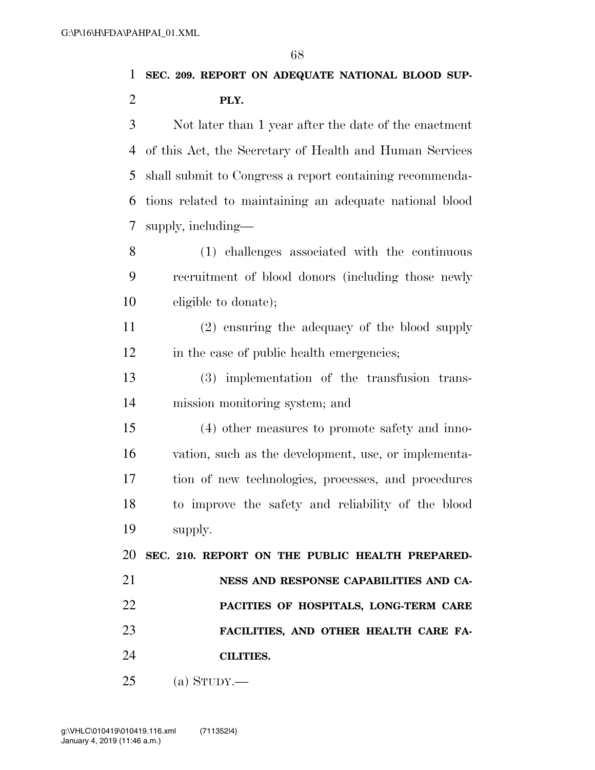**SEC. 209. REPORT ON ADEQUATE NATIONAL BLOOD SUP-**

**PLY.** 

 Not later than 1 year after the date of the enactment of this Act, the Secretary of Health and Human Services shall submit to Congress a report containing recommenda- tions related to maintaining an adequate national blood supply, including—

 (1) challenges associated with the continuous recruitment of blood donors (including those newly eligible to donate);

 (2) ensuring the adequacy of the blood supply 12 in the case of public health emergencies;

 (3) implementation of the transfusion trans-mission monitoring system; and

 (4) other measures to promote safety and inno- vation, such as the development, use, or implementa- tion of new technologies, processes, and procedures to improve the safety and reliability of the blood supply.

 **SEC. 210. REPORT ON THE PUBLIC HEALTH PREPARED- NESS AND RESPONSE CAPABILITIES AND CA- PACITIES OF HOSPITALS, LONG-TERM CARE FACILITIES, AND OTHER HEALTH CARE FA-CILITIES.** 

(a) STUDY.—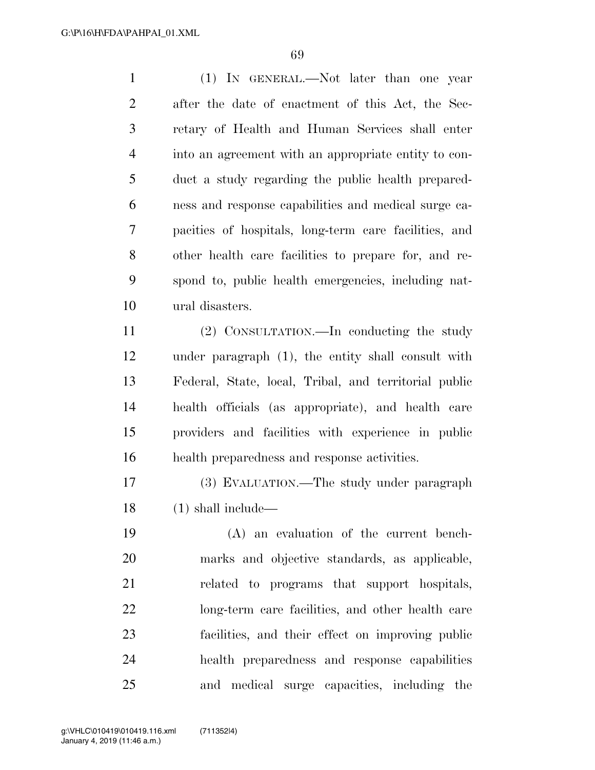(1) IN GENERAL.—Not later than one year after the date of enactment of this Act, the Sec- retary of Health and Human Services shall enter into an agreement with an appropriate entity to con- duct a study regarding the public health prepared- ness and response capabilities and medical surge ca- pacities of hospitals, long-term care facilities, and other health care facilities to prepare for, and re- spond to, public health emergencies, including nat-ural disasters.

 (2) CONSULTATION.—In conducting the study under paragraph (1), the entity shall consult with Federal, State, local, Tribal, and territorial public health officials (as appropriate), and health care providers and facilities with experience in public health preparedness and response activities.

 (3) EVALUATION.—The study under paragraph (1) shall include—

 (A) an evaluation of the current bench- marks and objective standards, as applicable, related to programs that support hospitals, long-term care facilities, and other health care facilities, and their effect on improving public health preparedness and response capabilities and medical surge capacities, including the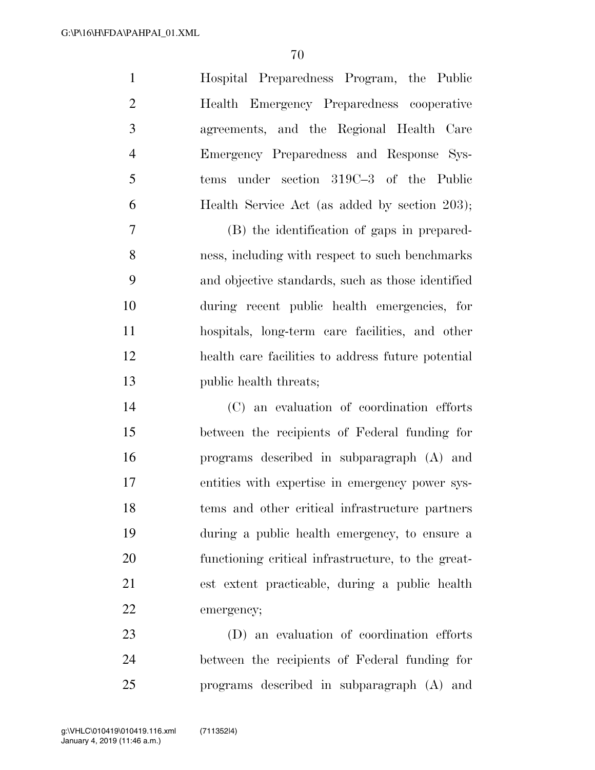| $\mathbf{1}$   | Hospital Preparedness Program, the Public     |
|----------------|-----------------------------------------------|
| $\overline{2}$ | Health Emergency Preparedness cooperative     |
| 3              | agreements, and the Regional Health Care      |
| $\overline{4}$ | Emergency Preparedness and Response Sys-      |
| 5              | tems under section 319C-3 of the Public       |
| 6              | Health Service Act (as added by section 203); |
| $\tau$         | (B) the identification of gaps in prepared-   |

 ness, including with respect to such benchmarks and objective standards, such as those identified during recent public health emergencies, for hospitals, long-term care facilities, and other health care facilities to address future potential public health threats;

 (C) an evaluation of coordination efforts between the recipients of Federal funding for programs described in subparagraph (A) and entities with expertise in emergency power sys- tems and other critical infrastructure partners during a public health emergency, to ensure a functioning critical infrastructure, to the great- est extent practicable, during a public health emergency;

 (D) an evaluation of coordination efforts between the recipients of Federal funding for programs described in subparagraph (A) and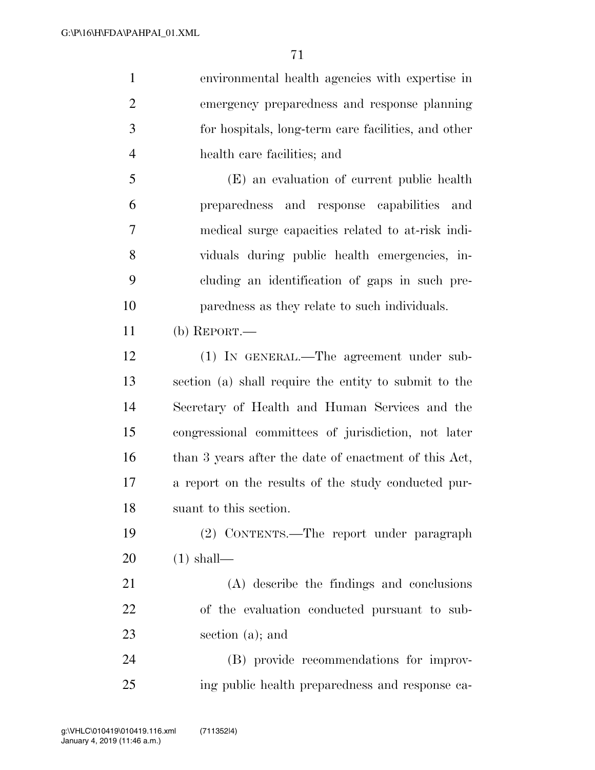| $\mathbf{1}$   | environmental health agencies with expertise in       |
|----------------|-------------------------------------------------------|
| $\overline{2}$ | emergency preparedness and response planning          |
| 3              | for hospitals, long-term care facilities, and other   |
| $\overline{4}$ | health care facilities; and                           |
| 5              | (E) an evaluation of current public health            |
| 6              | preparedness and response capabilities and            |
| 7              | medical surge capacities related to at-risk indi-     |
| 8              | viduals during public health emergencies, in-         |
| 9              | cluding an identification of gaps in such pre-        |
| 10             | paredness as they relate to such individuals.         |
| 11             | (b) $REPORT.$ —                                       |
| 12             | (1) IN GENERAL.—The agreement under sub-              |
| 13             | section (a) shall require the entity to submit to the |
| 14             | Secretary of Health and Human Services and the        |
| 15             | congressional committees of jurisdiction, not later   |
| 16             | than 3 years after the date of enactment of this Act, |
| 17             | a report on the results of the study conducted pur-   |
| 18             | suant to this section.                                |
| 19             | (2) CONTENTS.—The report under paragraph              |
| 20             | $(1)$ shall—                                          |
| 21             | (A) describe the findings and conclusions             |
| 22             | of the evaluation conducted pursuant to sub-          |
| 23             | section $(a)$ ; and                                   |
| 24             | (B) provide recommendations for improv-               |
| 25             | ing public health preparedness and response ca-       |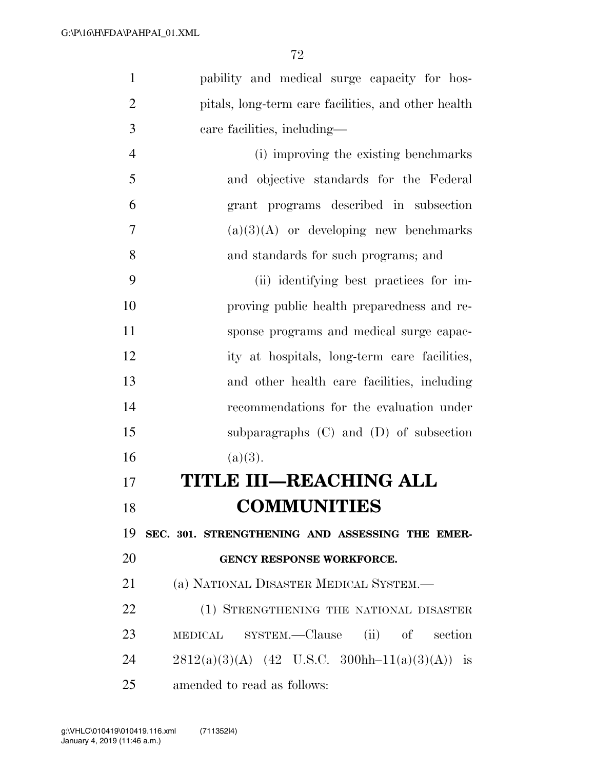| $\mathbf{1}$   | pability and medical surge capacity for hos-        |
|----------------|-----------------------------------------------------|
| $\overline{2}$ | pitals, long-term care facilities, and other health |
| 3              | care facilities, including—                         |
| $\overline{4}$ | (i) improving the existing benchmarks               |
| 5              | and objective standards for the Federal             |
| 6              | grant programs described in subsection              |
| 7              | $(a)(3)(A)$ or developing new benchmarks            |
| 8              | and standards for such programs; and                |
| 9              | (ii) identifying best practices for im-             |
| 10             | proving public health preparedness and re-          |
| 11             | sponse programs and medical surge capac-            |
| 12             | ity at hospitals, long-term care facilities,        |
| 13             | and other health care facilities, including         |
| 14             | recommendations for the evaluation under            |
| 15             | subparagraphs $(C)$ and $(D)$ of subsection         |
| 16             | (a)(3).                                             |
| 17             | TITLE III—REACHING ALL                              |
| 18             | <b>COMMUNITIES</b>                                  |
| 19             | SEC. 301. STRENGTHENING AND ASSESSING THE EMER-     |
| 20             | <b>GENCY RESPONSE WORKFORCE.</b>                    |
| 21             | (a) NATIONAL DISASTER MEDICAL SYSTEM.—              |
| 22             | (1) STRENGTHENING THE NATIONAL DISASTER             |
| 23             | MEDICAL SYSTEM.—Clause (ii) of section              |
| 24             | $2812(a)(3)(A)$ (42 U.S.C. 300hh-11(a)(3)(A)) is    |
| 25             | amended to read as follows:                         |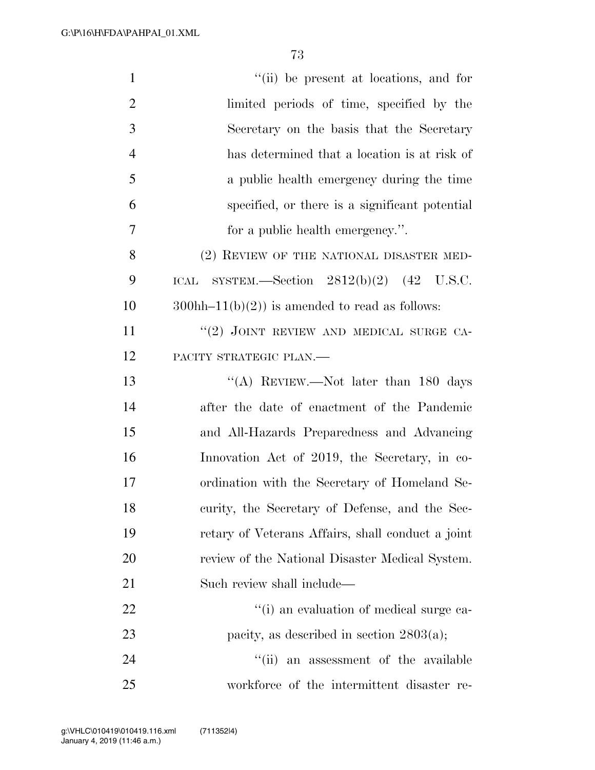| $\mathbf{1}$   | "(ii) be present at locations, and for            |
|----------------|---------------------------------------------------|
| $\overline{2}$ | limited periods of time, specified by the         |
| 3              | Secretary on the basis that the Secretary         |
| $\overline{4}$ | has determined that a location is at risk of      |
| 5              | a public health emergency during the time         |
| 6              | specified, or there is a significant potential    |
| 7              | for a public health emergency.".                  |
| 8              | (2) REVIEW OF THE NATIONAL DISASTER MED-          |
| 9              | SYSTEM.—Section $2812(b)(2)$ (42 U.S.C.<br>ICAL   |
| 10             | $300hh-11(b)(2)$ is amended to read as follows:   |
| 11             | "(2) JOINT REVIEW AND MEDICAL SURGE CA-           |
| 12             | PACITY STRATEGIC PLAN.-                           |
| 13             | "(A) REVIEW.—Not later than 180 days              |
| 14             | after the date of enactment of the Pandemic       |
| 15             | and All-Hazards Preparedness and Advancing        |
| 16             | Innovation Act of 2019, the Secretary, in co-     |
| 17             | ordination with the Secretary of Homeland Se-     |
| 18             | curity, the Secretary of Defense, and the Sec-    |
| 19             | retary of Veterans Affairs, shall conduct a joint |
| <b>20</b>      | review of the National Disaster Medical System.   |
| 21             | Such review shall include—                        |
| 22             | "(i) an evaluation of medical surge ca-           |
| 23             | pacity, as described in section $2803(a)$ ;       |
| 24             | "(ii) an assessment of the available              |
| 25             | workforce of the intermittent disaster re-        |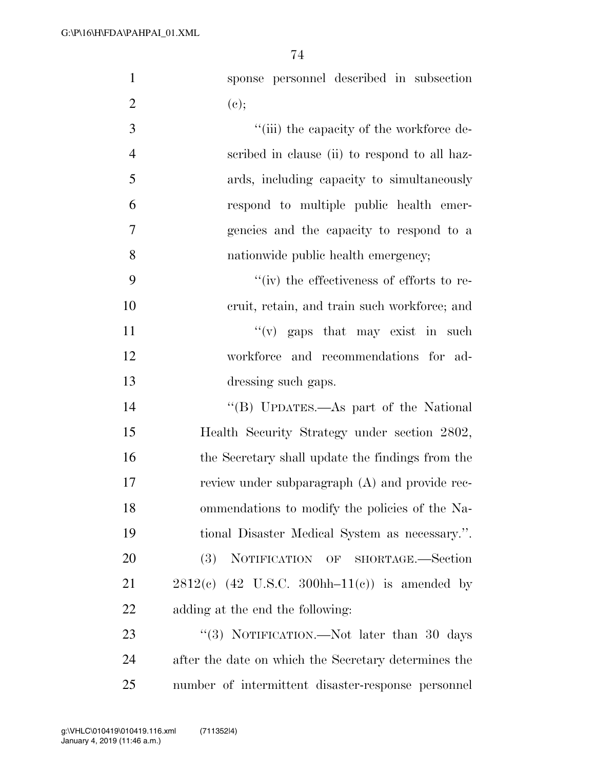| $\mathbf{1}$   | sponse personnel described in subsection             |
|----------------|------------------------------------------------------|
| $\overline{2}$ | (e);                                                 |
| 3              | "(iii) the capacity of the workforce de-             |
| $\overline{4}$ | scribed in clause (ii) to respond to all haz-        |
| 5              | ards, including capacity to simultaneously           |
| 6              | respond to multiple public health emer-              |
| 7              | gencies and the capacity to respond to a             |
| 8              | nationwide public health emergency;                  |
| 9              | $``(iv)$ the effectiveness of efforts to re-         |
| 10             | eruit, retain, and train such workforce; and         |
| 11             | $f'(v)$ gaps that may exist in such                  |
| 12             | workforce and recommendations for ad-                |
| 13             | dressing such gaps.                                  |
| 14             | "(B) UPDATES.—As part of the National                |
| 15             | Health Security Strategy under section 2802,         |
| 16             | the Secretary shall update the findings from the     |
| 17             | review under subparagraph (A) and provide rec-       |
| 18             | ommendations to modify the policies of the Na-       |
| 19             | tional Disaster Medical System as necessary.".       |
| 20             | NOTIFICATION OF SHORTAGE.-Section<br><b>(3)</b>      |
| 21             | $2812(c)$ (42 U.S.C. 300hh-11(c)) is amended by      |
| 22             | adding at the end the following:                     |
| 23             | "(3) NOTIFICATION.—Not later than 30 days            |
| 24             | after the date on which the Secretary determines the |
| 25             | number of intermittent disaster-response personnel   |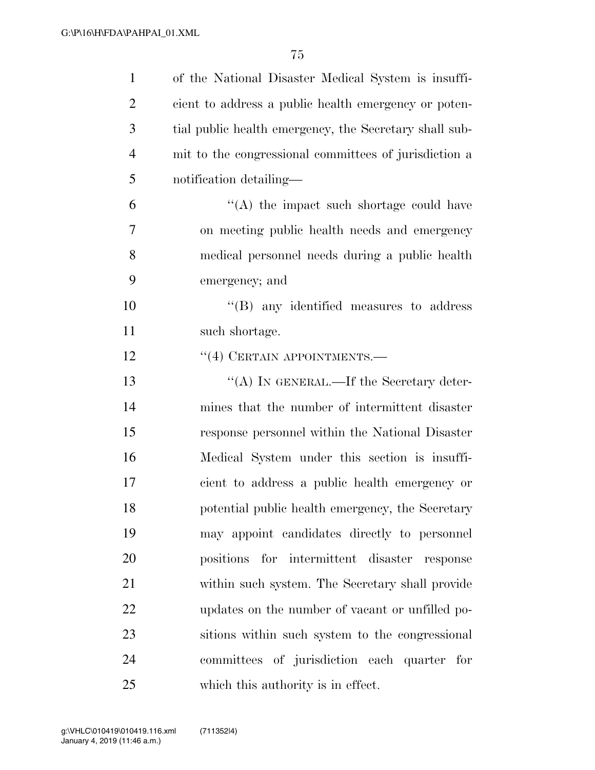| $\mathbf{1}$   | of the National Disaster Medical System is insuffi-    |
|----------------|--------------------------------------------------------|
| $\overline{2}$ | cient to address a public health emergency or poten-   |
| 3              | tial public health emergency, the Secretary shall sub- |
| $\overline{4}$ | mit to the congressional committees of jurisdiction a  |
| 5              | notification detailing—                                |
| 6              | $\lq\lq$ the impact such shortage could have           |
| 7              | on meeting public health needs and emergency           |
| 8              | medical personnel needs during a public health         |
| 9              | emergency; and                                         |
| 10             | $\lq\lq$ (B) any identified measures to address        |
| 11             | such shortage.                                         |
| 12             | $``(4)$ CERTAIN APPOINTMENTS.—                         |
| 13             | "(A) IN GENERAL.—If the Secretary deter-               |
| 14             | mines that the number of intermittent disaster         |
| 15             | response personnel within the National Disaster        |
| 16             | Medical System under this section is insuffi-          |
| 17             | cient to address a public health emergency or          |
| 18             | potential public health emergency, the Secretary       |
| 19             | may appoint candidates directly to personnel           |
| 20             | positions for intermittent disaster<br>response        |
| 21             | within such system. The Secretary shall provide        |
| 22             | updates on the number of vacant or unfilled po-        |
| 23             | sitions within such system to the congressional        |
| 24             | committees of jurisdiction each quarter for            |
| 25             | which this authority is in effect.                     |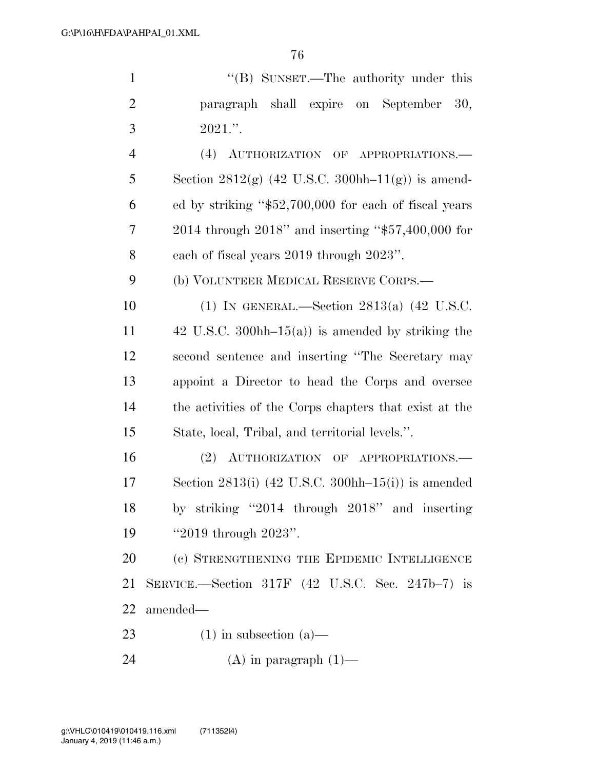| $\mathbf{1}$   | "(B) SUNSET.—The authority under this                                           |
|----------------|---------------------------------------------------------------------------------|
| $\overline{2}$ | paragraph shall expire on September<br>30,                                      |
| 3              | $2021$ .".                                                                      |
| $\overline{4}$ | (4) AUTHORIZATION OF APPROPRIATIONS.                                            |
| 5              | Section 2812(g) $(42 \text{ U.S.C. } 300 \text{hh} - 11 \text{(g)})$ is amend-  |
| 6              | ed by striking "\$52,700,000 for each of fiscal years                           |
| 7              | 2014 through 2018" and inserting "\$57,400,000 for                              |
| 8              | each of fiscal years 2019 through 2023".                                        |
| 9              | (b) VOLUNTEER MEDICAL RESERVE CORPS.—                                           |
| 10             | (1) IN GENERAL.—Section $2813(a)$ (42 U.S.C.                                    |
| 11             | 42 U.S.C. 300hh $-15(a)$ is amended by striking the                             |
| 12             | second sentence and inserting "The Secretary may                                |
| 13             | appoint a Director to head the Corps and oversee                                |
| 14             | the activities of the Corps chapters that exist at the                          |
| 15             | State, local, Tribal, and territorial levels.".                                 |
| 16             | (2) AUTHORIZATION OF APPROPRIATIONS.                                            |
| 17             | Section 2813(i) $(42 \text{ U.S.C. } 300 \text{hh} - 15 \text{(i)})$ is amended |
| 18             | by striking "2014 through 2018" and inserting                                   |
| 19             | "2019 through $2023$ ".                                                         |
| 20             | (c) STRENGTHENING THE EPIDEMIC INTELLIGENCE                                     |
| 21             | SERVICE.—Section 317F $(42 \text{ U.S.C.} \text{Sec.} 247b-7)$ is               |
| 22             | amended-                                                                        |
| 23             | $(1)$ in subsection $(a)$ —                                                     |
| 24             | $(A)$ in paragraph $(1)$ —                                                      |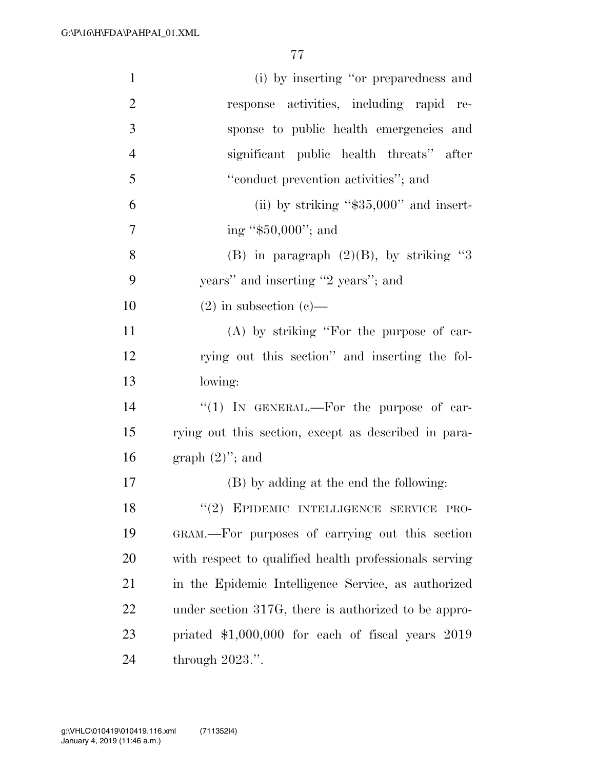| $\mathbf{1}$   | (i) by inserting "or preparedness and                  |
|----------------|--------------------------------------------------------|
| $\overline{2}$ | response activities, including rapid re-               |
| $\mathfrak{Z}$ | sponse to public health emergencies and                |
| $\overline{4}$ | significant public health threats" after               |
| 5              | "conduct prevention activities"; and                   |
| 6              | (ii) by striking " $$35,000"$ and insert-              |
| $\tau$         | ing " $$50,000$ "; and                                 |
| 8              | (B) in paragraph $(2)(B)$ , by striking "3             |
| 9              | years" and inserting "2 years"; and                    |
| 10             | $(2)$ in subsection $(e)$ —                            |
| 11             | (A) by striking "For the purpose of car-               |
| 12             | rying out this section" and inserting the fol-         |
| 13             | lowing:                                                |
| 14             | "(1) IN GENERAL.—For the purpose of car-               |
| 15             | rying out this section, except as described in para-   |
| 16             | graph $(2)$ "; and                                     |
| 17             | (B) by adding at the end the following:                |
| 18             | "(2) EPIDEMIC INTELLIGENCE SERVICE PRO-                |
| 19             | GRAM.—For purposes of carrying out this section        |
| 20             | with respect to qualified health professionals serving |
| 21             | in the Epidemic Intelligence Service, as authorized    |
| 22             | under section 317G, there is authorized to be appro-   |
| 23             | priated $$1,000,000$ for each of fiscal years $2019$   |
| 24             | through $2023$ .".                                     |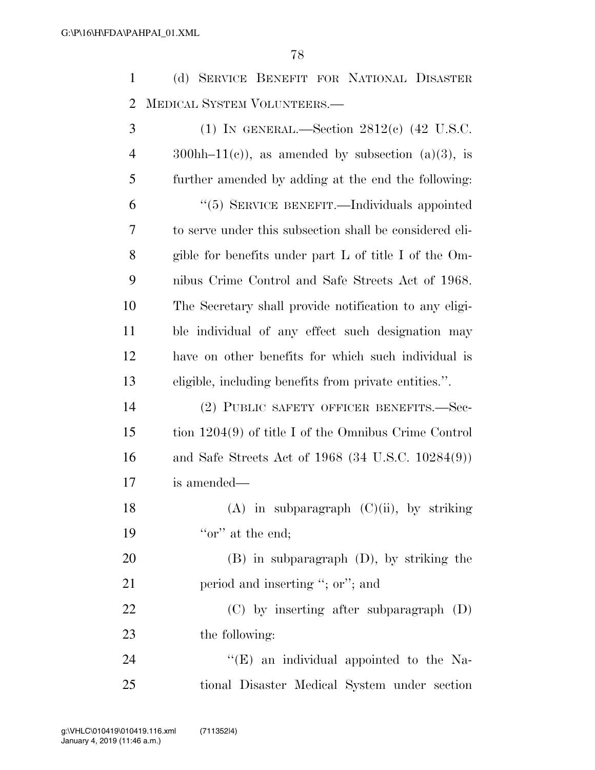(d) SERVICE BENEFIT FOR NATIONAL DISASTER MEDICAL SYSTEM VOLUNTEERS.—

| 3              | (1) IN GENERAL.—Section $2812(e)$ (42 U.S.C.            |
|----------------|---------------------------------------------------------|
| $\overline{4}$ | $300hh-11(c)$ , as amended by subsection (a)(3), is     |
| 5              | further amended by adding at the end the following:     |
| 6              | "(5) SERVICE BENEFIT.—Individuals appointed             |
| 7              | to serve under this subsection shall be considered eli- |
| 8              | gible for benefits under part L of title I of the Om-   |
| 9              | nibus Crime Control and Safe Streets Act of 1968.       |
| 10             | The Secretary shall provide notification to any eligi-  |
| 11             | ble individual of any effect such designation may       |
| 12             | have on other benefits for which such individual is     |
| 13             | eligible, including benefits from private entities.".   |
| 14             | (2) PUBLIC SAFETY OFFICER BENEFITS.-Sec-                |
| 15             | tion $1204(9)$ of title I of the Omnibus Crime Control  |
| 16             | and Safe Streets Act of $1968$ (34 U.S.C. $10284(9)$ )  |
| 17             | is amended—                                             |
| 18             | $(A)$ in subparagraph $(C)(ii)$ , by striking           |
| 19             | "or" at the end;                                        |
| 20             | $(B)$ in subparagraph $(D)$ , by striking the           |
| 21             | period and inserting "; or"; and                        |
| 22             | $(C)$ by inserting after subparagraph $(D)$             |
| 23             | the following:                                          |
| 24             | $\lq\lq(E)$ an individual appointed to the Na-          |
| 25             | tional Disaster Medical System under section            |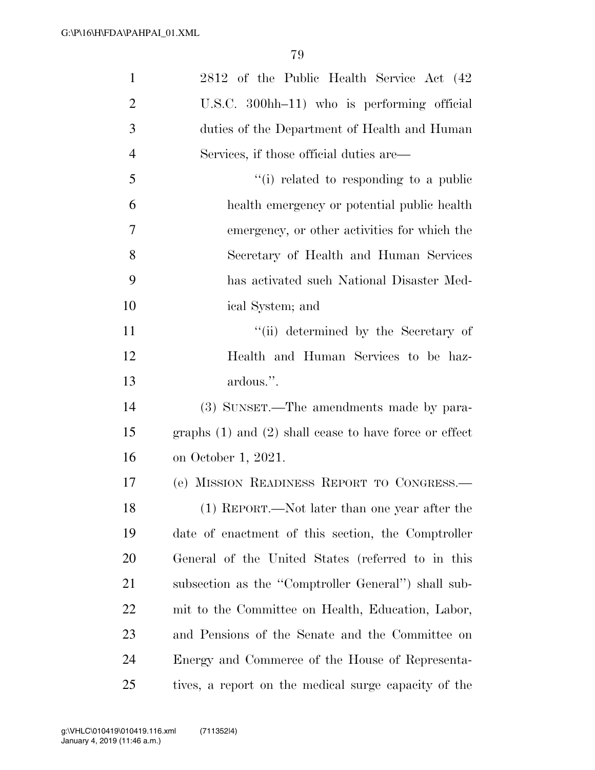| $\mathbf{1}$   | 2812 of the Public Health Service Act (42                  |
|----------------|------------------------------------------------------------|
| $\overline{2}$ | U.S.C. 300hh-11) who is performing official                |
| 3              | duties of the Department of Health and Human               |
| $\overline{4}$ | Services, if those official duties are—                    |
| 5              | "(i) related to responding to a public                     |
| 6              | health emergency or potential public health                |
| $\overline{7}$ | emergency, or other activities for which the               |
| 8              | Secretary of Health and Human Services                     |
| 9              | has activated such National Disaster Med-                  |
| 10             | ical System; and                                           |
| 11             | "(ii) determined by the Secretary of                       |
| 12             | Health and Human Services to be haz-                       |
| 13             | ardous.".                                                  |
| 14             | (3) SUNSET.—The amendments made by para-                   |
| 15             | graphs $(1)$ and $(2)$ shall cease to have force or effect |
| 16             | on October 1, 2021.                                        |
| 17             | (e) MISSION READINESS REPORT TO CONGRESS.-                 |
| 18             | (1) REPORT.—Not later than one year after the              |
| 19             | date of enactment of this section, the Comptroller         |
| 20             | General of the United States (referred to in this          |
| 21             | subsection as the "Comptroller General") shall sub-        |
| 22             | mit to the Committee on Health, Education, Labor,          |
| 23             | and Pensions of the Senate and the Committee on            |
| 24             | Energy and Commerce of the House of Representa-            |
| 25             | tives, a report on the medical surge capacity of the       |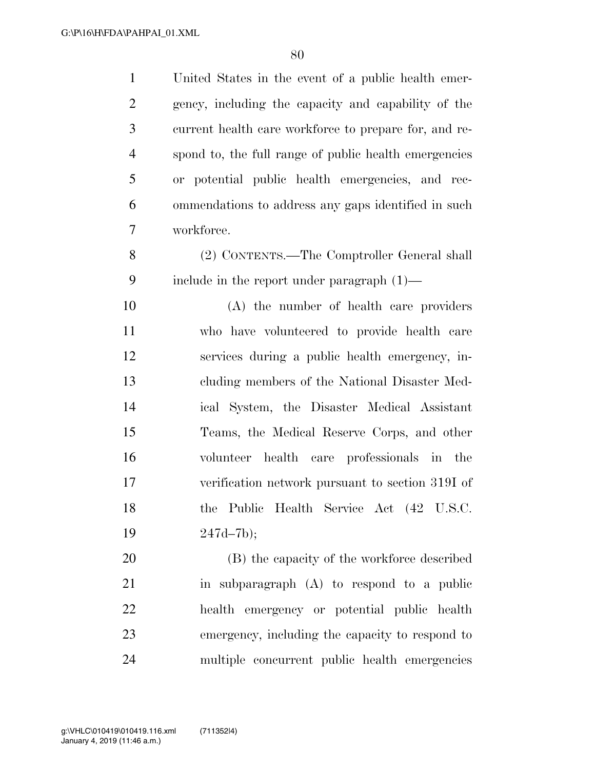United States in the event of a public health emer- gency, including the capacity and capability of the current health care workforce to prepare for, and re- spond to, the full range of public health emergencies or potential public health emergencies, and rec- ommendations to address any gaps identified in such workforce.

 (2) CONTENTS.—The Comptroller General shall include in the report under paragraph (1)—

 (A) the number of health care providers who have volunteered to provide health care services during a public health emergency, in- cluding members of the National Disaster Med- ical System, the Disaster Medical Assistant Teams, the Medical Reserve Corps, and other volunteer health care professionals in the verification network pursuant to section 319I of the Public Health Service Act (42 U.S.C. 247d–7b);

 (B) the capacity of the workforce described in subparagraph (A) to respond to a public health emergency or potential public health emergency, including the capacity to respond to multiple concurrent public health emergencies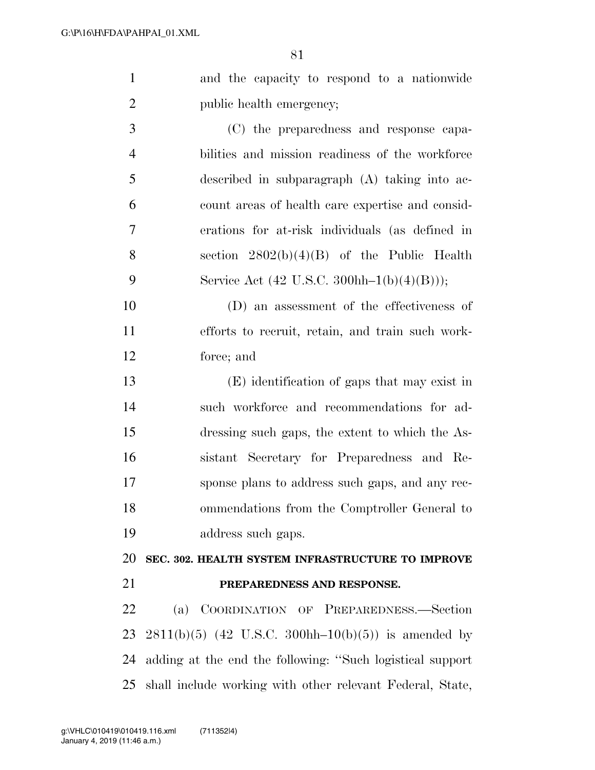| $\mathbf{1}$   | and the capacity to respond to a nationwide                                    |
|----------------|--------------------------------------------------------------------------------|
| $\overline{2}$ | public health emergency;                                                       |
| 3              | (C) the preparedness and response capa-                                        |
| $\overline{4}$ | bilities and mission readiness of the workforce                                |
| 5              | described in subparagraph (A) taking into ac-                                  |
| 6              | count areas of health care expertise and consid-                               |
| $\tau$         | erations for at-risk individuals (as defined in                                |
| 8              | section $2802(b)(4)(B)$ of the Public Health                                   |
| 9              | Service Act $(42 \text{ U.S.C. } 300 \text{hh} - 1(\text{b})(4)(\text{B})))$ ; |
| 10             | (D) an assessment of the effectiveness of                                      |
| 11             | efforts to recruit, retain, and train such work-                               |
| 12             | force; and                                                                     |
| 13             | (E) identification of gaps that may exist in                                   |
| 14             | such workforce and recommendations for ad-                                     |
| 15             | dressing such gaps, the extent to which the As-                                |
| 16             | sistant Secretary for Preparedness and Re-                                     |
| 17             | sponse plans to address such gaps, and any rec-                                |
| 18             | ommendations from the Comptroller General to                                   |
| 19             | address such gaps.                                                             |
| 20             | SEC. 302. HEALTH SYSTEM INFRASTRUCTURE TO IMPROVE                              |
| 21             | PREPAREDNESS AND RESPONSE.                                                     |
| 22             | COORDINATION OF PREPAREDNESS.-Section<br>(a)                                   |
| 23             | $2811(b)(5)$ (42 U.S.C. 300hh-10(b)(5)) is amended by                          |
| 24             | adding at the end the following: "Such logistical support                      |
| 25             | shall include working with other relevant Federal, State,                      |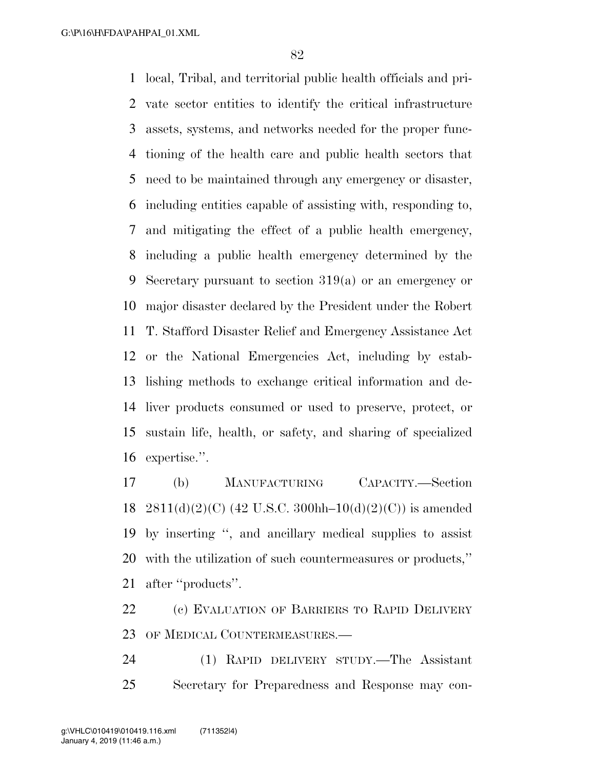local, Tribal, and territorial public health officials and pri- vate sector entities to identify the critical infrastructure assets, systems, and networks needed for the proper func- tioning of the health care and public health sectors that need to be maintained through any emergency or disaster, including entities capable of assisting with, responding to, and mitigating the effect of a public health emergency, including a public health emergency determined by the Secretary pursuant to section 319(a) or an emergency or major disaster declared by the President under the Robert T. Stafford Disaster Relief and Emergency Assistance Act or the National Emergencies Act, including by estab- lishing methods to exchange critical information and de- liver products consumed or used to preserve, protect, or sustain life, health, or safety, and sharing of specialized expertise.''.

 (b) MANUFACTURING CAPACITY.—Section 18 2811(d)(2)(C) (42 U.S.C. 300hh–10(d)(2)(C)) is amended by inserting '', and ancillary medical supplies to assist with the utilization of such countermeasures or products,'' after ''products''.

 (c) EVALUATION OF BARRIERS TO RAPID DELIVERY OF MEDICAL COUNTERMEASURES.—

 (1) RAPID DELIVERY STUDY.—The Assistant Secretary for Preparedness and Response may con-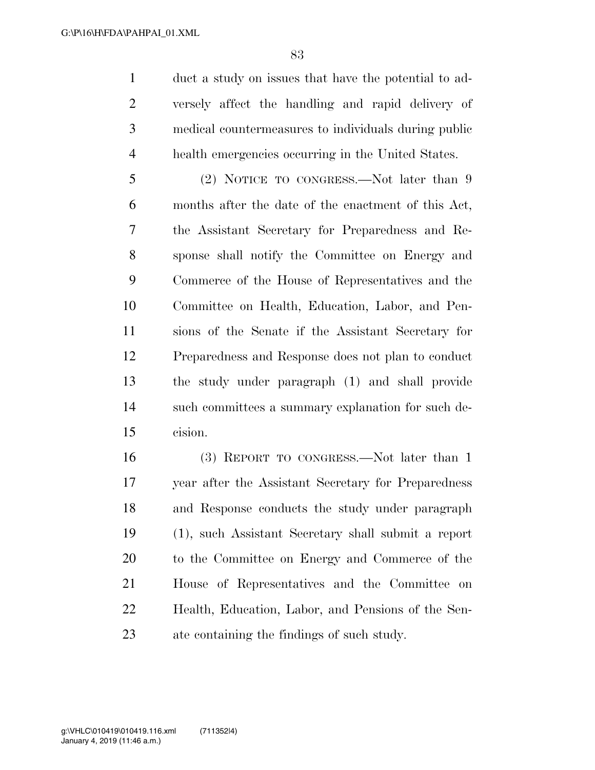duct a study on issues that have the potential to ad- versely affect the handling and rapid delivery of medical countermeasures to individuals during public health emergencies occurring in the United States.

5 (2) NOTICE TO CONGRESS.—Not later than 9 months after the date of the enactment of this Act, the Assistant Secretary for Preparedness and Re- sponse shall notify the Committee on Energy and Commerce of the House of Representatives and the Committee on Health, Education, Labor, and Pen- sions of the Senate if the Assistant Secretary for Preparedness and Response does not plan to conduct the study under paragraph (1) and shall provide such committees a summary explanation for such de-cision.

 (3) REPORT TO CONGRESS.—Not later than 1 year after the Assistant Secretary for Preparedness and Response conducts the study under paragraph (1), such Assistant Secretary shall submit a report to the Committee on Energy and Commerce of the House of Representatives and the Committee on Health, Education, Labor, and Pensions of the Sen-ate containing the findings of such study.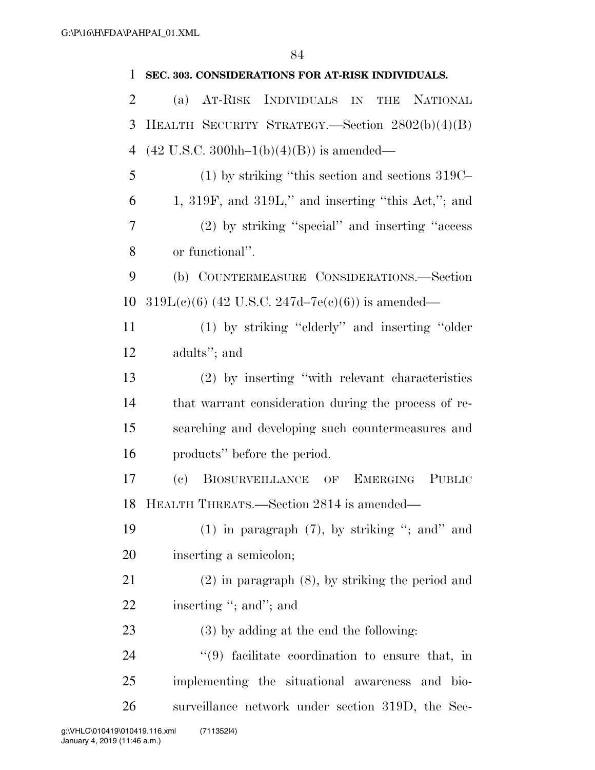| 1              | SEC. 303. CONSIDERATIONS FOR AT-RISK INDIVIDUALS.                             |
|----------------|-------------------------------------------------------------------------------|
| $\overline{2}$ | AT-RISK INDIVIDUALS IN<br><b>NATIONAL</b><br>THE<br>(a)                       |
| 3              | HEALTH SECURITY STRATEGY.—Section 2802(b)(4)(B)                               |
| 4              | $(42 \text{ U.S.C. } 300 \text{hh} - 1(\text{b})(4)(\text{B}))$ is amended—   |
| 5              | $(1)$ by striking "this section and sections 319C-                            |
| 6              | $1, 319F$ , and $319L$ ," and inserting "this Act,"; and                      |
| 7              | (2) by striking "special" and inserting "access"                              |
| 8              | or functional".                                                               |
| 9              | (b) COUNTERMEASURE CONSIDERATIONS.-Section                                    |
| 10             | $319L(e)(6)$ (42 U.S.C. 247d–7e(e)(6)) is amended—                            |
| 11             | (1) by striking "elderly" and inserting "older                                |
| 12             | adults"; and                                                                  |
| 13             | (2) by inserting "with relevant characteristics                               |
| 14             | that warrant consideration during the process of re-                          |
| 15             | searching and developing such countermeasures and                             |
| 16             | products" before the period.                                                  |
| 17             | BIOSURVEILLANCE OF<br>$\left( \mathrm{e}\right)$<br>EMERGING<br><b>PUBLIC</b> |
|                | 18 HEALTH THREATS.—Section 2814 is amended—                                   |
| 19             | $(1)$ in paragraph $(7)$ , by striking "; and" and                            |
| <b>20</b>      | inserting a semicolon;                                                        |
| 21             | $(2)$ in paragraph $(8)$ , by striking the period and                         |
| 22             | inserting "; and"; and                                                        |
| 23             | (3) by adding at the end the following:                                       |
| 24             | $(9)$ facilitate coordination to ensure that, in                              |
| 25             | implementing the situational awareness and bio-                               |
| 26             | surveillance network under section 319D, the Sec-                             |
|                |                                                                               |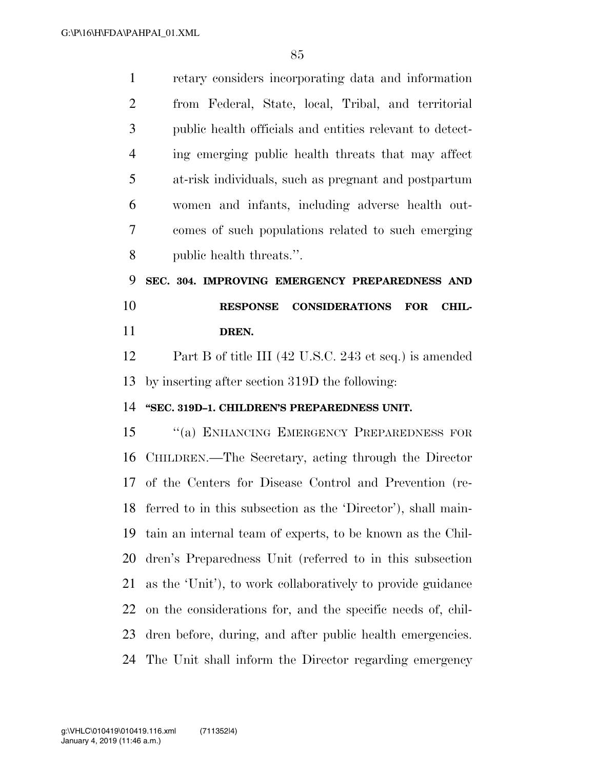| $\mathbf{1}$   | retary considers incorporating data and information                    |
|----------------|------------------------------------------------------------------------|
| $\overline{2}$ | from Federal, State, local, Tribal, and territorial                    |
| 3              | public health officials and entities relevant to detect-               |
| $\overline{4}$ | ing emerging public health threats that may affect                     |
| 5              | at-risk individuals, such as pregnant and postpartum                   |
| 6              | women and infants, including adverse health out-                       |
| 7              | comes of such populations related to such emerging                     |
| 8              | public health threats.".                                               |
| 9              | SEC. 304. IMPROVING EMERGENCY PREPAREDNESS AND                         |
| 10             | <b>RESPONSE</b><br><b>CONSIDERATIONS</b><br><b>FOR</b><br><b>CHIL-</b> |
| 11             | DREN.                                                                  |
| 12             | Part B of title III (42 U.S.C. 243 et seq.) is amended                 |
|                |                                                                        |
| 13             | by inserting after section 319D the following:                         |
| 14             | "SEC. 319D-1. CHILDREN'S PREPAREDNESS UNIT.                            |
| 15             | "(a) ENHANCING EMERGENCY PREPAREDNESS FOR                              |
| 16             | CHILDREN.—The Secretary, acting through the Director                   |
|                | 17 of the Centers for Disease Control and Prevention (re-              |
|                | 18 ferred to in this subsection as the 'Director'), shall main-        |
| 19             | tain an internal team of experts, to be known as the Chil-             |
| 20             | dren's Preparedness Unit (referred to in this subsection               |
| 21             | as the 'Unit'), to work collaboratively to provide guidance            |
| 22             | on the considerations for, and the specific needs of, chil-            |
| 23             | dren before, during, and after public health emergencies.              |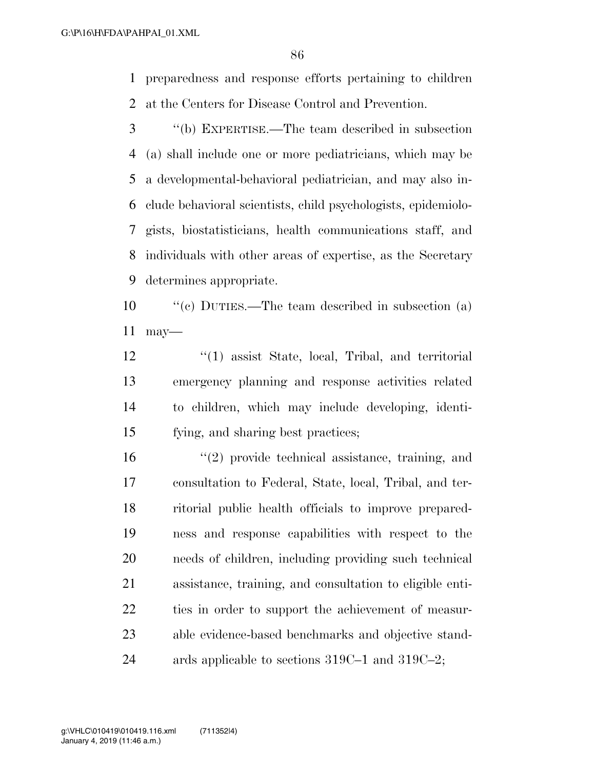preparedness and response efforts pertaining to children at the Centers for Disease Control and Prevention.

 ''(b) EXPERTISE.—The team described in subsection (a) shall include one or more pediatricians, which may be a developmental-behavioral pediatrician, and may also in- clude behavioral scientists, child psychologists, epidemiolo- gists, biostatisticians, health communications staff, and individuals with other areas of expertise, as the Secretary determines appropriate.

 ''(c) DUTIES.—The team described in subsection (a) may—

- 12 ''(1) assist State, local, Tribal, and territorial emergency planning and response activities related to children, which may include developing, identi-fying, and sharing best practices;
- ''(2) provide technical assistance, training, and consultation to Federal, State, local, Tribal, and ter- ritorial public health officials to improve prepared- ness and response capabilities with respect to the needs of children, including providing such technical assistance, training, and consultation to eligible enti- ties in order to support the achievement of measur- able evidence-based benchmarks and objective stand-24 ards applicable to sections 319C–1 and 319C–2;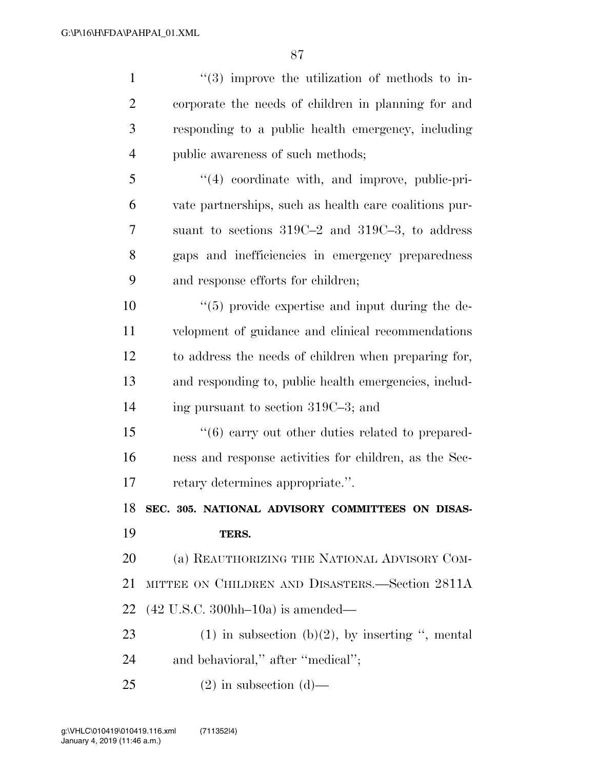| $\mathbf{1}$   | $\lq(3)$ improve the utilization of methods to in-                |
|----------------|-------------------------------------------------------------------|
| $\overline{2}$ | corporate the needs of children in planning for and               |
| 3              | responding to a public health emergency, including                |
| 4              | public awareness of such methods;                                 |
| 5              | $\lq(4)$ coordinate with, and improve, public-pri-                |
| 6              | vate partnerships, such as health care coalitions pur-            |
| 7              | suant to sections $319C-2$ and $319C-3$ , to address              |
| 8              | gaps and inefficiencies in emergency preparedness                 |
| 9              | and response efforts for children;                                |
| 10             | $\lq(5)$ provide expertise and input during the de-               |
| 11             | velopment of guidance and clinical recommendations                |
| 12             | to address the needs of children when preparing for,              |
| 13             | and responding to, public health emergencies, includ-             |
| 14             | ing pursuant to section 319C-3; and                               |
| 15             | $\cdot\cdot\cdot$ (6) carry out other duties related to prepared- |
|                |                                                                   |
| 16             | ness and response activities for children, as the Sec-            |
| 17             | retary determines appropriate.".                                  |
| 18             | SEC. 305. NATIONAL ADVISORY COMMITTEES ON DISAS-                  |
| 19             | TERS.                                                             |
| 20             | (a) REAUTHORIZING THE NATIONAL ADVISORY COM-                      |
| 21             | MITTEE ON CHILDREN AND DISASTERS.—Section 2811A                   |
| 22             | $(42 \text{ U.S.C. } 300 \text{hh} - 10 \text{a})$ is amended—    |
| 23             | $(1)$ in subsection $(b)(2)$ , by inserting ", mental             |
| 24             | and behavioral," after "medical";                                 |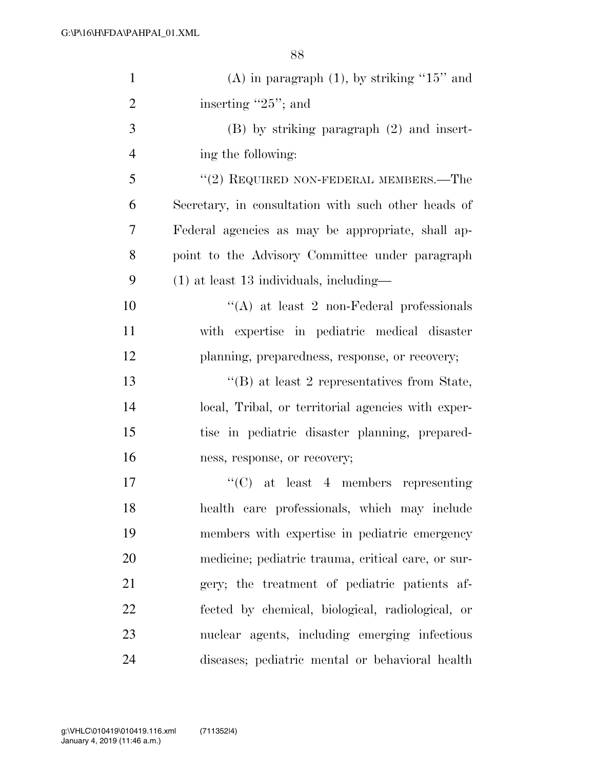| $\mathbf{1}$   | (A) in paragraph $(1)$ , by striking "15" and       |
|----------------|-----------------------------------------------------|
| $\overline{2}$ | inserting $"25"$ ; and                              |
| 3              | $(B)$ by striking paragraph $(2)$ and insert-       |
| $\overline{4}$ | ing the following:                                  |
| 5              | $\cdot\cdot$ (2) REQUIRED NON-FEDERAL MEMBERS.—The  |
| 6              | Secretary, in consultation with such other heads of |
| 7              | Federal agencies as may be appropriate, shall ap-   |
| 8              | point to the Advisory Committee under paragraph     |
| 9              | $(1)$ at least 13 individuals, including—           |
| 10             | "(A) at least 2 non-Federal professionals           |
| 11             | with expertise in pediatric medical disaster        |
| 12             | planning, preparedness, response, or recovery;      |
| 13             | $\lq\lq$ (B) at least 2 representatives from State, |
| 14             | local, Tribal, or territorial agencies with exper-  |
| 15             | tise in pediatric disaster planning, prepared-      |
| 16             | ness, response, or recovery;                        |
| 17             | $\lq\lq$ (C) at least 4 members representing        |
| 18             | health care professionals, which may include        |
| 19             | members with expertise in pediatric emergency       |
| 20             | medicine; pediatric trauma, critical care, or sur-  |
| 21             | gery; the treatment of pediatric patients af-       |
| 22             | fected by chemical, biological, radiological, or    |
| 23             | nuclear agents, including emerging infectious       |
| 24             | diseases; pediatric mental or behavioral health     |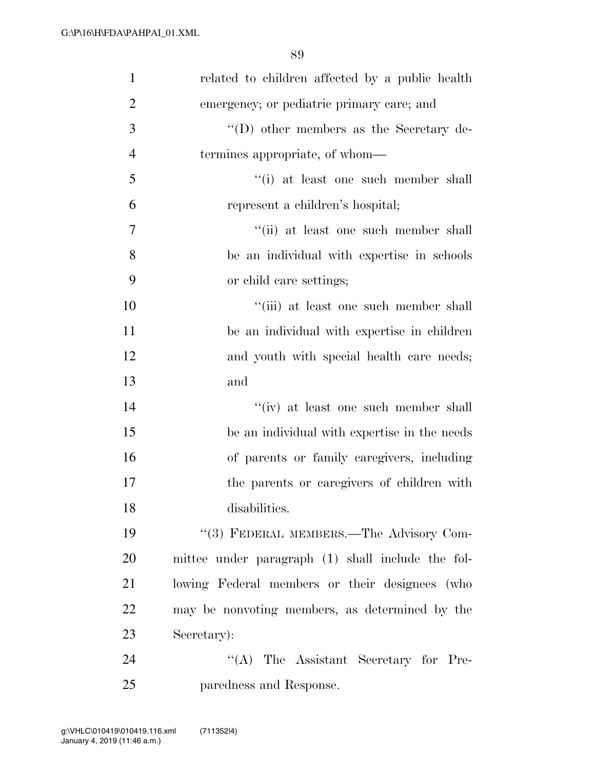| $\mathbf{1}$   | related to children affected by a public health   |
|----------------|---------------------------------------------------|
| $\overline{2}$ | emergency; or pediatric primary care; and         |
| 3              | $\lq\lq$ other members as the Secretary de-       |
| $\overline{4}$ | termines appropriate, of whom—                    |
| 5              | "(i) at least one such member shall               |
| 6              | represent a children's hospital;                  |
| $\tau$         | "(ii) at least one such member shall              |
| 8              | be an individual with expertise in schools        |
| 9              | or child care settings;                           |
| 10             | "(iii) at least one such member shall             |
| 11             | be an individual with expertise in children       |
| 12             | and youth with special health care needs;         |
| 13             | and                                               |
| 14             | "(iv) at least one such member shall              |
| 15             | be an individual with expertise in the needs      |
| 16             | of parents or family caregivers, including        |
| 17             | the parents or caregivers of children with        |
| 18             | disabilities.                                     |
| 19             | "(3) FEDERAL MEMBERS.—The Advisory Com-           |
| 20             | mittee under paragraph (1) shall include the fol- |
| 21             | lowing Federal members or their designees (who    |
| 22             | may be nonvoting members, as determined by the    |
| 23             | Secretary):                                       |
| 24             | $\lq\lq$ . The Assistant Secretary for Pre-       |
| 25             | paredness and Response.                           |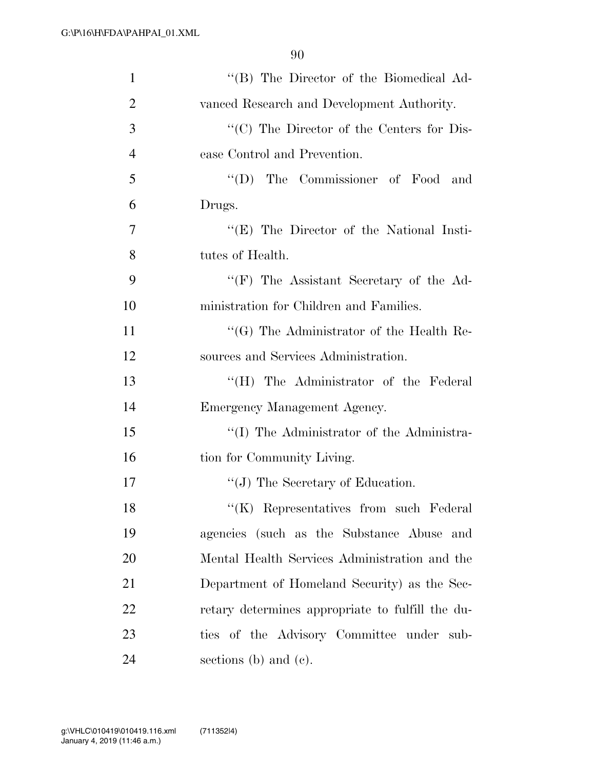| $\mathbf{1}$   | "(B) The Director of the Biomedical Ad-          |
|----------------|--------------------------------------------------|
| $\overline{2}$ | vanced Research and Development Authority.       |
| 3              | "(C) The Director of the Centers for Dis-        |
| $\overline{4}$ | ease Control and Prevention.                     |
| 5              | "(D) The Commissioner of Food and                |
| 6              | Drugs.                                           |
| 7              | "(E) The Director of the National Insti-         |
| 8              | tutes of Health.                                 |
| 9              | $\lq\lq(F)$ The Assistant Secretary of the Ad-   |
| 10             | ministration for Children and Families.          |
| 11             | $\lq\lq (G)$ The Administrator of the Health Re- |
| 12             | sources and Services Administration.             |
| 13             | "(H) The Administrator of the Federal            |
| 14             | Emergency Management Agency.                     |
| 15             | "(I) The Administrator of the Administra-        |
| 16             | tion for Community Living.                       |
| 17             | "(J) The Secretary of Education.                 |
| 18             | "(K) Representatives from such Federal           |
| 19             | agencies (such as the Substance Abuse and        |
| 20             | Mental Health Services Administration and the    |
| 21             | Department of Homeland Security) as the Sec-     |
| 22             | retary determines appropriate to fulfill the du- |
| 23             | ties of the Advisory Committee under sub-        |
| 24             | sections (b) and (c).                            |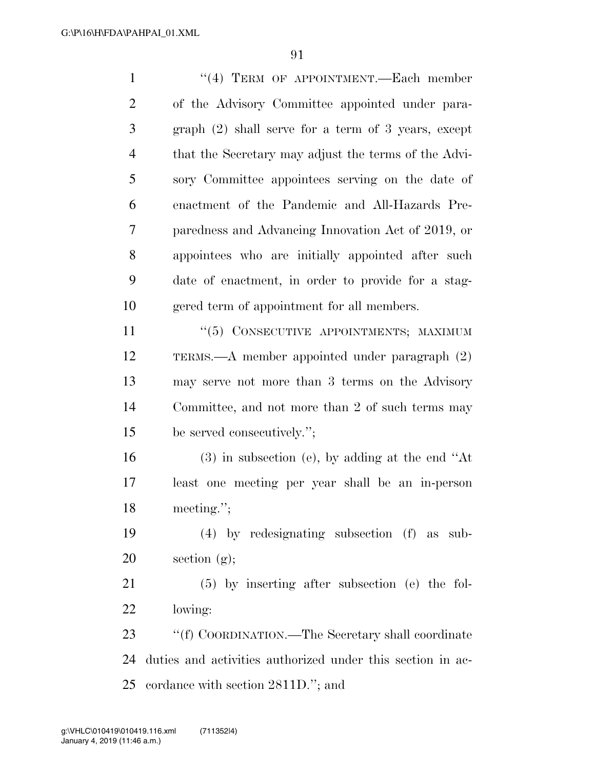1 "(4) TERM OF APPOINTMENT.—Each member of the Advisory Committee appointed under para- graph (2) shall serve for a term of 3 years, except that the Secretary may adjust the terms of the Advi- sory Committee appointees serving on the date of enactment of the Pandemic and All-Hazards Pre- paredness and Advancing Innovation Act of 2019, or appointees who are initially appointed after such date of enactment, in order to provide for a stag- gered term of appointment for all members. ''(5) CONSECUTIVE APPOINTMENTS; MAXIMUM

 TERMS.—A member appointed under paragraph (2) may serve not more than 3 terms on the Advisory Committee, and not more than 2 of such terms may be served consecutively.'';

 (3) in subsection (e), by adding at the end ''At least one meeting per year shall be an in-person meeting.'';

 (4) by redesignating subsection (f) as sub-20 section  $(g)$ ;

 (5) by inserting after subsection (e) the fol-lowing:

23 "'(f) COORDINATION.—The Secretary shall coordinate duties and activities authorized under this section in ac-cordance with section 2811D.''; and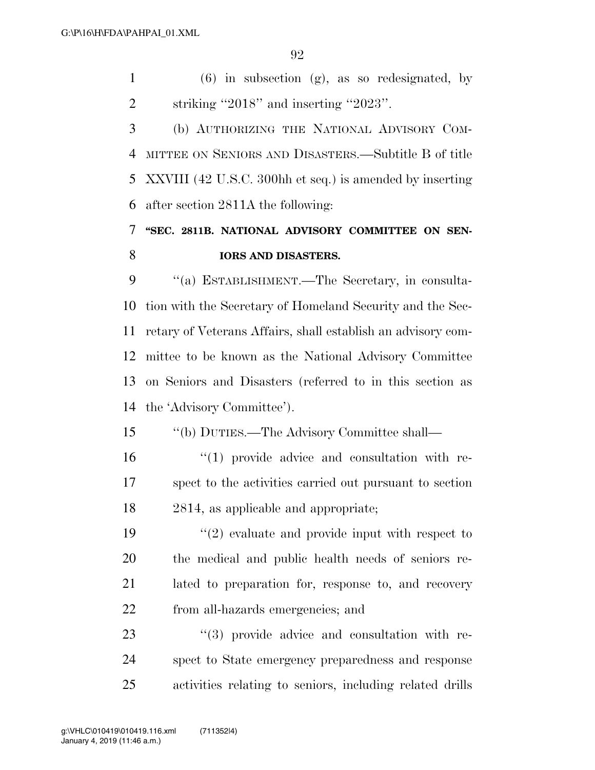(6) in subsection (g), as so redesignated, by striking ''2018'' and inserting ''2023''.

 (b) AUTHORIZING THE NATIONAL ADVISORY COM- MITTEE ON SENIORS AND DISASTERS.—Subtitle B of title XXVIII (42 U.S.C. 300hh et seq.) is amended by inserting after section 2811A the following:

## **''SEC. 2811B. NATIONAL ADVISORY COMMITTEE ON SEN-IORS AND DISASTERS.**

 ''(a) ESTABLISHMENT.—The Secretary, in consulta- tion with the Secretary of Homeland Security and the Sec- retary of Veterans Affairs, shall establish an advisory com- mittee to be known as the National Advisory Committee on Seniors and Disasters (referred to in this section as the 'Advisory Committee').

''(b) DUTIES.—The Advisory Committee shall—

16  $\frac{1}{10}$   $\frac{1}{20}$  provide advice and consultation with re- spect to the activities carried out pursuant to section 2814, as applicable and appropriate;

 $\frac{1}{2}$  evaluate and provide input with respect to the medical and public health needs of seniors re- lated to preparation for, response to, and recovery from all-hazards emergencies; and

23  $(3)$  provide advice and consultation with re- spect to State emergency preparedness and response activities relating to seniors, including related drills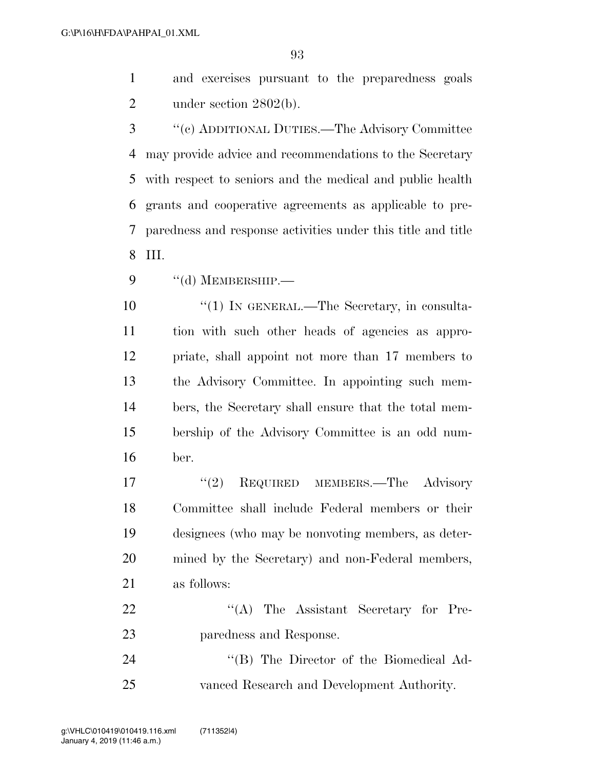and exercises pursuant to the preparedness goals 2 under section 2802(b).

 ''(c) ADDITIONAL DUTIES.—The Advisory Committee may provide advice and recommendations to the Secretary with respect to seniors and the medical and public health grants and cooperative agreements as applicable to pre- paredness and response activities under this title and title III.

9 "(d) MEMBERSHIP.

 $\frac{1}{1}$  IN GENERAL.—The Secretary, in consulta- tion with such other heads of agencies as appro- priate, shall appoint not more than 17 members to the Advisory Committee. In appointing such mem- bers, the Secretary shall ensure that the total mem- bership of the Advisory Committee is an odd num-ber.

17 ''(2) REQUIRED MEMBERS.—The Advisory Committee shall include Federal members or their designees (who may be nonvoting members, as deter- mined by the Secretary) and non-Federal members, as follows:

22 "'(A) The Assistant Secretary for Pre-paredness and Response.

24 "(B) The Director of the Biomedical Ad-vanced Research and Development Authority.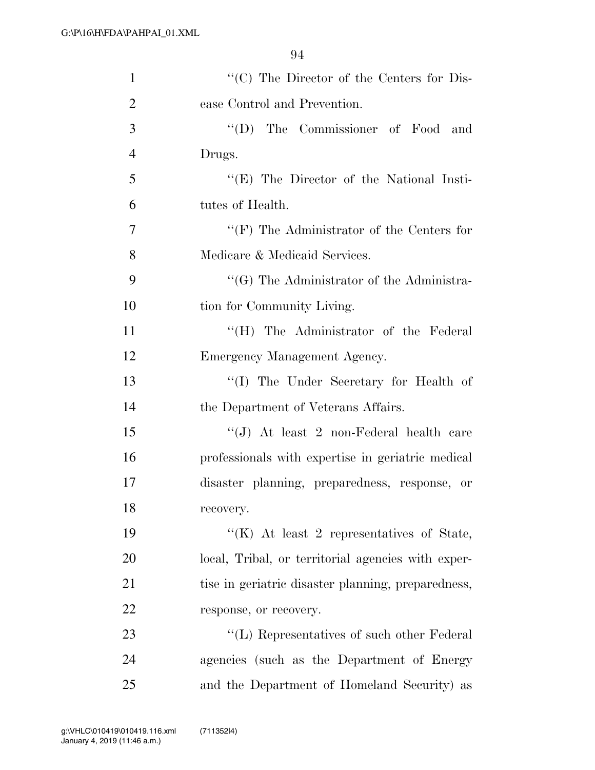| $\mathbf{1}$   | "(C) The Director of the Centers for Dis-          |
|----------------|----------------------------------------------------|
| $\overline{2}$ | ease Control and Prevention.                       |
| 3              | "(D) The Commissioner of Food and                  |
| $\overline{4}$ | Drugs.                                             |
| 5              | "(E) The Director of the National Insti-           |
| 6              | tutes of Health.                                   |
| 7              | " $(F)$ The Administrator of the Centers for       |
| 8              | Medicare & Medicaid Services.                      |
| 9              | "(G) The Administrator of the Administra-          |
| 10             | tion for Community Living.                         |
| 11             | "(H) The Administrator of the Federal              |
| 12             | Emergency Management Agency.                       |
| 13             | "(I) The Under Secretary for Health of             |
| 14             | the Department of Veterans Affairs.                |
| 15             | " $(J)$ At least 2 non-Federal health care         |
| 16             | professionals with expertise in geriatric medical  |
| 17             | disaster planning, preparedness, response, or      |
| 18             | recovery.                                          |
| 19             | "(K) At least 2 representatives of State,          |
| 20             | local, Tribal, or territorial agencies with exper- |
| 21             | tise in geriatric disaster planning, preparedness, |
| 22             | response, or recovery.                             |
| 23             | "(L) Representatives of such other Federal         |
| 24             | agencies (such as the Department of Energy         |
| 25             | and the Department of Homeland Security) as        |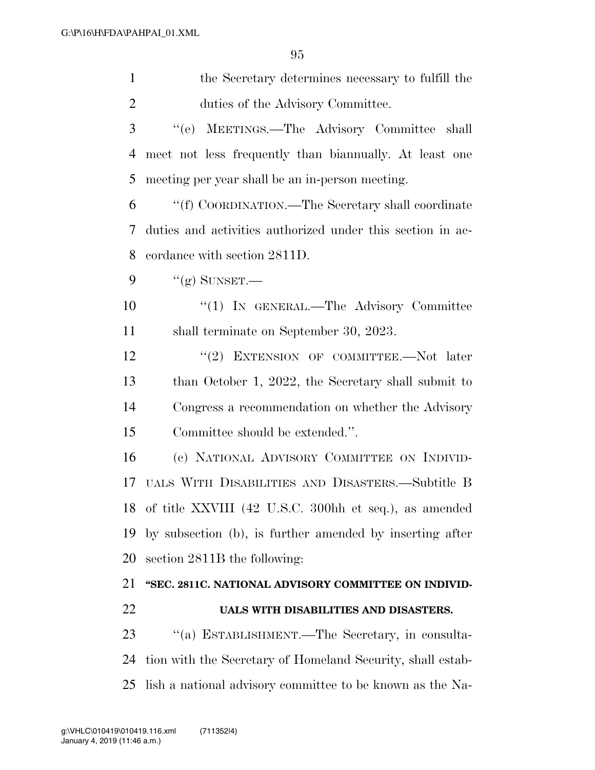| $\mathbf{1}$   | the Secretary determines necessary to fulfill the          |
|----------------|------------------------------------------------------------|
| $\overline{2}$ | duties of the Advisory Committee.                          |
| 3              | "(e) MEETINGS.—The Advisory Committee shall                |
| 4              | meet not less frequently than biannually. At least one     |
| 5              | meeting per year shall be an in-person meeting.            |
| 6              | "(f) COORDINATION.—The Secretary shall coordinate          |
| 7              | duties and activities authorized under this section in ac- |
| 8              | cordance with section 2811D.                               |
| 9              | " $(g)$ SUNSET.—                                           |
| 10             | "(1) IN GENERAL.—The Advisory Committee                    |
| 11             | shall terminate on September 30, 2023.                     |
| 12             | "(2) EXTENSION OF COMMITTEE.—Not later                     |
| 13             | than October 1, 2022, the Secretary shall submit to        |
| 14             | Congress a recommendation on whether the Advisory          |
| 15             | Committee should be extended.".                            |
| 16             | (c) NATIONAL ADVISORY COMMITTEE ON INDIVID-                |
| 17             | UALS WITH DISABILITIES AND DISASTERS.—Subtitle B           |
|                | 18 of title XXVIII (42 U.S.C. 300hh et seq.), as amended   |
| 19             | by subsection (b), is further amended by inserting after   |
| 20             | section 2811B the following:                               |
| 21             | "SEC. 2811C. NATIONAL ADVISORY COMMITTEE ON INDIVID-       |
| 22             | UALS WITH DISABILITIES AND DISASTERS.                      |
| 23             | "(a) ESTABLISHMENT.—The Secretary, in consulta-            |
| 24             | tion with the Secretary of Homeland Security, shall estab- |
| 25             | lish a national advisory committee to be known as the Na-  |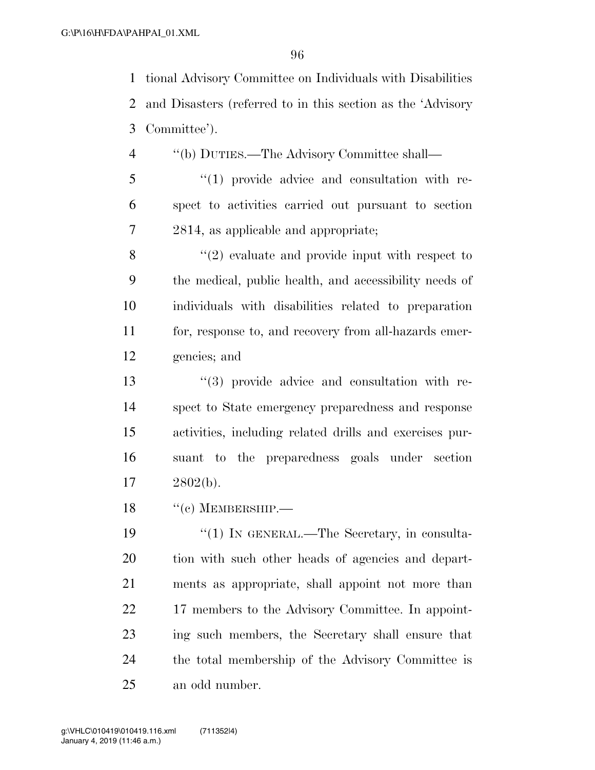tional Advisory Committee on Individuals with Disabilities and Disasters (referred to in this section as the 'Advisory Committee').

- ''(b) DUTIES.—The Advisory Committee shall—
- ''(1) provide advice and consultation with re- spect to activities carried out pursuant to section 2814, as applicable and appropriate;

8 ''(2) evaluate and provide input with respect to the medical, public health, and accessibility needs of individuals with disabilities related to preparation for, response to, and recovery from all-hazards emer-gencies; and

 ''(3) provide advice and consultation with re- spect to State emergency preparedness and response activities, including related drills and exercises pur- suant to the preparedness goals under section 2802(b).

18 "(c) MEMBERSHIP.—

19 "(1) IN GENERAL.—The Secretary, in consulta- tion with such other heads of agencies and depart- ments as appropriate, shall appoint not more than 22 17 members to the Advisory Committee. In appoint- ing such members, the Secretary shall ensure that the total membership of the Advisory Committee is an odd number.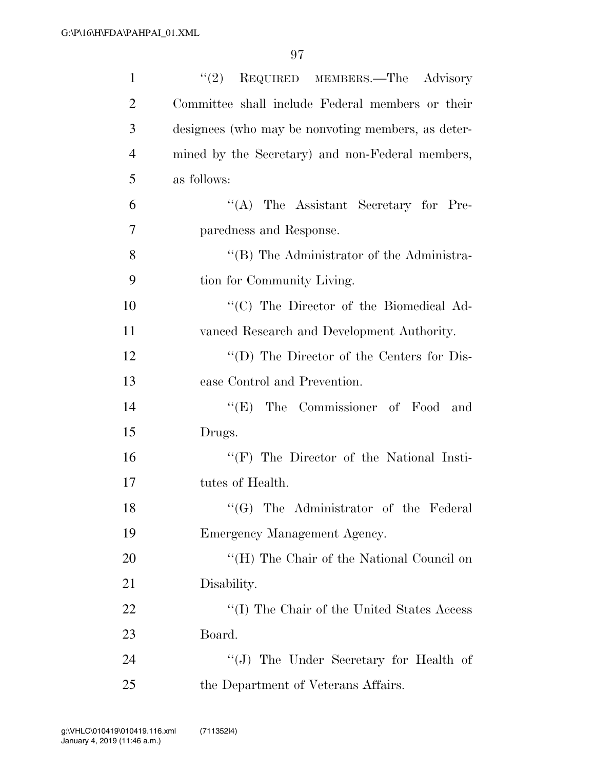| 1              | REQUIRED MEMBERS. The Advisory<br>(2)              |
|----------------|----------------------------------------------------|
| $\overline{2}$ | Committee shall include Federal members or their   |
| 3              | designees (who may be nonvoting members, as deter- |
| $\overline{4}$ | mined by the Secretary) and non-Federal members,   |
| 5              | as follows:                                        |
| 6              | "(A) The Assistant Secretary for Pre-              |
| $\overline{7}$ | paredness and Response.                            |
| 8              | "(B) The Administrator of the Administra-          |
| 9              | tion for Community Living.                         |
| 10             | "(C) The Director of the Biomedical Ad-            |
| 11             | vanced Research and Development Authority.         |
| 12             | $\lq\lq$ (D) The Director of the Centers for Dis-  |
| 13             | ease Control and Prevention.                       |
| 14             | The Commissioner of Food and<br>``(E)              |
| 15             | Drugs.                                             |
| 16             | $\lq\lq(F)$ The Director of the National Insti-    |
| 17             | tutes of Health.                                   |
| 18             | "(G) The Administrator of the Federal              |
| 19             | Emergency Management Agency.                       |
| 20             | "(H) The Chair of the National Council on          |
| 21             | Disability.                                        |
| 22             | "(I) The Chair of the United States Access"        |
| 23             | Board.                                             |
| 24             | "(J) The Under Secretary for Health of             |
| 25             | the Department of Veterans Affairs.                |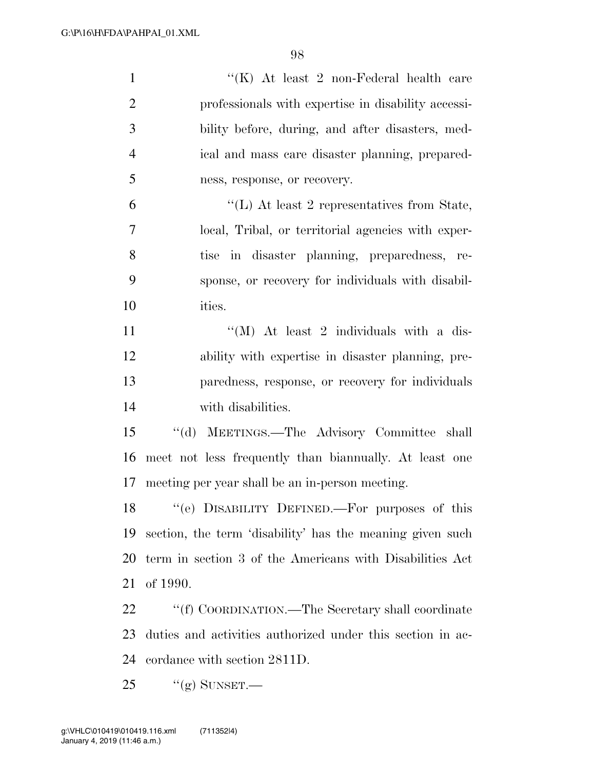| $\mathbf{1}$   | "(K) At least 2 non-Federal health care                    |
|----------------|------------------------------------------------------------|
| $\overline{2}$ | professionals with expertise in disability accessi-        |
| 3              | bility before, during, and after disasters, med-           |
| $\overline{4}$ | ical and mass care disaster planning, prepared-            |
| 5              | ness, response, or recovery.                               |
| 6              | $\lq\lq$ . At least 2 representatives from State,          |
| 7              | local, Tribal, or territorial agencies with exper-         |
| 8              | tise in disaster planning, preparedness, re-               |
| 9              | sponse, or recovery for individuals with disabil-          |
| 10             | ities.                                                     |
| 11             | $\lq\lq$ (M) At least 2 individuals with a dis-            |
| 12             | ability with expertise in disaster planning, pre-          |
| 13             | paredness, response, or recovery for individuals           |
| 14             | with disabilities.                                         |
| 15             | "(d) MEETINGS.—The Advisory Committee shall                |
| 16             | meet not less frequently than biannually. At least one     |
| 17             | meeting per year shall be an in-person meeting.            |
| 18             | "(e) DISABILITY DEFINED.—For purposes of this              |
| 19             | section, the term 'disability' has the meaning given such  |
| 20             | term in section 3 of the Americans with Disabilities Act   |
| 21             | of 1990.                                                   |
| 22             | "(f) COORDINATION.—The Secretary shall coordinate          |
| 23             | duties and activities authorized under this section in ac- |
| 24             | cordance with section 2811D.                               |
| 25             | $``(g)$ SUNSET.—                                           |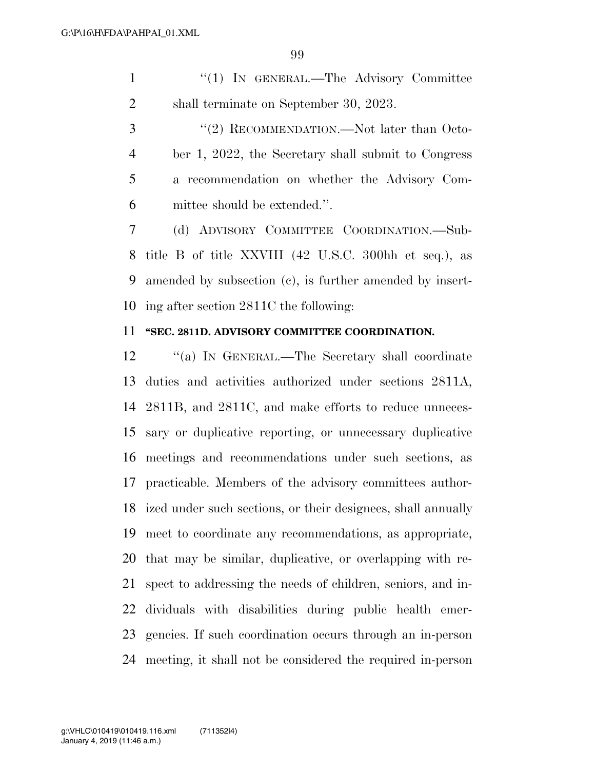| $(1)$ In GENERAL.—The Advisory Committee |
|------------------------------------------|
| shall terminate on September 30, 2023.   |

3 "(2) RECOMMENDATION.—Not later than Octo- ber 1, 2022, the Secretary shall submit to Congress a recommendation on whether the Advisory Com-mittee should be extended.''.

 (d) ADVISORY COMMITTEE COORDINATION.—Sub- title B of title XXVIII (42 U.S.C. 300hh et seq.), as amended by subsection (c), is further amended by insert-ing after section 2811C the following:

## **''SEC. 2811D. ADVISORY COMMITTEE COORDINATION.**

 ''(a) IN GENERAL.—The Secretary shall coordinate duties and activities authorized under sections 2811A, 2811B, and 2811C, and make efforts to reduce unneces- sary or duplicative reporting, or unnecessary duplicative meetings and recommendations under such sections, as practicable. Members of the advisory committees author- ized under such sections, or their designees, shall annually meet to coordinate any recommendations, as appropriate, that may be similar, duplicative, or overlapping with re- spect to addressing the needs of children, seniors, and in- dividuals with disabilities during public health emer- gencies. If such coordination occurs through an in-person meeting, it shall not be considered the required in-person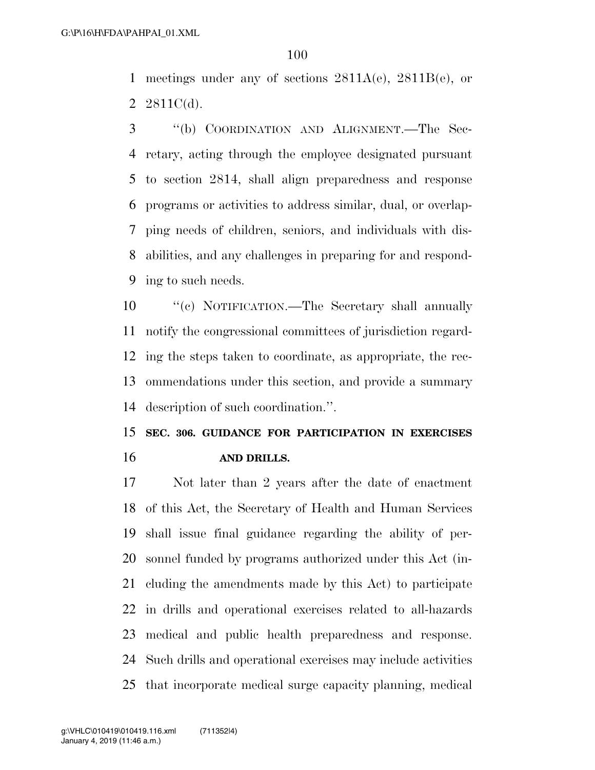meetings under any of sections 2811A(e), 2811B(e), or 2  $2811C(d)$ .

 ''(b) COORDINATION AND ALIGNMENT.—The Sec- retary, acting through the employee designated pursuant to section 2814, shall align preparedness and response programs or activities to address similar, dual, or overlap- ping needs of children, seniors, and individuals with dis- abilities, and any challenges in preparing for and respond-ing to such needs.

 ''(c) NOTIFICATION.—The Secretary shall annually notify the congressional committees of jurisdiction regard- ing the steps taken to coordinate, as appropriate, the rec- ommendations under this section, and provide a summary description of such coordination.''.

 **SEC. 306. GUIDANCE FOR PARTICIPATION IN EXERCISES AND DRILLS.** 

 Not later than 2 years after the date of enactment of this Act, the Secretary of Health and Human Services shall issue final guidance regarding the ability of per- sonnel funded by programs authorized under this Act (in- cluding the amendments made by this Act) to participate in drills and operational exercises related to all-hazards medical and public health preparedness and response. Such drills and operational exercises may include activities that incorporate medical surge capacity planning, medical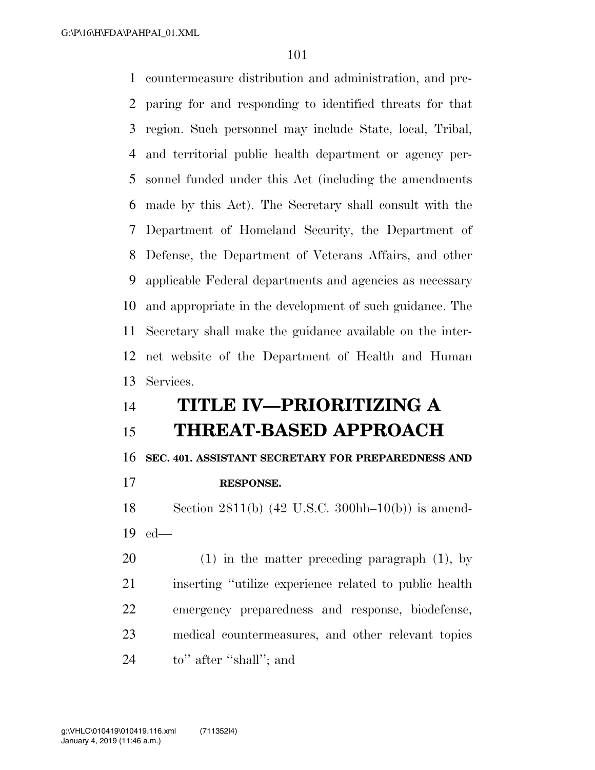countermeasure distribution and administration, and pre- paring for and responding to identified threats for that region. Such personnel may include State, local, Tribal, and territorial public health department or agency per- sonnel funded under this Act (including the amendments made by this Act). The Secretary shall consult with the Department of Homeland Security, the Department of Defense, the Department of Veterans Affairs, and other applicable Federal departments and agencies as necessary and appropriate in the development of such guidance. The Secretary shall make the guidance available on the inter- net website of the Department of Health and Human Services. **TITLE IV—PRIORITIZING A** 

## **THREAT-BASED APPROACH**

**SEC. 401. ASSISTANT SECRETARY FOR PREPAREDNESS AND** 

**RESPONSE.** 

 Section 2811(b) (42 U.S.C. 300hh–10(b)) is amend-ed—

 (1) in the matter preceding paragraph (1), by inserting ''utilize experience related to public health emergency preparedness and response, biodefense, medical countermeasures, and other relevant topics to'' after ''shall''; and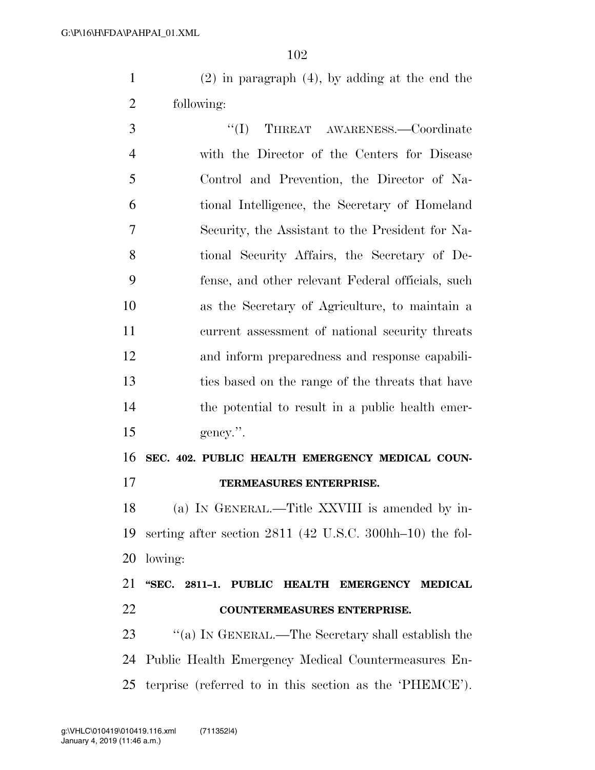(2) in paragraph (4), by adding at the end the following:

3 "(I) THREAT AWARENESS.—Coordinate with the Director of the Centers for Disease Control and Prevention, the Director of Na- tional Intelligence, the Secretary of Homeland Security, the Assistant to the President for Na- tional Security Affairs, the Secretary of De- fense, and other relevant Federal officials, such as the Secretary of Agriculture, to maintain a current assessment of national security threats and inform preparedness and response capabili- ties based on the range of the threats that have the potential to result in a public health emer-gency.''.

 **SEC. 402. PUBLIC HEALTH EMERGENCY MEDICAL COUN-TERMEASURES ENTERPRISE.** 

 (a) IN GENERAL.—Title XXVIII is amended by in- serting after section 2811 (42 U.S.C. 300hh–10) the fol-lowing:

 **''SEC. 2811–1. PUBLIC HEALTH EMERGENCY MEDICAL COUNTERMEASURES ENTERPRISE.** 

23 "(a) IN GENERAL.—The Secretary shall establish the Public Health Emergency Medical Countermeasures En-terprise (referred to in this section as the 'PHEMCE').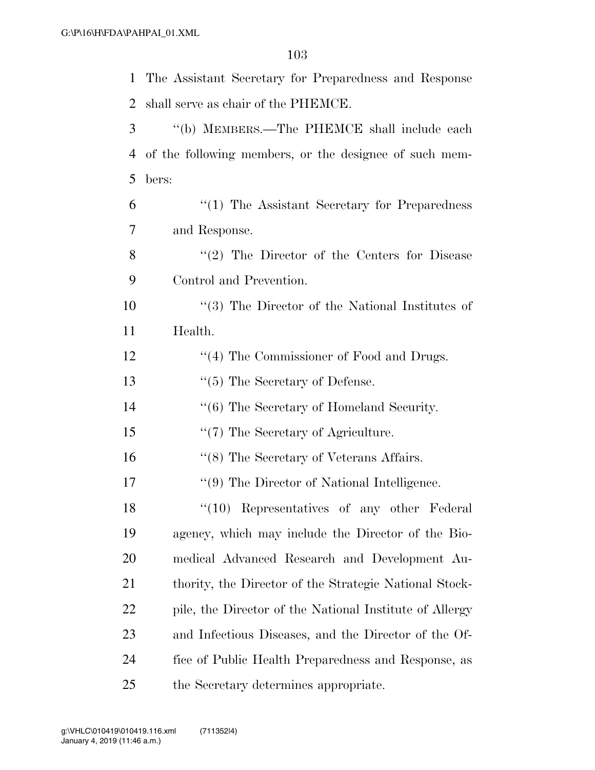| $\mathbf{1}$   | The Assistant Secretary for Preparedness and Response   |
|----------------|---------------------------------------------------------|
| 2              | shall serve as chair of the PHEMCE.                     |
| 3              | "(b) MEMBERS.—The PHEMCE shall include each             |
| $\overline{4}$ | of the following members, or the designee of such mem-  |
| 5              | bers:                                                   |
| 6              | $\lq(1)$ The Assistant Secretary for Preparedness       |
| 7              | and Response.                                           |
| 8              | $f'(2)$ The Director of the Centers for Disease         |
| 9              | Control and Prevention.                                 |
| 10             | $\lq(3)$ The Director of the National Institutes of     |
| 11             | Health.                                                 |
| 12             | "(4) The Commissioner of Food and Drugs.                |
| 13             | $\lq(5)$ The Secretary of Defense.                      |
| 14             | "(6) The Secretary of Homeland Security.                |
| 15             | "(7) The Secretary of Agriculture.                      |
| 16             | "(8) The Secretary of Veterans Affairs.                 |
| 17             | "(9) The Director of National Intelligence.             |
| 18             | "(10) Representatives of any other Federal              |
| 19             | agency, which may include the Director of the Bio-      |
| 20             | medical Advanced Research and Development Au-           |
| 21             | thority, the Director of the Strategic National Stock-  |
| 22             | pile, the Director of the National Institute of Allergy |
| 23             | and Infectious Diseases, and the Director of the Of-    |
| 24             | fice of Public Health Preparedness and Response, as     |
| 25             | the Secretary determines appropriate.                   |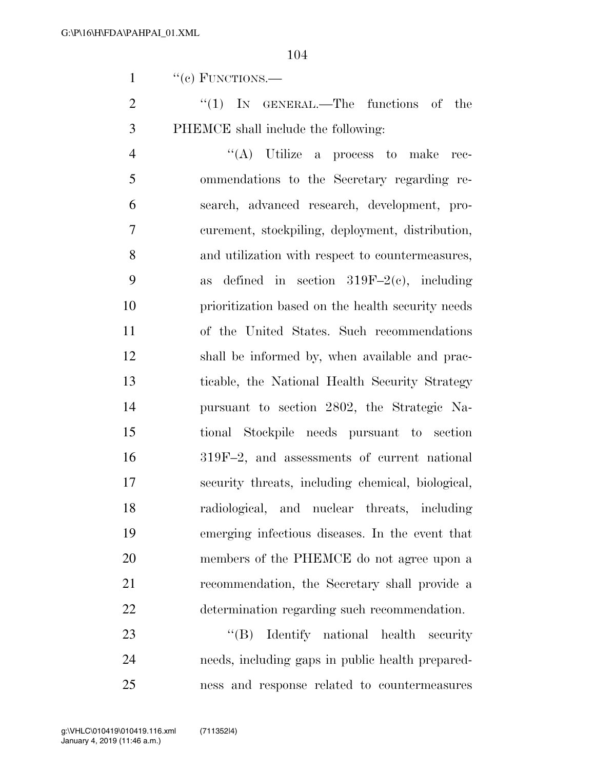1 "(c) FUNCTIONS.—

2 "(1) IN GENERAL.—The functions of the PHEMCE shall include the following:

 $\langle A \rangle$  Utilize a process to make rec- ommendations to the Secretary regarding re- search, advanced research, development, pro- curement, stockpiling, deployment, distribution, and utilization with respect to countermeasures, 9 as defined in section  $319F-2(c)$ , including prioritization based on the health security needs of the United States. Such recommendations shall be informed by, when available and prac- ticable, the National Health Security Strategy pursuant to section 2802, the Strategic Na- tional Stockpile needs pursuant to section 319F–2, and assessments of current national security threats, including chemical, biological, radiological, and nuclear threats, including emerging infectious diseases. In the event that members of the PHEMCE do not agree upon a recommendation, the Secretary shall provide a determination regarding such recommendation.

23 "'(B) Identify national health security needs, including gaps in public health prepared-ness and response related to countermeasures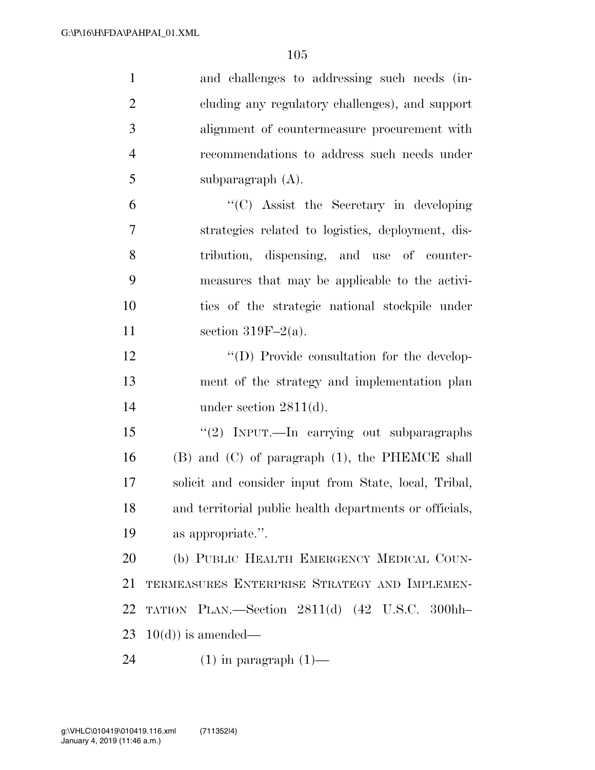| $\mathbf{1}$   | and challenges to addressing such needs (in-            |
|----------------|---------------------------------------------------------|
| $\overline{2}$ | cluding any regulatory challenges), and support         |
| 3              | alignment of countermeasure procurement with            |
| $\overline{4}$ | recommendations to address such needs under             |
| 5              | subparagraph (A).                                       |
| 6              | $\lq\lq$ (C) Assist the Secretary in developing         |
| 7              | strategies related to logistics, deployment, dis-       |
| 8              | tribution, dispensing, and use of counter-              |
| 9              | measures that may be applicable to the activi-          |
| 10             | ties of the strategic national stockpile under          |
| 11             | section 319F $-2(a)$ .                                  |
| 12             | "(D) Provide consultation for the develop-              |
| 13             | ment of the strategy and implementation plan            |
| 14             | under section $2811(d)$ .                               |
| 15             | "(2) INPUT.—In carrying out subparagraphs               |
| 16             | $(B)$ and $(C)$ of paragraph $(1)$ , the PHEMCE shall   |
| 17             | solicit and consider input from State, local, Tribal,   |
| 18             | and territorial public health departments or officials, |
| 19             | as appropriate.".                                       |
| 20             | (b) PUBLIC HEALTH EMERGENCY MEDICAL COUN-               |
| 21             | TERMEASURES ENTERPRISE STRATEGY AND IMPLEMEN-           |
| 22             | TATION PLAN.—Section 2811(d) (42 U.S.C. 300hh-          |
| 23             | $10(d)$ is amended—                                     |
| 24             | $(1)$ in paragraph $(1)$ —                              |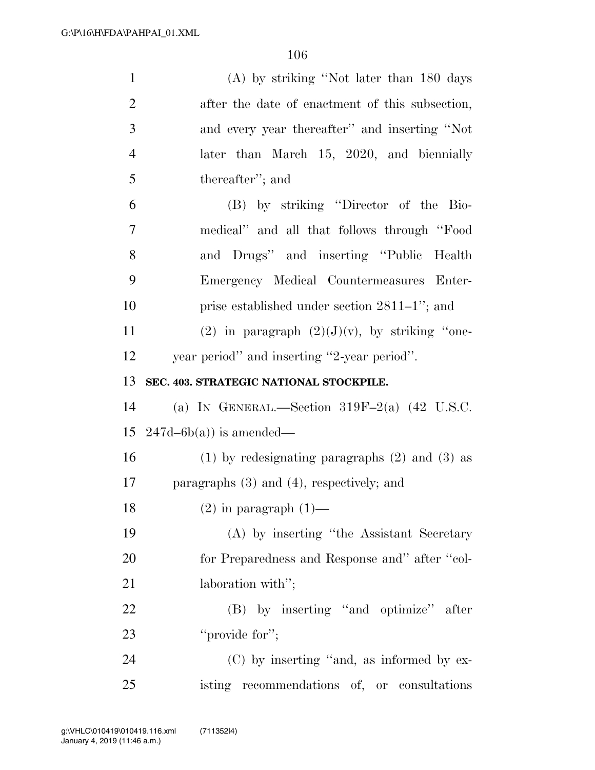| $\mathbf{1}$   | (A) by striking "Not later than 180 days             |
|----------------|------------------------------------------------------|
| $\overline{2}$ | after the date of enactment of this subsection,      |
| 3              | and every year thereafter" and inserting "Not        |
| $\overline{4}$ | later than March 15, 2020, and biennially            |
| 5              | thereafter"; and                                     |
| 6              | (B) by striking "Director of the Bio-                |
| 7              | medical" and all that follows through "Food          |
| 8              | and Drugs" and inserting "Public Health              |
| 9              | Emergency Medical Countermeasures Enter-             |
| 10             | prise established under section $2811-1$ "; and      |
| 11             | (2) in paragraph $(2)(J)(v)$ , by striking "one-     |
| 12             | year period" and inserting "2-year period".          |
| 13             | SEC. 403. STRATEGIC NATIONAL STOCKPILE.              |
| 14             | (a) IN GENERAL.—Section $319F-2(a)$ (42 U.S.C.       |
| 15             | $247d-6b(a)$ is amended—                             |
| 16             | $(1)$ by redesignating paragraphs $(2)$ and $(3)$ as |
| 17             | paragraphs $(3)$ and $(4)$ , respectively; and       |
| 18             | $(2)$ in paragraph $(1)$ —                           |
| 19             | (A) by inserting "the Assistant Secretary            |
| 20             | for Preparedness and Response and" after "col-       |
| 21             | laboration with";                                    |
| 22             | (B) by inserting "and optimize" after                |
| 23             | "provide for";                                       |
| 24             | (C) by inserting "and, as informed by ex-            |
| 25             | isting recommendations of, or consultations          |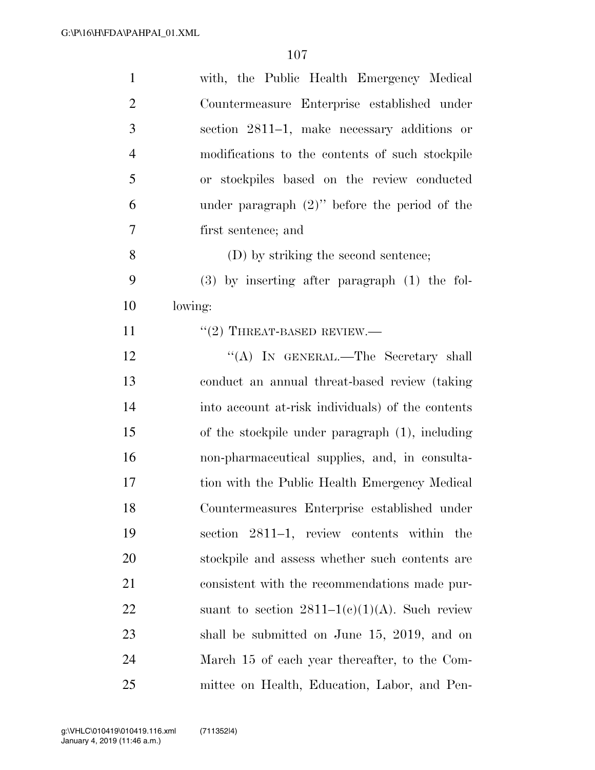| $\mathbf{1}$   | with, the Public Health Emergency Medical         |
|----------------|---------------------------------------------------|
| $\overline{2}$ | Countermeasure Enterprise established under       |
| 3              | section 2811–1, make necessary additions or       |
| $\overline{4}$ | modifications to the contents of such stockpile   |
| 5              | or stockpiles based on the review conducted       |
| 6              | under paragraph $(2)$ " before the period of the  |
| $\overline{7}$ | first sentence; and                               |
| 8              | (D) by striking the second sentence;              |
| 9              | $(3)$ by inserting after paragraph $(1)$ the fol- |
| 10             | lowing:                                           |
| 11             | $"(2)$ THREAT-BASED REVIEW.—                      |
| 12             | "(A) IN GENERAL.—The Secretary shall              |
| 13             | conduct an annual threat-based review (taking     |
| 14             | into account at-risk individuals) of the contents |
| 15             | of the stockpile under paragraph (1), including   |
| 16             | non-pharmaceutical supplies, and, in consulta-    |
| 17             | tion with the Public Health Emergency Medical     |
| 18             | Countermeasures Enterprise established under      |
| 19             | section 2811–1, review contents within the        |
| 20             | stockpile and assess whether such contents are    |
| 21             | consistent with the recommendations made pur-     |
| 22             | suant to section $2811-1(e)(1)(A)$ . Such review  |
| 23             | shall be submitted on June 15, 2019, and on       |
| 24             | March 15 of each year thereafter, to the Com-     |
| 25             | mittee on Health, Education, Labor, and Pen-      |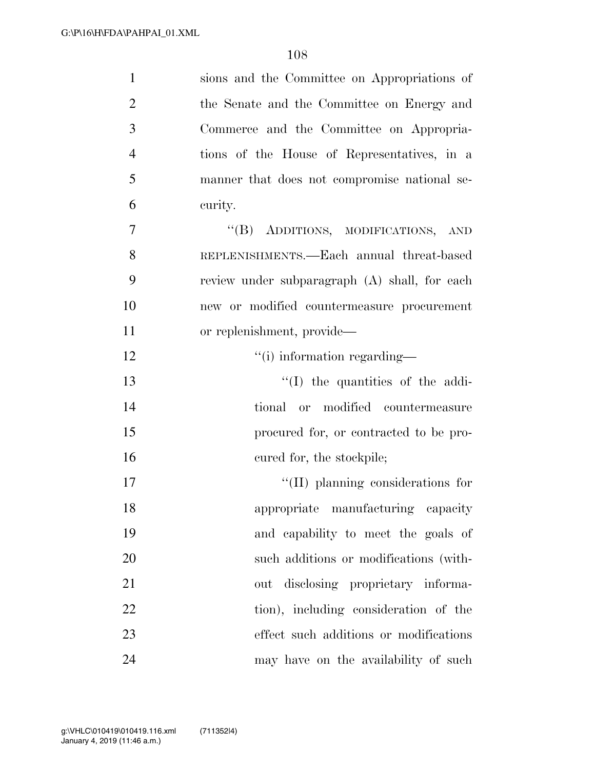| $\mathbf{1}$   | sions and the Committee on Appropriations of  |
|----------------|-----------------------------------------------|
| $\overline{2}$ | the Senate and the Committee on Energy and    |
| 3              | Commerce and the Committee on Appropria-      |
| $\overline{4}$ | tions of the House of Representatives, in a   |
| 5              | manner that does not compromise national se-  |
| 6              | curity.                                       |
| $\overline{7}$ | "(B) ADDITIONS, MODIFICATIONS, AND            |
| 8              | REPLENISHMENTS.—Each annual threat-based      |
| 9              | review under subparagraph (A) shall, for each |
| 10             | new or modified countermeasure procurement    |
| 11             | or replenishment, provide—                    |
| 12             | "(i) information regarding—                   |
| 13             | $\lq\lq$ (I) the quantities of the addi-      |
| 14             | or modified countermeasure<br>tional          |
| 15             | procured for, or contracted to be pro-        |
| 16             | cured for, the stockpile;                     |
| 17             | $\lq\lq$ (II) planning considerations for     |
| 18             | appropriate manufacturing capacity            |
| 19             | and capability to meet the goals of           |
| 20             | such additions or modifications (with-        |
| 21             | out disclosing proprietary informa-           |
| 22             | tion), including consideration of the         |
| 23             | effect such additions or modifications        |
| 24             | may have on the availability of such          |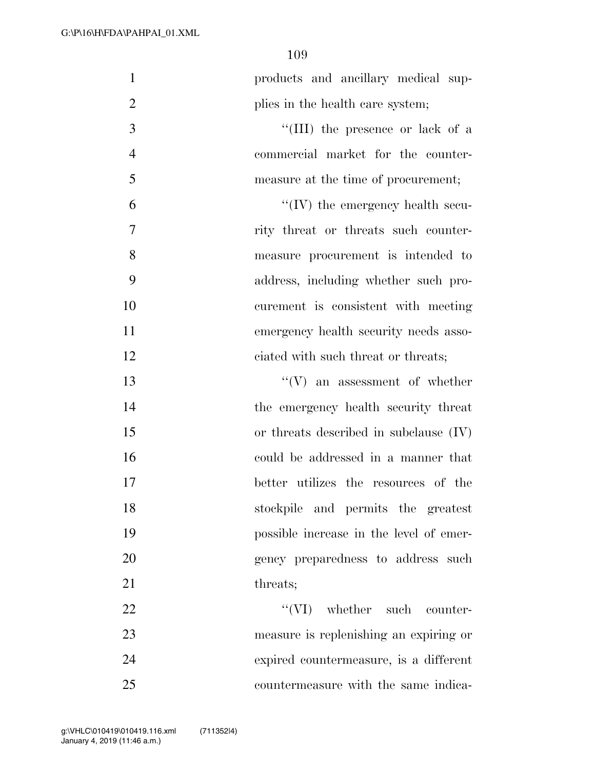| $\mathbf{1}$   | products and ancillary medical sup-      |
|----------------|------------------------------------------|
| $\overline{2}$ | plies in the health care system;         |
| 3              | "(III) the presence or lack of a         |
| $\overline{4}$ | commercial market for the counter-       |
| 5              | measure at the time of procurement;      |
| 6              | $\lq\lq$ (IV) the emergency health secu- |
| 7              | rity threat or threats such counter-     |
| 8              | measure procurement is intended to       |
| 9              | address, including whether such pro-     |
| 10             | curement is consistent with meeting      |
| 11             | emergency health security needs asso-    |
| 12             | ciated with such threat or threats;      |
| 13             | $``(V)$ an assessment of whether         |
| 14             | the emergency health security threat     |
| 15             | or threats described in subclause $(IV)$ |
| 16             | could be addressed in a manner that      |
| 17             | better utilizes the resources of the     |
| 18             | stockpile and permits the greatest       |
| 19             | possible increase in the level of emer-  |
| 20             | gency preparedness to address such       |
| 21             | threats;                                 |
| 22             | $\lq\lq$ (VI) whether such counter-      |
| 23             | measure is replenishing an expiring or   |
| 24             | expired countermeasure, is a different   |
| 25             | countermeasure with the same indica-     |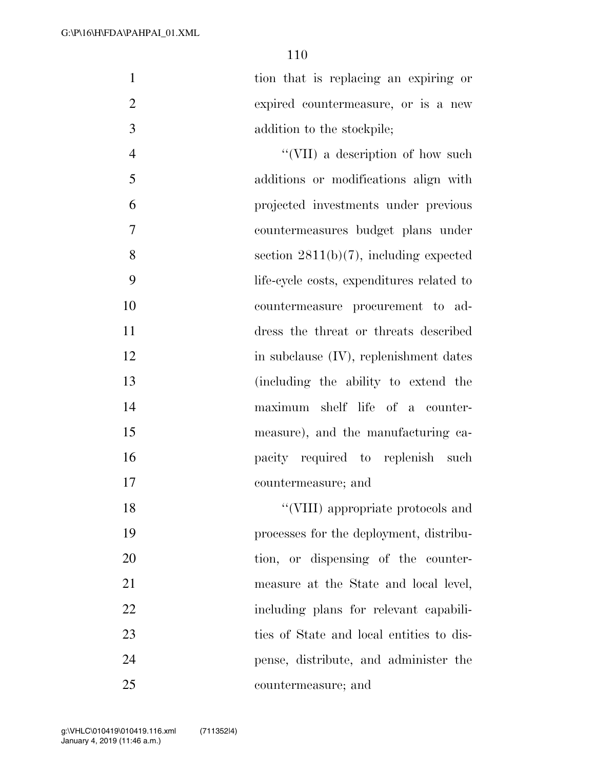tion that is replacing an expiring or expired countermeasure, or is a new addition to the stockpile;

4 ''(VII) a description of how such additions or modifications align with projected investments under previous countermeasures budget plans under section 2811(b)(7), including expected life-cycle costs, expenditures related to countermeasure procurement to ad- dress the threat or threats described 12 in subclause (IV), replenishment dates (including the ability to extend the maximum shelf life of a counter- measure), and the manufacturing ca-**pacify** required to replenish such countermeasure; and

18 ''(VIII) appropriate protocols and processes for the deployment, distribu-20 tion, or dispensing of the counter- measure at the State and local level, including plans for relevant capabili- ties of State and local entities to dis- pense, distribute, and administer the countermeasure; and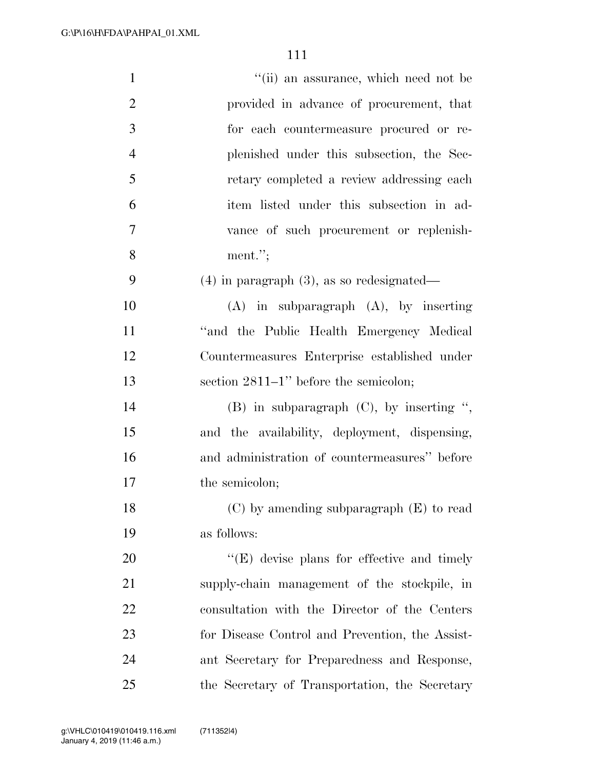| $\mathbf{1}$   | "(ii) an assurance, which need not be              |
|----------------|----------------------------------------------------|
| $\overline{2}$ | provided in advance of procurement, that           |
| 3              | for each countermeasure procured or re-            |
| $\overline{4}$ | plenished under this subsection, the Sec-          |
| 5              | retary completed a review addressing each          |
| 6              | item listed under this subsection in ad-           |
| $\overline{7}$ | vance of such procurement or replenish-            |
| 8              | ment.";                                            |
| 9              | $(4)$ in paragraph $(3)$ , as so redesignated—     |
| 10             | $(A)$ in subparagraph $(A)$ , by inserting         |
| 11             | "and the Public Health Emergency Medical           |
| 12             | Countermeasures Enterprise established under       |
| 13             | section $2811-1$ " before the semicolon;           |
| 14             | $(B)$ in subparagraph $(C)$ , by inserting ",      |
| 15             | and the availability, deployment, dispensing,      |
| 16             | and administration of countermeasures" before      |
| 17             | the semicolon;                                     |
| 18             | $(C)$ by amending subparagraph $(E)$ to read       |
| 19             | as follows:                                        |
| 20             | $\lq\lq$ (E) devise plans for effective and timely |
| 21             | supply-chain management of the stockpile, in       |
| 22             | consultation with the Director of the Centers      |
| 23             | for Disease Control and Prevention, the Assist-    |
| 24             | ant Secretary for Preparedness and Response,       |
| 25             | the Secretary of Transportation, the Secretary     |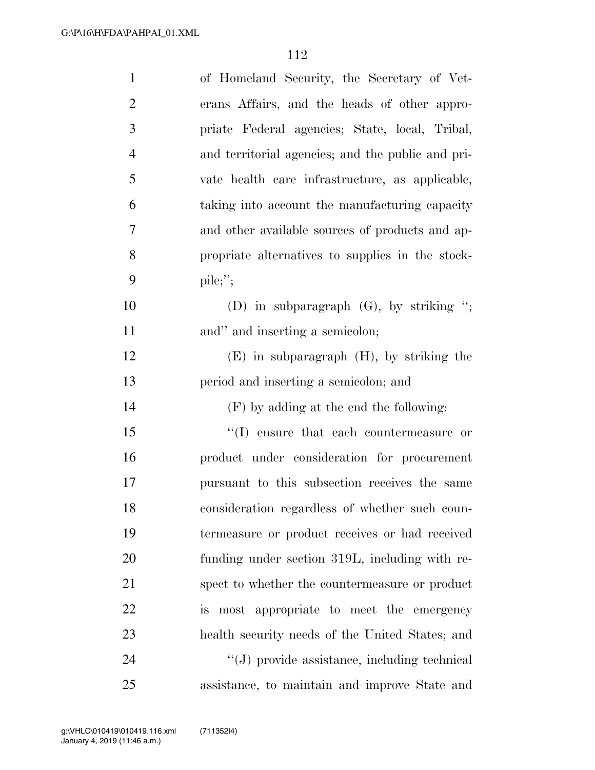| $\mathbf{1}$   | of Homeland Security, the Secretary of Vet-         |
|----------------|-----------------------------------------------------|
| $\overline{2}$ | erans Affairs, and the heads of other appro-        |
| 3              | priate Federal agencies; State, local, Tribal,      |
| $\overline{4}$ | and territorial agencies; and the public and pri-   |
| 5              | vate health care infrastructure, as applicable,     |
| 6              | taking into account the manufacturing capacity      |
| 7              | and other available sources of products and ap-     |
| 8              | propriate alternatives to supplies in the stock-    |
| 9              | $\text{pile};$                                      |
| 10             | (D) in subparagraph $(G)$ , by striking ";          |
| 11             | and" and inserting a semicolon;                     |
| 12             | $(E)$ in subparagraph $(H)$ , by striking the       |
| 13             | period and inserting a semicolon; and               |
| 14             | $(F)$ by adding at the end the following:           |
| 15             | $\lq\lq$ . (I) ensure that each countermeasure or   |
| 16             | product under consideration for procurement         |
| 17             | pursuant to this subsection receives the same       |
| 18             | consideration regardless of whether such coun-      |
| 19             | termeasure or product receives or had received      |
| 20             | funding under section 319L, including with re-      |
| 21             | spect to whether the countermeasure or product      |
| 22             | is most appropriate to meet the emergency           |
| 23             | health security needs of the United States; and     |
| 24             | $\lq\lq(J)$ provide assistance, including technical |
| 25             | assistance, to maintain and improve State and       |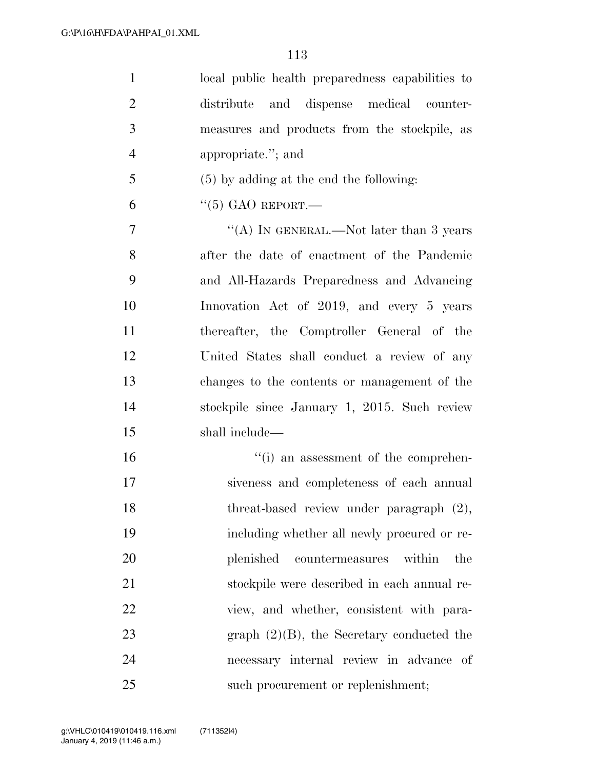| $\mathbf{1}$   | local public health preparedness capabilities to |
|----------------|--------------------------------------------------|
| $\overline{2}$ | distribute and dispense medical counter-         |
| $\mathfrak{Z}$ | measures and products from the stockpile, as     |
| $\overline{4}$ | appropriate."; and                               |
| 5              | $(5)$ by adding at the end the following:        |
| 6              | $\lq(5)$ GAO REPORT.—                            |
| 7              | "(A) IN GENERAL.—Not later than 3 years          |
| 8              | after the date of enactment of the Pandemic      |
| 9              | and All-Hazards Preparedness and Advancing       |
| 10             | Innovation Act of 2019, and every 5 years        |
| 11             | thereafter, the Comptroller General of the       |
| 12             | United States shall conduct a review of any      |
| 13             | changes to the contents or management of the     |
| 14             | stockpile since January 1, 2015. Such review     |
| 15             | shall include—                                   |
| 16             | $\cdot$ (i) an assessment of the comprehen-      |
| 17             | siveness and completeness of each annual         |
| 18             | threat-based review under paragraph (2),         |
| 19             | including whether all newly procured or re-      |
| 20             | plenished countermeasures<br>within<br>the       |
| 21             | stockpile were described in each annual re-      |
| 22             | view, and whether, consistent with para-         |
| 23             | graph $(2)(B)$ , the Secretary conducted the     |
| 24             | necessary internal review in advance<br>- of     |
| 25             | such procurement or replenishment;               |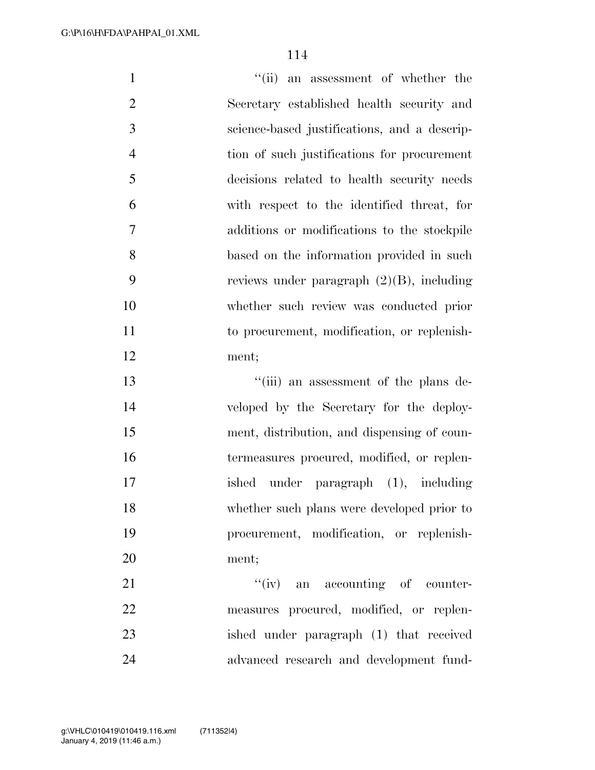1 ''(ii) an assessment of whether the Secretary established health security and science-based justifications, and a descrip- tion of such justifications for procurement decisions related to health security needs with respect to the identified threat, for additions or modifications to the stockpile based on the information provided in such reviews under paragraph (2)(B), including whether such review was conducted prior to procurement, modification, or replenish- ment; ''(iii) an assessment of the plans de- veloped by the Secretary for the deploy- ment, distribution, and dispensing of coun- termeasures procured, modified, or replen- ished under paragraph (1), including whether such plans were developed prior to procurement, modification, or replenish- ment; 21 ''(iv) an accounting of counter- measures procured, modified, or replen-ished under paragraph (1) that received

advanced research and development fund-

January 4, 2019 (11:46 a.m.)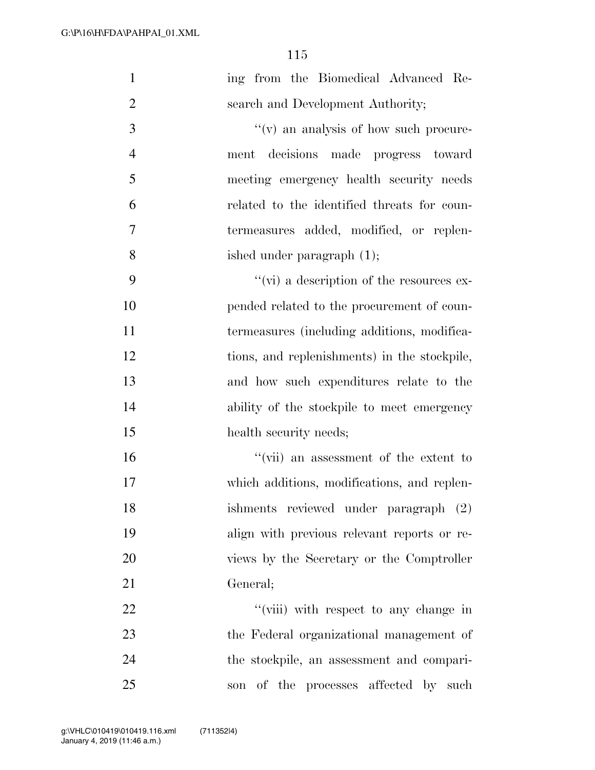| $\mathbf{1}$   | ing from the Biomedical Advanced Re-             |
|----------------|--------------------------------------------------|
| $\overline{2}$ | search and Development Authority;                |
| 3              | "(v) an analysis of how such procure-            |
| $\overline{4}$ | ment decisions made progress toward              |
| 5              | meeting emergency health security needs          |
| 6              | related to the identified threats for coun-      |
| 7              | termeasures added, modified, or replen-          |
| 8              | ished under paragraph $(1)$ ;                    |
| 9              | $\lq\lq$ (vi) a description of the resources ex- |
| 10             | pended related to the procurement of coun-       |
| 11             | termeasures (including additions, modifica-      |
| 12             | tions, and replenishments) in the stockpile,     |
| 13             | and how such expenditures relate to the          |
| 14             | ability of the stockpile to meet emergency       |
| 15             | health security needs;                           |
| 16             | "(vii) an assessment of the extent to            |
| 17             | which additions, modifications, and replen-      |
| 18             | ishments reviewed under paragraph (2)            |
| 19             | align with previous relevant reports or re-      |
| 20             | views by the Secretary or the Comptroller        |
| 21             | General;                                         |
| 22             | "(viii) with respect to any change in            |
| 23             | the Federal organizational management of         |
| 24             | the stockpile, an assessment and compari-        |
| 25             | son of the processes affected by such            |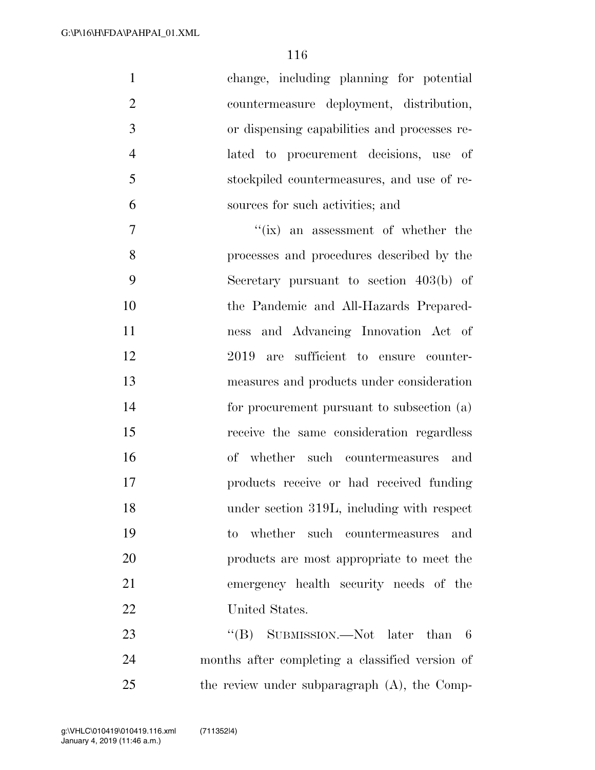| $\mathbf{1}$   | change, including planning for potential        |
|----------------|-------------------------------------------------|
| $\overline{2}$ | countermeasure deployment, distribution,        |
| 3              | or dispensing capabilities and processes re-    |
| $\overline{4}$ | lated to procurement decisions, use of          |
| 5              | stockpiled countermeasures, and use of re-      |
| 6              | sources for such activities; and                |
| $\overline{7}$ | "(ix) an assessment of whether the              |
| 8              | processes and procedures described by the       |
| 9              | Secretary pursuant to section $403(b)$ of       |
| 10             | the Pandemic and All-Hazards Prepared-          |
| 11             | ness and Advancing Innovation Act of            |
| 12             | sufficient to ensure counter-<br>2019<br>are    |
| 13             | measures and products under consideration       |
| 14             | for procurement pursuant to subsection (a)      |
| 15             | receive the same consideration regardless       |
| 16             | of whether such countermeasures and             |
| 17             | products receive or had received funding        |
| 18             | under section 319L, including with respect      |
| 19             | to whether such countermeasures and             |
| 20             | products are most appropriate to meet the       |
| 21             | emergency health security needs of the          |
| 22             | United States.                                  |
| 23             | "(B) SUBMISSION.—Not later than 6               |
| 24             | months after completing a classified version of |
| 25             | the review under subparagraph (A), the Comp-    |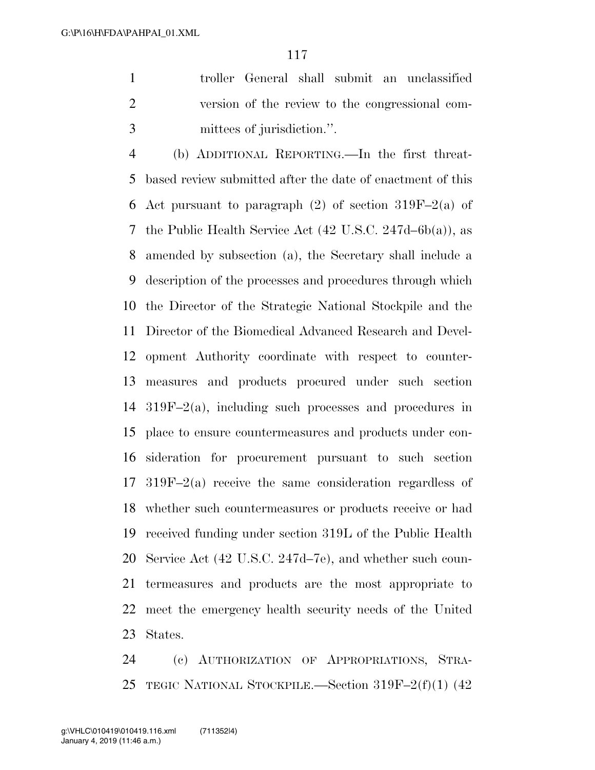troller General shall submit an unclassified version of the review to the congressional com-mittees of jurisdiction.''.

 (b) ADDITIONAL REPORTING.—In the first threat- based review submitted after the date of enactment of this 6 Act pursuant to paragraph  $(2)$  of section 319F–2(a) of the Public Health Service Act (42 U.S.C. 247d–6b(a)), as amended by subsection (a), the Secretary shall include a description of the processes and procedures through which the Director of the Strategic National Stockpile and the Director of the Biomedical Advanced Research and Devel- opment Authority coordinate with respect to counter- measures and products procured under such section 319F–2(a), including such processes and procedures in place to ensure countermeasures and products under con- sideration for procurement pursuant to such section 319F–2(a) receive the same consideration regardless of whether such countermeasures or products receive or had received funding under section 319L of the Public Health Service Act (42 U.S.C. 247d–7e), and whether such coun- termeasures and products are the most appropriate to meet the emergency health security needs of the United States.

 (c) AUTHORIZATION OF APPROPRIATIONS, STRA-TEGIC NATIONAL STOCKPILE.—Section 319F–2(f)(1) (42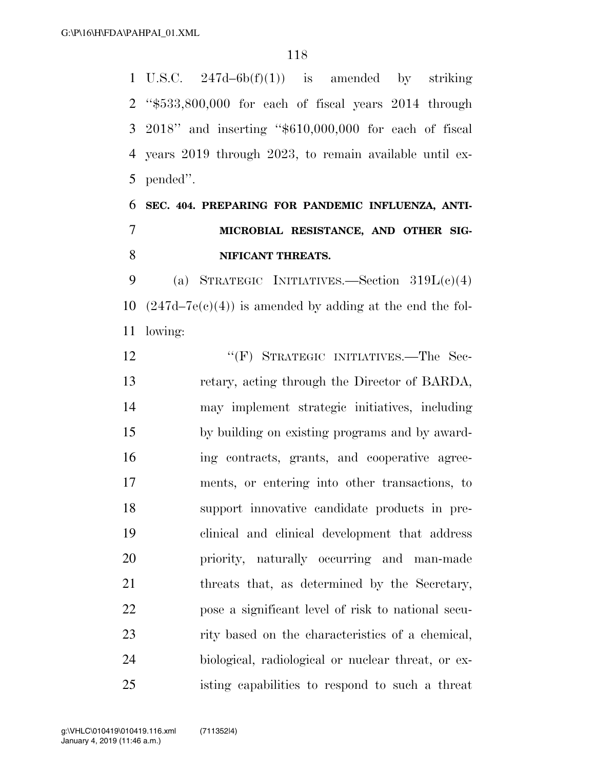U.S.C. 247d–6b(f)(1)) is amended by striking ''\$533,800,000 for each of fiscal years 2014 through 2018'' and inserting ''\$610,000,000 for each of fiscal years 2019 through 2023, to remain available until ex-pended''.

## **SEC. 404. PREPARING FOR PANDEMIC INFLUENZA, ANTI- MICROBIAL RESISTANCE, AND OTHER SIG-NIFICANT THREATS.**

9 (a) STRATEGIC INITIATIVES.—Section  $319L(c)(4)$ 10  $(247d-7e(e)(4))$  is amended by adding at the end the fol-lowing:

12 "'(F) STRATEGIC INITIATIVES.—The Sec- retary, acting through the Director of BARDA, may implement strategic initiatives, including by building on existing programs and by award- ing contracts, grants, and cooperative agree- ments, or entering into other transactions, to support innovative candidate products in pre- clinical and clinical development that address priority, naturally occurring and man-made 21 threats that, as determined by the Secretary, pose a significant level of risk to national secu- rity based on the characteristics of a chemical, biological, radiological or nuclear threat, or ex-isting capabilities to respond to such a threat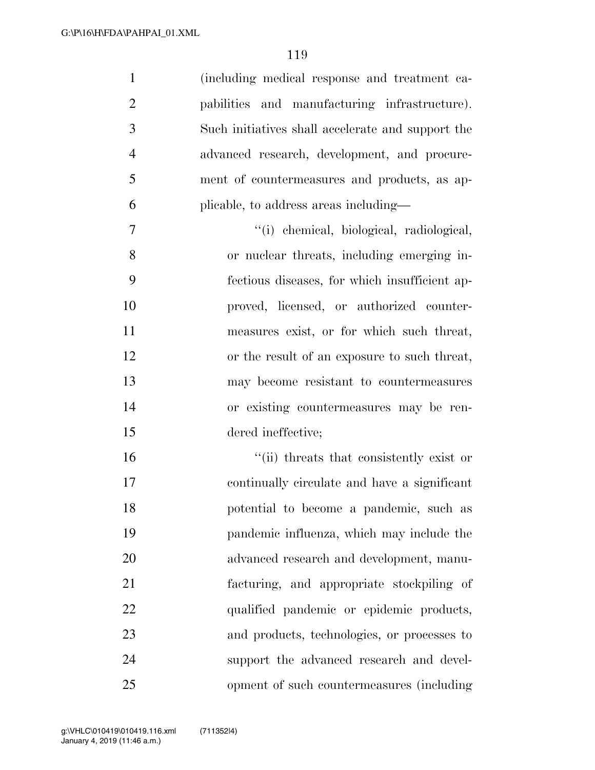| $\mathbf{1}$   | (including medical response and treatment ca-     |
|----------------|---------------------------------------------------|
| $\overline{2}$ | pabilities and manufacturing infrastructure).     |
| 3              | Such initiatives shall accelerate and support the |
| $\overline{4}$ | advanced research, development, and procure-      |
| 5              | ment of countermeasures and products, as ap-      |
| 6              | plicable, to address areas including—             |
| $\tau$         | "(i) chemical, biological, radiological,          |
| 8              | or nuclear threats, including emerging in-        |
| 9              | fectious diseases, for which insufficient ap-     |
| 10             | proved, licensed, or authorized counter-          |
| 11             | measures exist, or for which such threat,         |
| 12             | or the result of an exposure to such threat,      |
| 13             | may become resistant to countermeasures           |
| 14             | or existing countermeasures may be ren-           |
| 15             | dered ineffective;                                |
| 16             | "(ii) threats that consistently exist or          |
| 17             | continually circulate and have a significant      |
| 18             | potential to become a pandemic, such as           |
| 19             | pandemic influenza, which may include the         |
| 20             | advanced research and development, manu-          |
| 21             | facturing, and appropriate stockpiling of         |
| 22             | qualified pandemic or epidemic products,          |
| 23             | and products, technologies, or processes to       |
| 24             | support the advanced research and devel-          |
| 25             | opment of such countermeasures (including         |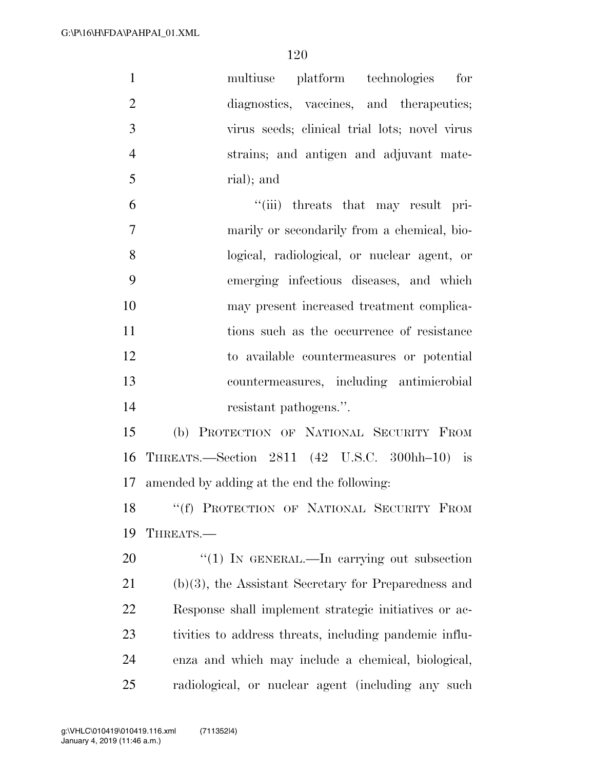| $\mathbf{1}$   | multiuse platform technologies<br>for                   |
|----------------|---------------------------------------------------------|
| $\overline{2}$ | diagnostics, vaccines, and therapeutics;                |
| 3              | virus seeds; clinical trial lots; novel virus           |
| $\overline{4}$ | strains; and antigen and adjuvant mate-                 |
| 5              | rial); and                                              |
| 6              | "(iii) threats that may result pri-                     |
| $\tau$         | marily or secondarily from a chemical, bio-             |
| 8              | logical, radiological, or nuclear agent, or             |
| 9              | emerging infectious diseases, and which                 |
| 10             | may present increased treatment complica-               |
| 11             | tions such as the occurrence of resistance              |
| 12             | to available countermeasures or potential               |
| 13             | countermeasures, including antimicrobial                |
| 14             | resistant pathogens.".                                  |
| 15             | (b) PROTECTION OF NATIONAL SECURITY FROM                |
| 16             | THREATS.—Section 2811 (42 U.S.C. 300hh-10) is           |
| 17             | amended by adding at the end the following:             |
|                | 18 "(f) PROTECTION OF NATIONAL SECURITY FROM            |
| 19             | THREATS.-                                               |
| 20             | "(1) IN GENERAL.—In carrying out subsection             |
| 21             | $(b)(3)$ , the Assistant Secretary for Preparedness and |
| 22             | Response shall implement strategic initiatives or ac-   |
| 23             | tivities to address threats, including pandemic influ-  |
| 24             | enza and which may include a chemical, biological,      |
| 25             | radiological, or nuclear agent (including any such      |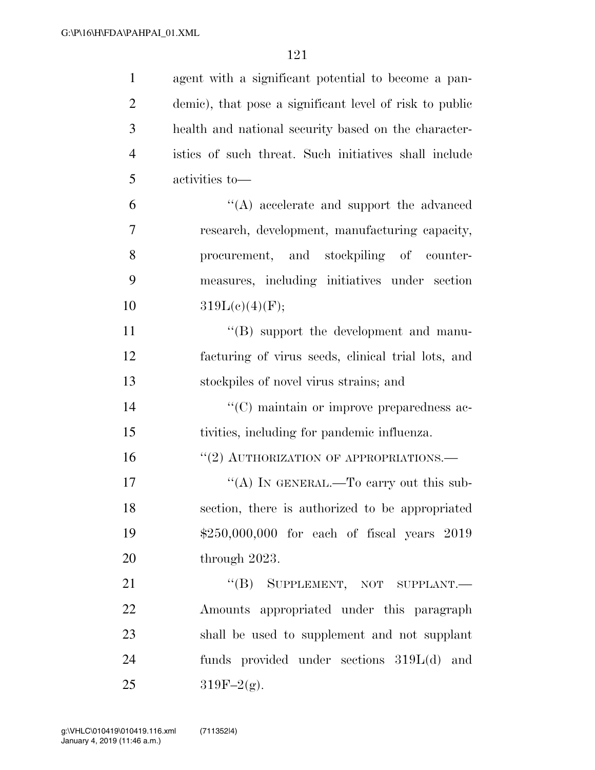| $\mathbf{1}$   | agent with a significant potential to become a pan-     |
|----------------|---------------------------------------------------------|
| $\overline{2}$ | demic), that pose a significant level of risk to public |
| 3              | health and national security based on the character-    |
| $\overline{4}$ | istics of such threat. Such initiatives shall include   |
| 5              | activities to-                                          |
| 6              | $\lq\lq$ accelerate and support the advanced            |
| 7              | research, development, manufacturing capacity,          |
| 8              | procurement, and stockpiling of counter-                |
| 9              | measures, including initiatives under section           |
| 10             | 319L(c)(4)(F);                                          |
| 11             | $\lq\lq (B)$ support the development and manu-          |
| 12             | facturing of virus seeds, clinical trial lots, and      |
| 13             | stockpiles of novel virus strains; and                  |
| 14             | "(C) maintain or improve preparedness ac-               |
| 15             | tivities, including for pandemic influenza.             |
| 16             | "(2) AUTHORIZATION OF APPROPRIATIONS.-                  |
| 17             | "(A) IN GENERAL.—To carry out this sub-                 |
| 18             | section, there is authorized to be appropriated         |
| 19             | \$250,000,000 for each of fiscal years 2019             |
| 20             | through 2023.                                           |
| 21             | "(B) SUPPLEMENT, NOT SUPPLANT.-                         |
| 22             | Amounts appropriated under this paragraph               |
| 23             | shall be used to supplement and not supplant            |
| 24             | funds provided under sections $319L(d)$ and             |
| 25             | $319F-2(g)$ .                                           |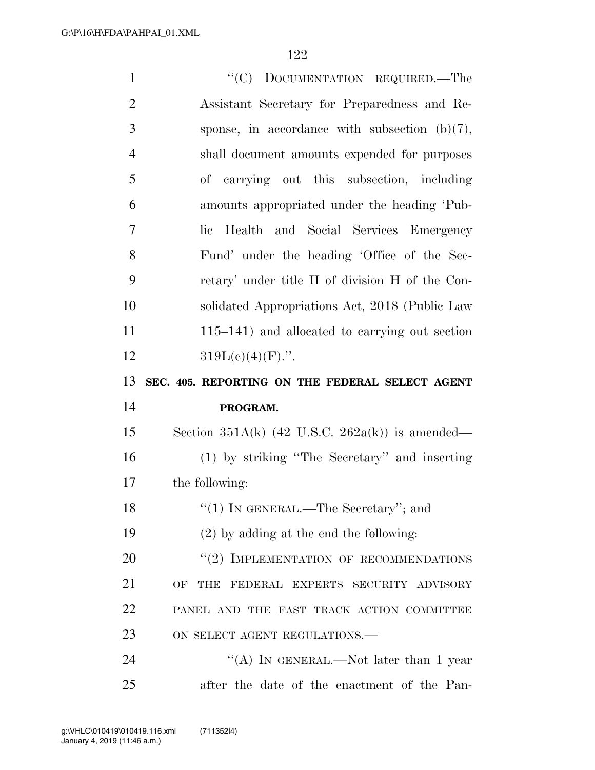| $\mathbf{1}$   | "(C) DOCUMENTATION REQUIRED.—The                           |
|----------------|------------------------------------------------------------|
| $\overline{2}$ | Assistant Secretary for Preparedness and Re-               |
| 3              | sponse, in accordance with subsection $(b)(7)$ ,           |
| $\overline{4}$ | shall document amounts expended for purposes               |
| 5              | of carrying out this subsection, including                 |
| 6              | amounts appropriated under the heading 'Pub-               |
| 7              | Health and Social Services Emergency<br>lie                |
| 8              | Fund' under the heading 'Office of the Sec-                |
| 9              | retary' under title II of division H of the Con-           |
| 10             | solidated Appropriations Act, 2018 (Public Law             |
| 11             | $115-141$ ) and allocated to carrying out section          |
| 12             | $319L(c)(4)(F)$ .".                                        |
|                |                                                            |
| 13             | SEC. 405. REPORTING ON THE FEDERAL SELECT AGENT            |
| 14             | PROGRAM.                                                   |
| 15             | Section 351A(k) $(42 \text{ U.S.C. } 262a(k))$ is amended— |
| 16             | (1) by striking "The Secretary" and inserting              |
| 17             | the following:                                             |
| 18             | $\lq(1)$ IN GENERAL.—The Secretary''; and                  |
| 19             | $(2)$ by adding at the end the following:                  |
| 20             | "(2) IMPLEMENTATION OF RECOMMENDATIONS                     |
| 21             | OF<br>THE FEDERAL EXPERTS SECURITY ADVISORY                |
| 22             | PANEL AND THE FAST TRACK ACTION COMMITTEE                  |
| 23             | ON SELECT AGENT REGULATIONS.-                              |
| 24             | "(A) IN GENERAL.—Not later than 1 year                     |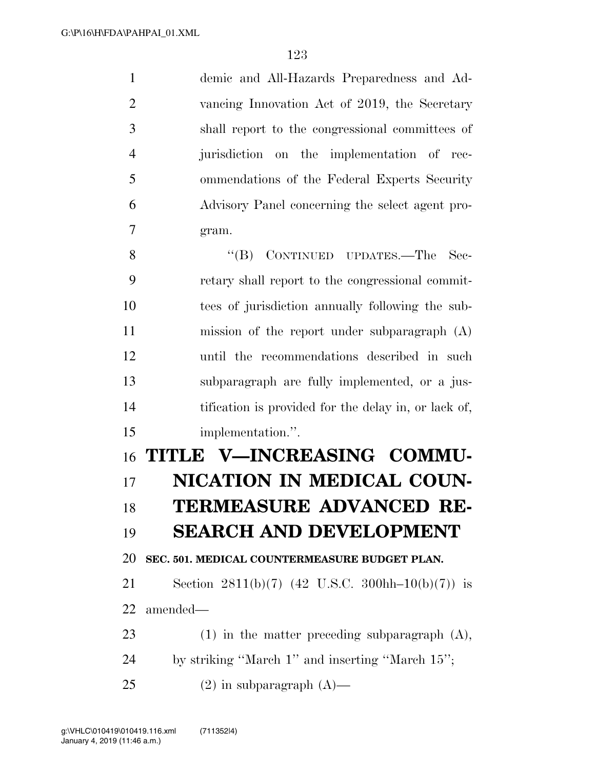demic and All-Hazards Preparedness and Ad- vancing Innovation Act of 2019, the Secretary shall report to the congressional committees of jurisdiction on the implementation of rec- ommendations of the Federal Experts Security Advisory Panel concerning the select agent pro-gram.

8 "(B) CONTINUED UPDATES.—The Sec- retary shall report to the congressional commit- tees of jurisdiction annually following the sub- mission of the report under subparagraph (A) until the recommendations described in such subparagraph are fully implemented, or a jus-14 tification is provided for the delay in, or lack of, implementation.''.

## **TITLE V—INCREASING COMMU- NICATION IN MEDICAL COUN- TERMEASURE ADVANCED RE-SEARCH AND DEVELOPMENT**

**SEC. 501. MEDICAL COUNTERMEASURE BUDGET PLAN.** 

 Section 2811(b)(7) (42 U.S.C. 300hh–10(b)(7)) is amended—

(1) in the matter preceding subparagraph (A),

by striking ''March 1'' and inserting ''March 15'';

25 (2) in subparagraph  $(A)$ —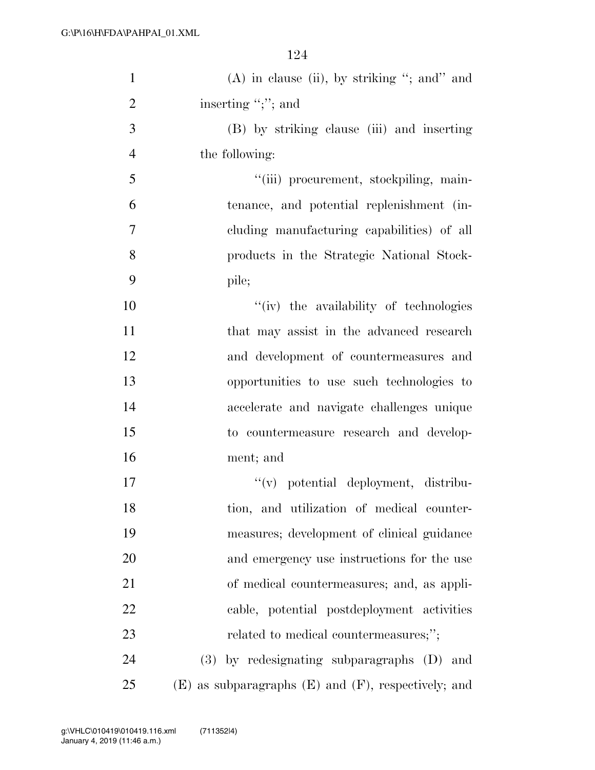| $\mathbf{1}$   | $(A)$ in clause (ii), by striking "; and" and              |
|----------------|------------------------------------------------------------|
| $\overline{2}$ | inserting ";"; and                                         |
| 3              | (B) by striking clause (iii) and inserting                 |
| $\overline{4}$ | the following:                                             |
| 5              | "(iii) procurement, stockpiling, main-                     |
| 6              | tenance, and potential replenishment (in-                  |
| 7              | cluding manufacturing capabilities) of all                 |
| 8              | products in the Strategic National Stock-                  |
| 9              | pile;                                                      |
| 10             | "(iv) the availability of technologies                     |
| 11             | that may assist in the advanced research                   |
| 12             | and development of countermeasures and                     |
| 13             | opportunities to use such technologies to                  |
| 14             | accelerate and navigate challenges unique                  |
| 15             | to countermeasure research and develop-                    |
| 16             | ment; and                                                  |
| 17             | "(v) potential deployment, distribu-                       |
| 18             | tion, and utilization of medical counter-                  |
| 19             | measures; development of clinical guidance                 |
| 20             | and emergency use instructions for the use                 |
| 21             | of medical countermeasures; and, as appli-                 |
| 22             | cable, potential postdeployment activities                 |
| 23             | related to medical countermeasures;";                      |
| 24             | $(3)$ by redesignating subparagraphs $(D)$ and             |
| 25             | $(E)$ as subparagraphs $(E)$ and $(F)$ , respectively; and |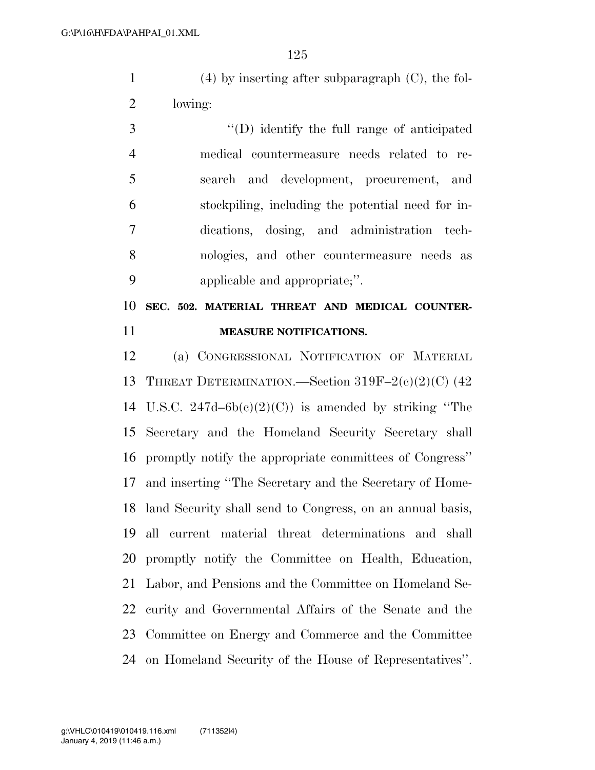(4) by inserting after subparagraph (C), the fol-lowing:

 ''(D) identify the full range of anticipated medical countermeasure needs related to re- search and development, procurement, and stockpiling, including the potential need for in- dications, dosing, and administration tech- nologies, and other countermeasure needs as applicable and appropriate;''.

 **SEC. 502. MATERIAL THREAT AND MEDICAL COUNTER-MEASURE NOTIFICATIONS.** 

 (a) CONGRESSIONAL NOTIFICATION OF MATERIAL THREAT DETERMINATION.—Section 319F–2(c)(2)(C) (42 14 U.S.C.  $247d-6b(c)(2)(C)$  is amended by striking "The Secretary and the Homeland Security Secretary shall promptly notify the appropriate committees of Congress'' and inserting ''The Secretary and the Secretary of Home- land Security shall send to Congress, on an annual basis, all current material threat determinations and shall promptly notify the Committee on Health, Education, Labor, and Pensions and the Committee on Homeland Se- curity and Governmental Affairs of the Senate and the Committee on Energy and Commerce and the Committee on Homeland Security of the House of Representatives''.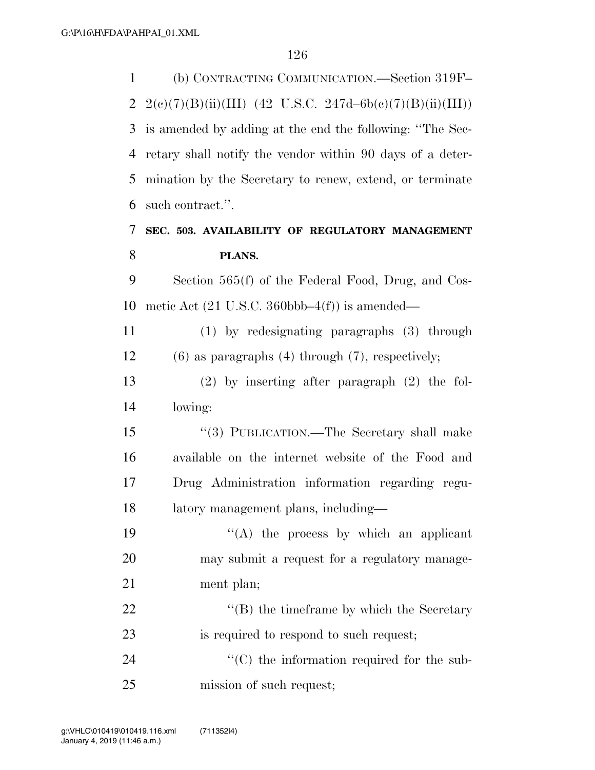(b) CONTRACTING COMMUNICATION.—Section 319F– 2 2(e)(7)(B)(ii)(III) (42 U.S.C. 247d–6b(e)(7)(B)(ii)(III)) is amended by adding at the end the following: ''The Sec- retary shall notify the vendor within 90 days of a deter- mination by the Secretary to renew, extend, or terminate such contract.''. **SEC. 503. AVAILABILITY OF REGULATORY MANAGEMENT PLANS.**  Section 565(f) of the Federal Food, Drug, and Cos-10 metic Act  $(21 \text{ U.S.C. } 360 \text{bbb} - 4(f))$  is amended— (1) by redesignating paragraphs (3) through (6) as paragraphs (4) through (7), respectively; (2) by inserting after paragraph (2) the fol- lowing: ''(3) PUBLICATION.—The Secretary shall make available on the internet website of the Food and Drug Administration information regarding regu- latory management plans, including—  $((A)$  the process by which an applicant may submit a request for a regulatory manage- ment plan; 22 ''(B) the timeframe by which the Secretary is required to respond to such request;  $\cdot$  (C) the information required for the sub-mission of such request;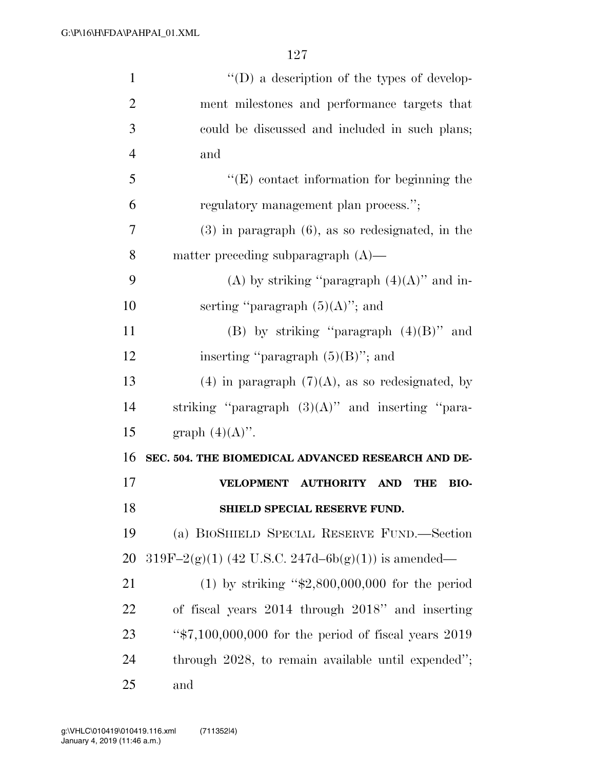| $\mathbf{1}$   | $\lq\lq$ (D) a description of the types of develop-    |
|----------------|--------------------------------------------------------|
| $\overline{2}$ | ment milestones and performance targets that           |
| 3              | could be discussed and included in such plans;         |
| $\overline{4}$ | and                                                    |
| 5              | $\lq\lq$ (E) contact information for beginning the     |
| 6              | regulatory management plan process.";                  |
| 7              | $(3)$ in paragraph $(6)$ , as so redesignated, in the  |
| 8              | matter preceding subparagraph $(A)$ —                  |
| 9              | (A) by striking "paragraph $(4)(A)$ " and in-          |
| 10             | serting "paragraph $(5)(A)$ "; and                     |
| 11             | (B) by striking "paragraph $(4)(B)$ " and              |
| 12             | inserting "paragraph $(5)(B)$ "; and                   |
| 13             | (4) in paragraph $(7)(A)$ , as so redesignated, by     |
| 14             | striking "paragraph $(3)(A)$ " and inserting "para-    |
| 15             | graph $(4)(A)$ ".                                      |
| 16             | SEC. 504. THE BIOMEDICAL ADVANCED RESEARCH AND DE-     |
| 17             | VELOPMENT AUTHORITY<br><b>AND</b><br>THE<br>BIO-       |
| 18             | SHIELD SPECIAL RESERVE FUND.                           |
| 19             | (a) BIOSHIELD SPECIAL RESERVE FUND.—Section            |
| 20             | $319F-2(g)(1)$ (42 U.S.C. 247d-6b(g)(1)) is amended—   |
| 21             | (1) by striking " $$2,800,000,000$ for the period      |
| 22             | of fiscal years 2014 through 2018" and inserting       |
| 23             | " $*7,100,000,000$ for the period of fiscal years 2019 |
| 24             | through 2028, to remain available until expended";     |
| 25             | and                                                    |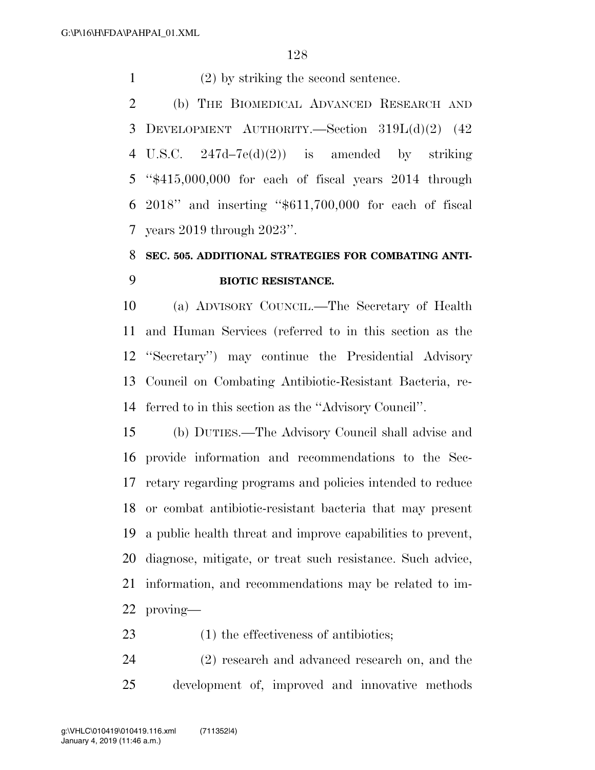(2) by striking the second sentence.

 (b) THE BIOMEDICAL ADVANCED RESEARCH AND DEVELOPMENT AUTHORITY.—Section 319L(d)(2) (42 4 U.S.C.  $247d-7e(d)(2)$  is amended by striking ''\$415,000,000 for each of fiscal years 2014 through 2018'' and inserting ''\$611,700,000 for each of fiscal years 2019 through 2023''.

### **SEC. 505. ADDITIONAL STRATEGIES FOR COMBATING ANTI-BIOTIC RESISTANCE.**

 (a) ADVISORY COUNCIL.—The Secretary of Health and Human Services (referred to in this section as the ''Secretary'') may continue the Presidential Advisory Council on Combating Antibiotic-Resistant Bacteria, re-ferred to in this section as the ''Advisory Council''.

 (b) DUTIES.—The Advisory Council shall advise and provide information and recommendations to the Sec- retary regarding programs and policies intended to reduce or combat antibiotic-resistant bacteria that may present a public health threat and improve capabilities to prevent, diagnose, mitigate, or treat such resistance. Such advice, information, and recommendations may be related to im-proving—

23 (1) the effectiveness of antibiotics;

 (2) research and advanced research on, and the development of, improved and innovative methods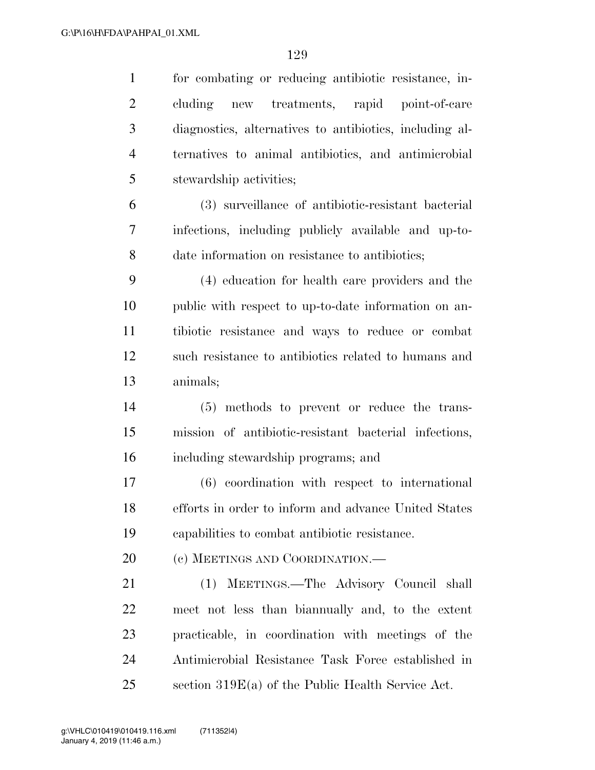| $\mathbf{1}$   | for combating or reducing antibiotic resistance, in-    |
|----------------|---------------------------------------------------------|
| $\overline{2}$ | cluding new treatments, rapid point-of-care             |
| 3              | diagnostics, alternatives to antibiotics, including al- |
| $\overline{4}$ | ternatives to animal antibiotics, and antimicrobial     |
| 5              | stewardship activities;                                 |
| 6              | (3) surveillance of antibiotic-resistant bacterial      |
| 7              | infections, including publicly available and up-to-     |
| 8              | date information on resistance to antibiotics;          |
| 9              | (4) education for health care providers and the         |
| 10             | public with respect to up-to-date information on an-    |
| 11             | tibiotic resistance and ways to reduce or combat        |
| 12             | such resistance to antibiotics related to humans and    |
| 13             | animals;                                                |
| 14             | (5) methods to prevent or reduce the trans-             |
| 15             | mission of antibiotic-resistant bacterial infections,   |
| 16             | including stewardship programs; and                     |
| 17             | $(6)$ coordination with respect to international        |
| 18             | efforts in order to inform and advance United States    |
| 19             | capabilities to combat antibiotic resistance.           |
| 20             | (c) MEETINGS AND COORDINATION.—                         |
| 21             | (1) MEETINGS.—The Advisory Council shall                |
| 22             | meet not less than biannually and, to the extent        |
| 23             | practicable, in coordination with meetings of the       |
| 24             | Antimicrobial Resistance Task Force established in      |
| 25             | section $319E(a)$ of the Public Health Service Act.     |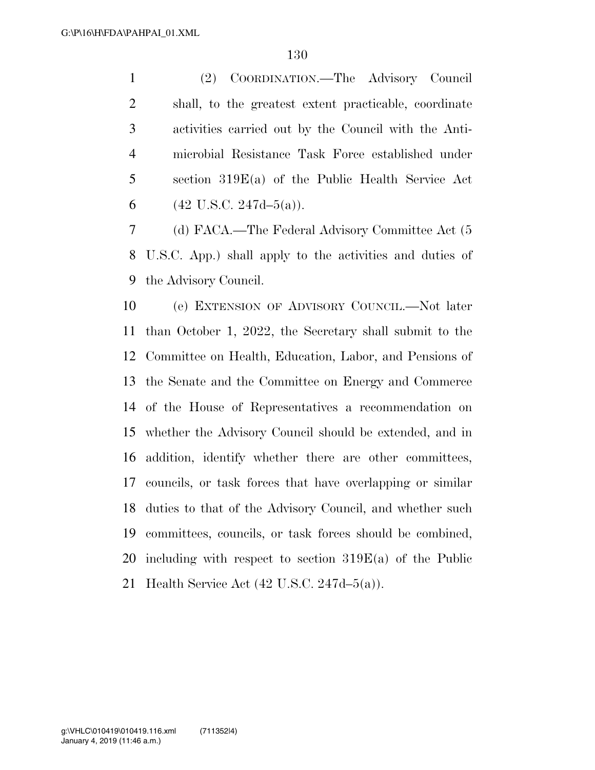(2) COORDINATION.—The Advisory Council shall, to the greatest extent practicable, coordinate activities carried out by the Council with the Anti- microbial Resistance Task Force established under section 319E(a) of the Public Health Service Act 6 (42 U.S.C. 247d–5(a)).

 (d) FACA.—The Federal Advisory Committee Act (5 U.S.C. App.) shall apply to the activities and duties of the Advisory Council.

 (e) EXTENSION OF ADVISORY COUNCIL.—Not later than October 1, 2022, the Secretary shall submit to the Committee on Health, Education, Labor, and Pensions of the Senate and the Committee on Energy and Commerce of the House of Representatives a recommendation on whether the Advisory Council should be extended, and in addition, identify whether there are other committees, councils, or task forces that have overlapping or similar duties to that of the Advisory Council, and whether such committees, councils, or task forces should be combined, including with respect to section 319E(a) of the Public Health Service Act (42 U.S.C. 247d–5(a)).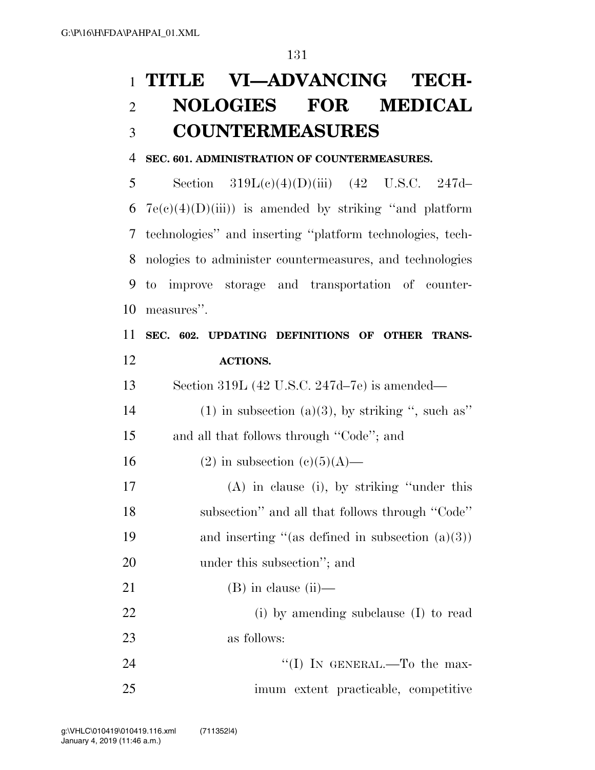# **TITLE VI—ADVANCING TECH- NOLOGIES FOR MEDICAL COUNTERMEASURES**

#### **SEC. 601. ADMINISTRATION OF COUNTERMEASURES.**

 Section 319L(c)(4)(D)(iii) (42 U.S.C. 247d–  $7e(c)(4)(D(iii))$  is amended by striking "and platform" technologies'' and inserting ''platform technologies, tech- nologies to administer countermeasures, and technologies to improve storage and transportation of counter-measures''.

### **SEC. 602. UPDATING DEFINITIONS OF OTHER TRANS-ACTIONS.**

Section 319L (42 U.S.C. 247d–7e) is amended—

14 (1) in subsection (a)(3), by striking ", such as" and all that follows through ''Code''; and

16 (2) in subsection  $(c)(5)(A)$ —

 (A) in clause (i), by striking ''under this subsection'' and all that follows through ''Code'' 19 and inserting "(as defined in subsection  $(a)(3)$ ) 20 under this subsection"; and

21 (B) in clause (ii)— (i) by amending subclause (I) to read as follows:

24 ''(I) IN GENERAL.—To the max-imum extent practicable, competitive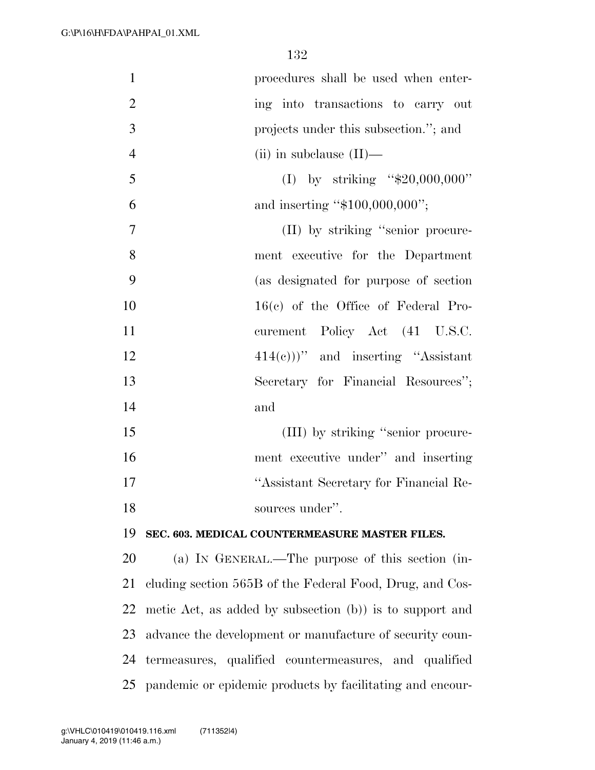| $\mathbf{1}$   | procedures shall be used when enter-                      |
|----------------|-----------------------------------------------------------|
| $\overline{2}$ | ing into transactions to carry out                        |
| 3              | projects under this subsection."; and                     |
| $\overline{4}$ | (ii) in subclause $(II)$ —                                |
| 5              | (I) by striking " $$20,000,000"$                          |
| 6              | and inserting "\$100,000,000";                            |
| 7              | (II) by striking "senior procure-                         |
| 8              | ment executive for the Department                         |
| 9              | (as designated for purpose of section                     |
| 10             | $16(c)$ of the Office of Federal Pro-                     |
| 11             | curement Policy Act (41 U.S.C.                            |
| 12             | $(414(c)))$ " and inserting "Assistant"                   |
| 13             | Secretary for Financial Resources";                       |
| 14             | and                                                       |
| 15             | (III) by striking "senior procure-                        |
| 16             | ment executive under" and inserting                       |
| 17             | "Assistant Secretary for Financial Re-                    |
| 18             | sources under".                                           |
| 19             | SEC. 603. MEDICAL COUNTERMEASURE MASTER FILES.            |
| 20             | (a) IN GENERAL.—The purpose of this section (in-          |
| 21             | cluding section 565B of the Federal Food, Drug, and Cos-  |
| 22             | metic Act, as added by subsection (b)) is to support and  |
| 23             | advance the development or manufacture of security coun-  |
| 24             | termeasures, qualified countermeasures, and qualified     |
| 25             | pandemic or epidemic products by facilitating and encour- |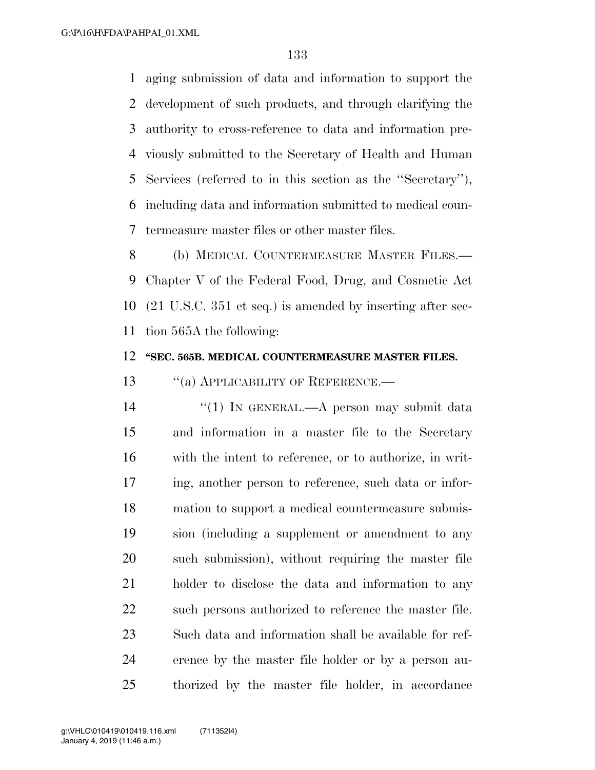aging submission of data and information to support the development of such products, and through clarifying the authority to cross-reference to data and information pre- viously submitted to the Secretary of Health and Human Services (referred to in this section as the ''Secretary''), including data and information submitted to medical coun-termeasure master files or other master files.

 (b) MEDICAL COUNTERMEASURE MASTER FILES.— Chapter V of the Federal Food, Drug, and Cosmetic Act (21 U.S.C. 351 et seq.) is amended by inserting after sec-tion 565A the following:

#### **''SEC. 565B. MEDICAL COUNTERMEASURE MASTER FILES.**

13 "(a) APPLICABILITY OF REFERENCE.—

14 ''(1) IN GENERAL.—A person may submit data and information in a master file to the Secretary with the intent to reference, or to authorize, in writ- ing, another person to reference, such data or infor- mation to support a medical countermeasure submis- sion (including a supplement or amendment to any such submission), without requiring the master file holder to disclose the data and information to any 22 such persons authorized to reference the master file. Such data and information shall be available for ref- erence by the master file holder or by a person au-thorized by the master file holder, in accordance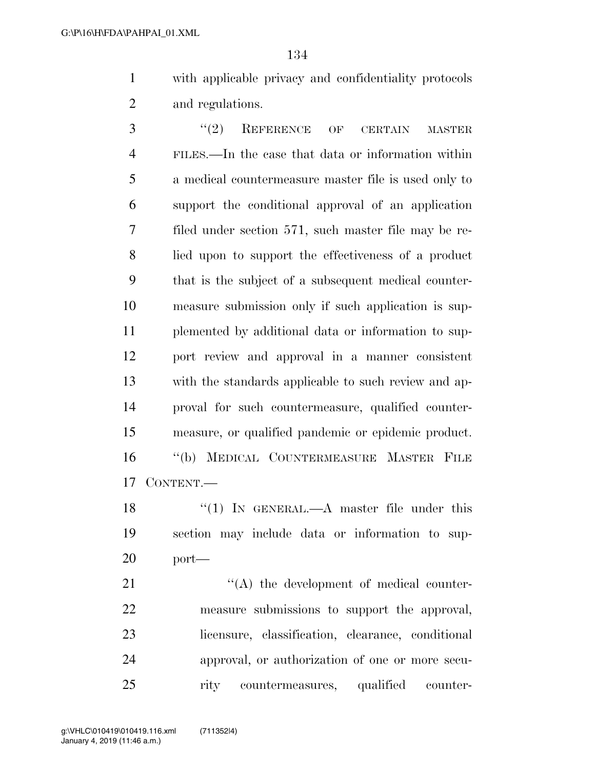with applicable privacy and confidentiality protocols and regulations.

3 "(2) REFERENCE OF CERTAIN MASTER FILES.—In the case that data or information within a medical countermeasure master file is used only to support the conditional approval of an application filed under section 571, such master file may be re- lied upon to support the effectiveness of a product that is the subject of a subsequent medical counter- measure submission only if such application is sup- plemented by additional data or information to sup- port review and approval in a manner consistent with the standards applicable to such review and ap- proval for such countermeasure, qualified counter- measure, or qualified pandemic or epidemic product. ''(b) MEDICAL COUNTERMEASURE MASTER FILE CONTENT.—

18 "(1) In GENERAL.—A master file under this section may include data or information to sup-port—

 $\langle (A)$  the development of medical counter- measure submissions to support the approval, licensure, classification, clearance, conditional approval, or authorization of one or more secu-rity countermeasures, qualified counter-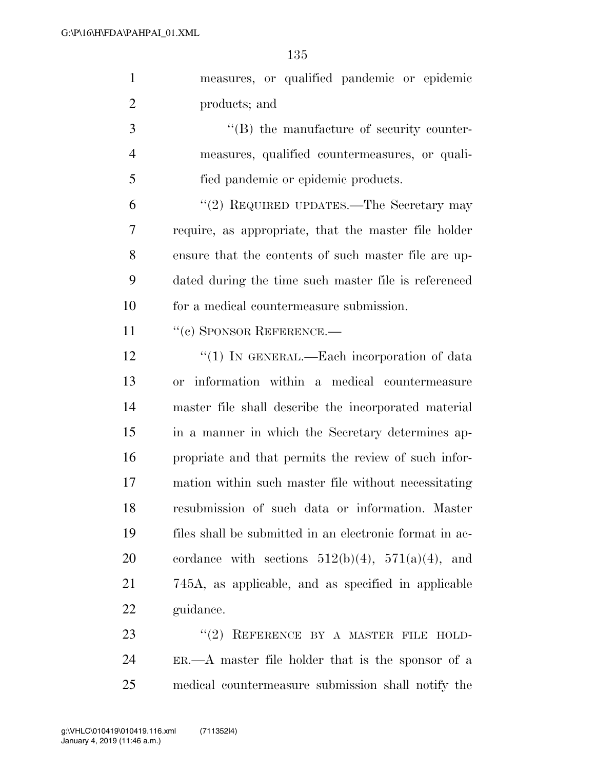| $\mathbf{1}$   | measures, or qualified pandemic or epidemic              |
|----------------|----------------------------------------------------------|
| $\overline{2}$ | products; and                                            |
| 3              | $\lq\lq (B)$ the manufacture of security counter-        |
| $\overline{4}$ | measures, qualified countermeasures, or quali-           |
| 5              | fied pandemic or epidemic products.                      |
| 6              | "(2) REQUIRED UPDATES.—The Secretary may                 |
| 7              | require, as appropriate, that the master file holder     |
| 8              | ensure that the contents of such master file are up-     |
| 9              | dated during the time such master file is referenced     |
| 10             | for a medical countermeasure submission.                 |
| 11             | $``$ (c) SPONSOR REFERENCE.—                             |
| 12             | "(1) IN GENERAL.—Each incorporation of data              |
| 13             | or information within a medical countermeasure           |
| 14             | master file shall describe the incorporated material     |
| 15             | in a manner in which the Secretary determines ap-        |
| 16             | propriate and that permits the review of such infor-     |
| 17             | mation within such master file without necessitating     |
| 18             | resubmission of such data or information. Master         |
| 19             | files shall be submitted in an electronic format in ac-  |
| 20             | cordance with sections $512(b)(4)$ , $571(a)(4)$ , and   |
| 21             | 745A, as applicable, and as specified in applicable      |
| 22             | guidance.                                                |
| 23             | "(2) REFERENCE BY A MASTER FILE HOLD-                    |
| 24             | $ER. \t - A$ master file holder that is the sponsor of a |

medical countermeasure submission shall notify the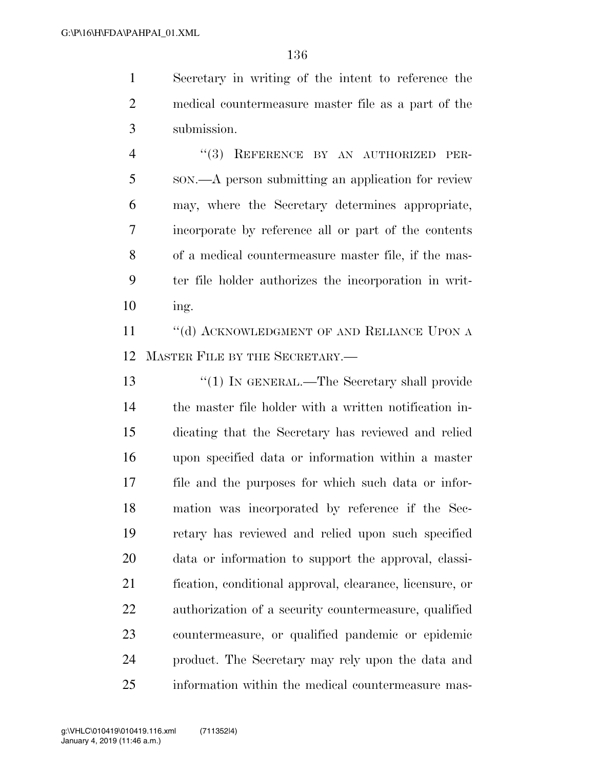Secretary in writing of the intent to reference the medical countermeasure master file as a part of the submission.

4 "(3) REFERENCE BY AN AUTHORIZED PER- SON.—A person submitting an application for review may, where the Secretary determines appropriate, incorporate by reference all or part of the contents of a medical countermeasure master file, if the mas- ter file holder authorizes the incorporation in writ-ing.

11 "(d) ACKNOWLEDGMENT OF AND RELIANCE UPON A MASTER FILE BY THE SECRETARY.—

13 "(1) IN GENERAL.—The Secretary shall provide the master file holder with a written notification in- dicating that the Secretary has reviewed and relied upon specified data or information within a master file and the purposes for which such data or infor- mation was incorporated by reference if the Sec- retary has reviewed and relied upon such specified data or information to support the approval, classi- fication, conditional approval, clearance, licensure, or authorization of a security countermeasure, qualified countermeasure, or qualified pandemic or epidemic product. The Secretary may rely upon the data and information within the medical countermeasure mas-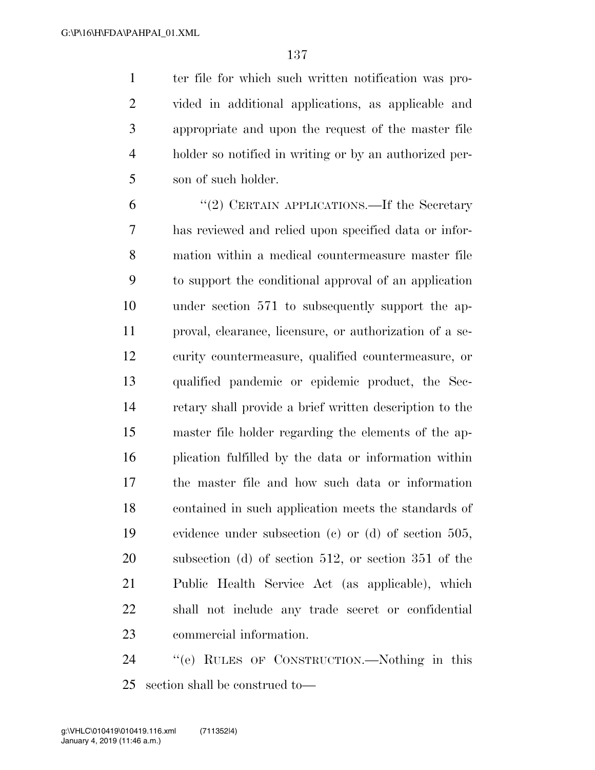ter file for which such written notification was pro- vided in additional applications, as applicable and appropriate and upon the request of the master file holder so notified in writing or by an authorized per-son of such holder.

 ''(2) CERTAIN APPLICATIONS.—If the Secretary has reviewed and relied upon specified data or infor- mation within a medical countermeasure master file to support the conditional approval of an application under section 571 to subsequently support the ap- proval, clearance, licensure, or authorization of a se- curity countermeasure, qualified countermeasure, or qualified pandemic or epidemic product, the Sec- retary shall provide a brief written description to the master file holder regarding the elements of the ap- plication fulfilled by the data or information within the master file and how such data or information contained in such application meets the standards of evidence under subsection (c) or (d) of section 505, subsection (d) of section 512, or section 351 of the Public Health Service Act (as applicable), which shall not include any trade secret or confidential commercial information.

 ''(e) RULES OF CONSTRUCTION.—Nothing in this section shall be construed to—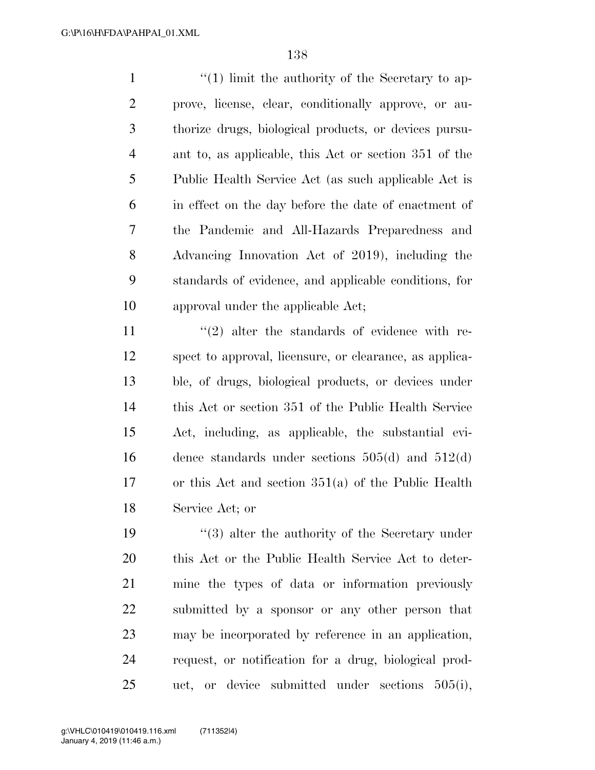1 ''(1) limit the authority of the Secretary to ap- prove, license, clear, conditionally approve, or au- thorize drugs, biological products, or devices pursu- ant to, as applicable, this Act or section 351 of the Public Health Service Act (as such applicable Act is in effect on the day before the date of enactment of the Pandemic and All-Hazards Preparedness and Advancing Innovation Act of 2019), including the standards of evidence, and applicable conditions, for approval under the applicable Act;

 $\frac{1}{2}$  alter the standards of evidence with re- spect to approval, licensure, or clearance, as applica- ble, of drugs, biological products, or devices under this Act or section 351 of the Public Health Service Act, including, as applicable, the substantial evi- dence standards under sections 505(d) and 512(d) or this Act and section 351(a) of the Public Health Service Act; or

19 ''(3) alter the authority of the Secretary under this Act or the Public Health Service Act to deter- mine the types of data or information previously submitted by a sponsor or any other person that may be incorporated by reference in an application, request, or notification for a drug, biological prod-uct, or device submitted under sections 505(i),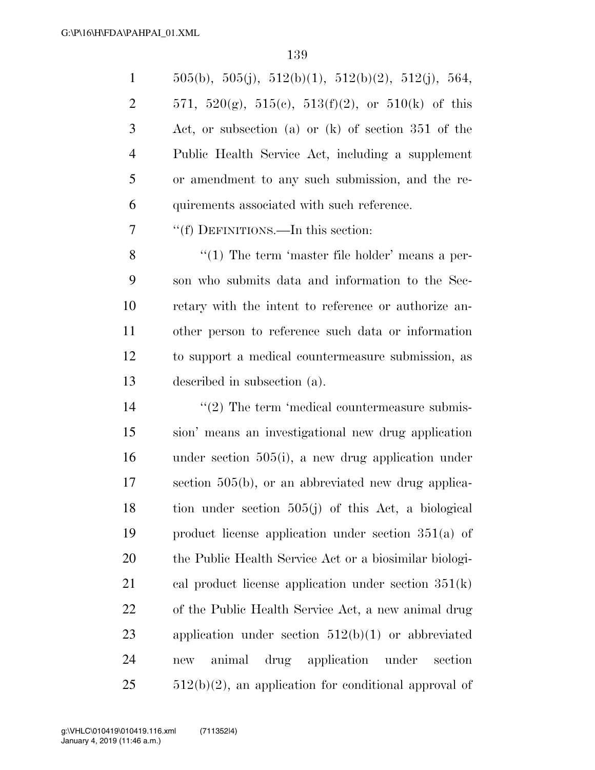|                | $505(b)$ , $505(j)$ , $512(b)(1)$ , $512(b)(2)$ , $512(j)$ , $564$ , |
|----------------|----------------------------------------------------------------------|
| 2              | 571, 520(g), 515(c), 513(f)(2), or 510(k) of this                    |
| 3              | Act, or subsection (a) or $(k)$ of section 351 of the                |
| $\overline{4}$ | Public Health Service Act, including a supplement                    |
| 5              | or amendment to any such submission, and the re-                     |
| 6              | quirements associated with such reference.                           |

''(f) DEFINITIONS.—In this section:

8 ''(1) The term 'master file holder' means a per- son who submits data and information to the Sec- retary with the intent to reference or authorize an- other person to reference such data or information to support a medical countermeasure submission, as described in subsection (a).

 $\frac{1}{2}$  The term 'medical countermeasure submis- sion' means an investigational new drug application under section 505(i), a new drug application under section 505(b), or an abbreviated new drug applica- tion under section 505(j) of this Act, a biological product license application under section 351(a) of the Public Health Service Act or a biosimilar biologi- cal product license application under section 351(k) of the Public Health Service Act, a new animal drug application under section 512(b)(1) or abbreviated new animal drug application under section  $512(b)(2)$ , an application for conditional approval of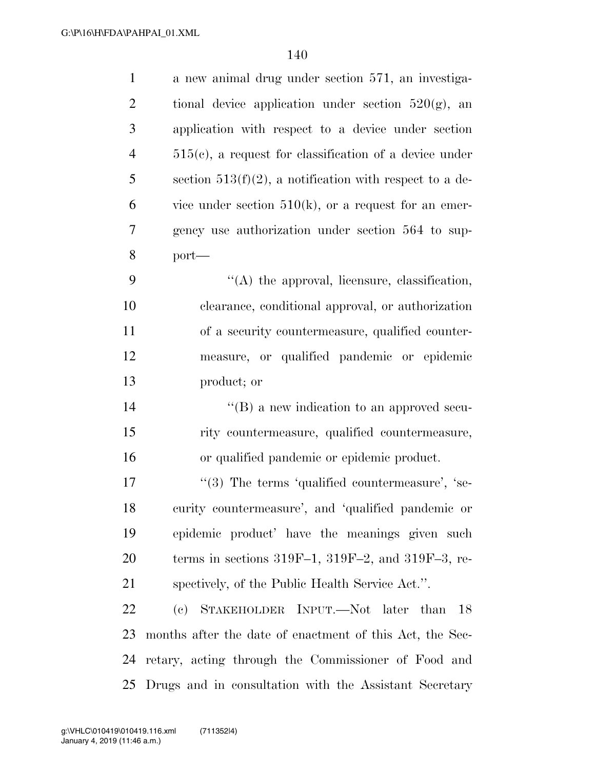| $\mathbf{1}$   | a new animal drug under section 571, an investiga-         |
|----------------|------------------------------------------------------------|
| $\overline{2}$ | tional device application under section $520(g)$ , an      |
| 3              | application with respect to a device under section         |
| $\overline{4}$ | $515(c)$ , a request for classification of a device under  |
| 5              | section $513(f)(2)$ , a notification with respect to a de- |
| 6              | vice under section $510(k)$ , or a request for an emer-    |
| $\overline{7}$ | gency use authorization under section 564 to sup-          |
| 8              | $port-$                                                    |
| 9              | $\lq\lq$ the approval, licensure, classification,          |
| 10             | clearance, conditional approval, or authorization          |
| 11             | of a security countermeasure, qualified counter-           |
| 12             | measure, or qualified pandemic or epidemic                 |
| 13             | product; or                                                |
| 14             | $\lq\lq (B)$ a new indication to an approved secu-         |
| 15             | rity countermeasure, qualified countermeasure,             |
| 16             | or qualified pandemic or epidemic product.                 |
| 17             | "(3) The terms 'qualified countermeasure', 'se-            |
| 18             | curity countermeasure', and 'qualified pandemic or         |
| 19             | epidemic product' have the meanings given such             |
| 20             | terms in sections $319F-1$ , $319F-2$ , and $319F-3$ , re- |
| 21             | spectively, of the Public Health Service Act.".            |
| 22             | (c) STAKEHOLDER INPUT.—Not later than<br>18                |
| 23             | months after the date of enactment of this Act, the Sec-   |
| 24             | retary, acting through the Commissioner of Food and        |
| 25             | Drugs and in consultation with the Assistant Secretary     |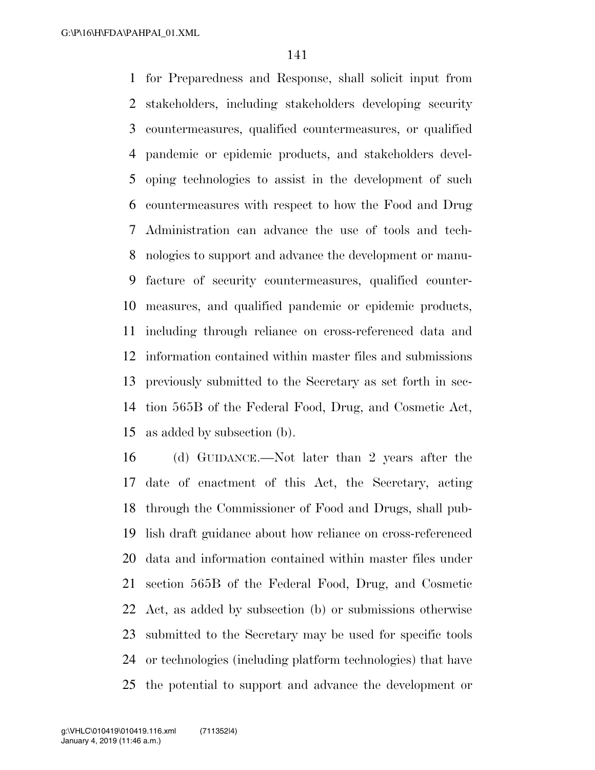for Preparedness and Response, shall solicit input from stakeholders, including stakeholders developing security countermeasures, qualified countermeasures, or qualified pandemic or epidemic products, and stakeholders devel- oping technologies to assist in the development of such countermeasures with respect to how the Food and Drug Administration can advance the use of tools and tech- nologies to support and advance the development or manu- facture of security countermeasures, qualified counter- measures, and qualified pandemic or epidemic products, including through reliance on cross-referenced data and information contained within master files and submissions previously submitted to the Secretary as set forth in sec- tion 565B of the Federal Food, Drug, and Cosmetic Act, as added by subsection (b).

 (d) GUIDANCE.—Not later than 2 years after the date of enactment of this Act, the Secretary, acting through the Commissioner of Food and Drugs, shall pub- lish draft guidance about how reliance on cross-referenced data and information contained within master files under section 565B of the Federal Food, Drug, and Cosmetic Act, as added by subsection (b) or submissions otherwise submitted to the Secretary may be used for specific tools or technologies (including platform technologies) that have the potential to support and advance the development or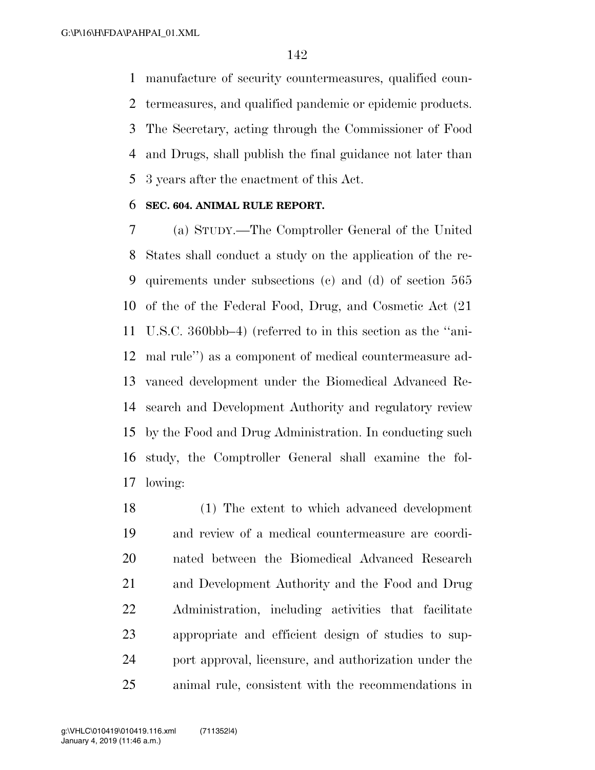manufacture of security countermeasures, qualified coun- termeasures, and qualified pandemic or epidemic products. The Secretary, acting through the Commissioner of Food and Drugs, shall publish the final guidance not later than 3 years after the enactment of this Act.

#### **SEC. 604. ANIMAL RULE REPORT.**

 (a) STUDY.—The Comptroller General of the United States shall conduct a study on the application of the re- quirements under subsections (c) and (d) of section 565 of the of the Federal Food, Drug, and Cosmetic Act (21 U.S.C. 360bbb–4) (referred to in this section as the ''ani- mal rule'') as a component of medical countermeasure ad- vanced development under the Biomedical Advanced Re- search and Development Authority and regulatory review by the Food and Drug Administration. In conducting such study, the Comptroller General shall examine the fol-lowing:

 (1) The extent to which advanced development and review of a medical countermeasure are coordi- nated between the Biomedical Advanced Research and Development Authority and the Food and Drug Administration, including activities that facilitate appropriate and efficient design of studies to sup- port approval, licensure, and authorization under the animal rule, consistent with the recommendations in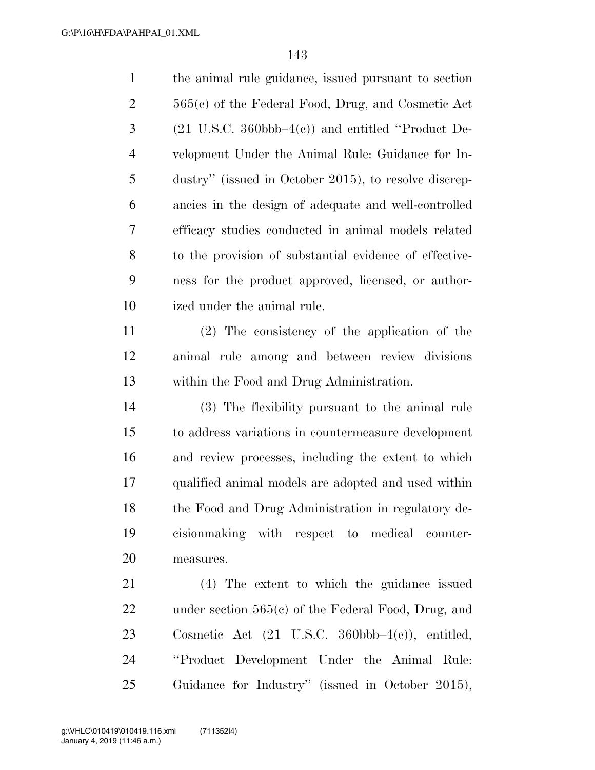| $\mathbf{1}$   | the animal rule guidance, issued pursuant to section                         |
|----------------|------------------------------------------------------------------------------|
| $\overline{2}$ | $565(c)$ of the Federal Food, Drug, and Cosmetic Act                         |
| 3              | $(21 \text{ U.S.C. } 360 \text{bbb} - 4\text{e}))$ and entitled "Product De- |
| $\overline{4}$ | velopment Under the Animal Rule: Guidance for In-                            |
| 5              | dustry" (issued in October 2015), to resolve discrep-                        |
| 6              | ancies in the design of adequate and well-controlled                         |
| 7              | efficacy studies conducted in animal models related                          |
| $8\phantom{1}$ | to the provision of substantial evidence of effective-                       |
| 9              | ness for the product approved, licensed, or author-                          |
| 10             | ized under the animal rule.                                                  |
| 11             | $(2)$ The consistency of the application of the                              |
| 12             | animal rule among and between review divisions                               |
| 13             | within the Food and Drug Administration.                                     |
| 14             | (3) The flexibility pursuant to the animal rule                              |
| 15             | to address variations in countermeasure development                          |
| 16             | and review processes, including the extent to which                          |
| 17             | qualified animal models are adopted and used within                          |
| 18             | the Food and Drug Administration in regulatory de-                           |
| 19             | cision making with respect to medical counter-                               |
| 20             | measures.                                                                    |
| 21             | (4) The extent to which the guidance issued                                  |
|                |                                                                              |
| 22             | under section $565(c)$ of the Federal Food, Drug, and                        |
| 23             | Cosmetic Act $(21 \text{ U.S.C. } 360 \text{bbb} - 4(c))$ , entitled,        |

Guidance for Industry'' (issued in October 2015),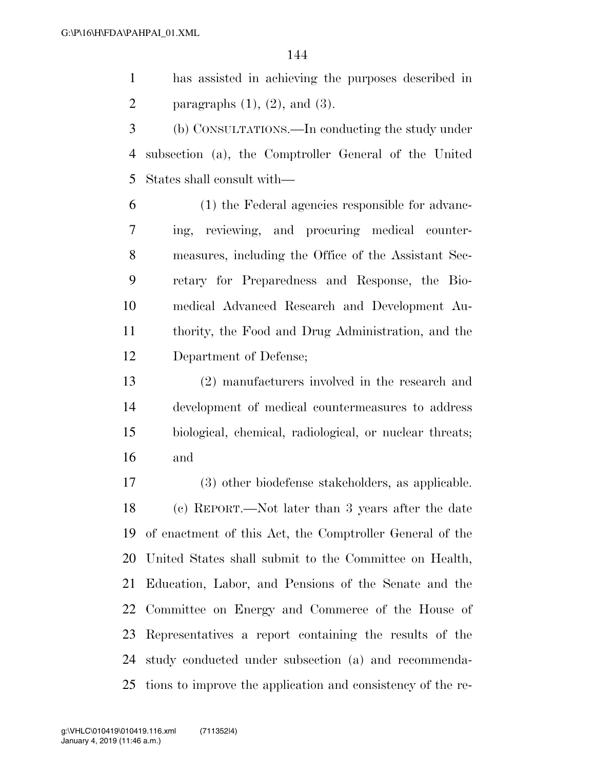has assisted in achieving the purposes described in 2 paragraphs  $(1)$ ,  $(2)$ , and  $(3)$ .

 (b) CONSULTATIONS.—In conducting the study under subsection (a), the Comptroller General of the United States shall consult with—

 (1) the Federal agencies responsible for advanc- ing, reviewing, and procuring medical counter- measures, including the Office of the Assistant Sec- retary for Preparedness and Response, the Bio- medical Advanced Research and Development Au- thority, the Food and Drug Administration, and the Department of Defense;

 (2) manufacturers involved in the research and development of medical countermeasures to address biological, chemical, radiological, or nuclear threats; and

 (3) other biodefense stakeholders, as applicable. (c) REPORT.—Not later than 3 years after the date of enactment of this Act, the Comptroller General of the United States shall submit to the Committee on Health, Education, Labor, and Pensions of the Senate and the Committee on Energy and Commerce of the House of Representatives a report containing the results of the study conducted under subsection (a) and recommenda-tions to improve the application and consistency of the re-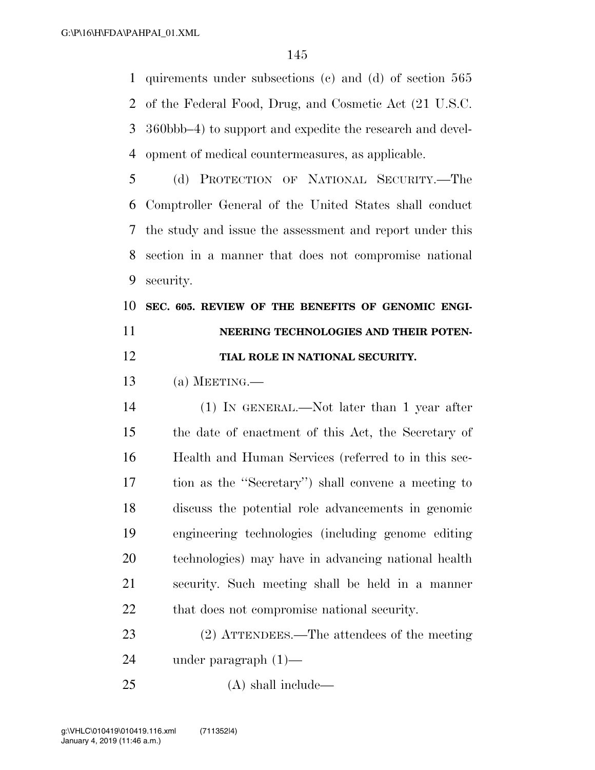quirements under subsections (c) and (d) of section 565 of the Federal Food, Drug, and Cosmetic Act (21 U.S.C. 360bbb–4) to support and expedite the research and devel-opment of medical countermeasures, as applicable.

 (d) PROTECTION OF NATIONAL SECURITY.—The Comptroller General of the United States shall conduct the study and issue the assessment and report under this section in a manner that does not compromise national security.

### **SEC. 605. REVIEW OF THE BENEFITS OF GENOMIC ENGI- NEERING TECHNOLOGIES AND THEIR POTEN-TIAL ROLE IN NATIONAL SECURITY.**

(a) MEETING.—

 (1) IN GENERAL.—Not later than 1 year after the date of enactment of this Act, the Secretary of Health and Human Services (referred to in this sec- tion as the ''Secretary'') shall convene a meeting to discuss the potential role advancements in genomic engineering technologies (including genome editing technologies) may have in advancing national health security. Such meeting shall be held in a manner 22 that does not compromise national security.

 (2) ATTENDEES.—The attendees of the meeting under paragraph (1)—

(A) shall include—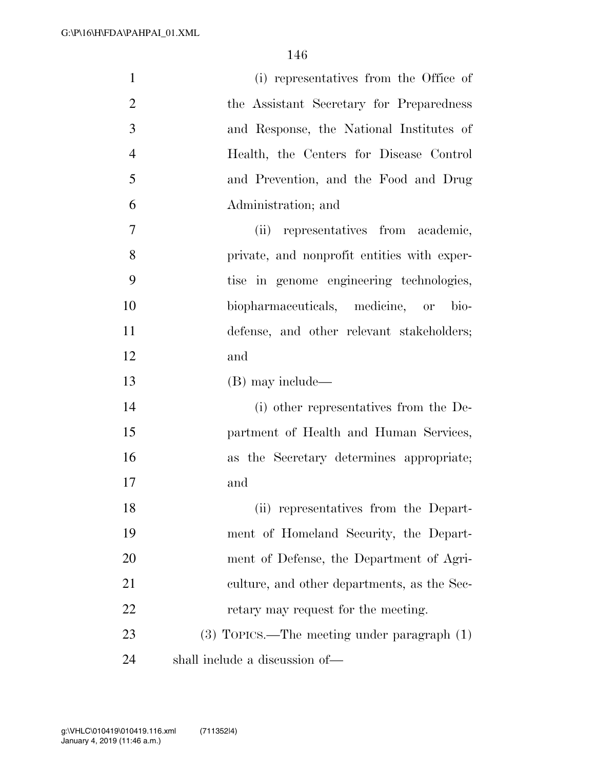| $\mathbf{1}$   | (i) representatives from the Office of          |
|----------------|-------------------------------------------------|
| $\overline{2}$ | the Assistant Secretary for Preparedness        |
| 3              | and Response, the National Institutes of        |
| $\overline{4}$ | Health, the Centers for Disease Control         |
| 5              | and Prevention, and the Food and Drug           |
| 6              | Administration; and                             |
| 7              | (ii) representatives from academic,             |
| 8              | private, and nonprofit entities with exper-     |
| 9              | tise in genome engineering technologies,        |
| 10             | biopharmaceuticals, medicine, or bio-           |
| 11             | defense, and other relevant stakeholders;       |
| 12             | and                                             |
| 13             | (B) may include—                                |
| 14             | (i) other representatives from the De-          |
| 15             | partment of Health and Human Services,          |
| 16             | as the Secretary determines appropriate;        |
| 17             | and                                             |
| 18             | (ii) representatives from the Depart-           |
| 19             | ment of Homeland Security, the Depart-          |
| 20             | ment of Defense, the Department of Agri-        |
| 21             | culture, and other departments, as the Sec-     |
| 22             | retary may request for the meeting.             |
| 23             | $(3)$ TOPICS.—The meeting under paragraph $(1)$ |
| 24             | shall include a discussion of—                  |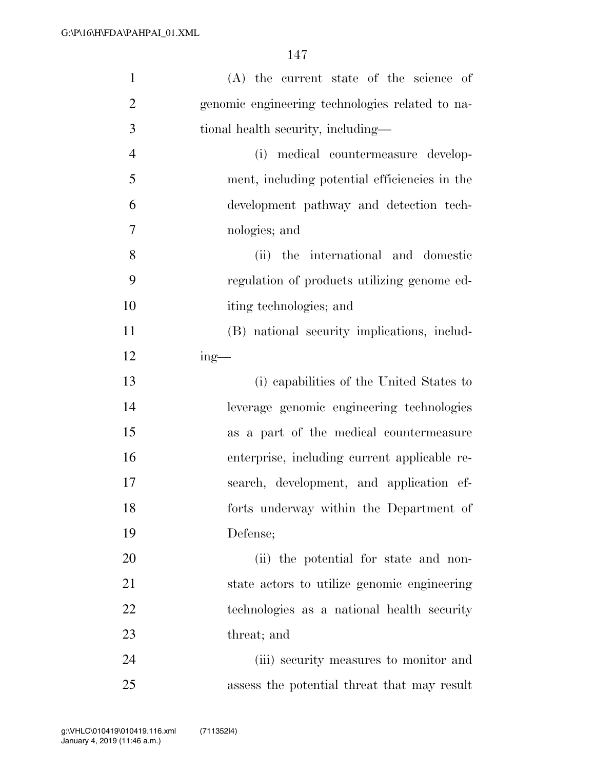| $\mathbf{1}$   | (A) the current state of the science of         |
|----------------|-------------------------------------------------|
| $\overline{2}$ | genomic engineering technologies related to na- |
| 3              | tional health security, including—              |
| $\overline{4}$ | (i) medical countermeasure develop-             |
| 5              | ment, including potential efficiencies in the   |
| 6              | development pathway and detection tech-         |
| $\overline{7}$ | nologies; and                                   |
| 8              | the international and domestic<br>(ii)          |
| 9              | regulation of products utilizing genome ed-     |
| 10             | iting technologies; and                         |
| 11             | (B) national security implications, includ-     |
| 12             | $ing$ —                                         |
| 13             | (i) capabilities of the United States to        |
| 14             | leverage genomic engineering technologies       |
| 15             | as a part of the medical countermeasure         |
| 16             | enterprise, including current applicable re-    |
| 17             | search, development, and application ef-        |
| 18             | forts underway within the Department of         |
| 19             | Defense;                                        |
| 20             | (ii) the potential for state and non-           |
| 21             | state actors to utilize genomic engineering     |
| 22             | technologies as a national health security      |
| 23             | threat; and                                     |
| 24             | (iii) security measures to monitor and          |
| 25             | assess the potential threat that may result     |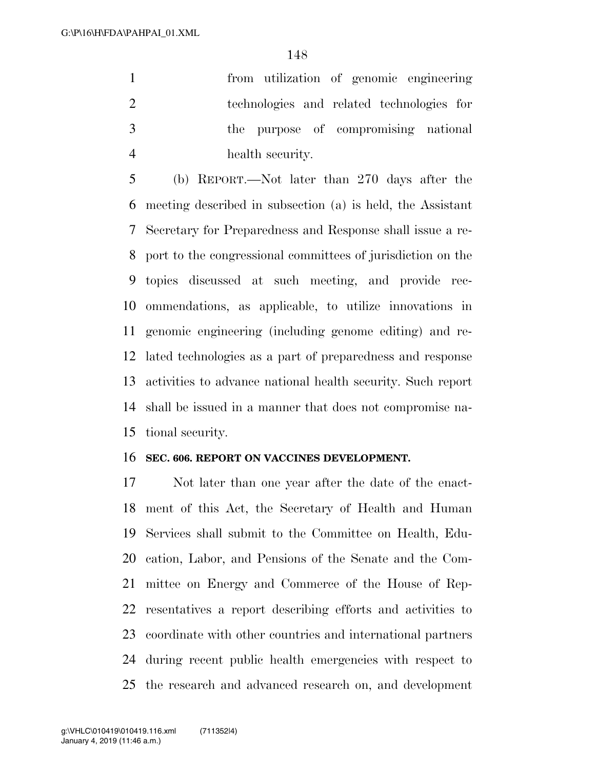from utilization of genomic engineering technologies and related technologies for the purpose of compromising national health security.

 (b) REPORT.—Not later than 270 days after the meeting described in subsection (a) is held, the Assistant Secretary for Preparedness and Response shall issue a re- port to the congressional committees of jurisdiction on the topics discussed at such meeting, and provide rec- ommendations, as applicable, to utilize innovations in genomic engineering (including genome editing) and re- lated technologies as a part of preparedness and response activities to advance national health security. Such report shall be issued in a manner that does not compromise na-tional security.

#### **SEC. 606. REPORT ON VACCINES DEVELOPMENT.**

 Not later than one year after the date of the enact- ment of this Act, the Secretary of Health and Human Services shall submit to the Committee on Health, Edu- cation, Labor, and Pensions of the Senate and the Com- mittee on Energy and Commerce of the House of Rep- resentatives a report describing efforts and activities to coordinate with other countries and international partners during recent public health emergencies with respect to the research and advanced research on, and development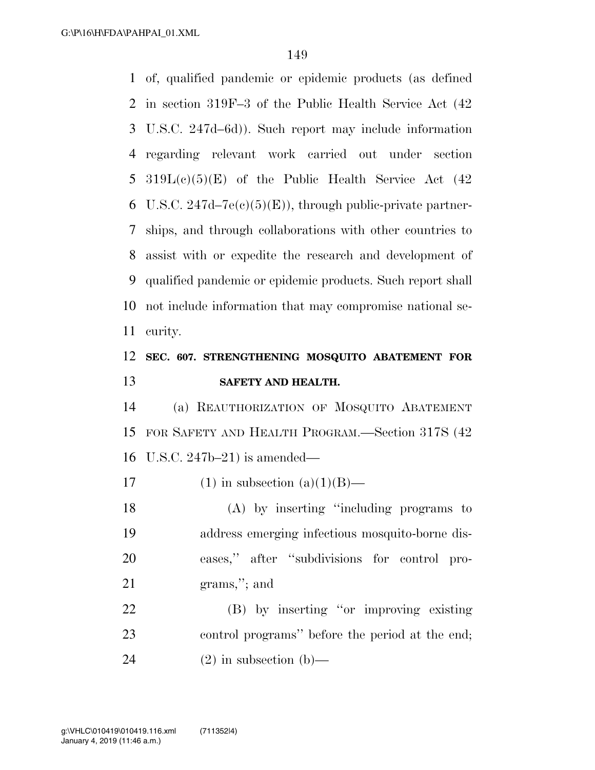of, qualified pandemic or epidemic products (as defined in section 319F–3 of the Public Health Service Act (42 U.S.C. 247d–6d)). Such report may include information regarding relevant work carried out under section 5 319 $L(c)(5)(E)$  of the Public Health Service Act  $(42)$ 6 U.S.C. 247d–7 $e(c)(5)(E)$ , through public-private partner- ships, and through collaborations with other countries to assist with or expedite the research and development of qualified pandemic or epidemic products. Such report shall not include information that may compromise national se-curity.

### **SEC. 607. STRENGTHENING MOSQUITO ABATEMENT FOR SAFETY AND HEALTH.**

 (a) REAUTHORIZATION OF MOSQUITO ABATEMENT FOR SAFETY AND HEALTH PROGRAM.—Section 317S (42 U.S.C. 247b–21) is amended—

17 (1) in subsection  $(a)(1)(B)$ —

 (A) by inserting ''including programs to address emerging infectious mosquito-borne dis- eases,'' after ''subdivisions for control pro-grams,''; and

 (B) by inserting ''or improving existing control programs'' before the period at the end; 24 (2) in subsection (b)—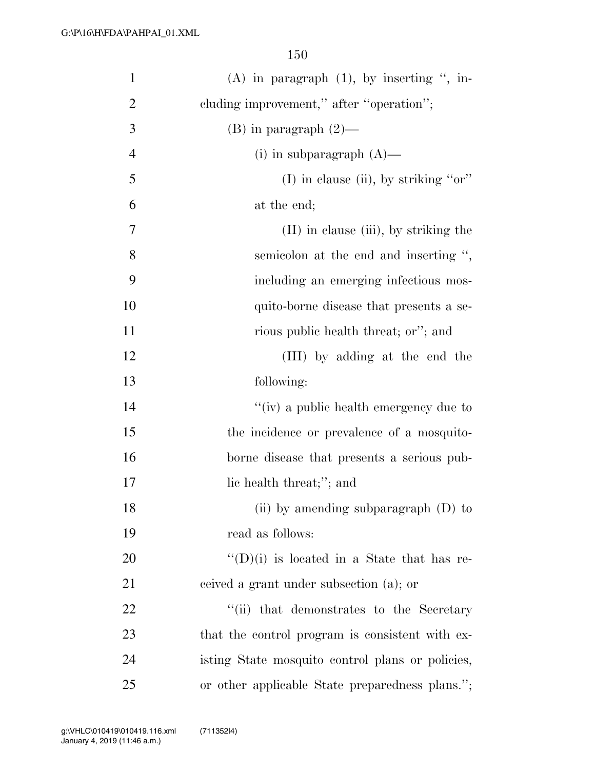| $\mathbf{1}$     | $(A)$ in paragraph $(1)$ , by inserting ", in-     |
|------------------|----------------------------------------------------|
| $\overline{2}$   | cluding improvement," after "operation";           |
| 3                | $(B)$ in paragraph $(2)$ —                         |
| $\overline{4}$   | (i) in subparagraph $(A)$ —                        |
| 5                | $(I)$ in clause (ii), by striking "or"             |
| 6                | at the end;                                        |
| $\boldsymbol{7}$ | $(II)$ in clause (iii), by striking the            |
| 8                | semicolon at the end and inserting ",              |
| 9                | including an emerging infectious mos-              |
| 10               | quito-borne disease that presents a se-            |
| 11               | rious public health threat; or"; and               |
| 12               | (III) by adding at the end the                     |
| 13               | following:                                         |
| 14               | "(iv) a public health emergency due to             |
| 15               | the incidence or prevalence of a mosquito-         |
| 16               | borne disease that presents a serious pub-         |
| $17\,$           | lic health threat;"; and                           |
| 18               | (ii) by amending subparagraph $(D)$ to             |
| 19               | read as follows:                                   |
| 20               | $\lq\lq$ (D)(i) is located in a State that has re- |
| 21               | ceived a grant under subsection (a); or            |
| 22               | "(ii) that demonstrates to the Secretary           |
| 23               | that the control program is consistent with ex-    |
| 24               | isting State mosquito control plans or policies,   |
| 25               | or other applicable State preparedness plans.";    |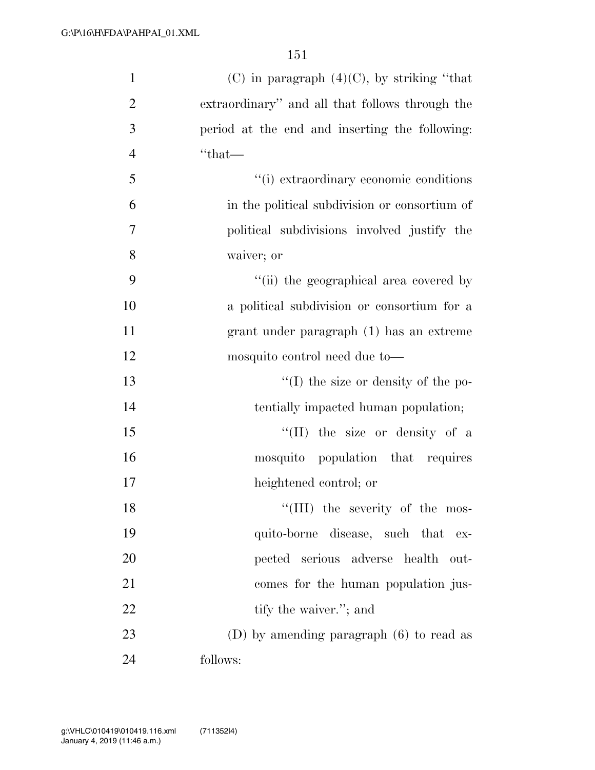| $\mathbf{1}$   | $(C)$ in paragraph $(4)(C)$ , by striking "that |
|----------------|-------------------------------------------------|
| $\overline{2}$ | extraordinary" and all that follows through the |
| 3              | period at the end and inserting the following:  |
| $\overline{4}$ | $``that$ —                                      |
| 5              | "(i) extraordinary economic conditions          |
| 6              | in the political subdivision or consortium of   |
| $\overline{7}$ | political subdivisions involved justify the     |
| 8              | waiver; or                                      |
| 9              | "(ii) the geographical area covered by          |
| 10             | a political subdivision or consortium for a     |
| 11             | grant under paragraph (1) has an extreme        |
| 12             | mosquito control need due to—                   |
| 13             | $\lq\lq$ (I) the size or density of the po-     |
| 14             | tentially impacted human population;            |
| 15             | "(II) the size or density of a                  |
| 16             | mosquito population that requires               |
| 17             | heightened control; or                          |
| 18             | "(III) the severity of the mos-                 |
| 19             | quito-borne disease, such that ex-              |
| 20             | pected serious adverse health<br>-out-          |
| 21             | comes for the human population jus-             |
| 22             | tify the waiver."; and                          |
| 23             | (D) by amending paragraph $(6)$ to read as      |
| 24             | follows:                                        |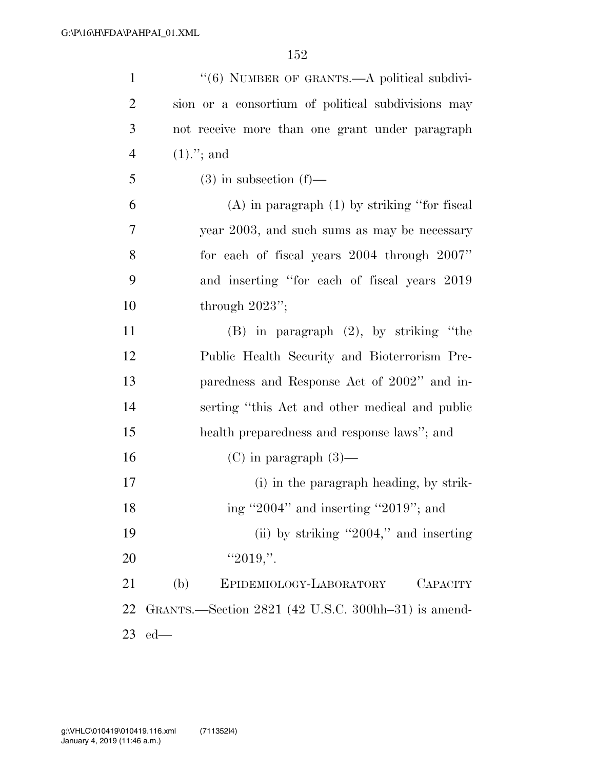| $\mathbf{1}$   | "(6) NUMBER OF GRANTS.—A political subdivi-         |
|----------------|-----------------------------------------------------|
| $\overline{2}$ | sion or a consortium of political subdivisions may  |
| 3              | not receive more than one grant under paragraph     |
| $\overline{4}$ | $(1).$ "; and                                       |
| 5              | $(3)$ in subsection $(f)$ —                         |
| 6              | $(A)$ in paragraph $(1)$ by striking "for fiscal    |
| 7              | year 2003, and such sums as may be necessary        |
| 8              | for each of fiscal years $2004$ through $2007$ "    |
| 9              | and inserting "for each of fiscal years 2019        |
| 10             | through $2023$ ";                                   |
| 11             | $(B)$ in paragraph $(2)$ , by striking "the         |
| 12             | Public Health Security and Bioterrorism Pre-        |
| 13             | paredness and Response Act of 2002" and in-         |
| 14             | serting "this Act and other medical and public      |
| 15             | health preparedness and response laws"; and         |
| 16             | $(C)$ in paragraph $(3)$ —                          |
| 17             | (i) in the paragraph heading, by strik-             |
| 18             | ing "2004" and inserting "2019"; and                |
| 19             | (ii) by striking "2004," and inserting              |
| 20             | " $2019$ ,".                                        |
| 21             | (b)<br>EPIDEMIOLOGY-LABORATORY<br>CAPACITY          |
| 22             | GRANTS.—Section 2821 (42 U.S.C. 300hh-31) is amend- |
| 23             | $ed$ —                                              |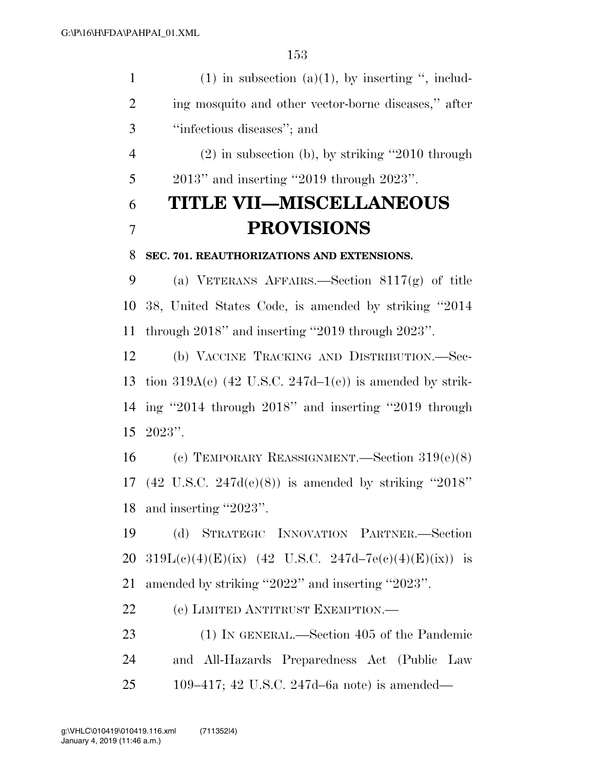1 (1) in subsection (a)(1), by inserting ", includ- ing mosquito and other vector-borne diseases,'' after ''infectious diseases''; and (2) in subsection (b), by striking ''2010 through 2013'' and inserting ''2019 through 2023''. **TITLE VII—MISCELLANEOUS PROVISIONS SEC. 701. REAUTHORIZATIONS AND EXTENSIONS.**  (a) VETERANS AFFAIRS.—Section 8117(g) of title 38, United States Code, is amended by striking ''2014 through 2018'' and inserting ''2019 through 2023''. (b) VACCINE TRACKING AND DISTRIBUTION.—Sec-13 tion  $319A(e)$  (42 U.S.C.  $247d-1(e)$ ) is amended by strik- ing ''2014 through 2018'' and inserting ''2019 through 2023''. (c) TEMPORARY REASSIGNMENT.—Section 319(e)(8) (42 U.S.C. 247d(e)(8)) is amended by striking ''2018'' and inserting ''2023''. (d) STRATEGIC INNOVATION PARTNER.—Section  $319L(c)(4)(E)(ix)$  (42 U.S.C. 247d–7e(c)(4)(E)(ix)) is amended by striking ''2022'' and inserting ''2023''. (e) LIMITED ANTITRUST EXEMPTION.— (1) IN GENERAL.—Section 405 of the Pandemic and All-Hazards Preparedness Act (Public Law 109–417; 42 U.S.C. 247d–6a note) is amended—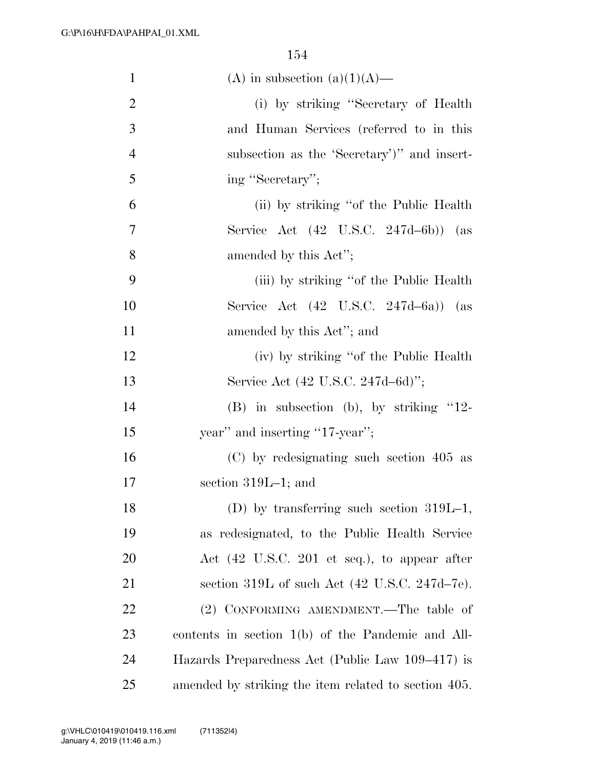| $\mathbf{1}$   | (A) in subsection (a)(1)(A)—                              |
|----------------|-----------------------------------------------------------|
| 2              | (i) by striking "Secretary of Health                      |
| 3              | and Human Services (referred to in this                   |
| $\overline{4}$ | subsection as the 'Secretary')" and insert-               |
| 5              | ing "Secretary";                                          |
| 6              | (ii) by striking "of the Public Health"                   |
| 7              | Service Act (42 U.S.C. 247d-6b))<br>(as                   |
| 8              | amended by this Act";                                     |
| 9              | (iii) by striking "of the Public Health"                  |
| 10             | Service Act $(42 \text{ U.S.C. } 247d-6a)$ (as            |
| 11             | amended by this Act"; and                                 |
| 12             | (iv) by striking "of the Public Health"                   |
| 13             | Service Act (42 U.S.C. 247d–6d)";                         |
| 14             | $(B)$ in subsection (b), by striking "12-                 |
| 15             | year" and inserting "17-year";                            |
| 16             | (C) by redesignating such section 405 as                  |
| 17             | section $319L-1$ ; and                                    |
| 18             | (D) by transferring such section $319L-1$ ,               |
| 19             | as redesignated, to the Public Health Service             |
| 20             | Act (42 U.S.C. 201 et seq.), to appear after              |
| 21             | section 319L of such Act $(42 \text{ U.S.C. } 247d-7e)$ . |
| 22             | (2) CONFORMING AMENDMENT.—The table of                    |
| 23             | contents in section $1(b)$ of the Pandemic and All-       |
| 24             | Hazards Preparedness Act (Public Law 109–417) is          |
| 25             | amended by striking the item related to section 405.      |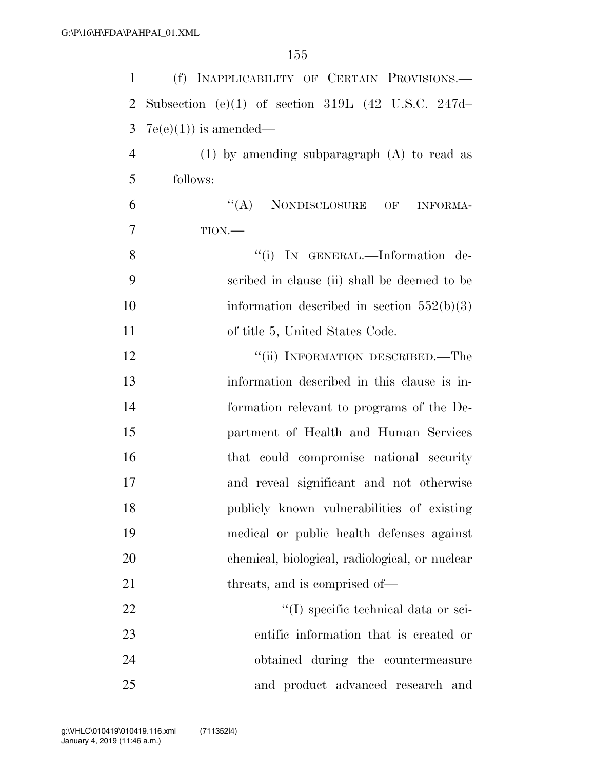| $\mathbf{1}$   | (f) INAPPLICABILITY OF CERTAIN PROVISIONS.-                   |
|----------------|---------------------------------------------------------------|
| $\overline{2}$ | Subsection (e)(1) of section 319L $(42 \text{ U.S.C. } 247d-$ |
| 3              | $7e(e)(1)$ is amended—                                        |
| $\overline{4}$ | $(1)$ by amending subparagraph $(A)$ to read as               |
| 5              | follows:                                                      |
| 6              | "(A) NONDISCLOSURE OF INFORMA-                                |
| 7              | $TION$ .                                                      |
| 8              | "(i) IN GENERAL.—Information de-                              |
| 9              | scribed in clause (ii) shall be deemed to be                  |
| 10             | information described in section $552(b)(3)$                  |
| 11             | of title 5, United States Code.                               |
| 12             | "(ii) INFORMATION DESCRIBED.—The                              |
| 13             | information described in this clause is in-                   |
| 14             | formation relevant to programs of the De-                     |
| 15             | partment of Health and Human Services                         |
| 16             | that could compromise national security                       |
| 17             | and reveal significant and not otherwise                      |
| 18             | publicly known vulnerabilities of existing                    |
| 19             | medical or public health defenses against                     |
| 20             | chemical, biological, radiological, or nuclear                |
| 21             | threats, and is comprised of—                                 |
| 22             | "(I) specific technical data or sci-                          |
| 23             | entific information that is created or                        |
| 24             | obtained during the countermeasure                            |
| 25             | and product advanced research and                             |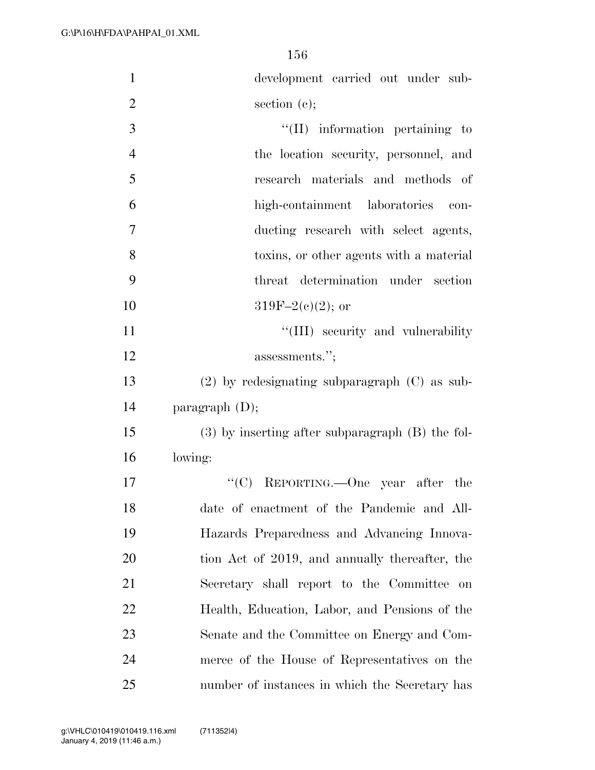| $\mathbf{1}$   | development carried out under sub-                   |
|----------------|------------------------------------------------------|
| $\overline{2}$ | section $(e)$ ;                                      |
| 3              | $\lq\lq$ (II) information pertaining to              |
| $\overline{4}$ | the location security, personnel, and                |
| 5              | research materials and methods of                    |
| 6              | high-containment laboratories<br>con-                |
| 7              | ducting research with select agents,                 |
| 8              | toxins, or other agents with a material              |
| 9              | threat determination under section                   |
| 10             | $319F-2(c)(2)$ ; or                                  |
| 11             | "(III) security and vulnerability"                   |
| 12             | assessments.";                                       |
| 13             | $(2)$ by redesignating subparagraph $(C)$ as sub-    |
| 14             | paragraph $(D)$ ;                                    |
| 15             | $(3)$ by inserting after subparagraph $(B)$ the fol- |
| 16             | lowing:                                              |
| 17             | "(C) REPORTING.—One year after the                   |
| 18             | date of enactment of the Pandemic and All-           |
| 19             | Hazards Preparedness and Advancing Innova-           |
| 20             | tion Act of 2019, and annually thereafter, the       |
| 21             | Secretary shall report to the Committee on           |
| 22             | Health, Education, Labor, and Pensions of the        |
| 23             | Senate and the Committee on Energy and Com-          |
| 24             | merce of the House of Representatives on the         |
| 25             | number of instances in which the Secretary has       |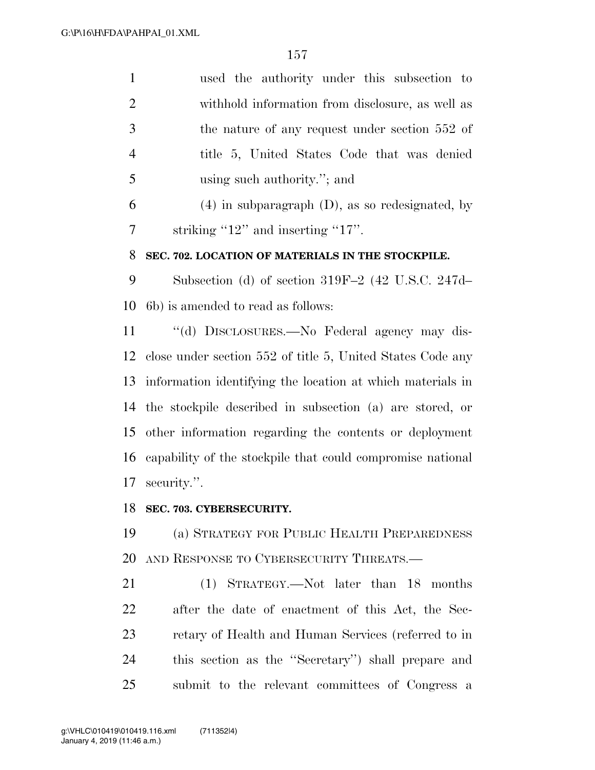| $\mathbf{1}$   | used the authority under this subsection to                   |
|----------------|---------------------------------------------------------------|
| $\overline{2}$ | withhold information from disclosure, as well as              |
| 3              | the nature of any request under section 552 of                |
| $\overline{4}$ | title 5, United States Code that was denied                   |
| 5              | using such authority."; and                                   |
| 6              | $(4)$ in subparagraph $(D)$ , as so redesignated, by          |
| 7              | striking " $12$ " and inserting " $17$ ".                     |
| 8              | SEC. 702. LOCATION OF MATERIALS IN THE STOCKPILE.             |
| 9              | Subsection (d) of section $319F-2$ (42 U.S.C. 247d-           |
| 10             | (6b) is amended to read as follows:                           |
| 11             | "(d) DISCLOSURES.—No Federal agency may dis-                  |
| 12             | close under section 552 of title 5, United States Code any    |
| 13             | information identifying the location at which materials in    |
| 14             | the stockpile described in subsection (a) are stored, or      |
| 15             | other information regarding the contents or deployment        |
|                | 16 capability of the stockpile that could compromise national |
| 17             | security.".                                                   |
|                | 18 SEC. 703. CYBERSECURITY.                                   |
| 19             | (a) STRATEGY FOR PUBLIC HEALTH PREPAREDNESS                   |
| 20             | AND RESPONSE TO CYBERSECURITY THREATS.                        |
| 21             | (1) STRATEGY.—Not later than 18 months                        |
| 22             | after the date of enactment of this Act, the Sec-             |
| 23             | retary of Health and Human Services (referred to in           |
| 24             | this section as the "Secretary" shall prepare and             |
| 25             | submit to the relevant committees of Congress a               |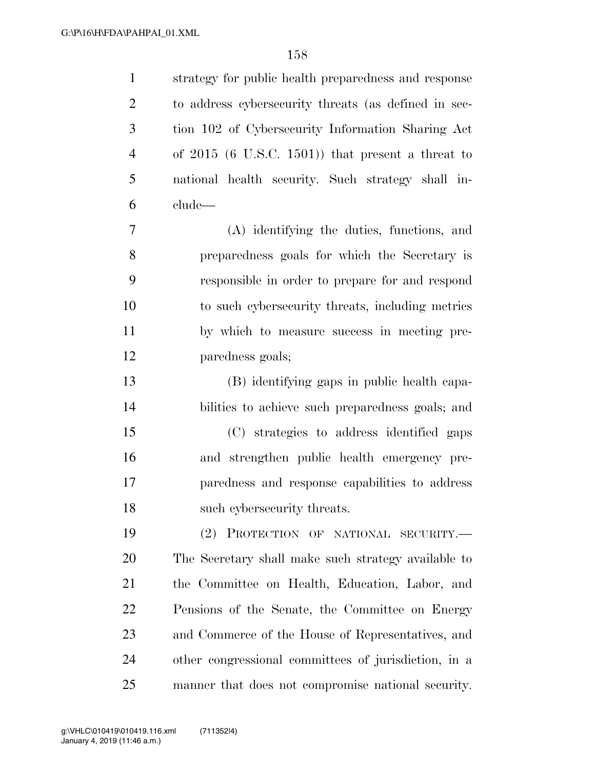| $\mathbf{1}$   | strategy for public health preparedness and response |
|----------------|------------------------------------------------------|
| $\overline{2}$ | to address cybersecurity threats (as defined in sec- |
| 3              | tion 102 of Cybersecurity Information Sharing Act    |
| $\overline{4}$ | of $2015$ (6 U.S.C. 1501)) that present a threat to  |
| 5              | national health security. Such strategy shall in-    |
| 6              | clude-                                               |
| $\tau$         | (A) identifying the duties, functions, and           |
| 8              | preparedness goals for which the Secretary is        |
| 9              | responsible in order to prepare for and respond      |
| 10             | to such cybersecurity threats, including metrics     |
| 11             | by which to measure success in meeting pre-          |
| 12             | paredness goals;                                     |
| 13             | (B) identifying gaps in public health capa-          |
| 14             | bilities to achieve such preparedness goals; and     |
| 15             | (C) strategies to address identified gaps            |
| 16             | and strengthen public health emergency pre-          |
| 17             | paredness and response capabilities to address       |
| 18             | such cybersecurity threats.                          |
| 19             | (2) PROTECTION OF NATIONAL SECURITY.-                |
| 20             | The Secretary shall make such strategy available to  |
| 21             | the Committee on Health, Education, Labor, and       |
| 22             | Pensions of the Senate, the Committee on Energy      |
| 23             | and Commerce of the House of Representatives, and    |
| 24             | other congressional committees of jurisdiction, in a |
| 25             | manner that does not compromise national security.   |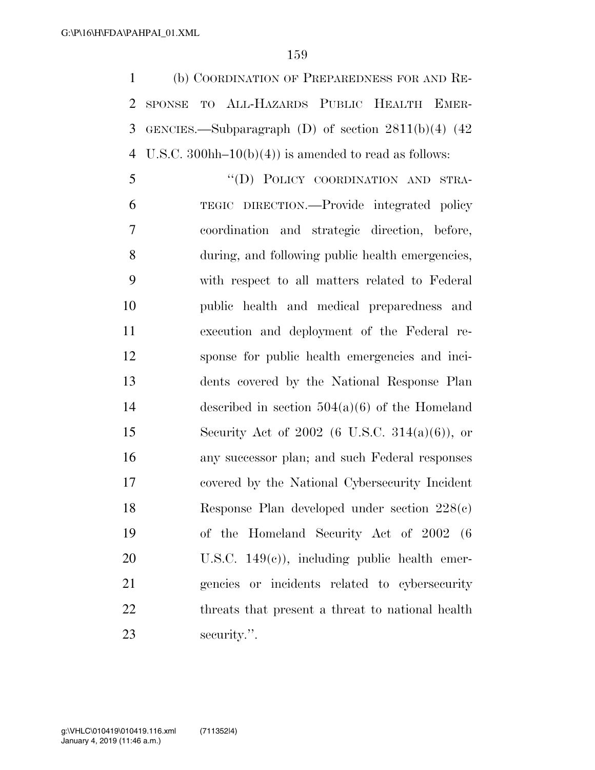(b) COORDINATION OF PREPAREDNESS FOR AND RE- SPONSE TO ALL-HAZARDS PUBLIC HEALTH EMER- GENCIES.—Subparagraph (D) of section 2811(b)(4) (42 4 U.S.C. 300hh–10(b)(4)) is amended to read as follows:

5 "(D) POLICY COORDINATION AND STRA- TEGIC DIRECTION.—Provide integrated policy coordination and strategic direction, before, during, and following public health emergencies, with respect to all matters related to Federal public health and medical preparedness and execution and deployment of the Federal re- sponse for public health emergencies and inci- dents covered by the National Response Plan described in section 504(a)(6) of the Homeland Security Act of 2002 (6 U.S.C. 314(a)(6)), or any successor plan; and such Federal responses covered by the National Cybersecurity Incident Response Plan developed under section 228(c) of the Homeland Security Act of 2002 (6 U.S.C. 149(c)), including public health emer- gencies or incidents related to cybersecurity 22 threats that present a threat to national health security.''.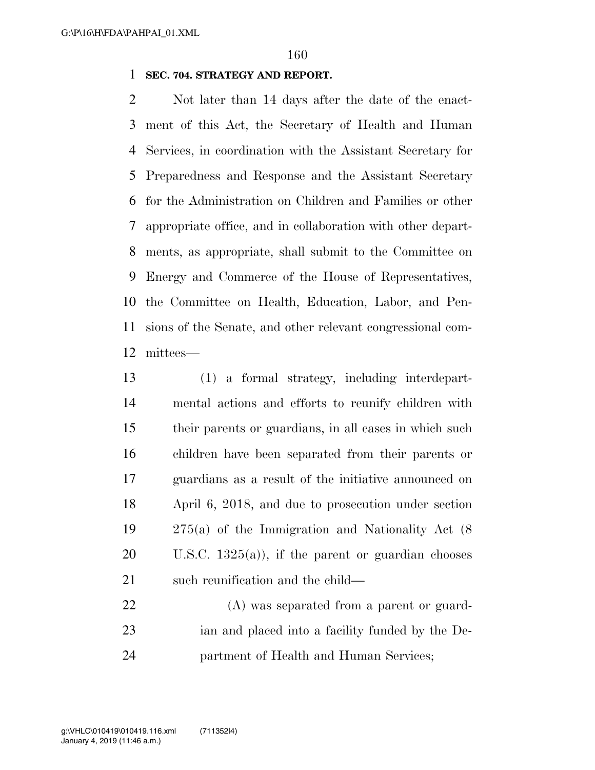#### **SEC. 704. STRATEGY AND REPORT.**

 Not later than 14 days after the date of the enact- ment of this Act, the Secretary of Health and Human Services, in coordination with the Assistant Secretary for Preparedness and Response and the Assistant Secretary for the Administration on Children and Families or other appropriate office, and in collaboration with other depart- ments, as appropriate, shall submit to the Committee on Energy and Commerce of the House of Representatives, the Committee on Health, Education, Labor, and Pen- sions of the Senate, and other relevant congressional com-mittees—

 (1) a formal strategy, including interdepart- mental actions and efforts to reunify children with their parents or guardians, in all cases in which such children have been separated from their parents or guardians as a result of the initiative announced on April 6, 2018, and due to prosecution under section 275(a) of the Immigration and Nationality Act (8 U.S.C. 1325(a)), if the parent or guardian chooses 21 such reunification and the child—

 (A) was separated from a parent or guard- ian and placed into a facility funded by the De-partment of Health and Human Services;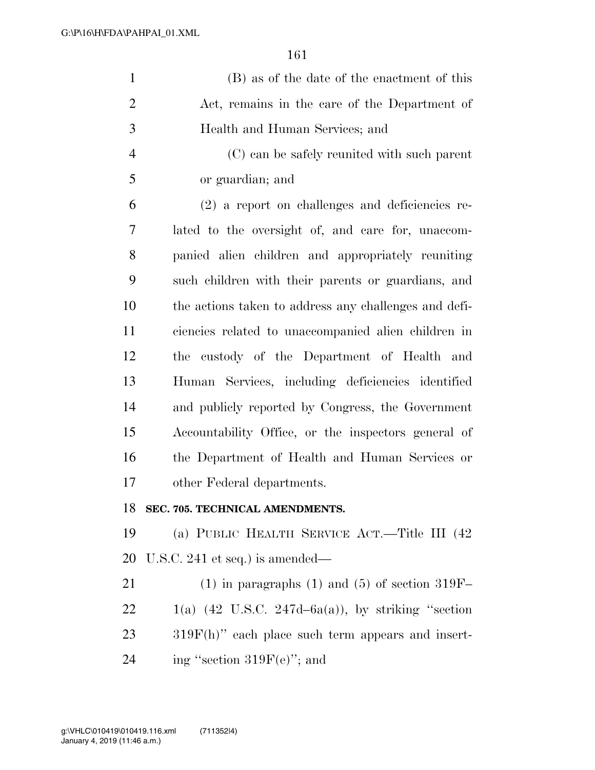| $\mathbf{1}$   | (B) as of the date of the enactment of this           |
|----------------|-------------------------------------------------------|
| $\overline{2}$ | Act, remains in the care of the Department of         |
| 3              | Health and Human Services; and                        |
| $\overline{4}$ | (C) can be safely reunited with such parent           |
| 5              | or guardian; and                                      |
| 6              | (2) a report on challenges and deficiencies re-       |
| 7              | lated to the oversight of, and care for, unaccom-     |
| 8              | panied alien children and appropriately reuniting     |
| 9              | such children with their parents or guardians, and    |
| 10             | the actions taken to address any challenges and defi- |
| 11             | ciencies related to unaccompanied alien children in   |
| 12             | the custody of the Department of Health and           |
| 13             | Human Services, including deficiencies identified     |
| 14             | and publicly reported by Congress, the Government     |
| 15             | Accountability Office, or the inspectors general of   |
| 16             | the Department of Health and Human Services or        |
| 17             | other Federal departments.                            |
| 18             | SEC. 705. TECHNICAL AMENDMENTS.                       |
| 19             | (a) PUBLIC HEALTH SERVICE ACT.—Title III (42)         |
| 20             | U.S.C. 241 et seq.) is amended—                       |
| 21             | $(1)$ in paragraphs $(1)$ and $(5)$ of section 319F-  |
| 22             | $1(a)$ (42 U.S.C. 247d–6a(a)), by striking "section   |
| 23             | $319F(h)$ " each place such term appears and insert-  |

24 ing "section  $319F(e)$ "; and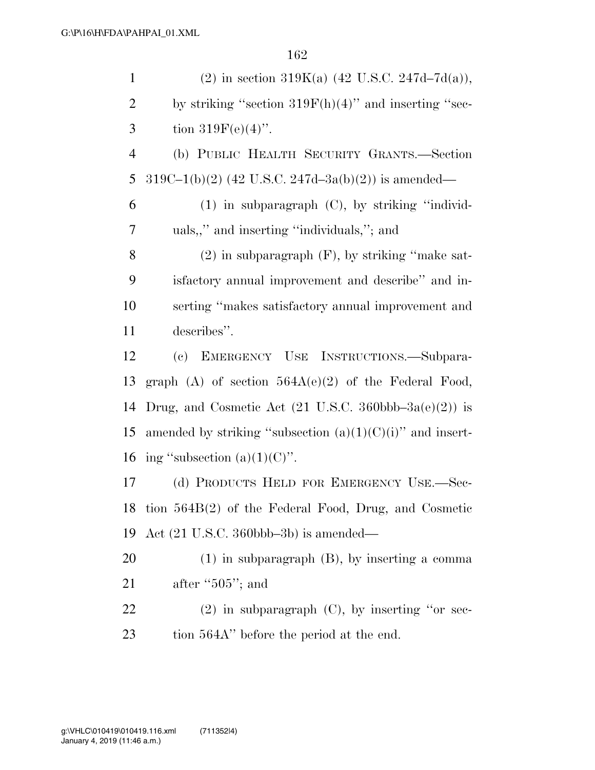| $\mathbf{1}$   | (2) in section 319K(a) $(42 \text{ U.S.C. } 247d-7d(a)),$                         |
|----------------|-----------------------------------------------------------------------------------|
| $\overline{2}$ | by striking "section $319F(h)(4)$ " and inserting "sec-                           |
| 3              | tion $319F(e)(4)$ ".                                                              |
| $\overline{4}$ | (b) PUBLIC HEALTH SECURITY GRANTS.—Section                                        |
| 5              | $319C-1(b)(2)$ (42 U.S.C. 247d-3a(b)(2)) is amended—                              |
| 6              | $(1)$ in subparagraph $(C)$ , by striking "individ-                               |
| 7              | uals,," and inserting "individuals,"; and                                         |
| 8              | $(2)$ in subparagraph $(F)$ , by striking "make sat-                              |
| 9              | isfactory annual improvement and describe" and in-                                |
| 10             | serting "makes satisfactory annual improvement and                                |
| 11             | describes".                                                                       |
| 12             | (c) EMERGENCY USE INSTRUCTIONS.—Subpara-                                          |
| 13             | graph $(A)$ of section $564A(e)(2)$ of the Federal Food,                          |
| 14             | Drug, and Cosmetic Act $(21 \text{ U.S.C. } 360 \text{bbb} - 3a(\text{e})(2))$ is |
| 15             | amended by striking "subsection $(a)(1)(C)(i)$ " and insert-                      |
| 16             | ing "subsection $(a)(1)(C)$ ".                                                    |
| 17             | (d) PRODUCTS HELD FOR EMERGENCY USE.-Sec-                                         |
| 18             | tion $564B(2)$ of the Federal Food, Drug, and Cosmetic                            |
| 19             | Act $(21 \text{ U.S.C. } 360 \text{bbb} - 3b)$ is amended—                        |
| 20             | $(1)$ in subparagraph $(B)$ , by inserting a comma                                |
| 21             | after " $505$ "; and                                                              |
| 22             | $(2)$ in subparagraph $(C)$ , by inserting "or sec-                               |
| 23             | tion 564A" before the period at the end.                                          |
|                |                                                                                   |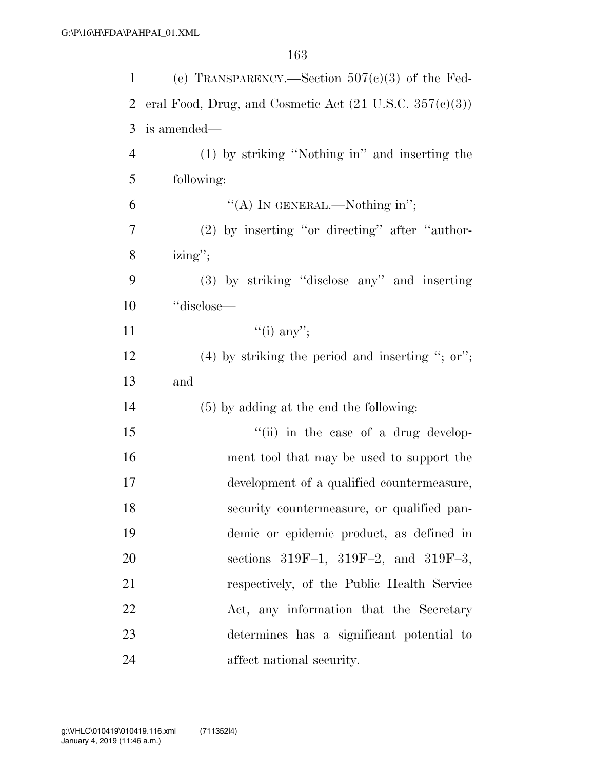| 1              | (e) TRANSPARENCY.—Section $507(c)(3)$ of the Fed-                           |
|----------------|-----------------------------------------------------------------------------|
| 2              | eral Food, Drug, and Cosmetic Act $(21 \text{ U.S.C. } 357 \text{ (e)}(3))$ |
| 3              | is amended—                                                                 |
| $\overline{4}$ | (1) by striking "Nothing in" and inserting the                              |
| 5              | following:                                                                  |
| 6              | "(A) IN GENERAL.—Nothing in";                                               |
| 7              | (2) by inserting "or directing" after "author-                              |
| 8              | $\text{izing}$ ";                                                           |
| 9              | (3) by striking "disclose any" and inserting                                |
| 10             | "disclose—                                                                  |
| 11             | $``(i)$ any";                                                               |
| 12             | $(4)$ by striking the period and inserting "; or";                          |
| 13             | and                                                                         |
| 14             | $(5)$ by adding at the end the following:                                   |
| 15             | "(ii) in the case of a drug develop-                                        |
| 16             | ment tool that may be used to support the                                   |
| 17             | development of a qualified countermeasure,                                  |
| 18             | security countermeasure, or qualified pan-                                  |
| 19             | demic or epidemic product, as defined in                                    |
| 20             | sections 319F-1, 319F-2, and 319F-3,                                        |
| 21             | respectively, of the Public Health Service                                  |
| 22             | Act, any information that the Secretary                                     |
| 23             | determines has a significant potential to                                   |
| 24             | affect national security.                                                   |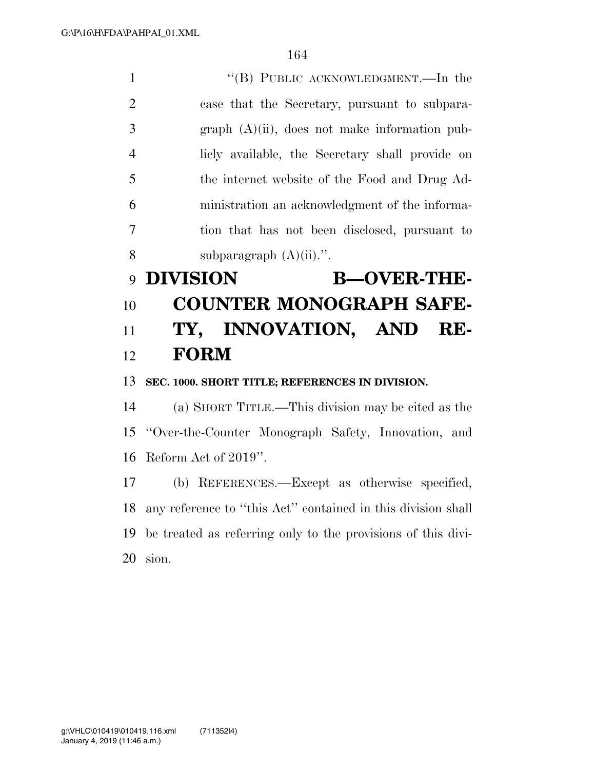1 ''(B) PUBLIC ACKNOWLEDGMENT.—In the case that the Secretary, pursuant to subpara- graph (A)(ii), does not make information pub- licly available, the Secretary shall provide on the internet website of the Food and Drug Ad- ministration an acknowledgment of the informa- tion that has not been disclosed, pursuant to 8 subparagraph  $(A)(ii)$ .".

# **DIVISION B—OVER-THE- COUNTER MONOGRAPH SAFE- TY, INNOVATION, AND RE-FORM**

**SEC. 1000. SHORT TITLE; REFERENCES IN DIVISION.** 

 (a) SHORT TITLE.—This division may be cited as the ''Over-the-Counter Monograph Safety, Innovation, and Reform Act of 2019''.

 (b) REFERENCES.—Except as otherwise specified, any reference to ''this Act'' contained in this division shall be treated as referring only to the provisions of this divi-sion.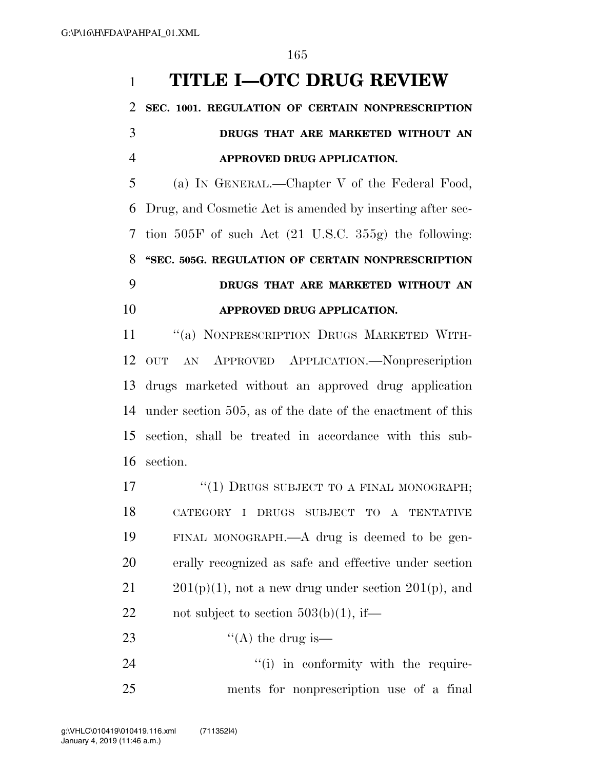## **TITLE I—OTC DRUG REVIEW**

## **SEC. 1001. REGULATION OF CERTAIN NONPRESCRIPTION DRUGS THAT ARE MARKETED WITHOUT AN APPROVED DRUG APPLICATION.**

 (a) IN GENERAL.—Chapter V of the Federal Food, Drug, and Cosmetic Act is amended by inserting after sec- tion 505F of such Act (21 U.S.C. 355g) the following: **''SEC. 505G. REGULATION OF CERTAIN NONPRESCRIPTION DRUGS THAT ARE MARKETED WITHOUT AN APPROVED DRUG APPLICATION.** 

11 "(a) NONPRESCRIPTION DRUGS MARKETED WITH- OUT AN APPROVED APPLICATION.—Nonprescription drugs marketed without an approved drug application under section 505, as of the date of the enactment of this section, shall be treated in accordance with this sub-section.

17 "(1) DRUGS SUBJECT TO A FINAL MONOGRAPH; CATEGORY I DRUGS SUBJECT TO A TENTATIVE FINAL MONOGRAPH.—A drug is deemed to be gen- erally recognized as safe and effective under section  $201(p)(1)$ , not a new drug under section 201(p), and 22 not subject to section  $503(b)(1)$ , if—

23  $\text{``(A) the drug is}$ 

24  $(1)$  in conformity with the require-ments for nonprescription use of a final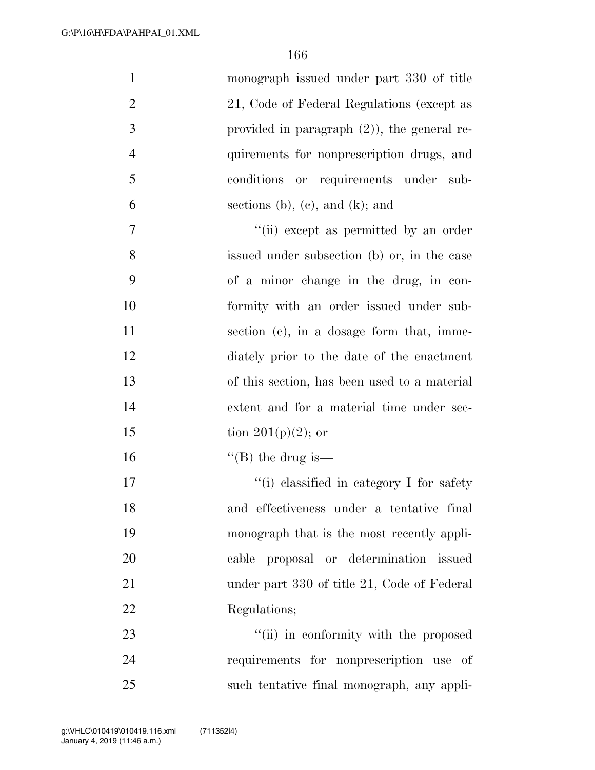| $\mathbf{1}$   | monograph issued under part 330 of title       |
|----------------|------------------------------------------------|
| $\overline{2}$ | 21, Code of Federal Regulations (except as     |
| 3              | provided in paragraph $(2)$ ), the general re- |
| $\overline{4}$ | quirements for nonprescription drugs, and      |
| 5              | or requirements under sub-<br>conditions       |
| 6              | sections (b), (c), and (k); and                |
| 7              | "(ii) except as permitted by an order          |
| 8              | issued under subsection (b) or, in the case    |
| 9              | of a minor change in the drug, in con-         |
| 10             | formity with an order issued under sub-        |
| 11             | section (c), in a dosage form that, imme-      |
| 12             | diately prior to the date of the enactment     |
| 13             | of this section, has been used to a material   |
| 14             | extent and for a material time under sec-      |
| 15             | tion 201(p)(2); or                             |
| 16             | "(B) the drug is—                              |
| 17             | "(i) classified in category I for safety       |
| 18             | and effectiveness under a tentative final      |
| 19             | monograph that is the most recently appli-     |
| 20             | cable proposal or determination issued         |
| 21             | under part 330 of title 21, Code of Federal    |
| 22             | Regulations;                                   |
| 23             | "(ii) in conformity with the proposed          |
| 24             | requirements for nonprescription use of        |
| 25             | such tentative final monograph, any appli-     |
|                |                                                |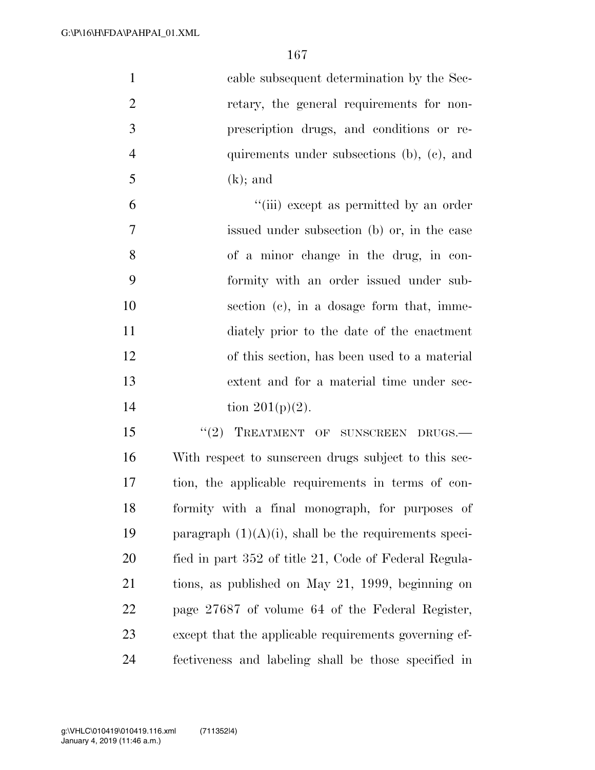| $\mathbf{1}$   | cable subsequent determination by the Sec-               |
|----------------|----------------------------------------------------------|
| $\overline{2}$ | retary, the general requirements for non-                |
| 3              | prescription drugs, and conditions or re-                |
| $\overline{4}$ | quirements under subsections (b), (c), and               |
| 5              | $(k)$ ; and                                              |
| 6              | "(iii) except as permitted by an order                   |
| $\overline{7}$ | issued under subsection (b) or, in the case              |
| 8              | of a minor change in the drug, in con-                   |
| 9              | formity with an order issued under sub-                  |
| 10             | section (c), in a dosage form that, imme-                |
| 11             | diately prior to the date of the enactment               |
| 12             | of this section, has been used to a material             |
| 13             | extent and for a material time under sec-                |
| 14             | tion $201(p)(2)$ .                                       |
| 15             | "(2) TREATMENT OF SUNSCREEN DRUGS.-                      |
| 16             | With respect to sunscreen drugs subject to this sec-     |
| 17             | tion, the applicable requirements in terms of con-       |
| 18             | formity with a final monograph, for purposes of          |
| 19             | paragraph $(1)(A)(i)$ , shall be the requirements speci- |
| 20             | fied in part 352 of title 21, Code of Federal Regula-    |
| 21             | tions, as published on May 21, 1999, beginning on        |
| 22             | page 27687 of volume 64 of the Federal Register,         |
| 23             | except that the applicable requirements governing ef-    |
| 24             | fectiveness and labeling shall be those specified in     |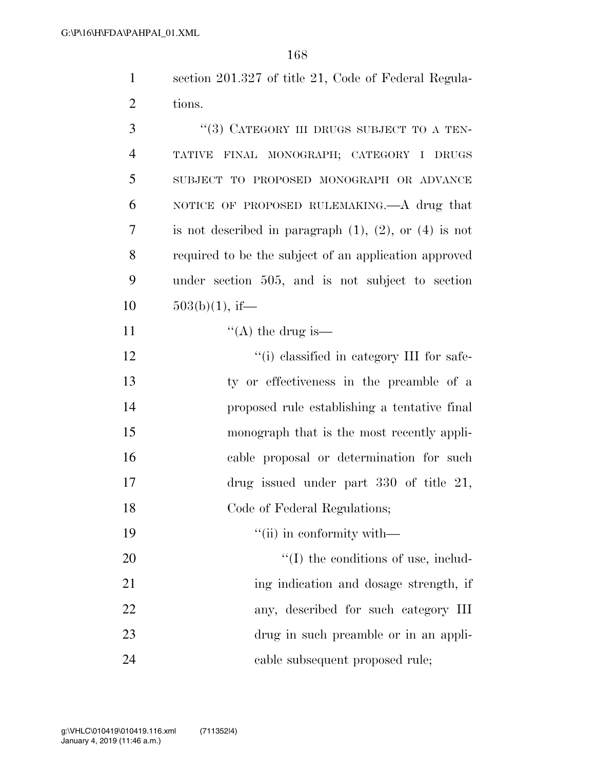section 201.327 of title 21, Code of Federal Regula-tions.

| 3              | "(3) CATEGORY III DRUGS SUBJECT TO A TEN-                     |
|----------------|---------------------------------------------------------------|
| $\overline{4}$ | TATIVE FINAL MONOGRAPH; CATEGORY I DRUGS                      |
| 5              | SUBJECT TO PROPOSED MONOGRAPH OR ADVANCE                      |
| 6              | NOTICE OF PROPOSED RULEMAKING.—A drug that                    |
| 7              | is not described in paragraph $(1)$ , $(2)$ , or $(4)$ is not |
| 8              | required to be the subject of an application approved         |
| 9              | under section 505, and is not subject to section              |
| 10             | $503(b)(1)$ , if—                                             |
| 11             | "(A) the drug is—                                             |
| 12             | "(i) classified in category III for safe-                     |
| 13             | ty or effectiveness in the preamble of a                      |
| 14             | proposed rule establishing a tentative final                  |
| 15             | monograph that is the most recently appli-                    |
| 16             | cable proposal or determination for such                      |
| 17             | drug issued under part 330 of title 21,                       |
| 18             | Code of Federal Regulations;                                  |
| 19             | "(ii) in conformity with—                                     |
| 20             | $\lq\lq$ (I) the conditions of use, includ-                   |
| 21             | ing indication and dosage strength, if                        |
| 22             | any, described for such category III                          |
| 23             | drug in such preamble or in an appli-                         |
| 24             | cable subsequent proposed rule;                               |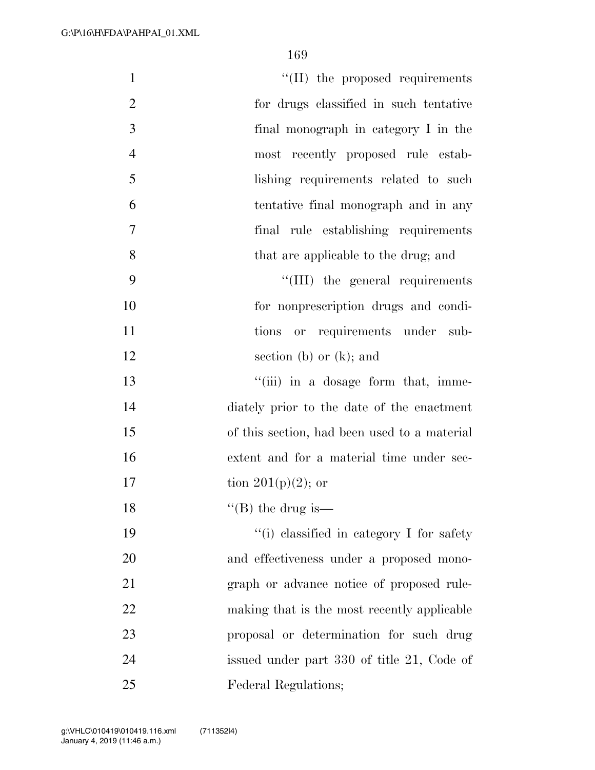| $\mathbf{1}$   | "(II) the proposed requirements              |
|----------------|----------------------------------------------|
| $\mathfrak{2}$ | for drugs classified in such tentative       |
| 3              | final monograph in category I in the         |
| $\overline{4}$ | most recently proposed rule estab-           |
| 5              | lishing requirements related to such         |
| 6              | tentative final monograph and in any         |
| 7              | final rule establishing requirements         |
| 8              | that are applicable to the drug; and         |
| 9              | "(III) the general requirements              |
| 10             | for nonprescription drugs and condi-         |
| 11             | tions or requirements under sub-             |
| 12             | section (b) or $(k)$ ; and                   |
| 13             | "(iii) in a dosage form that, imme-          |
| 14             | diately prior to the date of the enactment   |
| 15             | of this section, had been used to a material |
| 16             | extent and for a material time under sec-    |
| 17             | tion 201(p)(2); or                           |
| 18             | "(B) the drug is—                            |
| 19             | "(i) classified in category I for safety     |
| 20             | and effectiveness under a proposed mono-     |
| 21             | graph or advance notice of proposed rule-    |
| 22             | making that is the most recently applicable  |
| 23             | proposal or determination for such drug      |
| 24             | issued under part 330 of title 21, Code of   |
| 25             | Federal Regulations;                         |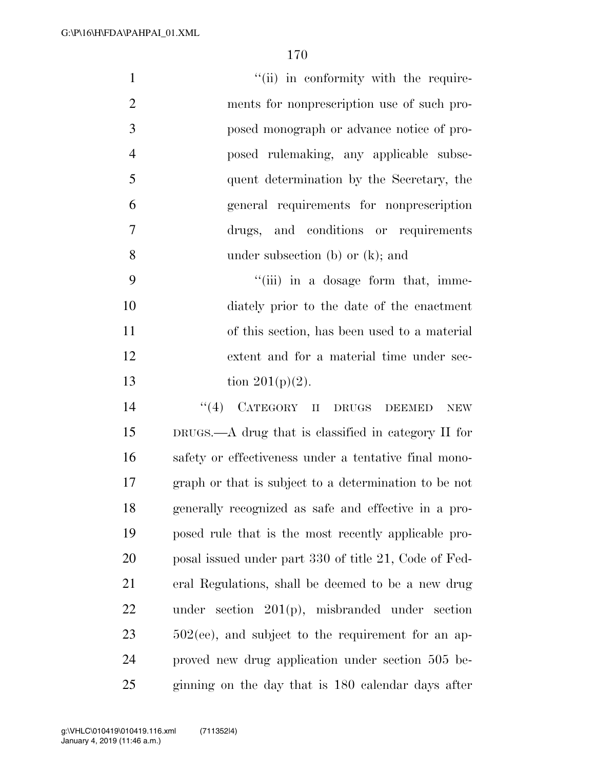- 1  $''(ii)$  in conformity with the require- ments for nonprescription use of such pro- posed monograph or advance notice of pro- posed rulemaking, any applicable subse- quent determination by the Secretary, the general requirements for nonprescription drugs, and conditions or requirements under subsection (b) or (k); and
- 9  $\frac{4}{\text{iii}}$  in a dosage form that, imme- diately prior to the date of the enactment of this section, has been used to a material extent and for a material time under sec-13 tion  $201(p)(2)$ .
- 14 ''(4) CATEGORY II DRUGS DEEMED NEW DRUGS.—A drug that is classified in category II for safety or effectiveness under a tentative final mono- graph or that is subject to a determination to be not generally recognized as safe and effective in a pro- posed rule that is the most recently applicable pro-20 posal issued under part 330 of title 21, Code of Fed- eral Regulations, shall be deemed to be a new drug under section 201(p), misbranded under section 502(ee), and subject to the requirement for an ap- proved new drug application under section 505 be-ginning on the day that is 180 calendar days after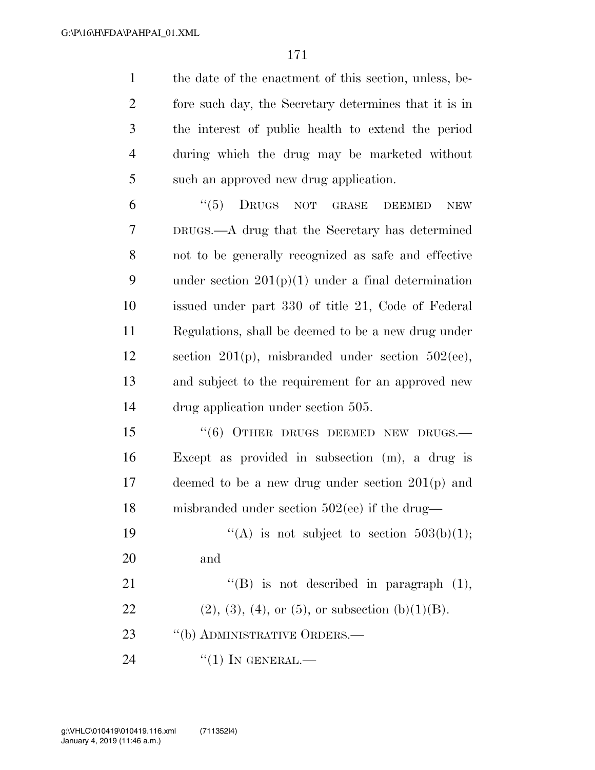the date of the enactment of this section, unless, be- fore such day, the Secretary determines that it is in the interest of public health to extend the period during which the drug may be marketed without such an approved new drug application.

6 "(5) DRUGS NOT GRASE DEEMED NEW DRUGS.—A drug that the Secretary has determined not to be generally recognized as safe and effective 9 under section  $201(p)(1)$  under a final determination issued under part 330 of title 21, Code of Federal Regulations, shall be deemed to be a new drug under section 201(p), misbranded under section 502(ee), and subject to the requirement for an approved new drug application under section 505.

15 "(6) OTHER DRUGS DEEMED NEW DRUGS.— Except as provided in subsection (m), a drug is deemed to be a new drug under section 201(p) and misbranded under section 502(ee) if the drug—

19  $((A)$  is not subject to section 503(b)(1); and

21 ''(B) is not described in paragraph (1), 22 (2), (3), (4), or (5), or subsection (b)(1)(B). 23 "(b) ADMINISTRATIVE ORDERS.— 24 "(1) IN GENERAL.—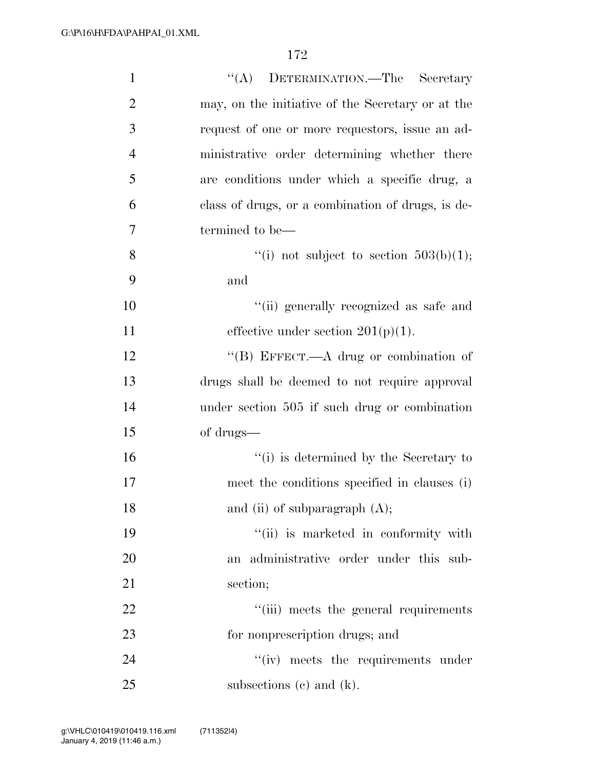| $\mathbf{1}$   | "(A) DETERMINATION.—The Secretary                 |
|----------------|---------------------------------------------------|
| $\overline{2}$ | may, on the initiative of the Secretary or at the |
| 3              | request of one or more requestors, issue an ad-   |
| $\overline{4}$ | ministrative order determining whether there      |
| 5              | are conditions under which a specific drug, a     |
| 6              | class of drugs, or a combination of drugs, is de- |
| 7              | termined to be—                                   |
| 8              | "(i) not subject to section $503(b)(1)$ ;         |
| 9              | and                                               |
| 10             | "(ii) generally recognized as safe and            |
| 11             | effective under section $201(p)(1)$ .             |
| 12             | "(B) EFFECT.—A drug or combination of             |
| 13             | drugs shall be deemed to not require approval     |
| 14             | under section 505 if such drug or combination     |
| 15             | of drugs—                                         |
| 16             | "(i) is determined by the Secretary to            |
| 17             | meet the conditions specified in clauses (i)      |
| 18             | and (ii) of subparagraph $(A)$ ;                  |
| 19             | "(ii) is marketed in conformity with              |
| 20             | administrative order under this sub-<br>an        |
| 21             | section;                                          |
| 22             | "(iii) meets the general requirements             |
| 23             | for nonprescription drugs; and                    |
| 24             | "(iv) meets the requirements under                |
| 25             | subsections $(c)$ and $(k)$ .                     |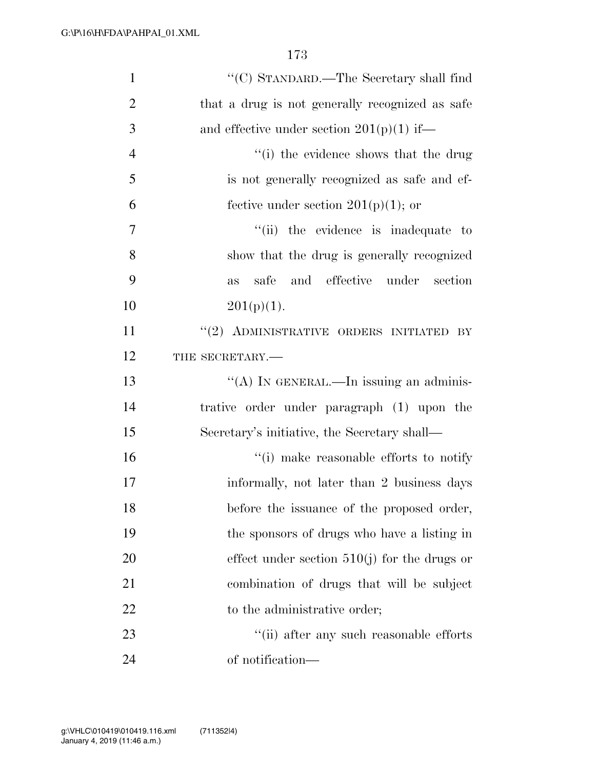| $\mathbf{1}$   | "(C) STANDARD.—The Secretary shall find         |
|----------------|-------------------------------------------------|
| $\overline{2}$ | that a drug is not generally recognized as safe |
| 3              | and effective under section $201(p)(1)$ if—     |
| $\overline{4}$ | "(i) the evidence shows that the drug           |
| 5              | is not generally recognized as safe and ef-     |
| 6              | fective under section $201(p)(1)$ ; or          |
| 7              | "(ii) the evidence is inadequate to             |
| 8              | show that the drug is generally recognized      |
| 9              | and effective under section<br>safe<br>as       |
| 10             | $201(p)(1)$ .                                   |
| 11             | "(2) ADMINISTRATIVE ORDERS INITIATED BY         |
| 12             | THE SECRETARY.-                                 |
| 13             | "(A) IN GENERAL.—In issuing an adminis-         |
| 14             | trative order under paragraph (1) upon the      |
| 15             | Secretary's initiative, the Secretary shall—    |
| 16             | "(i) make reasonable efforts to notify          |
| 17             | informally, not later than 2 business days      |
| 18             | before the issuance of the proposed order,      |
| 19             | the sponsors of drugs who have a listing in     |
| 20             | effect under section $510(j)$ for the drugs or  |
| 21             | combination of drugs that will be subject       |
| 22             | to the administrative order;                    |
| 23             | $``$ (ii) after any such reasonable efforts     |
| 24             | of notification—                                |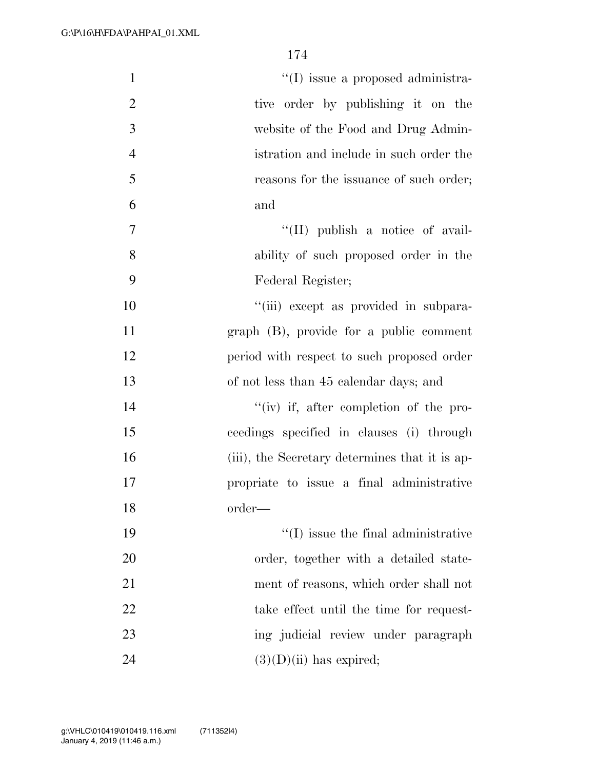| $\mathbf{1}$   | $\lq\lq$ (I) issue a proposed administra-      |
|----------------|------------------------------------------------|
| $\overline{2}$ | tive order by publishing it on the             |
| 3              | website of the Food and Drug Admin-            |
| $\overline{4}$ | istration and include in such order the        |
| 5              | reasons for the issuance of such order;        |
| 6              | and                                            |
| 7              | "(II) publish a notice of avail-               |
| 8              | ability of such proposed order in the          |
| 9              | Federal Register;                              |
| 10             | "(iii) except as provided in subpara-          |
| 11             | graph (B), provide for a public comment        |
| 12             | period with respect to such proposed order     |
| 13             | of not less than 45 calendar days; and         |
| 14             | $``(iv)$ if, after completion of the pro-      |
| 15             | ceedings specified in clauses (i) through      |
| 16             | (iii), the Secretary determines that it is ap- |
| 17             | propriate to issue a final administrative      |
| 18             | order—                                         |
| 19             | $\lq\lq$ (I) issue the final administrative    |
| 20             | order, together with a detailed state-         |
| 21             | ment of reasons, which order shall not         |
| 22             | take effect until the time for request-        |
| 23             | ing judicial review under paragraph            |
| 24             | $(3)(D)(ii)$ has expired;                      |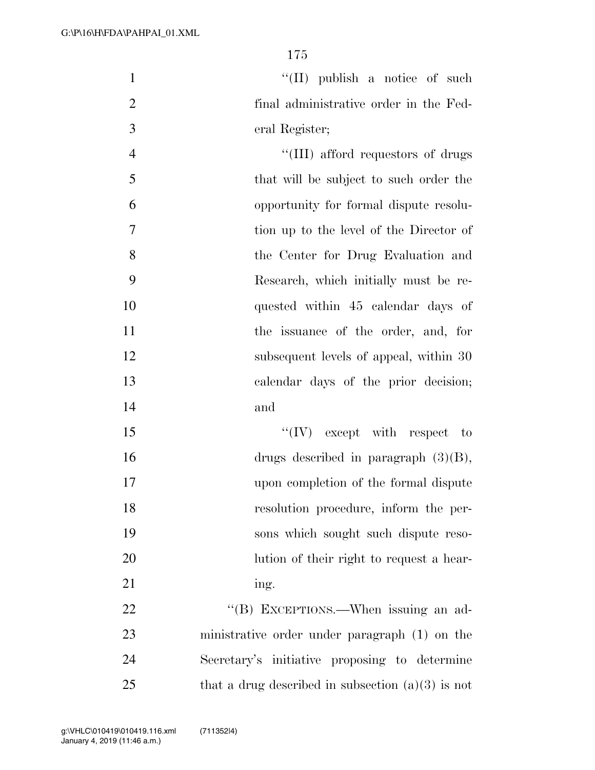1 ''(II) publish a notice of such 2 final administrative order in the Fed-3 eral Register;

 $\frac{4}{\text{H}}$  afford requestors of drugs that will be subject to such order the opportunity for formal dispute resolu- tion up to the level of the Director of the Center for Drug Evaluation and Research, which initially must be re- quested within 45 calendar days of 11 the issuance of the order, and, for 12 subsequent levels of appeal, within 30 calendar days of the prior decision; 14 and

15 ''(IV) except with respect to 16 drugs described in paragraph (3)(B), 17 upon completion of the formal dispute 18 resolution procedure, inform the per-19 sons which sought such dispute reso-20 lution of their right to request a hear-21 ing.

22 "'(B) EXCEPTIONS.—When issuing an ad-23 ministrative order under paragraph (1) on the 24 Secretary's initiative proposing to determine 25 that a drug described in subsection  $(a)(3)$  is not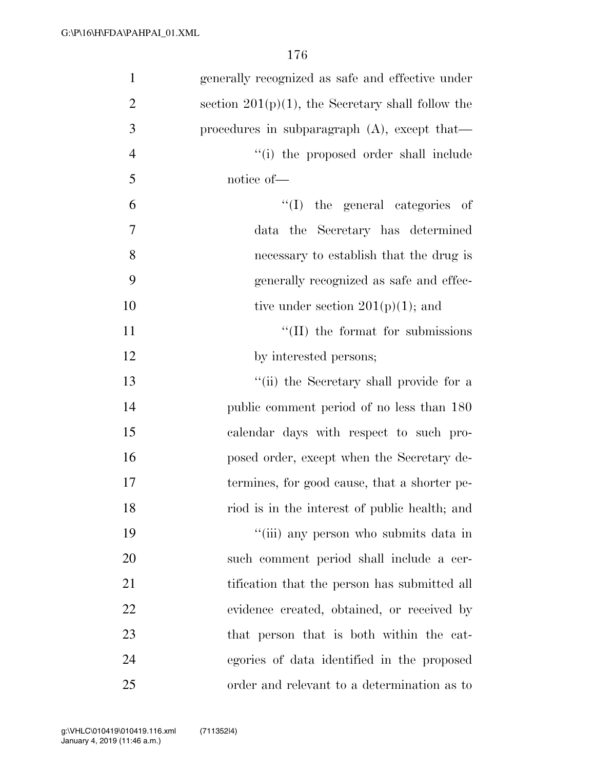| $\mathbf{1}$   | generally recognized as safe and effective under     |
|----------------|------------------------------------------------------|
| $\overline{2}$ | section $201(p)(1)$ , the Secretary shall follow the |
| 3              | procedures in subparagraph $(A)$ , except that—      |
| $\overline{4}$ | "(i) the proposed order shall include                |
| 5              | notice of-                                           |
| 6              | "(I) the general categories of                       |
| 7              | data the Secretary has determined                    |
| 8              | necessary to establish that the drug is              |
| 9              | generally recognized as safe and effec-              |
| 10             | tive under section $201(p)(1)$ ; and                 |
| 11             | $\lq\lq$ (II) the format for submissions             |
| 12             | by interested persons;                               |
| 13             | "(ii) the Secretary shall provide for a              |
| 14             | public comment period of no less than 180            |
| 15             | calendar days with respect to such pro-              |
| 16             | posed order, except when the Secretary de-           |
| 17             | termines, for good cause, that a shorter pe-         |
| 18             | riod is in the interest of public health; and        |
| 19             | "(iii) any person who submits data in                |
| 20             | such comment period shall include a cer-             |
| 21             | tification that the person has submitted all         |
| 22             | evidence created, obtained, or received by           |
| 23             | that person that is both within the cat-             |
| 24             | egories of data identified in the proposed           |
| 25             | order and relevant to a determination as to          |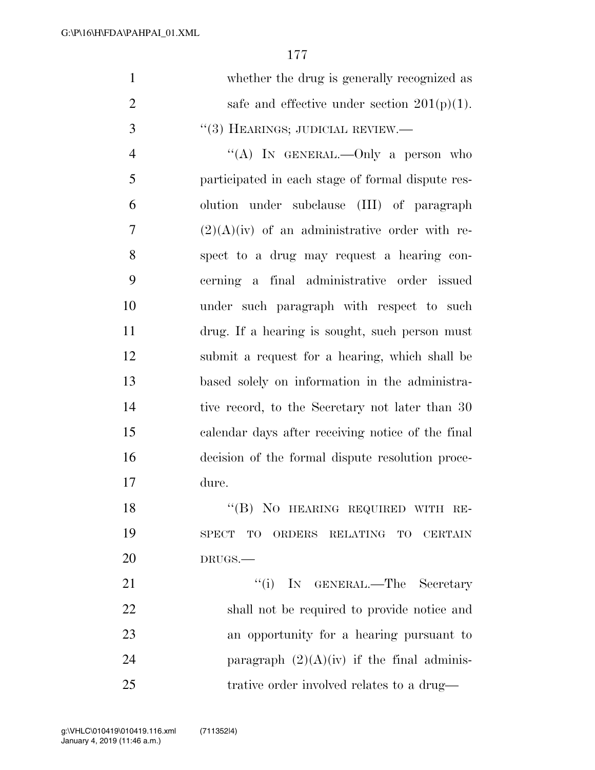| $\mathbf{1}$   | whether the drug is generally recognized as       |
|----------------|---------------------------------------------------|
| $\overline{2}$ | safe and effective under section $201(p)(1)$ .    |
| 3              | $``(3)$ HEARINGS; JUDICIAL REVIEW.—               |
| $\overline{4}$ | "(A) IN GENERAL.—Only a person who                |
| 5              | participated in each stage of formal dispute res- |
| 6              | olution under subclause (III) of paragraph        |
| 7              | $(2)(A)(iv)$ of an administrative order with re-  |
| 8              | spect to a drug may request a hearing con-        |
| 9              | cerning a final administrative order issued       |
| 10             | under such paragraph with respect to such         |
| 11             | drug. If a hearing is sought, such person must    |
| 12             | submit a request for a hearing, which shall be    |
| 13             | based solely on information in the administra-    |
| 14             | tive record, to the Secretary not later than 30   |
| 15             | calendar days after receiving notice of the final |
| 16             | decision of the formal dispute resolution proce-  |
| 17             | dure.                                             |
| 18             | "(B) NO HEARING REQUIRED WITH RE-                 |
| 19             | SPECT TO<br>ORDERS RELATING TO<br>CERTAIN         |
| 20             | DRUGS.                                            |
| 21             | "(i) IN GENERAL.—The Secretary                    |
| 22             | shall not be required to provide notice and       |
| 23             | an opportunity for a hearing pursuant to          |
| 24             | paragraph $(2)(A)(iv)$ if the final adminis-      |
| 25             | trative order involved relates to a drug—         |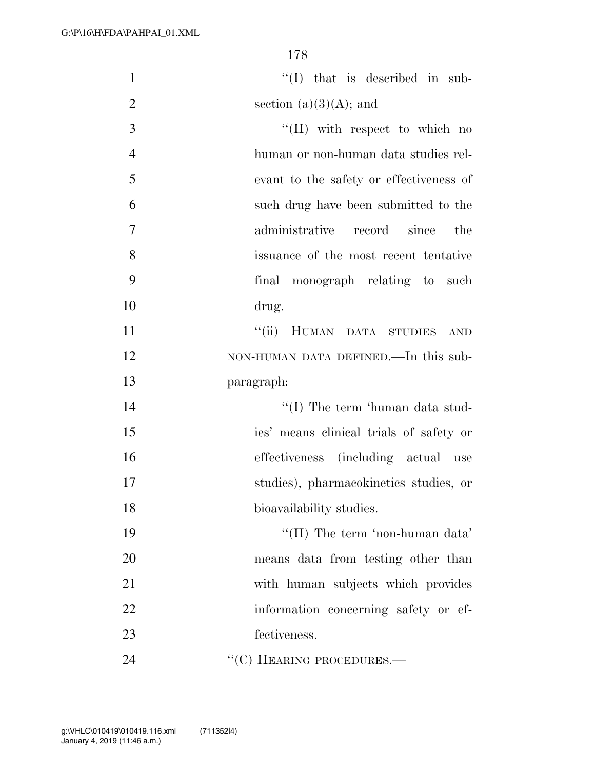| $\mathbf{1}$   | $\lq\lq$ (I) that is described in sub-  |
|----------------|-----------------------------------------|
| $\overline{2}$ | section $(a)(3)(A)$ ; and               |
| 3              | $\lq\lq$ (II) with respect to which no  |
| $\overline{4}$ | human or non-human data studies rel-    |
| 5              | evant to the safety or effectiveness of |
| 6              | such drug have been submitted to the    |
| 7              | administrative record since<br>the      |
| 8              | issuance of the most recent tentative   |
| 9              | final monograph relating to such        |
| 10             | drug.                                   |
| 11             | "(ii) HUMAN DATA STUDIES AND            |
| 12             | NON-HUMAN DATA DEFINED.—In this sub-    |
| 13             | paragraph:                              |
| 14             | "(I) The term 'human data stud-         |
| 15             | ies' means clinical trials of safety or |
| 16             | effectiveness (including actual use     |
| 17             | studies), pharmacokinetics studies, or  |
| 18             | bioavailability studies.                |
| 19             | "(II) The term 'non-human data'         |
| 20             | means data from testing other than      |
| 21             | with human subjects which provides      |
| 22             | information concerning safety or ef-    |
| 23             | fectiveness.                            |
| 24             | "(C) HEARING PROCEDURES.—               |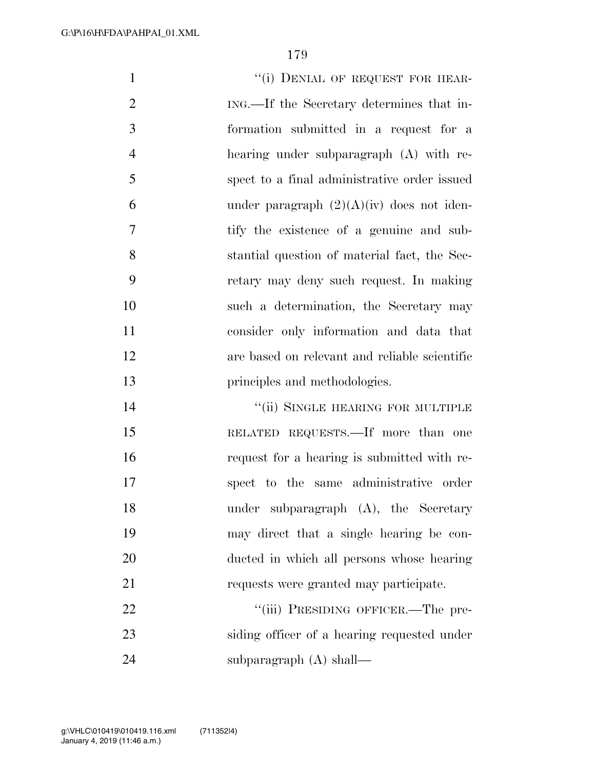1 "(i) DENIAL OF REQUEST FOR HEAR- ING.—If the Secretary determines that in- formation submitted in a request for a hearing under subparagraph (A) with re- spect to a final administrative order issued 6 under paragraph  $(2)(A)(iv)$  does not iden- tify the existence of a genuine and sub- stantial question of material fact, the Sec- retary may deny such request. In making such a determination, the Secretary may consider only information and data that are based on relevant and reliable scientific **principles** and methodologies. **The Contract Official SINGLE HEARING FOR MULTIPLE**  RELATED REQUESTS.—If more than one request for a hearing is submitted with re- spect to the same administrative order under subparagraph (A), the Secretary may direct that a single hearing be con-ducted in which all persons whose hearing

requests were granted may participate.

22 ""(iii) PRESIDING OFFICER.—The pre- siding officer of a hearing requested under subparagraph (A) shall—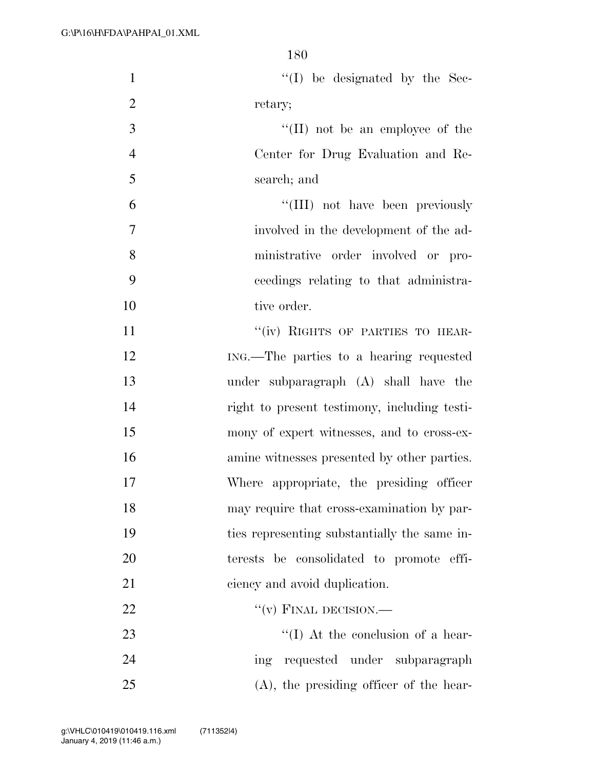| $\mathbf{1}$   | $\lq\lq$ (I) be designated by the Sec-       |
|----------------|----------------------------------------------|
| $\overline{2}$ | retary;                                      |
| 3              | $\lq\lq$ (II) not be an employee of the      |
| $\overline{4}$ | Center for Drug Evaluation and Re-           |
| 5              | search; and                                  |
| 6              | "(III) not have been previously              |
| 7              | involved in the development of the ad-       |
| 8              | ministrative order involved or pro-          |
| 9              | ceedings relating to that administra-        |
| 10             | tive order.                                  |
| 11             | "(iv) RIGHTS OF PARTIES TO HEAR-             |
| 12             | ING.—The parties to a hearing requested      |
| 13             | under subparagraph (A) shall have the        |
| 14             | right to present testimony, including testi- |
| 15             | mony of expert witnesses, and to cross-ex-   |
| 16             | amine witnesses presented by other parties.  |
| 17             | Where appropriate, the presiding officer     |
| 18             | may require that cross-examination by par-   |
| 19             | ties representing substantially the same in- |
| 20             | terests be consolidated to promote effi-     |
| 21             | ciency and avoid duplication.                |
| 22             | $``(v)$ FINAL DECISION.—                     |
| 23             | $\lq\lq$ (I) At the conclusion of a hear-    |
| 24             | ing requested under subparagraph             |
| 25             | $(A)$ , the presiding officer of the hear-   |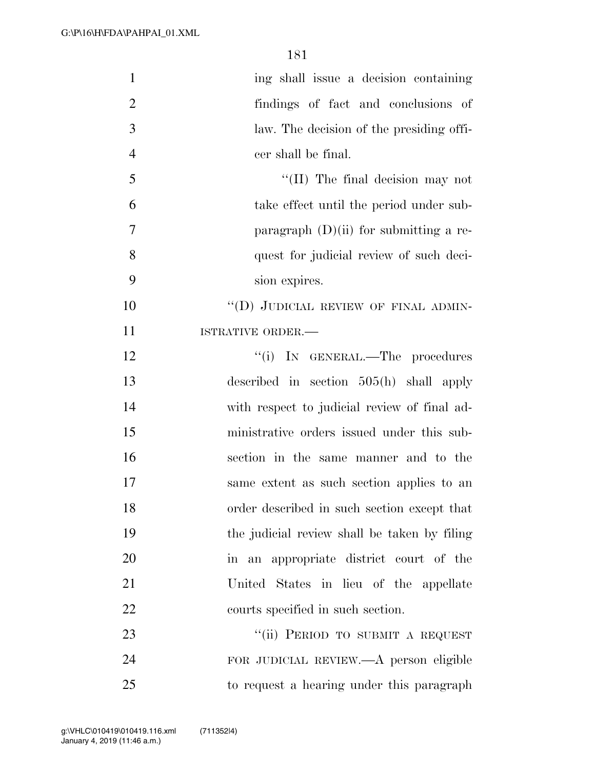| $\mathbf{1}$   | ing shall issue a decision containing        |
|----------------|----------------------------------------------|
| $\overline{2}$ | findings of fact and conclusions of          |
| 3              | law. The decision of the presiding offi-     |
| $\overline{4}$ | cer shall be final.                          |
| 5              | $\lq\lq$ (II) The final decision may not     |
| 6              | take effect until the period under sub-      |
| $\overline{7}$ | paragraph $(D)(ii)$ for submitting a re-     |
| 8              | quest for judicial review of such deci-      |
| 9              | sion expires.                                |
| 10             | "(D) JUDICIAL REVIEW OF FINAL ADMIN-         |
| 11             | ISTRATIVE ORDER.-                            |
| 12             | "(i) IN GENERAL.—The procedures              |
| 13             | described in section 505(h) shall apply      |
| 14             | with respect to judicial review of final ad- |
| 15             | ministrative orders issued under this sub-   |
| 16             | section in the same manner and to the        |
| 17             | same extent as such section applies to an    |
| 18             | order described in such section except that  |
| 19             | the judicial review shall be taken by filing |
| 20             | in an appropriate district court of the      |
| 21             | United States in lieu of the appellate       |
| 22             | courts specified in such section.            |
| 23             | "(ii) PERIOD TO SUBMIT A REQUEST             |
| 24             | FOR JUDICIAL REVIEW.—A person eligible       |
| 25             | to request a hearing under this paragraph    |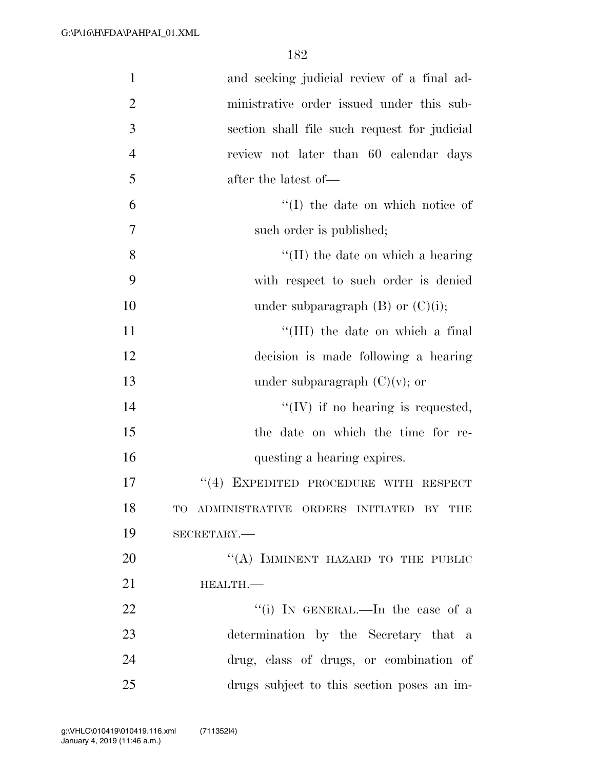| $\mathbf{1}$   | and seeking judicial review of a final ad-   |
|----------------|----------------------------------------------|
| $\overline{2}$ | ministrative order issued under this sub-    |
| 3              | section shall file such request for judicial |
| $\overline{4}$ | review not later than 60 calendar days       |
| 5              | after the latest of—                         |
| 6              | $\lq\lq$ (I) the date on which notice of     |
| 7              | such order is published;                     |
| 8              | $\lq\lq$ (II) the date on which a hearing    |
| 9              | with respect to such order is denied         |
| 10             | under subparagraph $(B)$ or $(C)(i)$ ;       |
| 11             | "(III) the date on which a final             |
| 12             | decision is made following a hearing         |
| 13             | under subparagraph $(C)(v)$ ; or             |
| 14             | $\lq\lq$ (IV) if no hearing is requested,    |
| 15             | the date on which the time for re-           |
| 16             | questing a hearing expires.                  |
| 17             | EXPEDITED PROCEDURE WITH RESPECT<br>(4)      |
| 18             | TO ADMINISTRATIVE ORDERS INITIATED BY THE    |
| 19             | SECRETARY.-                                  |
| 20             | "(A) IMMINENT HAZARD TO THE PUBLIC           |
| 21             | HEALTH.-                                     |
| 22             | "(i) IN GENERAL.—In the case of a            |
| 23             | determination by the Secretary that a        |
| 24             | drug, class of drugs, or combination of      |
| 25             | drugs subject to this section poses an im-   |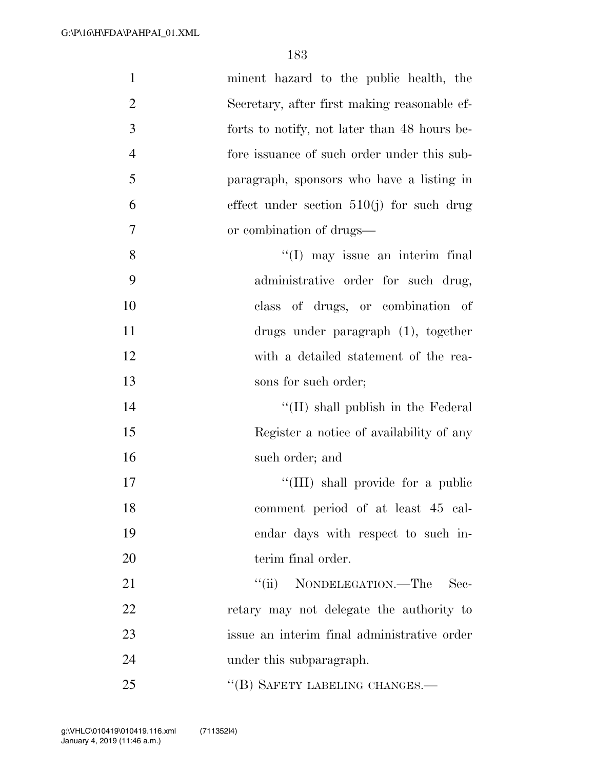| $\mathbf{1}$   | minent hazard to the public health, the      |
|----------------|----------------------------------------------|
| $\overline{2}$ | Secretary, after first making reasonable ef- |
| 3              | forts to notify, not later than 48 hours be- |
| $\overline{4}$ | fore issuance of such order under this sub-  |
| 5              | paragraph, sponsors who have a listing in    |
| 6              | effect under section $510(j)$ for such drug  |
| $\tau$         | or combination of drugs—                     |
| 8              | "(I) may issue an interim final              |
| 9              | administrative order for such drug,          |
| 10             | class of drugs, or combination of            |
| 11             | drugs under paragraph (1), together          |
| 12             | with a detailed statement of the rea-        |
| 13             | sons for such order;                         |
| 14             | $\lq\lq$ (II) shall publish in the Federal   |
| 15             | Register a notice of availability of any     |
| 16             | such order; and                              |
| 17             | "(III) shall provide for a public            |
| 18             | comment period of at least 45 cal-           |
| 19             | endar days with respect to such in-          |
| 20             | terim final order.                           |
| 21             | "(ii) NONDELEGATION.—The<br>Sec-             |
| 22             | retary may not delegate the authority to     |
| 23             | issue an interim final administrative order  |
| 24             | under this subparagraph.                     |
| 25             | "(B) SAFETY LABELING CHANGES.—               |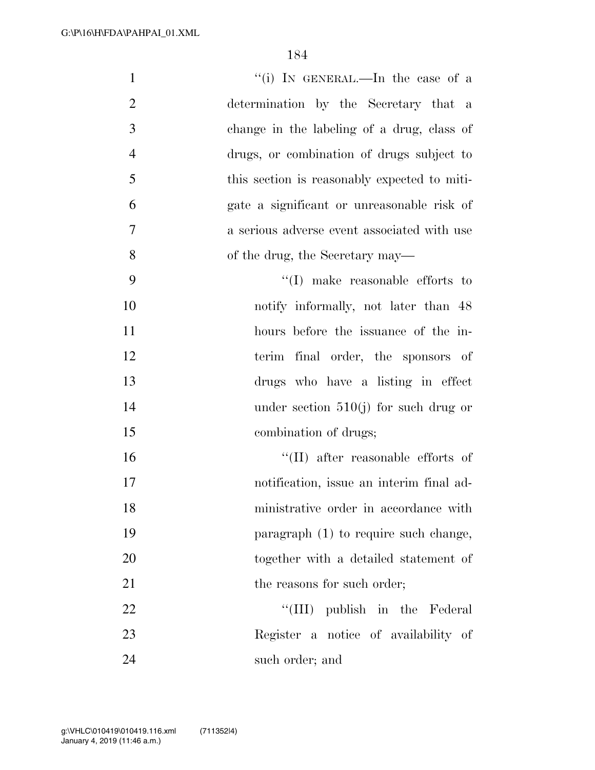| $\mathbf{1}$   | "(i) IN GENERAL.—In the case of a            |
|----------------|----------------------------------------------|
| $\overline{2}$ | determination by the Secretary that a        |
| 3              | change in the labeling of a drug, class of   |
| $\overline{4}$ | drugs, or combination of drugs subject to    |
| 5              | this section is reasonably expected to miti- |
| 6              | gate a significant or unreasonable risk of   |
| $\overline{7}$ | a serious adverse event associated with use  |
| 8              | of the drug, the Secretary may—              |
| 9              | $\lq\lq$ (I) make reasonable efforts to      |
| 10             | notify informally, not later than 48         |
| 11             | hours before the issuance of the in-         |
| 12             | terim final order, the sponsors of           |
| 13             | drugs who have a listing in effect           |
| 14             | under section $510(j)$ for such drug or      |
| 15             | combination of drugs;                        |
| 16             | $\lq\lq$ (II) after reasonable efforts of    |
| 17             | notification, issue an interim final ad-     |
| 18             | ministrative order in accordance with        |
| 19             | paragraph (1) to require such change,        |
| 20             | together with a detailed statement of        |
| 21             | the reasons for such order;                  |
| 22             | "(III) publish in the Federal                |
| 23             | Register a notice of availability of         |
| 24             | such order; and                              |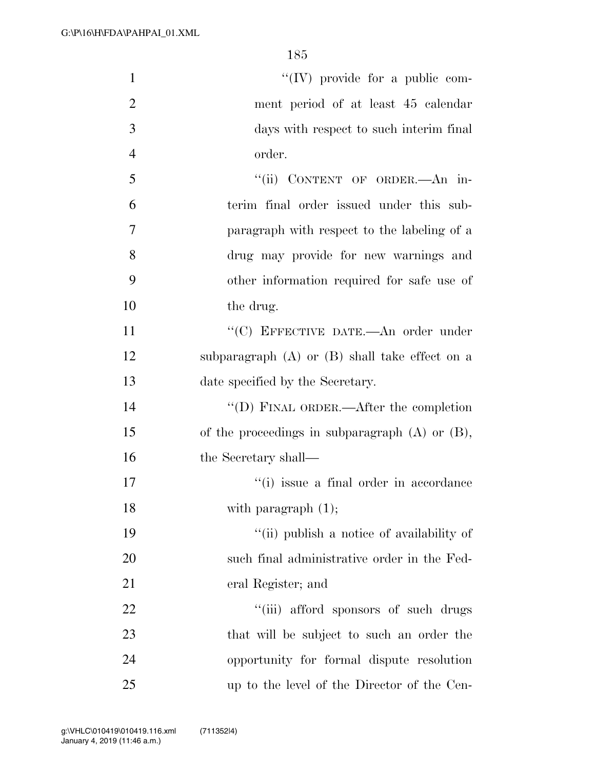| $\mathbf{1}$   | $\lq\lq$ (IV) provide for a public com-             |
|----------------|-----------------------------------------------------|
| $\overline{2}$ | ment period of at least 45 calendar                 |
| 3              | days with respect to such interim final             |
| $\overline{4}$ | order.                                              |
| 5              | "(ii) CONTENT OF ORDER.—An in-                      |
| 6              | terim final order issued under this sub-            |
| $\overline{7}$ | paragraph with respect to the labeling of a         |
| 8              | drug may provide for new warnings and               |
| 9              | other information required for safe use of          |
| 10             | the drug.                                           |
| 11             | "(C) EFFECTIVE DATE.—An order under                 |
| 12             | subparagraph $(A)$ or $(B)$ shall take effect on a  |
| 13             | date specified by the Secretary.                    |
| 14             | "(D) FINAL ORDER.—After the completion              |
| 15             | of the proceedings in subparagraph $(A)$ or $(B)$ , |
| 16             | the Secretary shall—                                |
| 17             | "(i) issue a final order in accordance              |
| 18             | with paragraph $(1)$ ;                              |
| 19             | "(ii) publish a notice of availability of           |
| 20             | such final administrative order in the Fed-         |
| 21             | eral Register; and                                  |
| 22             | "(iii) afford sponsors of such drugs                |
| 23             | that will be subject to such an order the           |
| 24             | opportunity for formal dispute resolution           |
| 25             | up to the level of the Director of the Cen-         |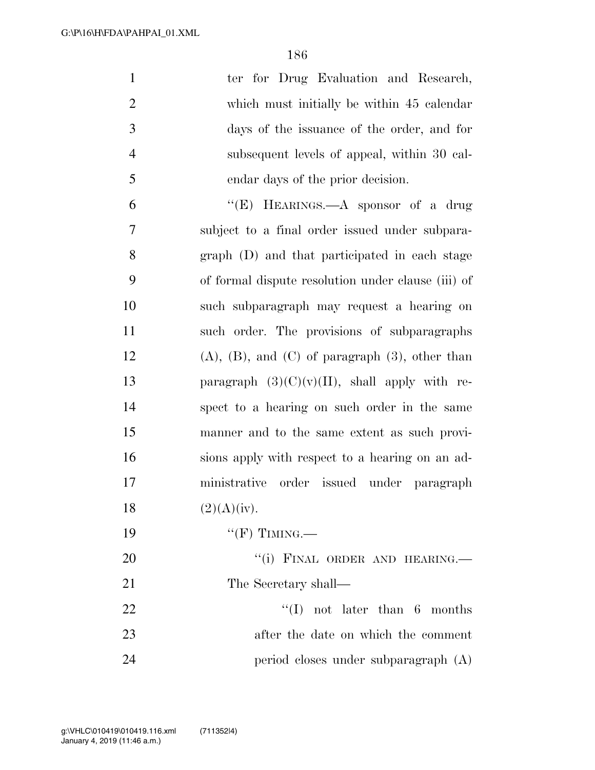| $\mathbf{1}$   | ter for Drug Evaluation and Research,                     |
|----------------|-----------------------------------------------------------|
| $\overline{2}$ | which must initially be within 45 calendar                |
| 3              | days of the issuance of the order, and for                |
| $\overline{4}$ | subsequent levels of appeal, within 30 cal-               |
| 5              | endar days of the prior decision.                         |
| 6              | "(E) HEARINGS.—A sponsor of a drug                        |
| 7              | subject to a final order issued under subpara-            |
| 8              | graph (D) and that participated in each stage             |
| 9              | of formal dispute resolution under clause (iii) of        |
| 10             | such subparagraph may request a hearing on                |
| 11             | such order. The provisions of subparagraphs               |
| 12             | $(A)$ , $(B)$ , and $(C)$ of paragraph $(3)$ , other than |
| 13             | paragraph $(3)(C)(v)(II)$ , shall apply with re-          |
| 14             | spect to a hearing on such order in the same              |
| 15             | manner and to the same extent as such provi-              |
| 16             | sions apply with respect to a hearing on an ad-           |
| 17             | ministrative order issued under paragraph                 |
| 18             | (2)(A)(iv).                                               |
| 19             | " $(F)$ TIMING.—                                          |
| 20             | "(i) FINAL ORDER AND HEARING.                             |
| 21             | The Secretary shall—                                      |
| 22             | $\lq\lq$ (I) not later than 6 months                      |
| 23             | after the date on which the comment                       |
| 24             | period closes under subparagraph (A)                      |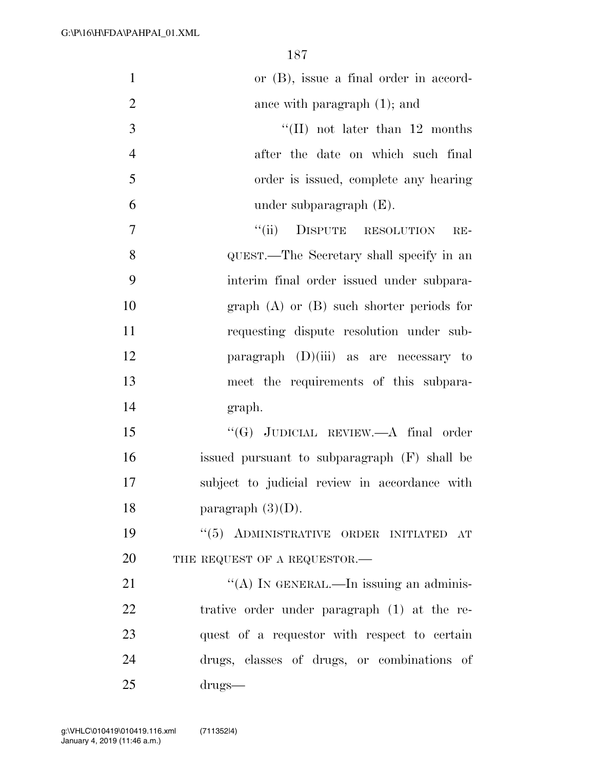| $\mathbf{1}$   | or $(B)$ , issue a final order in accord-     |
|----------------|-----------------------------------------------|
| $\overline{2}$ | ance with paragraph $(1)$ ; and               |
| 3              | "(II) not later than $12$ months              |
| $\overline{4}$ | after the date on which such final            |
| 5              | order is issued, complete any hearing         |
| 6              | under subparagraph $(E)$ .                    |
| 7              | ``(ii)<br>DISPUTE RESOLUTION<br>$RE-$         |
| $8\,$          | QUEST.—The Secretary shall specify in an      |
| 9              | interim final order issued under subpara-     |
| 10             | graph $(A)$ or $(B)$ such shorter periods for |
| 11             | requesting dispute resolution under sub-      |
| 12             | paragraph $(D)(iii)$ as are necessary to      |
| 13             | meet the requirements of this subpara-        |
| 14             | graph.                                        |
| 15             | " $(G)$ JUDICIAL REVIEW.—A final order        |
| 16             | issued pursuant to subparagraph (F) shall be  |
| 17             | subject to judicial review in accordance with |
| 18             | paragraph $(3)(D)$ .                          |
| 19             | "(5) ADMINISTRATIVE ORDER INITIATED AT        |
| 20             | THE REQUEST OF A REQUESTOR.-                  |
| 21             | "(A) IN GENERAL.—In issuing an adminis-       |
| 22             | trative order under paragraph (1) at the re-  |
| 23             | quest of a requestor with respect to certain  |
| 24             | drugs, classes of drugs, or combinations of   |
| 25             | $drugs-$                                      |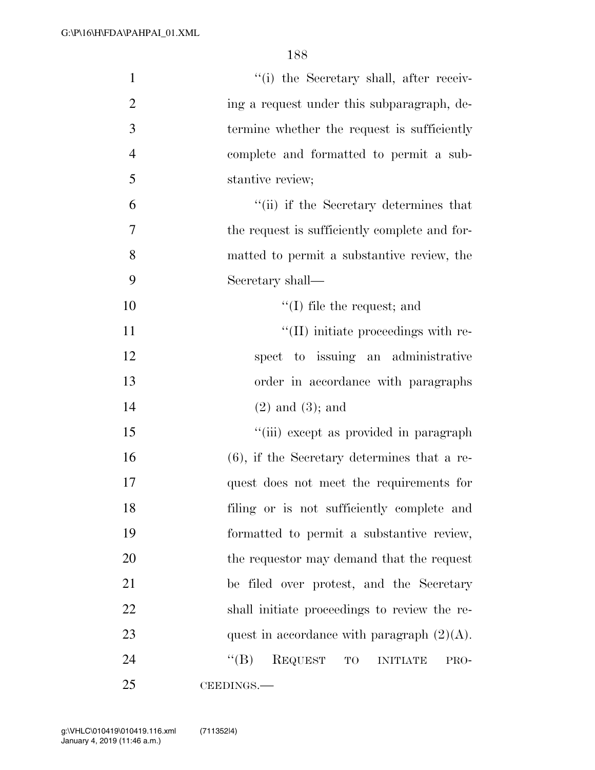| $\mathbf{1}$   | "(i) the Secretary shall, after receiv-                               |
|----------------|-----------------------------------------------------------------------|
| $\overline{2}$ | ing a request under this subparagraph, de-                            |
| 3              | termine whether the request is sufficiently                           |
| $\overline{4}$ | complete and formatted to permit a sub-                               |
| 5              | stantive review;                                                      |
| 6              | "(ii) if the Secretary determines that                                |
| 7              | the request is sufficiently complete and for-                         |
| 8              | matted to permit a substantive review, the                            |
| 9              | Secretary shall—                                                      |
| 10             | $f'(I)$ file the request; and                                         |
| 11             | "(II) initiate proceedings with re-                                   |
| 12             | spect to issuing an administrative                                    |
| 13             | order in accordance with paragraphs                                   |
| 14             | $(2)$ and $(3)$ ; and                                                 |
| 15             | "(iii) except as provided in paragraph                                |
| 16             | $(6)$ , if the Secretary determines that a re-                        |
| 17             | quest does not meet the requirements for                              |
| 18             | filing or is not sufficiently complete and                            |
| 19             | formatted to permit a substantive review,                             |
| 20             | the requestor may demand that the request                             |
| 21             | be filed over protest, and the Secretary                              |
| 22             | shall initiate proceedings to review the re-                          |
| 23             | quest in accordance with paragraph $(2)(A)$ .                         |
| 24             | <b>REQUEST</b><br>$\lq\lq (B)$<br>$\rm TO$<br><b>INITIATE</b><br>PRO- |
| 25             | CEEDINGS.                                                             |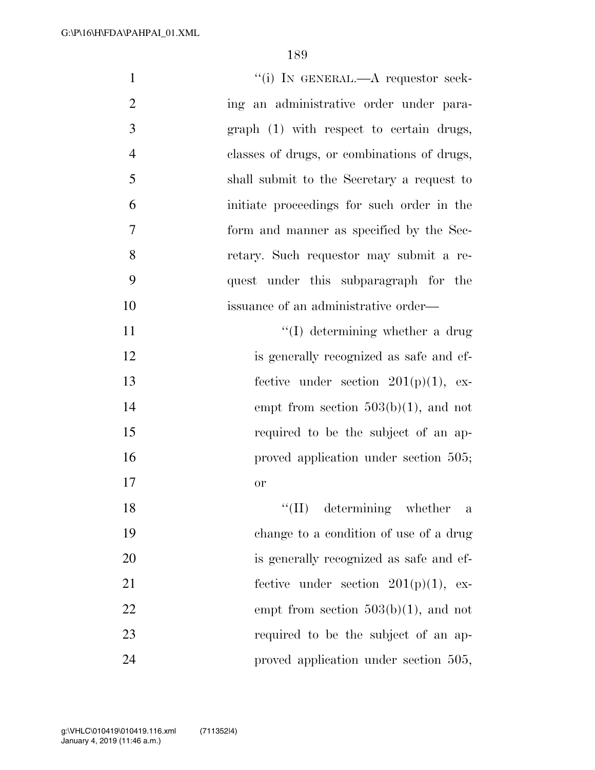| $\mathbf{1}$   | "(i) IN GENERAL.—A requestor seek-            |
|----------------|-----------------------------------------------|
| $\overline{2}$ | ing an administrative order under para-       |
| 3              | graph (1) with respect to certain drugs,      |
| $\overline{4}$ | classes of drugs, or combinations of drugs,   |
| 5              | shall submit to the Secretary a request to    |
| 6              | initiate proceedings for such order in the    |
| 7              | form and manner as specified by the Sec-      |
| 8              | retary. Such requestor may submit a re-       |
| 9              | quest under this subparagraph for the         |
| 10             | issuance of an administrative order—          |
| 11             | $\lq\lq$ determining whether a drug           |
| 12             | is generally recognized as safe and ef-       |
| 13             | fective under section $201(p)(1)$ , ex-       |
| 14             | empt from section $503(b)(1)$ , and not       |
| 15             | required to be the subject of an ap-          |
| 16             | proved application under section 505;         |
| 17             | <b>or</b>                                     |
| 18             | determining whether<br>``(II)<br>$\mathbf{a}$ |
| 19             | change to a condition of use of a drug        |
| 20             | is generally recognized as safe and ef-       |
| 21             | fective under section $201(p)(1)$ , ex-       |
| 22             | empt from section $503(b)(1)$ , and not       |
| 23             | required to be the subject of an ap-          |
| 24             | proved application under section 505,         |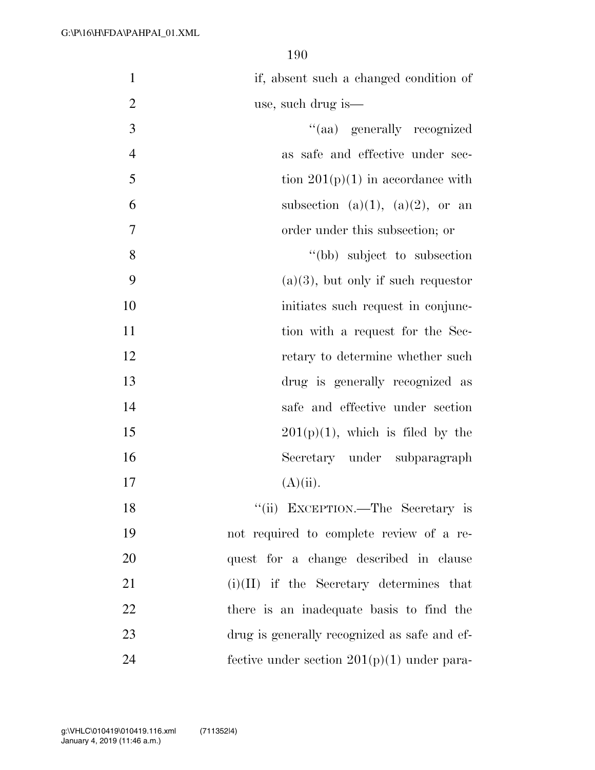| $\mathbf{1}$   | if, absent such a changed condition of        |
|----------------|-----------------------------------------------|
| $\overline{2}$ | use, such drug is—                            |
| 3              | "(aa) generally recognized                    |
| $\overline{4}$ | as safe and effective under sec-              |
| 5              | tion $201(p)(1)$ in accordance with           |
| 6              | subsection (a)(1), (a)(2), or an              |
| 7              | order under this subsection; or               |
| 8              | "(bb) subject to subsection                   |
| 9              | $(a)(3)$ , but only if such requestor         |
| 10             | initiates such request in conjunc-            |
| 11             | tion with a request for the Sec-              |
| 12             | retary to determine whether such              |
| 13             | drug is generally recognized as               |
| 14             | safe and effective under section              |
| 15             | $201(p)(1)$ , which is filed by the           |
| 16             | Secretary under subparagraph                  |
| 17             | $(A)(ii)$ .                                   |
| 18             | "(ii) EXCEPTION.—The Secretary is             |
| 19             | not required to complete review of a re-      |
| 20             | quest for a change described in clause        |
| 21             | $(i)(II)$ if the Secretary determines that    |
| 22             | there is an inadequate basis to find the      |
| 23             | drug is generally recognized as safe and ef-  |
| 24             | fective under section $201(p)(1)$ under para- |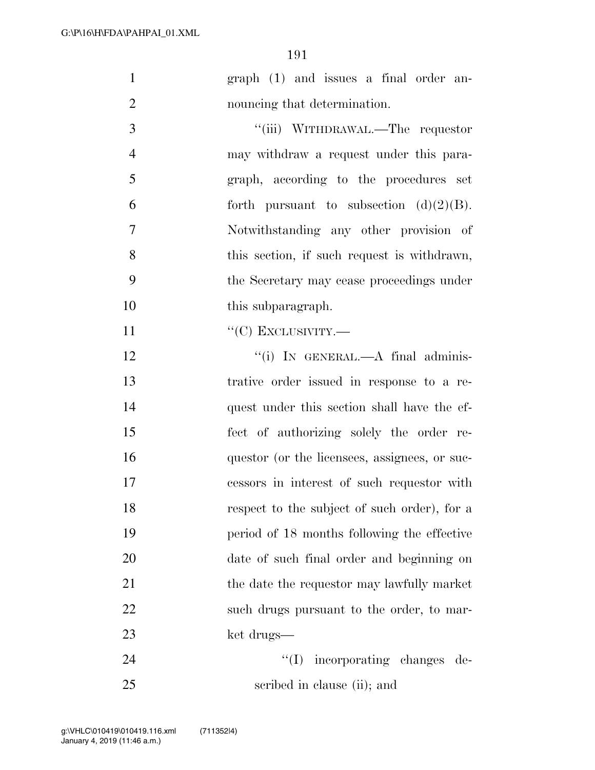- 1 graph (1) and issues a final order an-2 nouncing that determination.
- 3  $\frac{1}{\text{(iii)}}$  WITHDRAWAL.—The requestor 4 may withdraw a request under this para-5 graph, according to the procedures set 6 forth pursuant to subsection  $(d)(2)(B)$ . 7 Notwithstanding any other provision of 8 this section, if such request is withdrawn, 9 the Secretary may cease proceedings under 10 this subparagraph.
- 11 "'(C) EXCLUSIVITY.—
- 12 "(i) In GENERAL.—A final adminis-13 trative order issued in response to a re-14 quest under this section shall have the ef-15 fect of authorizing solely the order re-16 questor (or the licensees, assignees, or suc-17 cessors in interest of such requestor with 18 respect to the subject of such order), for a 19 period of 18 months following the effective 20 date of such final order and beginning on 21 the date the requestor may lawfully market 22 such drugs pursuant to the order, to mar-23 ket drugs—
- 24  $\text{``(I)}$  incorporating changes de-25 scribed in clause (ii); and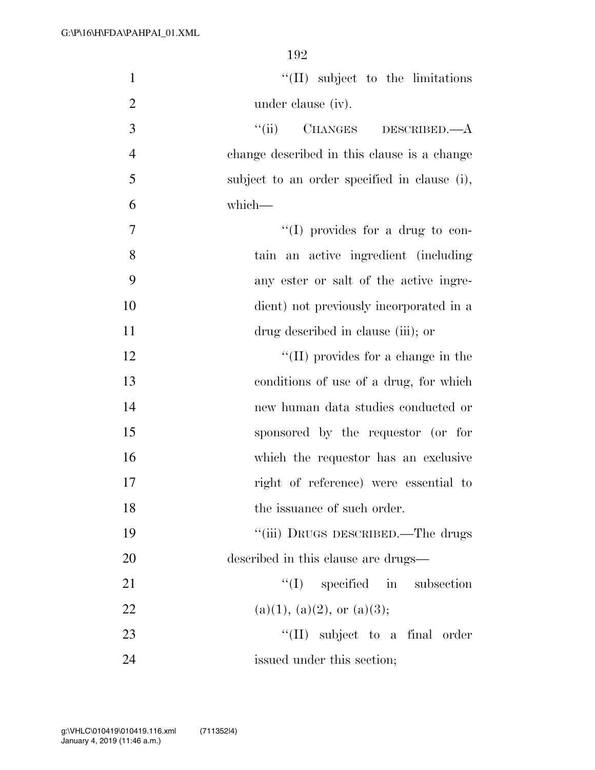| $\mathbf{1}$   | $\lq\lq$ (II) subject to the limitations     |
|----------------|----------------------------------------------|
| $\overline{2}$ | under clause (iv).                           |
| 3              | ``(ii)<br>CHANGES DESCRIBED.—A               |
| $\overline{4}$ | change described in this clause is a change  |
| 5              | subject to an order specified in clause (i), |
| 6              | which-                                       |
| 7              | "(I) provides for a drug to con-             |
| 8              | tain an active ingredient (including         |
| 9              | any ester or salt of the active ingre-       |
| 10             | dient) not previously incorporated in a      |
| 11             | drug described in clause (iii); or           |
| 12             | $\lq\lq$ (II) provides for a change in the   |
| 13             | conditions of use of a drug, for which       |
| 14             | new human data studies conducted or          |
| 15             | sponsored by the requestor (or for           |
| 16             | which the requestor has an exclusive         |
| 17             | right of reference) were essential to        |
| 18             | the issuance of such order.                  |
| 19             | "(iii) DRUGS DESCRIBED.—The drugs            |
| 20             | described in this clause are drugs—          |
| 21             | $\lq\lq$ specified in subsection             |
| 22             | (a)(1), (a)(2), or (a)(3);                   |
| 23             | "(II) subject to a final order               |
| 24             | issued under this section;                   |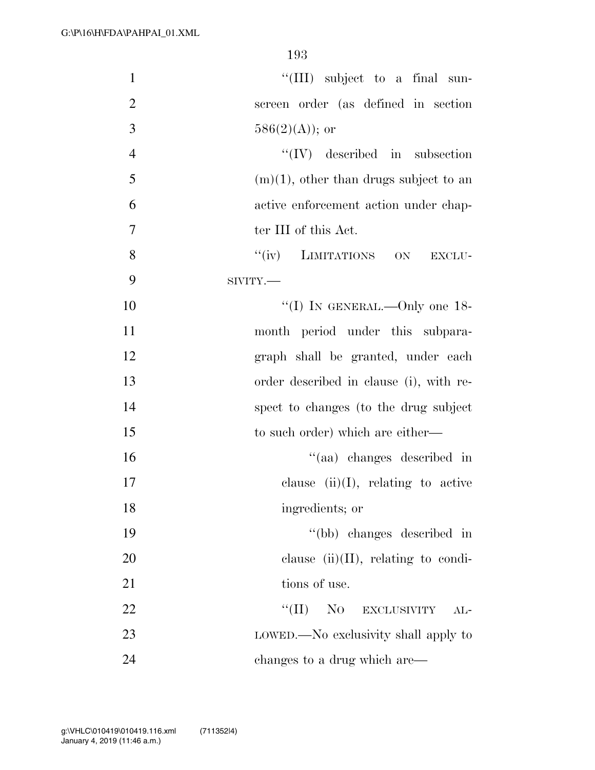| $\mathbf{1}$   | "(III) subject to a final sun-            |
|----------------|-------------------------------------------|
| $\overline{2}$ | screen order (as defined in section       |
| 3              | $586(2)(A)$ ; or                          |
| $\overline{4}$ | $\lq\lq$ (IV) described in subsection     |
| 5              | $(m)(1)$ , other than drugs subject to an |
| 6              | active enforcement action under chap-     |
| $\overline{7}$ | ter III of this Act.                      |
| 8              | "(iv) LIMITATIONS ON<br>EXCLU-            |
| 9              | SIVITY.                                   |
| 10             | "(I) IN GENERAL.—Only one $18$ -          |
| 11             | month period under this subpara-          |
| 12             | graph shall be granted, under each        |
| 13             | order described in clause (i), with re-   |
| 14             | spect to changes (to the drug subject     |
| 15             | to such order) which are either—          |
| 16             | "(aa) changes described in                |
| 17             | clause $(ii)(I)$ , relating to active     |
| 18             | ingredients; or                           |
| 19             | "(bb) changes described in                |
| 20             | clause $(ii)(II)$ , relating to condi-    |
| 21             | tions of use.                             |
| 22             | $``(\Pi)$<br>NO EXCLUSIVITY<br>$AL-$      |
| 23             | LOWED.—No exclusivity shall apply to      |
| 24             | changes to a drug which are—              |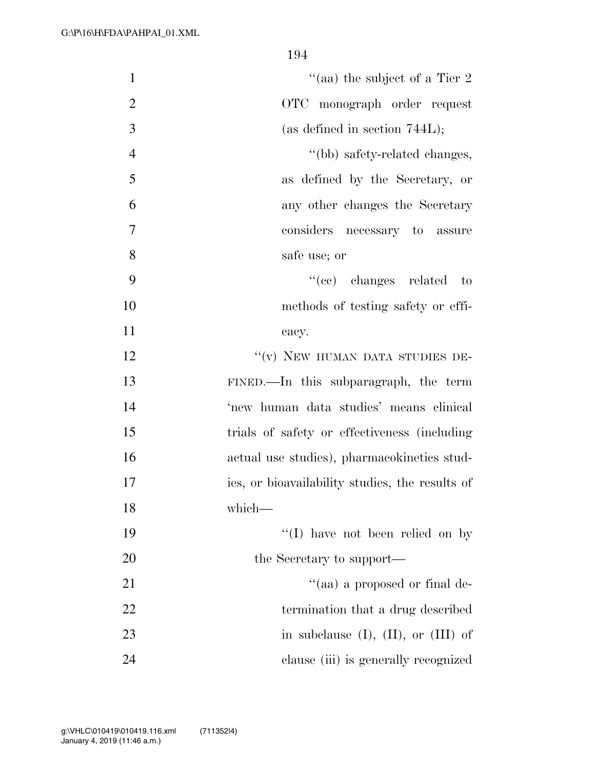| $\mathbf{1}$   | "(aa) the subject of a Tier 2                   |
|----------------|-------------------------------------------------|
| $\mathbf{2}$   | OTC monograph order request                     |
| 3              | (as defined in section $744L$ );                |
| $\overline{4}$ | "(bb) safety-related changes,                   |
| 5              | as defined by the Secretary, or                 |
| 6              | any other changes the Secretary                 |
| $\overline{7}$ | considers necessary to<br>assure                |
| 8              | safe use; or                                    |
| 9              | $``(ee)$ changes related<br>$\qquad$ to         |
| 10             | methods of testing safety or effi-              |
| 11             | cacy.                                           |
| 12             | "(v) NEW HUMAN DATA STUDIES DE-                 |
| 13             | FINED.—In this subparagraph, the term           |
| 14             | 'new human data studies' means clinical         |
| 15             | trials of safety or effectiveness (including    |
| 16             | actual use studies), pharmacokinetics stud-     |
| 17             | ies, or bioavailability studies, the results of |
| 18             | which-                                          |
| 19             | $\lq\lq$ (I) have not been relied on by         |
| 20             | the Secretary to support—                       |
| 21             | "(aa) a proposed or final de-                   |
| 22             | termination that a drug described               |
| 23             | in subclause $(I)$ , $(II)$ , or $(III)$ of     |
| 24             | clause (iii) is generally recognized            |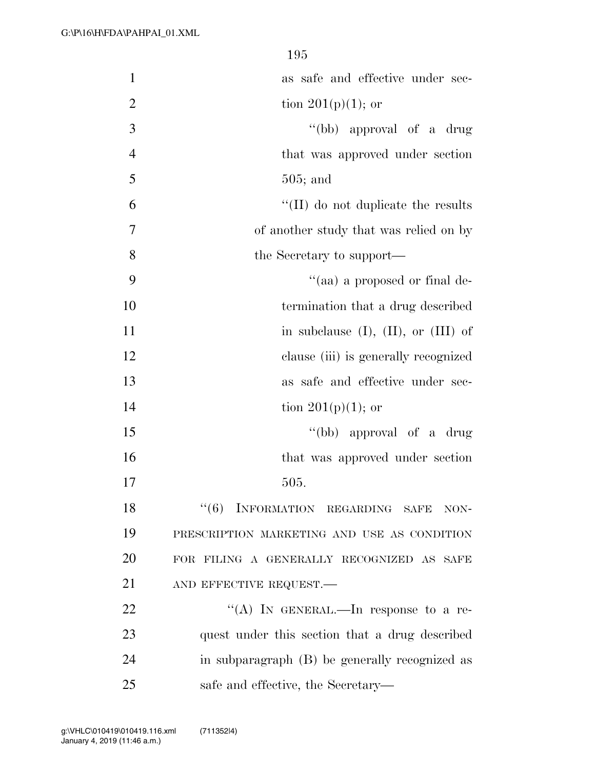| $\mathbf{1}$   | as safe and effective under sec-               |
|----------------|------------------------------------------------|
| $\overline{2}$ | tion $201(p)(1)$ ; or                          |
| 3              | "(bb) approval of a drug                       |
| $\overline{4}$ | that was approved under section                |
| 5              | $505;$ and                                     |
| 6              | $\lq\lq$ (II) do not duplicate the results     |
| 7              | of another study that was relied on by         |
| 8              | the Secretary to support—                      |
| 9              | "(aa) a proposed or final de-                  |
| 10             | termination that a drug described              |
| 11             | in subclause $(I)$ , $(II)$ , or $(III)$ of    |
| 12             | clause (iii) is generally recognized           |
| 13             | as safe and effective under sec-               |
| 14             | tion $201(p)(1)$ ; or                          |
| 15             | "(bb) approval of a drug                       |
| 16             | that was approved under section                |
| 17             | 505.                                           |
| 18             | INFORMATION REGARDING SAFE<br>``(6)<br>NON-    |
| 19             | PRESCRIPTION MARKETING AND USE AS CONDITION    |
| 20             | FOR FILING A GENERALLY RECOGNIZED AS SAFE      |
| 21             | AND EFFECTIVE REQUEST.-                        |
| 22             | "(A) IN GENERAL.—In response to a re-          |
| 23             | quest under this section that a drug described |
| 24             | in subparagraph (B) be generally recognized as |
| 25             | safe and effective, the Secretary—             |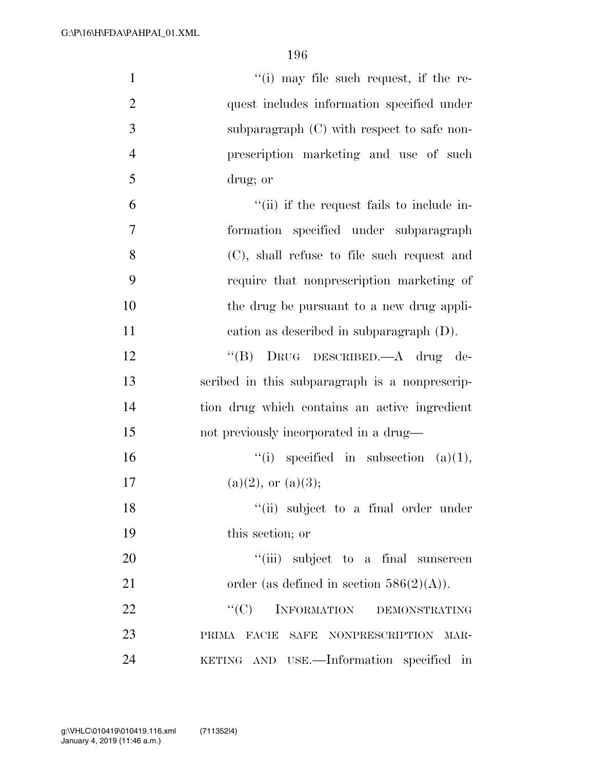| $\mathbf{1}$   | "(i) may file such request, if the re-         |
|----------------|------------------------------------------------|
| $\overline{2}$ | quest includes information specified under     |
| 3              | subparagraph $(C)$ with respect to safe non-   |
| $\overline{4}$ | prescription marketing and use of such         |
| 5              | drug; or                                       |
| 6              | "(ii) if the request fails to include in-      |
| 7              | formation specified under subparagraph         |
| 8              | (C), shall refuse to file such request and     |
| 9              | require that nonprescription marketing of      |
| 10             | the drug be pursuant to a new drug appli-      |
| 11             | cation as described in subparagraph $(D)$ .    |
| 12             | "(B) DRUG DESCRIBED.—A drug de-                |
| 13             | scribed in this subparagraph is a nonprescrip- |
| 14             | tion drug which contains an active ingredient  |
| 15             | not previously incorporated in a drug—         |
| 16             | "(i) specified in subsection $(a)(1)$ ,        |
| 17             | $(a)(2)$ , or $(a)(3)$ ;                       |
| 18             | "(ii) subject to a final order under           |
| 19             | this section; or                               |
| 20             | "(iii) subject to a final sunscreen            |
| 21             | order (as defined in section $586(2)(A)$ ).    |
| 22             | ``(C)<br>INFORMATION DEMONSTRATING             |
| 23             | PRIMA FACIE SAFE NONPRESCRIPTION MAR-          |
| 24             | KETING AND USE.-Information specified in       |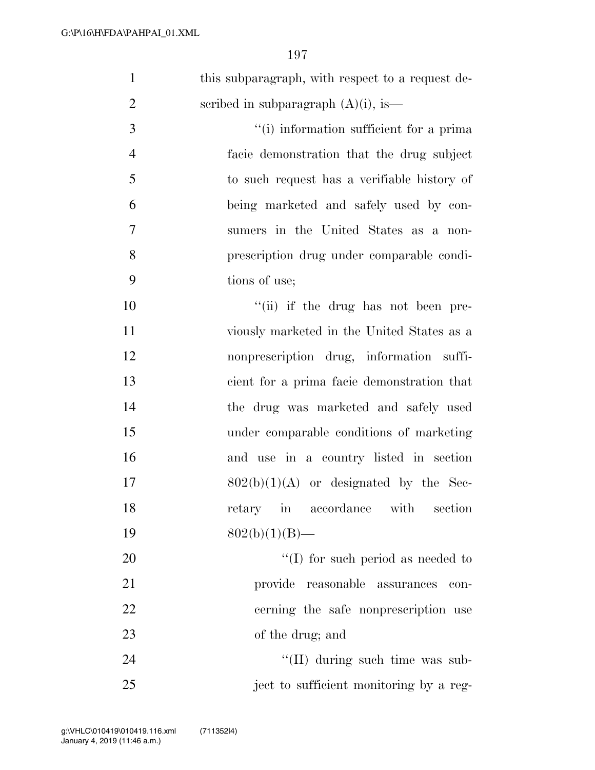| $\mathbf{1}$   | this subparagraph, with respect to a request de- |
|----------------|--------------------------------------------------|
| $\overline{2}$ | scribed in subparagraph $(A)(i)$ , is—           |
| 3              | "(i) information sufficient for a prima          |
| $\overline{4}$ | facie demonstration that the drug subject        |
| 5              | to such request has a verifiable history of      |
| 6              | being marketed and safely used by con-           |
| 7              | sumers in the United States as a non-            |
| 8              | prescription drug under comparable condi-        |
| 9              | tions of use;                                    |
| 10             | "(ii) if the drug has not been pre-              |
| 11             | viously marketed in the United States as a       |
| 12             | nonprescription drug, information suffi-         |
| 13             | cient for a prima facie demonstration that       |
| 14             | the drug was marketed and safely used            |
| 15             | under comparable conditions of marketing         |
| 16             | and use in a country listed in section           |
| 17             | $802(b)(1)(A)$ or designated by the Sec-         |
| 18             | retary in accordance with<br>section             |
| 19             | $802(b)(1)(B)$ —                                 |
| 20             | $\lq\lq$ (I) for such period as needed to        |
| 21             | provide reasonable assurances<br>con-            |
| 22             | cerning the safe nonprescription use             |
| 23             | of the drug; and                                 |
| 24             | "(II) during such time was sub-                  |
| 25             | ject to sufficient monitoring by a reg-          |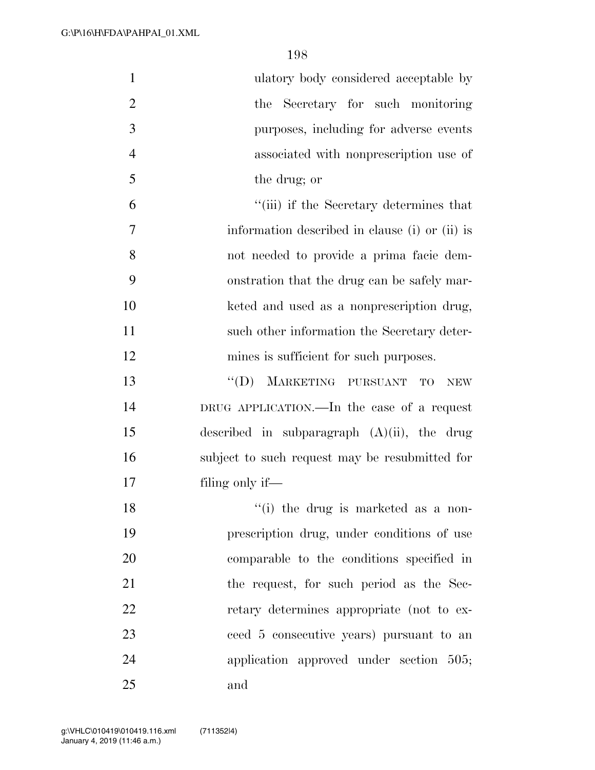| $\mathbf{1}$   | ulatory body considered acceptable by                  |
|----------------|--------------------------------------------------------|
| $\overline{2}$ | the Secretary for such monitoring                      |
| 3              | purposes, including for adverse events                 |
| $\overline{4}$ | associated with nonprescription use of                 |
| 5              | the drug; or                                           |
| 6              | "(iii) if the Secretary determines that                |
| 7              | information described in clause (i) or (ii) is         |
| 8              | not needed to provide a prima facie dem-               |
| 9              | onstration that the drug can be safely mar-            |
| 10             | keted and used as a nonprescription drug,              |
| 11             | such other information the Secretary deter-            |
| 12             | mines is sufficient for such purposes.                 |
| 13             | MARKETING PURSUANT<br>``(D)<br><b>TO</b><br><b>NEW</b> |
| 14             | DRUG APPLICATION.—In the case of a request             |
| 15             | described in subparagraph $(A)(ii)$ , the drug         |
| 16             | subject to such request may be resubmitted for         |
| 17             | filing only if—                                        |
| 18             | "(i) the drug is marketed as a non-                    |
| 19             | prescription drug, under conditions of use             |
| 20             | comparable to the conditions specified in              |
| 21             | the request, for such period as the Sec-               |
| 22             | retary determines appropriate (not to ex-              |
| 23             | ceed 5 consecutive years) pursuant to an               |
| 24             | application approved under section 505;                |
| 25             | and                                                    |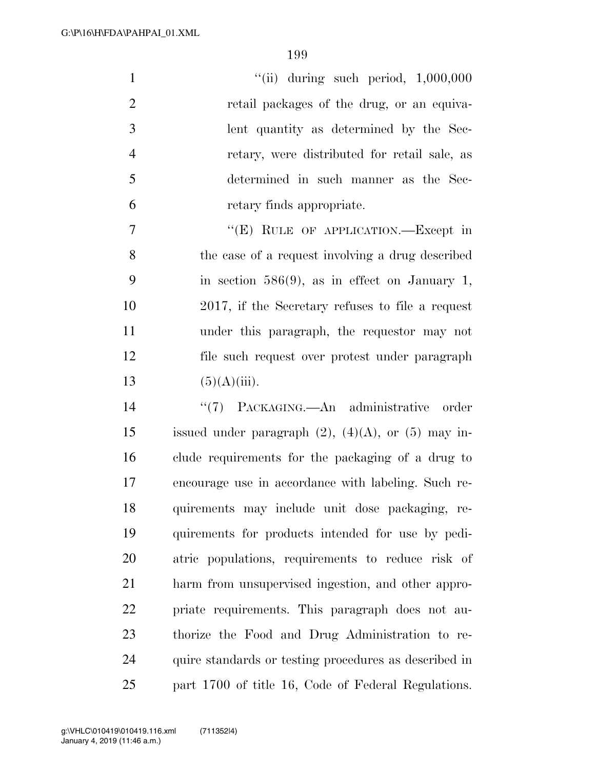''(ii) during such period,  $1,000,000$ 2 retail packages of the drug, or an equiva- lent quantity as determined by the Sec- retary, were distributed for retail sale, as determined in such manner as the Sec- retary finds appropriate. 7 "'(E) RULE OF APPLICATION.—Except in

 the case of a request involving a drug described in section 586(9), as in effect on January 1, 2017, if the Secretary refuses to file a request under this paragraph, the requestor may not file such request over protest under paragraph  $(5)(A)(iii)$ .

 ''(7) PACKAGING.—An administrative order 15 issued under paragraph  $(2)$ ,  $(4)(A)$ , or  $(5)$  may in- clude requirements for the packaging of a drug to encourage use in accordance with labeling. Such re- quirements may include unit dose packaging, re- quirements for products intended for use by pedi- atric populations, requirements to reduce risk of harm from unsupervised ingestion, and other appro- priate requirements. This paragraph does not au- thorize the Food and Drug Administration to re- quire standards or testing procedures as described in part 1700 of title 16, Code of Federal Regulations.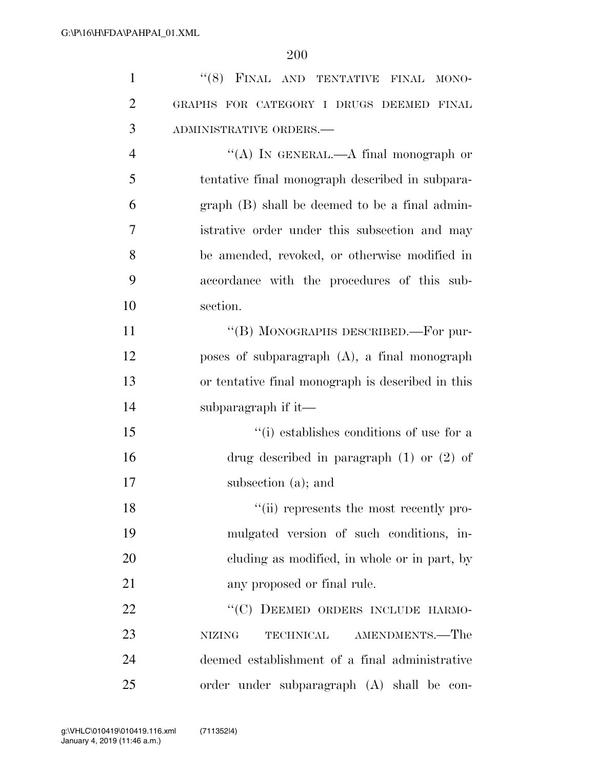| $\mathbf{1}$   | "(8) FINAL AND TENTATIVE FINAL<br>MONO-           |
|----------------|---------------------------------------------------|
| $\overline{2}$ | GRAPHS FOR CATEGORY I DRUGS DEEMED FINAL          |
| 3              | ADMINISTRATIVE ORDERS.-                           |
| $\overline{4}$ | "(A) IN GENERAL.—A final monograph or             |
| 5              | tentative final monograph described in subpara-   |
| 6              | graph (B) shall be deemed to be a final admin-    |
| 7              | istrative order under this subsection and may     |
| 8              | be amended, revoked, or otherwise modified in     |
| 9              | accordance with the procedures of this sub-       |
| 10             | section.                                          |
| 11             | "(B) MONOGRAPHS DESCRIBED.—For pur-               |
| 12             | poses of subparagraph $(A)$ , a final monograph   |
| 13             | or tentative final monograph is described in this |
| 14             | subparagraph if it—                               |
| 15             | "(i) establishes conditions of use for a          |
| 16             | drug described in paragraph $(1)$ or $(2)$ of     |
| 17             | subsection (a); and                               |
| 18             | "(ii) represents the most recently pro-           |
| 19             | mulgated version of such conditions, in-          |
| 20             | eluding as modified, in whole or in part, by      |
| 21             | any proposed or final rule.                       |
| 22             | "(C) DEEMED ORDERS INCLUDE HARMO-                 |
| 23             | AMENDMENTS.—The<br><b>NIZING</b><br>TECHNICAL     |
| 24             | deemed establishment of a final administrative    |
| 25             | order under subparagraph (A) shall be<br>con-     |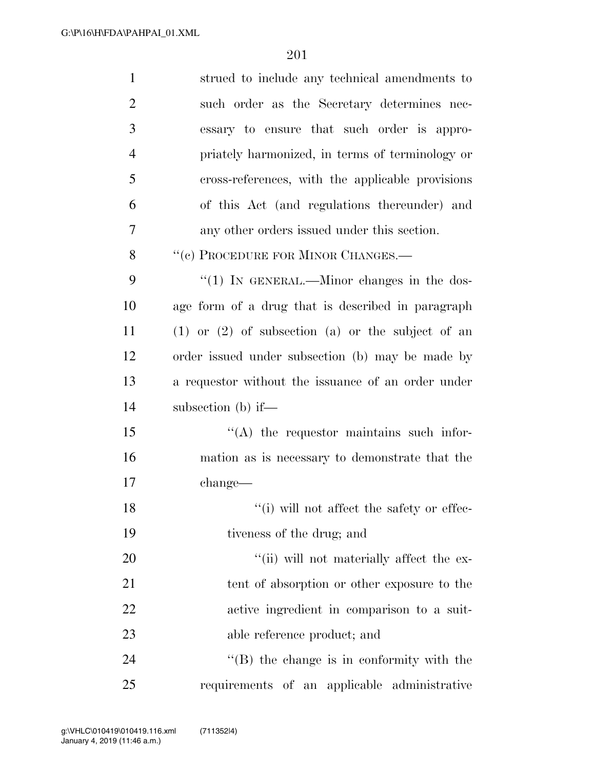| $\mathbf{1}$   | strued to include any technical amendments to           |
|----------------|---------------------------------------------------------|
| $\overline{2}$ | such order as the Secretary determines nec-             |
| 3              | essary to ensure that such order is appro-              |
| $\overline{4}$ | priately harmonized, in terms of terminology or         |
| 5              | cross-references, with the applicable provisions        |
| 6              | of this Act (and regulations thereunder) and            |
| 7              | any other orders issued under this section.             |
| 8              | "(c) PROCEDURE FOR MINOR CHANGES.-                      |
| 9              | "(1) IN GENERAL.—Minor changes in the dos-              |
| 10             | age form of a drug that is described in paragraph       |
| 11             | $(1)$ or $(2)$ of subsection $(a)$ or the subject of an |
| 12             | order issued under subsection (b) may be made by        |
| 13             | a requestor without the issuance of an order under      |
| 14             | subsection (b) if—                                      |
| 15             | $\lq\lq$ the requestor maintains such infor-            |
| 16             | mation as is necessary to demonstrate that the          |
| 17             | change—                                                 |
| 18             | "(i) will not affect the safety or effec-               |
| 19             | tiveness of the drug; and                               |
| 20             | "(ii) will not materially affect the ex-                |
| 21             | tent of absorption or other exposure to the             |
| 22             | active ingredient in comparison to a suit-              |
| 23             | able reference product; and                             |
| 24             | $\lq\lq$ (B) the change is in conformity with the       |
| 25             | requirements of an applicable administrative            |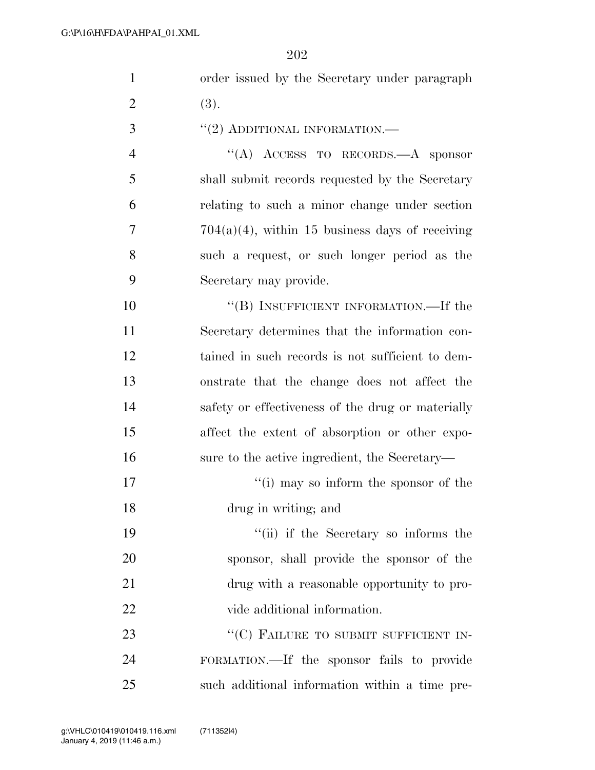| $\mathbf{1}$   | order issued by the Secretary under paragraph      |
|----------------|----------------------------------------------------|
| $\overline{2}$ | (3).                                               |
| 3              | $``(2)$ ADDITIONAL INFORMATION.—                   |
| $\overline{4}$ | "(A) ACCESS TO RECORDS.—A sponsor                  |
| 5              | shall submit records requested by the Secretary    |
| 6              | relating to such a minor change under section      |
| 7              | $704(a)(4)$ , within 15 business days of receiving |
| 8              | such a request, or such longer period as the       |
| 9              | Secretary may provide.                             |
| 10             | "(B) INSUFFICIENT INFORMATION.—If the              |
| 11             | Secretary determines that the information con-     |
| 12             | tained in such records is not sufficient to dem-   |
| 13             | onstrate that the change does not affect the       |
| 14             | safety or effectiveness of the drug or materially  |
| 15             | affect the extent of absorption or other expo-     |
| 16             | sure to the active ingredient, the Secretary—      |
| 17             | "(i) may so inform the sponsor of the              |
| 18             | drug in writing; and                               |
| 19             | "(ii) if the Secretary so informs the              |
| 20             | sponsor, shall provide the sponsor of the          |
| 21             | drug with a reasonable opportunity to pro-         |
| 22             | vide additional information.                       |
| 23             | "(C) FAILURE TO SUBMIT SUFFICIENT IN-              |
| 24             | FORMATION.—If the sponsor fails to provide         |
| 25             | such additional information within a time pre-     |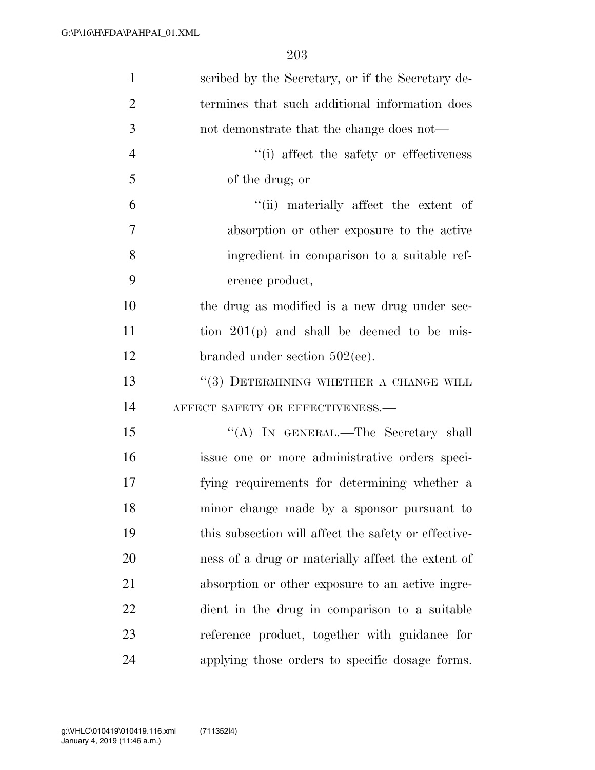| $\mathbf{1}$   | scribed by the Secretary, or if the Secretary de-    |
|----------------|------------------------------------------------------|
| $\overline{2}$ | termines that such additional information does       |
| 3              | not demonstrate that the change does not—            |
| $\overline{4}$ | "(i) affect the safety or effectiveness              |
| 5              | of the drug; or                                      |
| 6              | "(ii) materially affect the extent of                |
| 7              | absorption or other exposure to the active           |
| 8              | ingredient in comparison to a suitable ref-          |
| 9              | erence product,                                      |
| 10             | the drug as modified is a new drug under sec-        |
| 11             | tion $201(p)$ and shall be deemed to be mis-         |
| 12             | branded under section $502(ee)$ .                    |
| 13             | "(3) DETERMINING WHETHER A CHANGE WILL               |
| 14             | AFFECT SAFETY OR EFFECTIVENESS.-                     |
| 15             | "(A) IN GENERAL.—The Secretary shall                 |
| 16             | issue one or more administrative orders speci-       |
| 17             | fying requirements for determining whether a         |
| 18             | minor change made by a sponsor pursuant to           |
| 19             | this subsection will affect the safety or effective- |
| 20             | ness of a drug or materially affect the extent of    |
| 21             | absorption or other exposure to an active ingre-     |
| 22             | dient in the drug in comparison to a suitable        |
| 23             | reference product, together with guidance for        |
| 24             | applying those orders to specific dosage forms.      |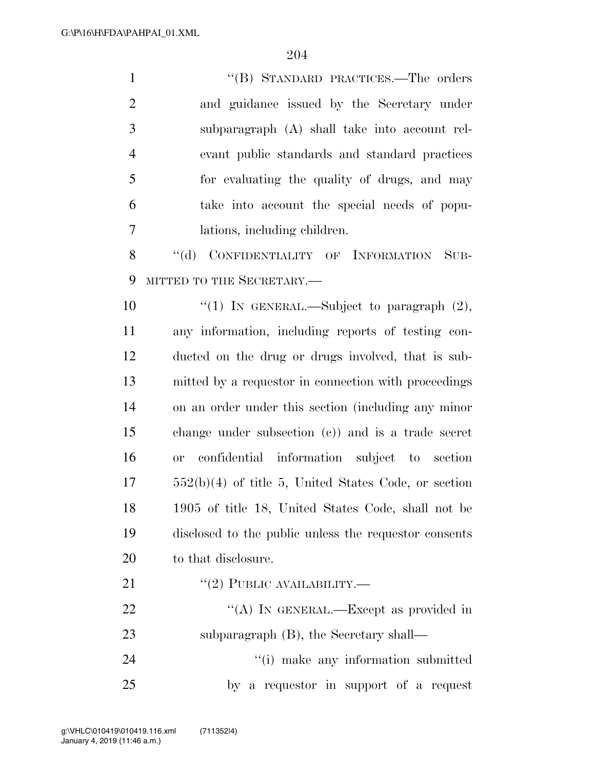| $\mathbf{1}$   | "(B) STANDARD PRACTICES.—The orders                      |
|----------------|----------------------------------------------------------|
| $\overline{2}$ | and guidance issued by the Secretary under               |
| 3              | subparagraph (A) shall take into account rel-            |
| $\overline{4}$ | evant public standards and standard practices            |
| 5              | for evaluating the quality of drugs, and may             |
| 6              | take into account the special needs of popu-             |
| 7              | lations, including children.                             |
| 8              | CONFIDENTIALITY OF INFORMATION<br>$\lq\lq (d)$<br>$SUB-$ |
| 9              | MITTED TO THE SECRETARY.-                                |
| 10             | "(1) IN GENERAL.—Subject to paragraph $(2)$ ,            |
| 11             | any information, including reports of testing con-       |
| 12             | ducted on the drug or drugs involved, that is sub-       |
| 13             | mitted by a requestor in connection with proceedings     |
| 14             | on an order under this section (including any minor      |
| 15             | change under subsection $(c)$ and is a trade secret      |
| 16             | confidential information subject to section<br>or        |
| 17             | $552(b)(4)$ of title 5, United States Code, or section   |
| 18             | 1905 of title 18, United States Code, shall not be       |
| 19             | disclosed to the public unless the requestor consents    |
| 20             | to that disclosure.                                      |
| 21             | $``(2)$ PUBLIC AVAILABILITY.—                            |
| 22             | "(A) IN GENERAL.—Except as provided in                   |
| 23             | subparagraph $(B)$ , the Secretary shall—                |
| 24             | "(i) make any information submitted                      |
| 25             | by a requestor in support of a request                   |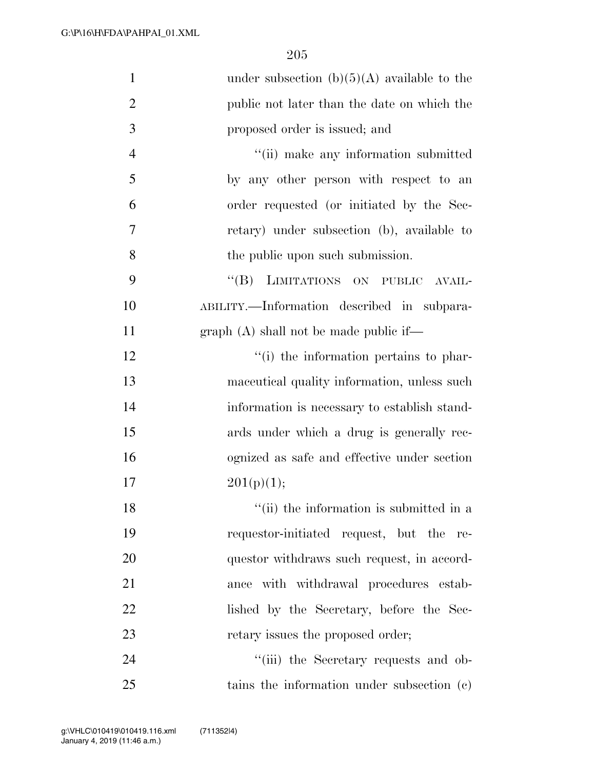| $\mathbf{1}$   | under subsection $(b)(5)(A)$ available to the |
|----------------|-----------------------------------------------|
| $\overline{2}$ | public not later than the date on which the   |
| 3              | proposed order is issued; and                 |
| $\overline{4}$ | "(ii) make any information submitted          |
| 5              | by any other person with respect to an        |
| 6              | order requested (or initiated by the Sec-     |
| 7              | retary) under subsection (b), available to    |
| 8              | the public upon such submission.              |
| 9              | "(B) LIMITATIONS ON PUBLIC AVAIL-             |
| 10             | ABILITY.—Information described in subpara-    |
| 11             | $graph(A)$ shall not be made public if—       |
| 12             | "(i) the information pertains to phar-        |
| 13             | maceutical quality information, unless such   |
| 14             | information is necessary to establish stand-  |
| 15             | ards under which a drug is generally rec-     |
| 16             | ognized as safe and effective under section   |
| 17             | 201(p)(1);                                    |
| 18             | "(ii) the information is submitted in a       |
| 19             | requestor-initiated request, but the re-      |
| 20             | questor withdraws such request, in accord-    |
| 21             | ance with withdrawal procedures estab-        |
| 22             | lished by the Secretary, before the Sec-      |
| 23             | retary issues the proposed order;             |
| 24             | "(iii) the Secretary requests and ob-         |
| 25             | tains the information under subsection (c)    |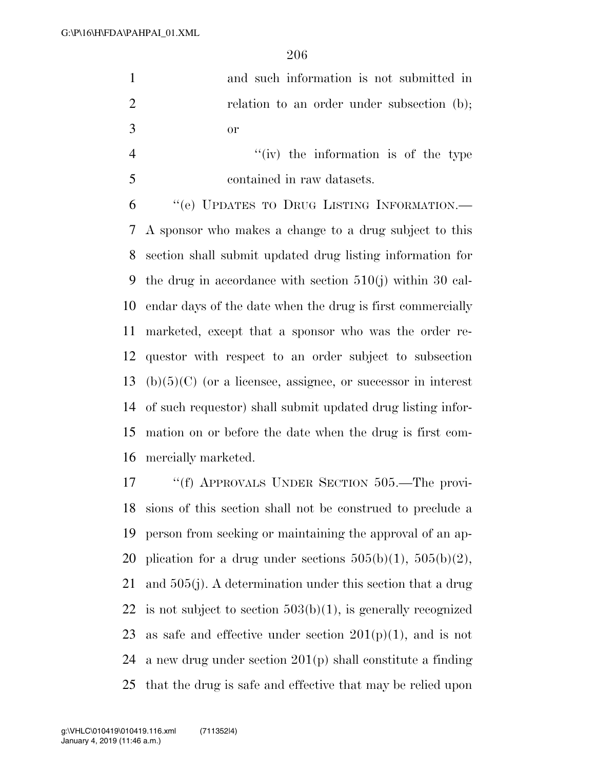| $\mathbf{1}$   | and such information is not submitted in                           |
|----------------|--------------------------------------------------------------------|
| $\overline{2}$ | relation to an order under subsection (b);                         |
| 3              | <b>or</b>                                                          |
| $\overline{4}$ | $f'(iv)$ the information is of the type                            |
| 5              | contained in raw datasets.                                         |
| 6              | "(e) UPDATES TO DRUG LISTING INFORMATION.-                         |
| 7              | A sponsor who makes a change to a drug subject to this             |
| 8              | section shall submit updated drug listing information for          |
| 9              | the drug in accordance with section $510(j)$ within 30 cal-        |
| 10             | endar days of the date when the drug is first commercially         |
| 11             | marketed, except that a sponsor who was the order re-              |
| 12             | question with respect to an order subject to subsection            |
|                | 13 (b) $(5)(C)$ (or a licensee, assignee, or successor in interest |
| 14             | of such requestor) shall submit updated drug listing infor-        |
|                |                                                                    |

 mation on or before the date when the drug is first com-mercially marketed.

 ''(f) APPROVALS UNDER SECTION 505.—The provi- sions of this section shall not be construed to preclude a person from seeking or maintaining the approval of an ap-20 plication for a drug under sections  $505(b)(1)$ ,  $505(b)(2)$ , and 505(j). A determination under this section that a drug 22 is not subject to section  $503(b)(1)$ , is generally recognized 23 as safe and effective under section  $201(p)(1)$ , and is not a new drug under section 201(p) shall constitute a finding that the drug is safe and effective that may be relied upon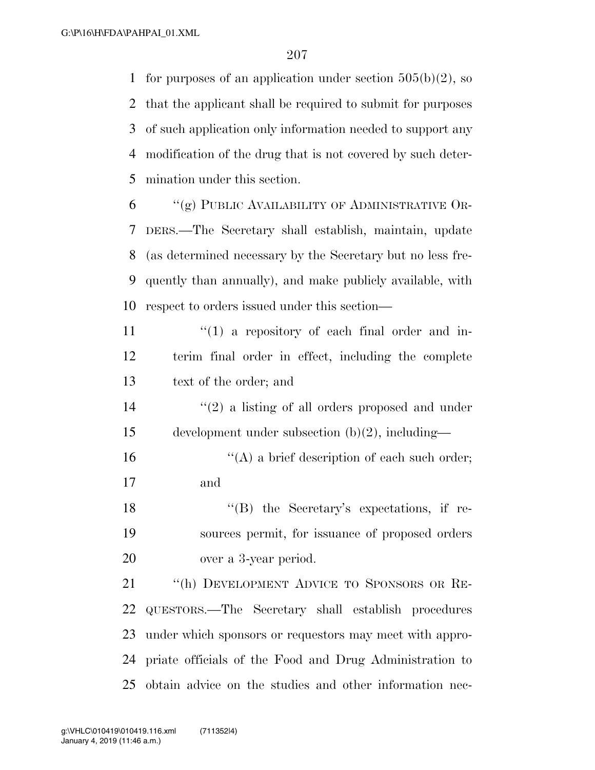1 for purposes of an application under section  $505(b)(2)$ , so that the applicant shall be required to submit for purposes of such application only information needed to support any modification of the drug that is not covered by such deter-mination under this section.

 "(g) PUBLIC AVAILABILITY OF ADMINISTRATIVE OR- DERS.—The Secretary shall establish, maintain, update (as determined necessary by the Secretary but no less fre- quently than annually), and make publicly available, with respect to orders issued under this section—

 $\frac{11}{11}$  ''(1) a repository of each final order and in- terim final order in effect, including the complete text of the order; and

14 ''(2) a listing of all orders proposed and under development under subsection (b)(2), including—

16  $"({\rm A})$  a brief description of each such order; and

18 ''(B) the Secretary's expectations, if re- sources permit, for issuance of proposed orders over a 3-year period.

 ''(h) DEVELOPMENT ADVICE TO SPONSORS OR RE- QUESTORS.—The Secretary shall establish procedures under which sponsors or requestors may meet with appro- priate officials of the Food and Drug Administration to obtain advice on the studies and other information nec-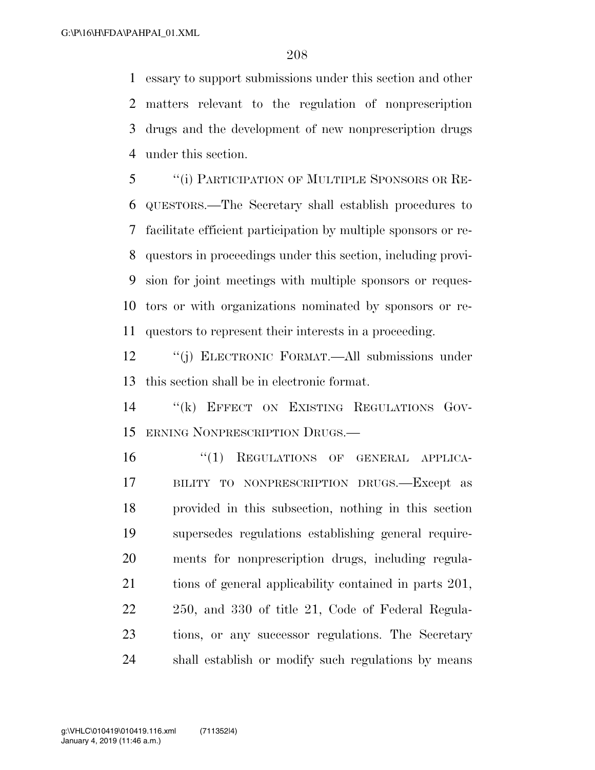essary to support submissions under this section and other matters relevant to the regulation of nonprescription drugs and the development of new nonprescription drugs under this section.

 ''(i) PARTICIPATION OF MULTIPLE SPONSORS OR RE- QUESTORS.—The Secretary shall establish procedures to facilitate efficient participation by multiple sponsors or re- questors in proceedings under this section, including provi- sion for joint meetings with multiple sponsors or reques- tors or with organizations nominated by sponsors or re-questors to represent their interests in a proceeding.

 ''(j) ELECTRONIC FORMAT.—All submissions under this section shall be in electronic format.

 ''(k) EFFECT ON EXISTING REGULATIONS GOV-ERNING NONPRESCRIPTION DRUGS.—

 $(1)$  REGULATIONS OF GENERAL APPLICA- BILITY TO NONPRESCRIPTION DRUGS.—Except as provided in this subsection, nothing in this section supersedes regulations establishing general require- ments for nonprescription drugs, including regula- tions of general applicability contained in parts 201, 250, and 330 of title 21, Code of Federal Regula- tions, or any successor regulations. The Secretary shall establish or modify such regulations by means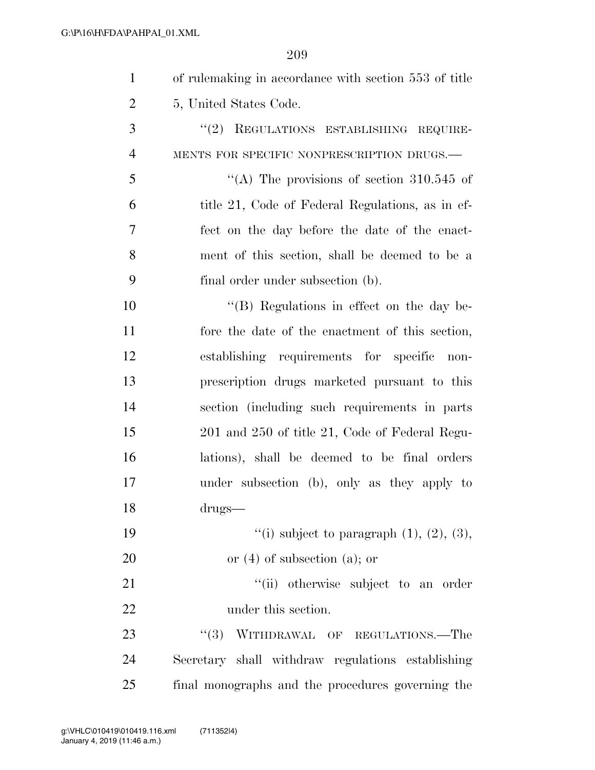| $\mathbf{1}$   | of rulemaking in accordance with section 553 of title |
|----------------|-------------------------------------------------------|
| $\overline{2}$ | 5, United States Code.                                |
| 3              | "(2) REGULATIONS ESTABLISHING REQUIRE-                |
| $\overline{4}$ | MENTS FOR SPECIFIC NONPRESCRIPTION DRUGS.-            |
| 5              | "(A) The provisions of section $310.545$ of           |
| 6              | title 21, Code of Federal Regulations, as in ef-      |
| $\overline{7}$ | fect on the day before the date of the enact-         |
| 8              | ment of this section, shall be deemed to be a         |
| 9              | final order under subsection (b).                     |
| 10             | "(B) Regulations in effect on the day be-             |
| 11             | fore the date of the enactment of this section,       |
| 12             | establishing requirements for specific non-           |
| 13             | prescription drugs marketed pursuant to this          |
| 14             | section (including such requirements in parts         |
| 15             | 201 and 250 of title 21, Code of Federal Regu-        |
| 16             | lations), shall be deemed to be final orders          |
| 17             | under subsection (b), only as they apply to           |
| 18             | drugs-                                                |
| 19             | "(i) subject to paragraph $(1)$ , $(2)$ , $(3)$ ,     |
| 20             | or $(4)$ of subsection $(a)$ ; or                     |
| 21             | "(ii) otherwise subject to an order                   |
| 22             | under this section.                                   |
| 23             | WITHDRAWAL OF REGULATIONS.-The<br>(3)                 |
| 24             | Secretary shall withdraw regulations establishing     |
| 25             | final monographs and the procedures governing the     |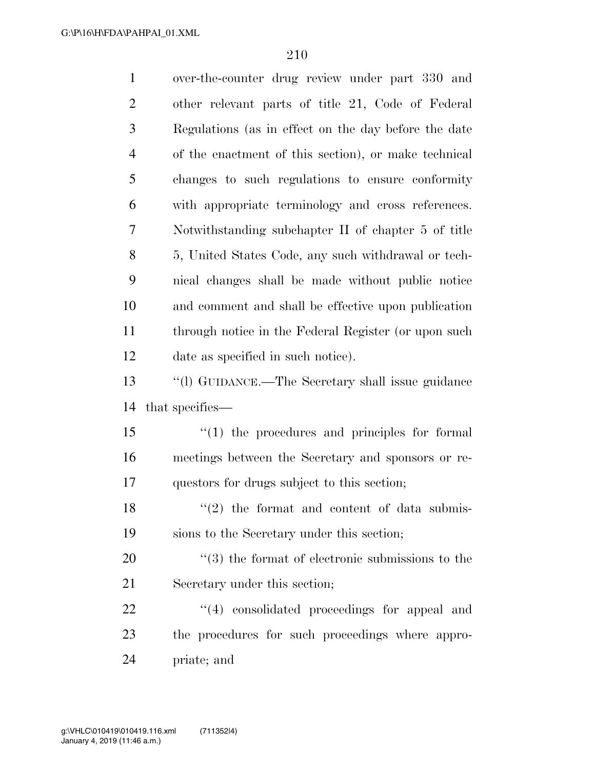| $\mathbf{1}$   | over-the-counter drug review under part 330 and              |
|----------------|--------------------------------------------------------------|
| $\overline{2}$ | other relevant parts of title 21, Code of Federal            |
| 3              | Regulations (as in effect on the day before the date         |
| $\overline{4}$ | of the enactment of this section), or make technical         |
| 5              | changes to such regulations to ensure conformity             |
| 6              | with appropriate terminology and cross references.           |
| 7              | Notwithstanding subchapter II of chapter 5 of title          |
| 8              | 5, United States Code, any such withdrawal or tech-          |
| 9              | nical changes shall be made without public notice            |
| 10             | and comment and shall be effective upon publication          |
| 11             | through notice in the Federal Register (or upon such         |
| 12             | date as specified in such notice).                           |
| 13             | "(1) GUIDANCE.—The Secretary shall issue guidance            |
| 14             | that specifies—                                              |
| 15             | $\lq(1)$ the procedures and principles for formal            |
| 16             | meetings between the Secretary and sponsors or re-           |
|                |                                                              |
| 17             | questors for drugs subject to this section;                  |
| 18             | $f'(2)$ the format and content of data submis-               |
| 19             | sions to the Secretary under this section;                   |
| 20             | $\cdot\cdot$ (3) the format of electronic submissions to the |
| 21             | Secretary under this section;                                |
| 22             | $\lq(4)$ consolidated proceedings for appeal and             |
| 23             | the procedures for such proceedings where appro-             |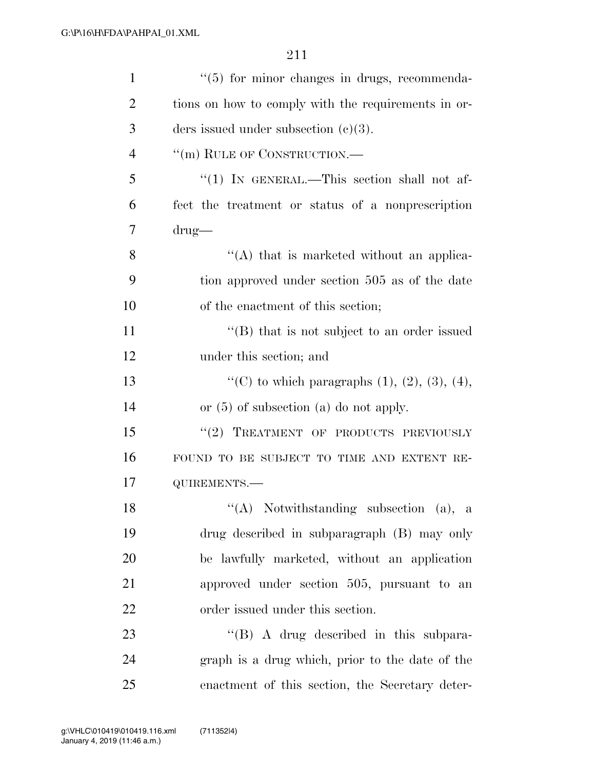| $\mathbf{1}$   | $\lq(5)$ for minor changes in drugs, recommenda-         |
|----------------|----------------------------------------------------------|
| $\overline{2}$ | tions on how to comply with the requirements in or-      |
| 3              | ders issued under subsection $(c)(3)$ .                  |
| $\overline{4}$ | "(m) RULE OF CONSTRUCTION.—                              |
| 5              | "(1) IN GENERAL.—This section shall not af-              |
| 6              | fect the treatment or status of a nonprescription        |
| 7              | $\text{drug}$                                            |
| 8              | $\lq\lq$ that is marketed without an applica-            |
| 9              | tion approved under section 505 as of the date           |
| 10             | of the enactment of this section;                        |
| 11             | "(B) that is not subject to an order issued              |
| 12             | under this section; and                                  |
| 13             | "(C) to which paragraphs $(1)$ , $(2)$ , $(3)$ , $(4)$ , |
| 14             | or $(5)$ of subsection $(a)$ do not apply.               |
| 15             | "(2) TREATMENT OF PRODUCTS PREVIOUSLY                    |
| 16             | FOUND TO BE SUBJECT TO TIME AND EXTENT RE-               |
| 17             | QUIREMENTS.-                                             |
| 18             | $\lq( A)$ Notwithstanding subsection (a), a              |
| 19             | drug described in subparagraph (B) may only              |
| 20             | be lawfully marketed, without an application             |
| 21             | approved under section 505, pursuant to an               |
| 22             | order issued under this section.                         |
| 23             | $\lq\lq (B)$ A drug described in this subpara-           |
| 24             | graph is a drug which, prior to the date of the          |
| 25             | enactment of this section, the Secretary deter-          |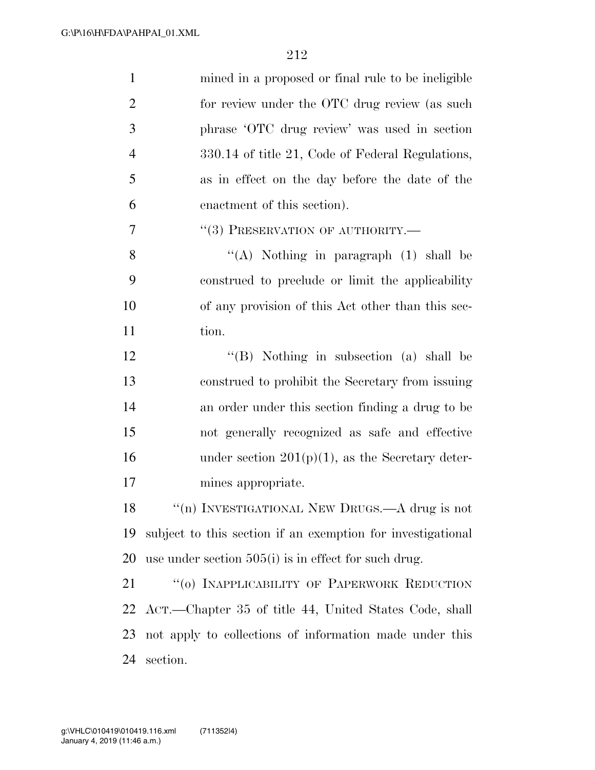| $\mathbf{1}$   | mined in a proposed or final rule to be ineligible          |
|----------------|-------------------------------------------------------------|
| $\overline{2}$ | for review under the OTC drug review (as such               |
| 3              | phrase 'OTC drug review' was used in section                |
| $\overline{4}$ | 330.14 of title 21, Code of Federal Regulations,            |
| 5              | as in effect on the day before the date of the              |
| 6              | enactment of this section).                                 |
| 7              | "(3) PRESERVATION OF AUTHORITY.-                            |
| 8              | "(A) Nothing in paragraph $(1)$ shall be                    |
| 9              | construed to preclude or limit the applicability            |
| 10             | of any provision of this Act other than this sec-           |
| 11             | tion.                                                       |
| 12             | "(B) Nothing in subsection (a) shall be                     |
| 13             | construed to prohibit the Secretary from issuing            |
| 14             | an order under this section finding a drug to be            |
| 15             | not generally recognized as safe and effective              |
| 16             | under section $201(p)(1)$ , as the Secretary deter-         |
| 17             | mines appropriate.                                          |
| 18             | "(n) INVESTIGATIONAL NEW DRUGS.—A drug is not               |
| 19             | subject to this section if an exemption for investigational |
| 20             | use under section $505(i)$ is in effect for such drug.      |
| 21             | "(0) INAPPLICABILITY OF PAPERWORK REDUCTION                 |
| 22             | ACT.—Chapter 35 of title 44, United States Code, shall      |
| 23             | not apply to collections of information made under this     |
| 24             | section.                                                    |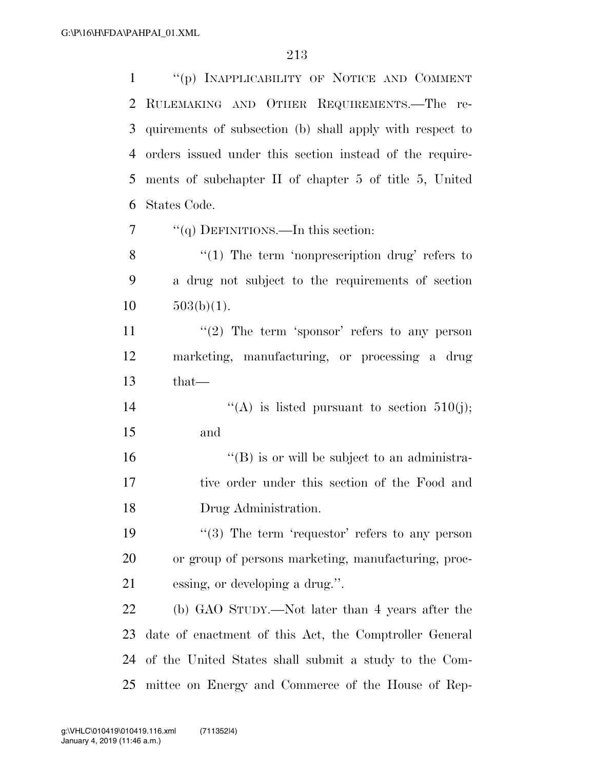''(p) INAPPLICABILITY OF NOTICE AND COMMENT RULEMAKING AND OTHER REQUIREMENTS.—The re- quirements of subsection (b) shall apply with respect to orders issued under this section instead of the require- ments of subchapter II of chapter 5 of title 5, United States Code.

''(q) DEFINITIONS.—In this section:

8 "(1) The term 'nonprescription drug' refers to a drug not subject to the requirements of section  $10 \qquad 503(b)(1).$ 

11  $\frac{1}{2}$  The term 'sponsor' refers to any person marketing, manufacturing, or processing a drug that—

14  $((A)$  is listed pursuant to section 510(j); and

 ''(B) is or will be subject to an administra- tive order under this section of the Food and Drug Administration.

19  $(3)$  The term 'requestor' refers to any person or group of persons marketing, manufacturing, proc-essing, or developing a drug.''.

 (b) GAO STUDY.—Not later than 4 years after the date of enactment of this Act, the Comptroller General of the United States shall submit a study to the Com-mittee on Energy and Commerce of the House of Rep-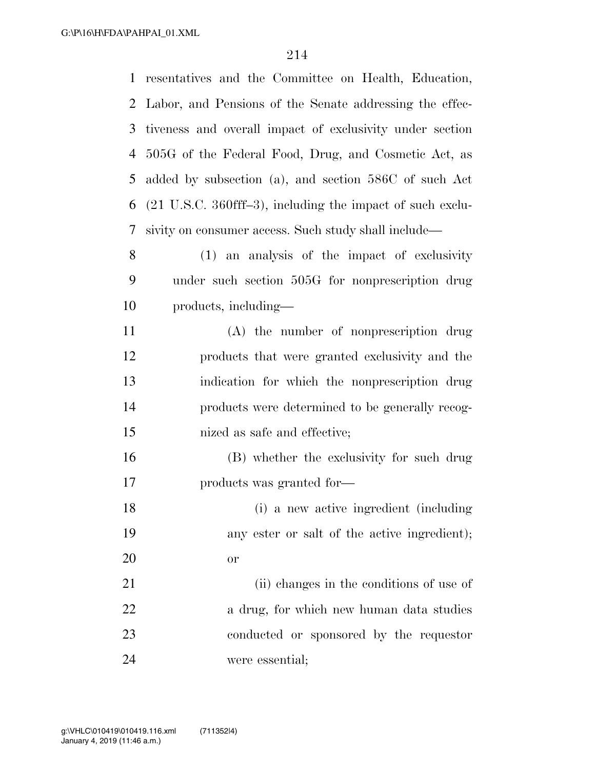resentatives and the Committee on Health, Education, Labor, and Pensions of the Senate addressing the effec- tiveness and overall impact of exclusivity under section 505G of the Federal Food, Drug, and Cosmetic Act, as added by subsection (a), and section 586C of such Act (21 U.S.C. 360fff–3), including the impact of such exclu- sivity on consumer access. Such study shall include— (1) an analysis of the impact of exclusivity under such section 505G for nonprescription drug products, including— (A) the number of nonprescription drug products that were granted exclusivity and the indication for which the nonprescription drug products were determined to be generally recog- nized as safe and effective; (B) whether the exclusivity for such drug products was granted for— (i) a new active ingredient (including any ester or salt of the active ingredient); or 21 (ii) changes in the conditions of use of

22 a drug, for which new human data studies conducted or sponsored by the requestor were essential;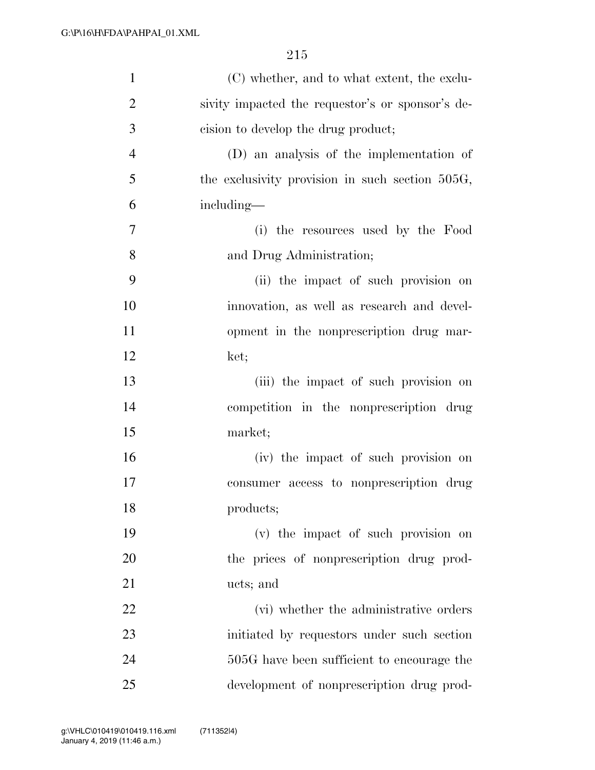| $\mathbf{1}$   | (C) whether, and to what extent, the exclu-      |
|----------------|--------------------------------------------------|
| $\overline{2}$ | sivity impacted the requestor's or sponsor's de- |
| 3              | eision to develop the drug product;              |
| $\overline{4}$ | (D) an analysis of the implementation of         |
| 5              | the exclusivity provision in such section 505G,  |
| 6              | including—                                       |
| 7              | (i) the resources used by the Food               |
| 8              | and Drug Administration;                         |
| 9              | (ii) the impact of such provision on             |
| 10             | innovation, as well as research and devel-       |
| 11             | opment in the nonprescription drug mar-          |
| 12             | ket;                                             |
| 13             | (iii) the impact of such provision on            |
| 14             | competition in the nonprescription drug          |
| 15             | market;                                          |
| 16             | (iv) the impact of such provision on             |
| 17             | consumer access to nonprescription drug          |
| 18             | products;                                        |
| 19             | (v) the impact of such provision on              |
| 20             | the prices of nonprescription drug prod-         |
| 21             | ucts; and                                        |
| 22             | (vi) whether the administrative orders           |
| 23             | initiated by requestors under such section       |
| 24             | 505G have been sufficient to encourage the       |
| 25             | development of nonprescription drug prod-        |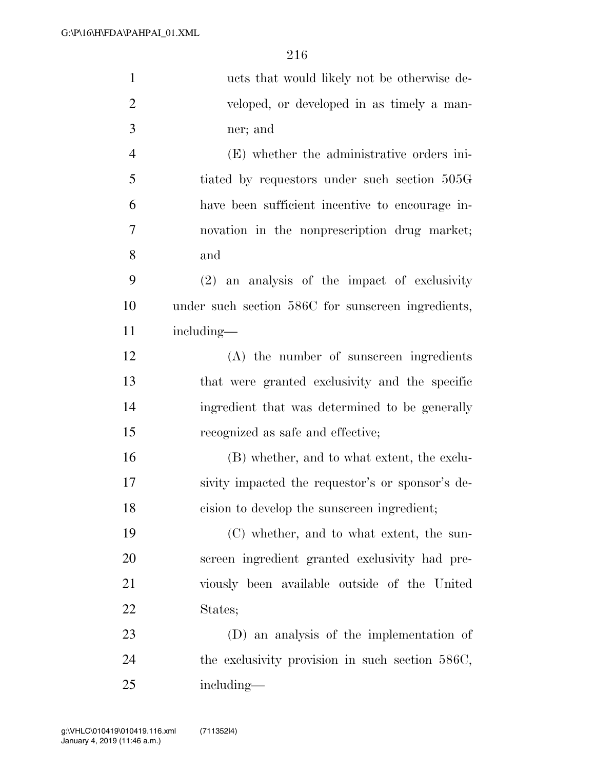| $\mathbf{1}$     | ucts that would likely not be otherwise de-        |
|------------------|----------------------------------------------------|
| $\overline{2}$   | veloped, or developed in as timely a man-          |
| 3                | ner; and                                           |
| $\overline{4}$   | (E) whether the administrative orders ini-         |
| 5                | tiated by requestors under such section 505G       |
| 6                | have been sufficient incentive to encourage in-    |
| $\boldsymbol{7}$ | novation in the nonprescription drug market;       |
| 8                | and                                                |
| 9                | $(2)$ an analysis of the impact of exclusivity     |
| 10               | under such section 586C for sunscreen ingredients, |
| 11               | including—                                         |
| 12               | (A) the number of sunscreen ingredients            |
| 13               | that were granted exclusivity and the specific     |
| 14               | ingredient that was determined to be generally     |
| 15               | recognized as safe and effective;                  |
| 16               | (B) whether, and to what extent, the exclu-        |
| 17               | sivity impacted the requestor's or sponsor's de-   |
| 18               | cision to develop the sunscreen ingredient;        |
| 19               | (C) whether, and to what extent, the sun-          |
| 20               | screen ingredient granted exclusivity had pre-     |
| 21               | viously been available outside of the United       |
| 22               | States;                                            |
| 23               | (D) an analysis of the implementation of           |
| 24               | the exclusivity provision in such section 586C,    |
| 25               | including—                                         |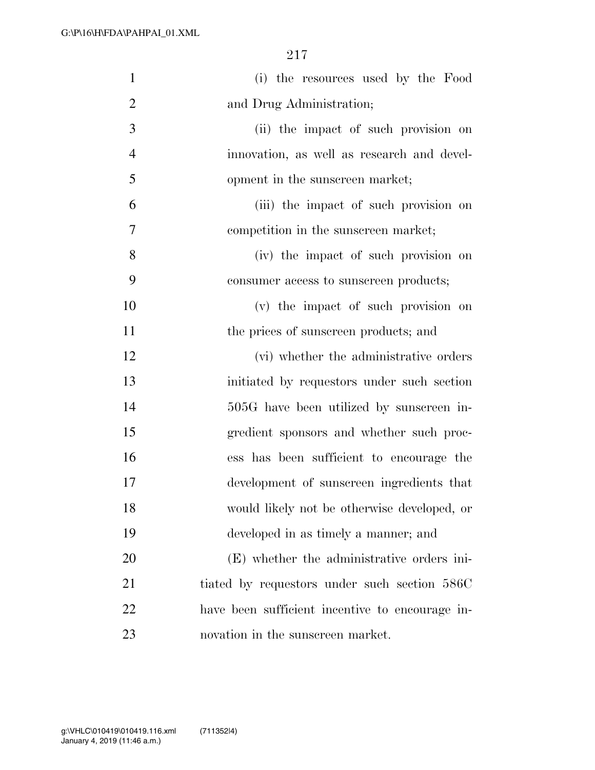| $\mathbf{1}$   | (i) the resources used by the Food              |
|----------------|-------------------------------------------------|
| $\overline{2}$ | and Drug Administration;                        |
| 3              | (ii) the impact of such provision on            |
| $\overline{4}$ | innovation, as well as research and devel-      |
| 5              | opment in the sunscreen market;                 |
| 6              | (iii) the impact of such provision on           |
| 7              | competition in the sunscreen market;            |
| 8              | (iv) the impact of such provision on            |
| 9              | consumer access to sunscreen products;          |
| 10             | (v) the impact of such provision on             |
| 11             | the prices of sunscreen products; and           |
| 12             | (vi) whether the administrative orders          |
| 13             | initiated by requestors under such section      |
| 14             | 505G have been utilized by sunscreen in-        |
| 15             | gredient sponsors and whether such proc-        |
| 16             | ess has been sufficient to encourage the        |
| 17             | development of sunscreen ingredients that       |
| 18             | would likely not be otherwise developed, or     |
| 19             | developed in as timely a manner; and            |
| 20             | (E) whether the administrative orders ini-      |
| 21             | tiated by requestors under such section 586C    |
| 22             | have been sufficient incentive to encourage in- |
| 23             | novation in the sunscreen market.               |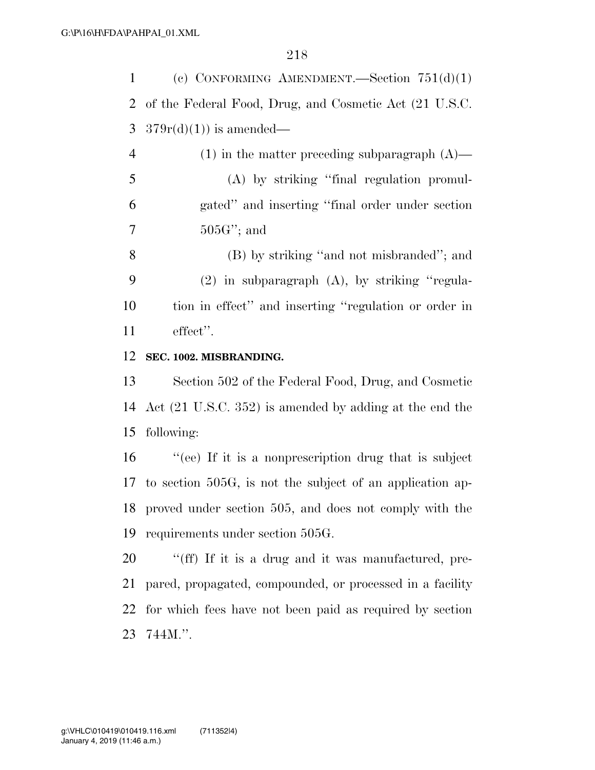| (c) CONFORMING AMENDMENT. Section $751(d)(1)$            |
|----------------------------------------------------------|
| 2 of the Federal Food, Drug, and Cosmetic Act (21 U.S.C. |
| 3 $379r(d)(1)$ is amended—                               |
| $(1)$ in the matter preceding subparagraph $(A)$ —       |
| (A) by striking "final regulation promul-                |

 gated'' and inserting ''final order under section 505G''; and

 (B) by striking ''and not misbranded''; and (2) in subparagraph (A), by striking ''regula- tion in effect'' and inserting ''regulation or order in effect''.

## **SEC. 1002. MISBRANDING.**

 Section 502 of the Federal Food, Drug, and Cosmetic Act (21 U.S.C. 352) is amended by adding at the end the following:

 ''(ee) If it is a nonprescription drug that is subject to section 505G, is not the subject of an application ap- proved under section 505, and does not comply with the requirements under section 505G.

 ''(ff) If it is a drug and it was manufactured, pre- pared, propagated, compounded, or processed in a facility for which fees have not been paid as required by section 744M.''.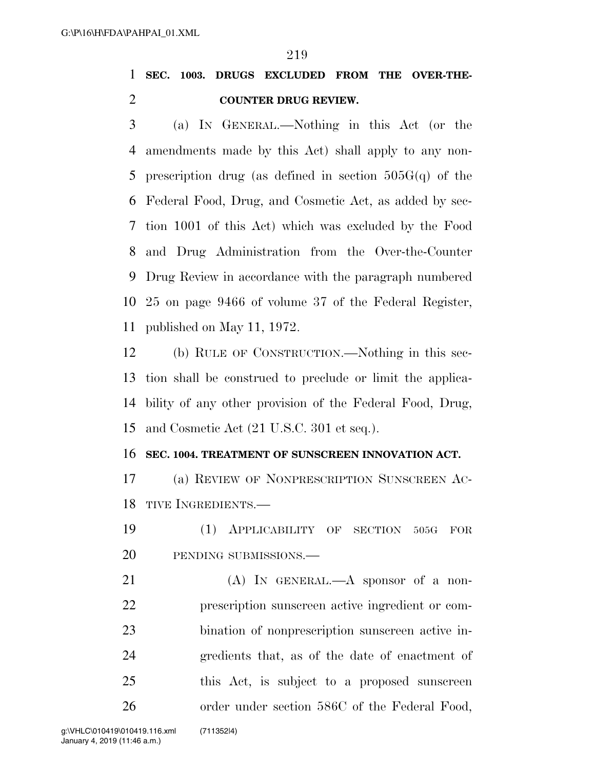**SEC. 1003. DRUGS EXCLUDED FROM THE OVER-THE-COUNTER DRUG REVIEW.** 

 (a) IN GENERAL.—Nothing in this Act (or the amendments made by this Act) shall apply to any non-5 prescription drug (as defined in section  $505G(q)$  of the Federal Food, Drug, and Cosmetic Act, as added by sec- tion 1001 of this Act) which was excluded by the Food and Drug Administration from the Over-the-Counter Drug Review in accordance with the paragraph numbered 25 on page 9466 of volume 37 of the Federal Register, published on May 11, 1972.

 (b) RULE OF CONSTRUCTION.—Nothing in this sec- tion shall be construed to preclude or limit the applica- bility of any other provision of the Federal Food, Drug, and Cosmetic Act (21 U.S.C. 301 et seq.).

#### **SEC. 1004. TREATMENT OF SUNSCREEN INNOVATION ACT.**

 (a) REVIEW OF NONPRESCRIPTION SUNSCREEN AC-18 TIVE INGREDIENTS —

 (1) APPLICABILITY OF SECTION 505G FOR 20 PENDING SUBMISSIONS.—

21 (A) IN GENERAL.—A sponsor of a non- prescription sunscreen active ingredient or com- bination of nonprescription sunscreen active in- gredients that, as of the date of enactment of this Act, is subject to a proposed sunscreen 26 order under section 586C of the Federal Food,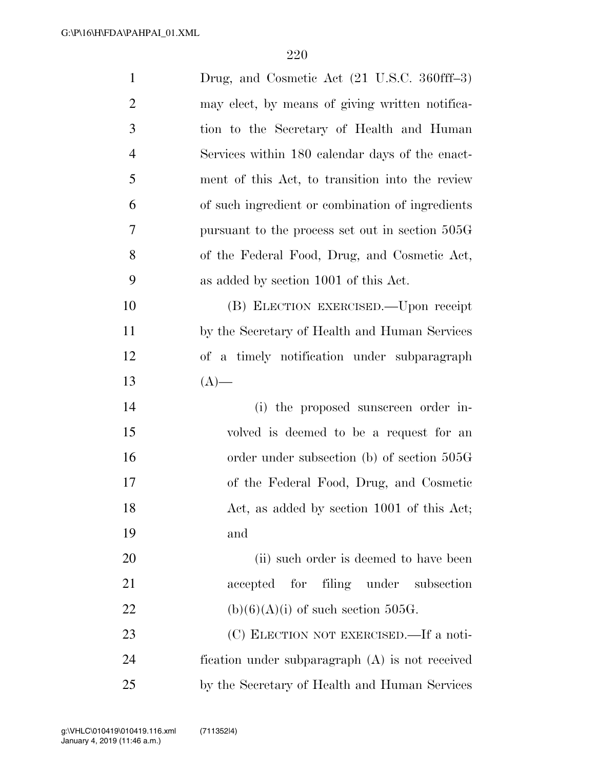| $\mathbf{1}$   | Drug, and Cosmetic Act (21 U.S.C. 360fff-3)      |
|----------------|--------------------------------------------------|
| $\overline{2}$ | may elect, by means of giving written notifica-  |
| 3              | tion to the Secretary of Health and Human        |
| $\overline{4}$ | Services within 180 calendar days of the enact-  |
| 5              | ment of this Act, to transition into the review  |
| 6              | of such ingredient or combination of ingredients |
| $\overline{7}$ | pursuant to the process set out in section 505G  |
| 8              | of the Federal Food, Drug, and Cosmetic Act,     |
| 9              | as added by section 1001 of this Act.            |
| 10             | (B) ELECTION EXERCISED.—Upon receipt             |
| 11             | by the Secretary of Health and Human Services    |
| 12             | of a timely notification under subparagraph      |
| 13             | $(A)$ —                                          |
| 14             | (i) the proposed sunscreen order in-             |
| 15             | volved is deemed to be a request for an          |
| 16             | order under subsection $(b)$ of section 505G     |
| $17\,$         | of the Federal Food, Drug, and Cosmetic          |
| 18             | Act, as added by section 1001 of this Act;       |
| 19             | and                                              |
| 20             | (ii) such order is deemed to have been           |
| 21             | accepted for<br>filing under subsection          |
| 22             | $(b)(6)(A)(i)$ of such section 505G.             |
| 23             | (C) ELECTION NOT EXERCISED.—If a noti-           |
| 24             | fication under subparagraph (A) is not received  |
|                |                                                  |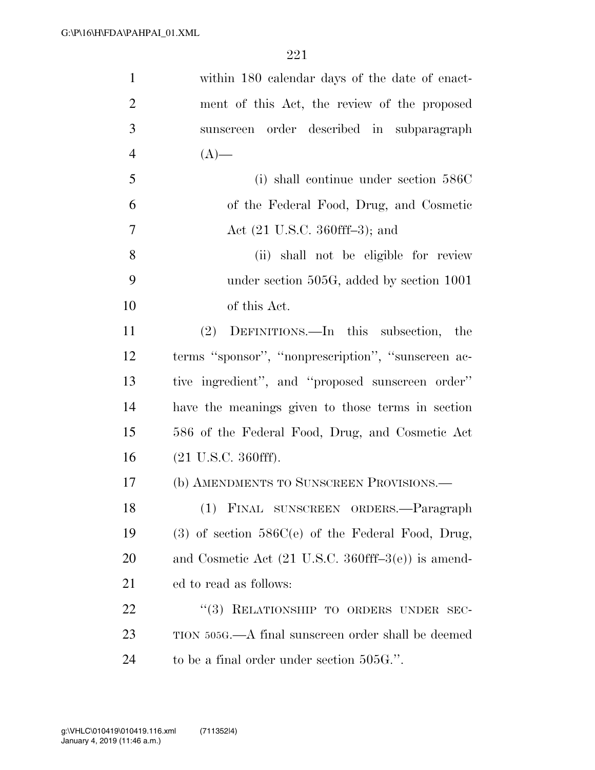| $\mathbf{1}$   | within 180 calendar days of the date of enact-                        |
|----------------|-----------------------------------------------------------------------|
| $\overline{2}$ | ment of this Act, the review of the proposed                          |
| 3              | sunscreen order described in subparagraph                             |
| $\overline{4}$ | $(A)$ —                                                               |
| 5              | (i) shall continue under section 586C                                 |
| 6              | of the Federal Food, Drug, and Cosmetic                               |
| $\tau$         | Act $(21 \text{ U.S.C. } 360 \text{ff}f-3)$ ; and                     |
| 8              | (ii) shall not be eligible for review                                 |
| 9              | under section 505G, added by section 1001                             |
| 10             | of this Act.                                                          |
| 11             | (2) DEFINITIONS.—In this subsection, the                              |
| 12             | terms "sponsor", "nonprescription", "sunscreen ac-                    |
| 13             | tive ingredient", and "proposed sunscreen order"                      |
| 14             | have the meanings given to those terms in section                     |
| 15             | 586 of the Federal Food, Drug, and Cosmetic Act                       |
| 16             | $(21 \text{ U.S.C. } 360 \text{fff}).$                                |
| 17             | (b) AMENDMENTS TO SUNSCREEN PROVISIONS.-                              |
| 18             | (1) FINAL SUNSCREEN ORDERS.-Paragraph                                 |
| 19             | $(3)$ of section $586C(e)$ of the Federal Food, Drug,                 |
| 20             | and Cosmetic Act $(21 \text{ U.S.C. } 360 \text{ff}f-3(e))$ is amend- |
| 21             | ed to read as follows:                                                |
| 22             | "(3) RELATIONSHIP TO ORDERS UNDER SEC-                                |
| 23             | TION 505G.—A final sunscreen order shall be deemed                    |
| 24             | to be a final order under section 505G.".                             |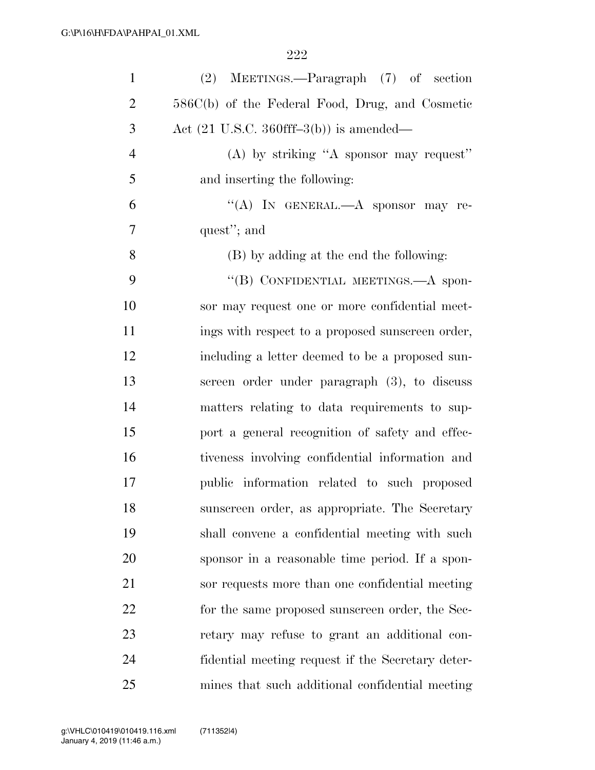| $\mathbf{1}$   | $(2)$ MEETINGS.—Paragraph $(7)$ of section                 |
|----------------|------------------------------------------------------------|
| $\overline{2}$ | 586C(b) of the Federal Food, Drug, and Cosmetic            |
| 3              | Act $(21 \text{ U.S.C. } 360 \text{ff}f-3(b))$ is amended— |
| $\overline{4}$ | (A) by striking "A sponsor may request"                    |
| 5              | and inserting the following:                               |
| 6              | "(A) IN GENERAL.—A sponsor may re-                         |
| $\overline{7}$ | quest"; and                                                |
| 8              | (B) by adding at the end the following:                    |
| 9              | "(B) CONFIDENTIAL MEETINGS.—A spon-                        |
| 10             | sor may request one or more confidential meet-             |
| 11             | ings with respect to a proposed sunscreen order,           |
| 12             | including a letter deemed to be a proposed sun-            |
| 13             | screen order under paragraph (3), to discuss               |
| 14             | matters relating to data requirements to sup-              |
| 15             | port a general recognition of safety and effec-            |
| 16             | tiveness involving confidential information and            |
| 17             | public information related to such proposed                |
| 18             | sunscreen order, as appropriate. The Secretary             |
| 19             | shall convene a confidential meeting with such             |
| 20             | sponsor in a reasonable time period. If a spon-            |
| 21             | sor requests more than one confidential meeting            |
| 22             | for the same proposed sunscreen order, the Sec-            |
| 23             | retary may refuse to grant an additional con-              |
| 24             | fidential meeting request if the Secretary deter-          |
| 25             | mines that such additional confidential meeting            |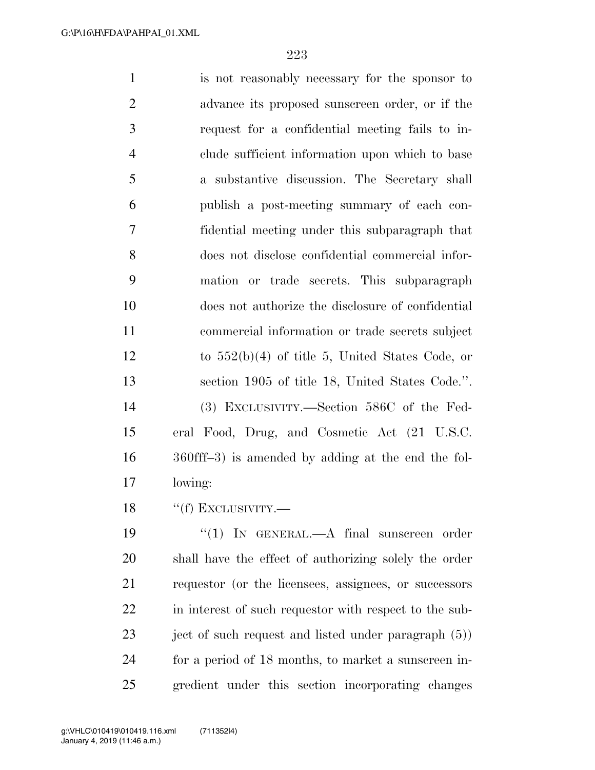is not reasonably necessary for the sponsor to advance its proposed sunscreen order, or if the request for a confidential meeting fails to in- clude sufficient information upon which to base a substantive discussion. The Secretary shall publish a post-meeting summary of each con- fidential meeting under this subparagraph that does not disclose confidential commercial infor- mation or trade secrets. This subparagraph does not authorize the disclosure of confidential commercial information or trade secrets subject to 552(b)(4) of title 5, United States Code, or section 1905 of title 18, United States Code.''. (3) EXCLUSIVITY.—Section 586C of the Fed- eral Food, Drug, and Cosmetic Act (21 U.S.C. 360fff–3) is amended by adding at the end the fol-lowing:

18 "(f) EXCLUSIVITY.—

19 "(1) IN GENERAL.—A final sunscreen order shall have the effect of authorizing solely the order requestor (or the licensees, assignees, or successors 22 in interest of such requestor with respect to the sub-23 ject of such request and listed under paragraph (5)) for a period of 18 months, to market a sunscreen in-gredient under this section incorporating changes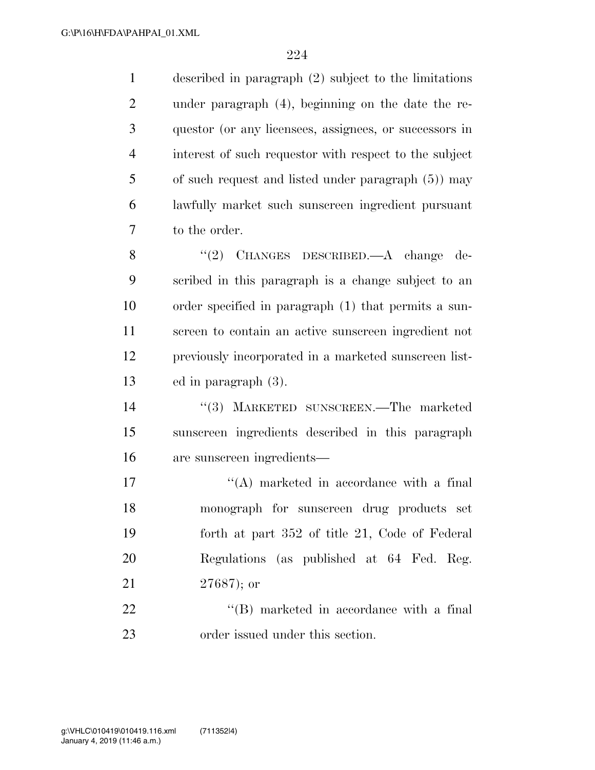described in paragraph (2) subject to the limitations under paragraph (4), beginning on the date the re- questor (or any licensees, assignees, or successors in interest of such requestor with respect to the subject of such request and listed under paragraph (5)) may lawfully market such sunscreen ingredient pursuant to the order.

8 "(2) CHANGES DESCRIBED.—A change de- scribed in this paragraph is a change subject to an order specified in paragraph (1) that permits a sun- screen to contain an active sunscreen ingredient not previously incorporated in a marketed sunscreen list-ed in paragraph (3).

 ''(3) MARKETED SUNSCREEN.—The marketed sunscreen ingredients described in this paragraph are sunscreen ingredients—

17 ''(A) marketed in accordance with a final monograph for sunscreen drug products set forth at part 352 of title 21, Code of Federal Regulations (as published at 64 Fed. Reg. 27687); or

22  $\text{``(B)}$  marketed in accordance with a final order issued under this section.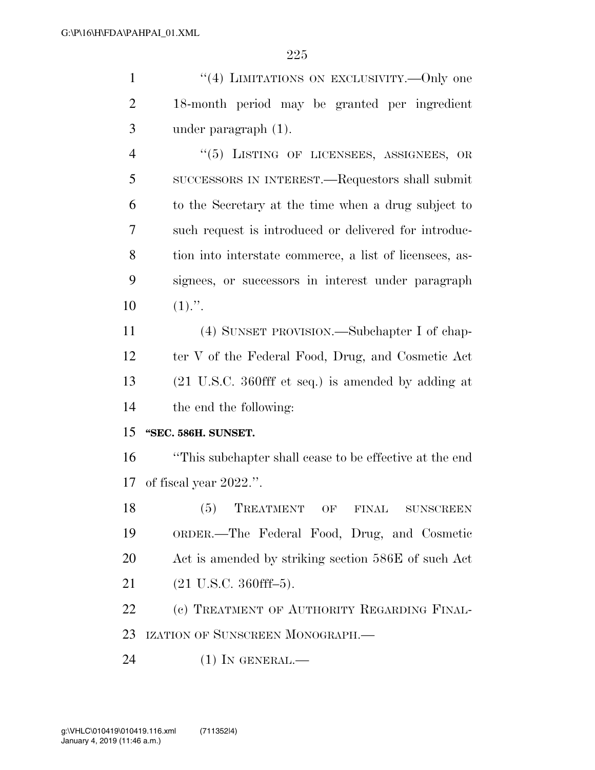1 "(4) LIMITATIONS ON EXCLUSIVITY.—Only one 18-month period may be granted per ingredient under paragraph (1). 4 "(5) LISTING OF LICENSEES, ASSIGNEES, OR SUCCESSORS IN INTEREST.—Requestors shall submit to the Secretary at the time when a drug subject to such request is introduced or delivered for introduc- tion into interstate commerce, a list of licensees, as- signees, or successors in interest under paragraph  $10 \t(1)."$ . (4) SUNSET PROVISION.—Subchapter I of chap-

12 ter V of the Federal Food, Drug, and Cosmetic Act (21 U.S.C. 360fff et seq.) is amended by adding at the end the following:

### **''SEC. 586H. SUNSET.**

 ''This subchapter shall cease to be effective at the end of fiscal year 2022.''.

18 (5) TREATMENT OF FINAL SUNSCREEN ORDER.—The Federal Food, Drug, and Cosmetic Act is amended by striking section 586E of such Act (21 U.S.C. 360fff–5).

22 (c) TREATMENT OF AUTHORITY REGARDING FINAL-IZATION OF SUNSCREEN MONOGRAPH.—

24 (1) IN GENERAL.—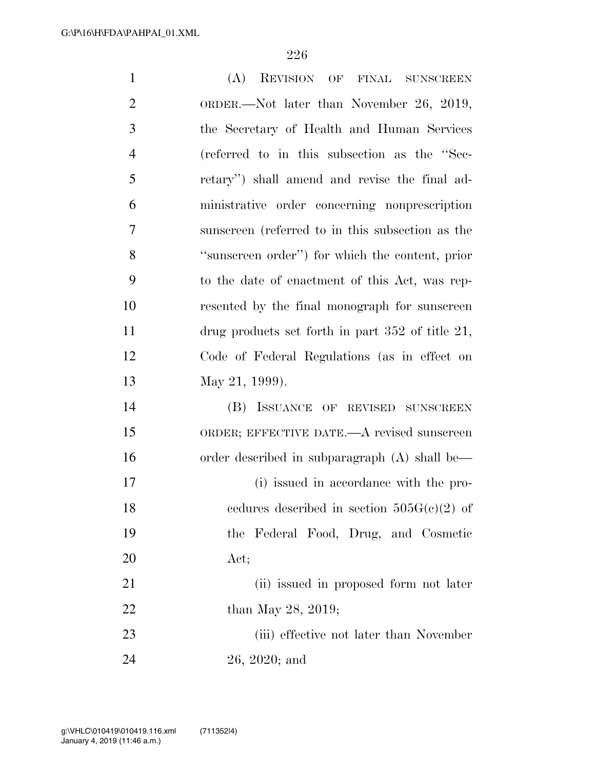| $\mathbf{1}$   | (A) REVISION OF<br>FINAL SUNSCREEN                    |
|----------------|-------------------------------------------------------|
| $\overline{2}$ | ORDER.—Not later than November 26, 2019,              |
| 3              | the Secretary of Health and Human Services            |
| $\overline{4}$ | (referred to in this subsection as the "Sec-          |
| 5              | retary") shall amend and revise the final ad-         |
| 6              | ministrative order concerning nonprescription         |
| 7              | sunscreen (referred to in this subsection as the      |
| 8              | "sunscreen order") for which the content, prior       |
| 9              | to the date of enactment of this Act, was rep-        |
| 10             | resented by the final monograph for sunscreen         |
| 11             | drug products set forth in part $352$ of title $21$ , |
| 12             | Code of Federal Regulations (as in effect on          |
| 13             | May 21, 1999).                                        |
| 14             | (B) ISSUANCE OF REVISED SUNSCREEN                     |
| 15             | ORDER; EFFECTIVE DATE.—A revised sunscreen            |
| 16             | order described in subparagraph $(A)$ shall be—       |
| 17             | (i) issued in accordance with the pro-                |
| 18             | cedures described in section $505G(c)(2)$ of          |
| 19             | the Federal Food, Drug, and Cosmetic                  |
| 20             | Act;                                                  |
| 21             | (ii) issued in proposed form not later                |
| 22             | than May 28, 2019;                                    |
| 23             | (iii) effective not later than November               |
| 24             | $26, 2020;$ and                                       |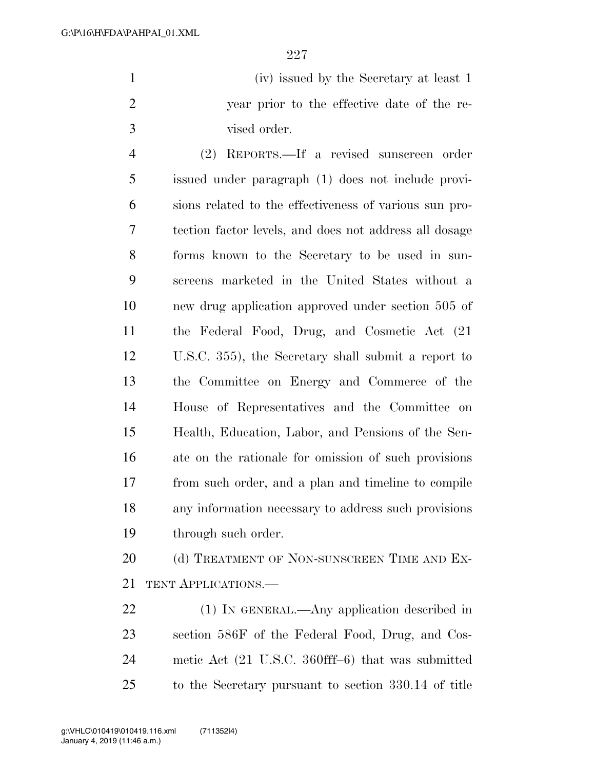| (iv) issued by the Secretary at least 1     |
|---------------------------------------------|
| year prior to the effective date of the re- |
| vised order.                                |

 (2) REPORTS.—If a revised sunscreen order issued under paragraph (1) does not include provi- sions related to the effectiveness of various sun pro- tection factor levels, and does not address all dosage forms known to the Secretary to be used in sun- screens marketed in the United States without a new drug application approved under section 505 of the Federal Food, Drug, and Cosmetic Act (21 U.S.C. 355), the Secretary shall submit a report to the Committee on Energy and Commerce of the House of Representatives and the Committee on Health, Education, Labor, and Pensions of the Sen- ate on the rationale for omission of such provisions from such order, and a plan and timeline to compile any information necessary to address such provisions through such order.

20 (d) TREATMENT OF NON-SUNSCREEN TIME AND EX-TENT APPLICATIONS.—

 (1) IN GENERAL.—Any application described in section 586F of the Federal Food, Drug, and Cos- metic Act (21 U.S.C. 360fff–6) that was submitted to the Secretary pursuant to section 330.14 of title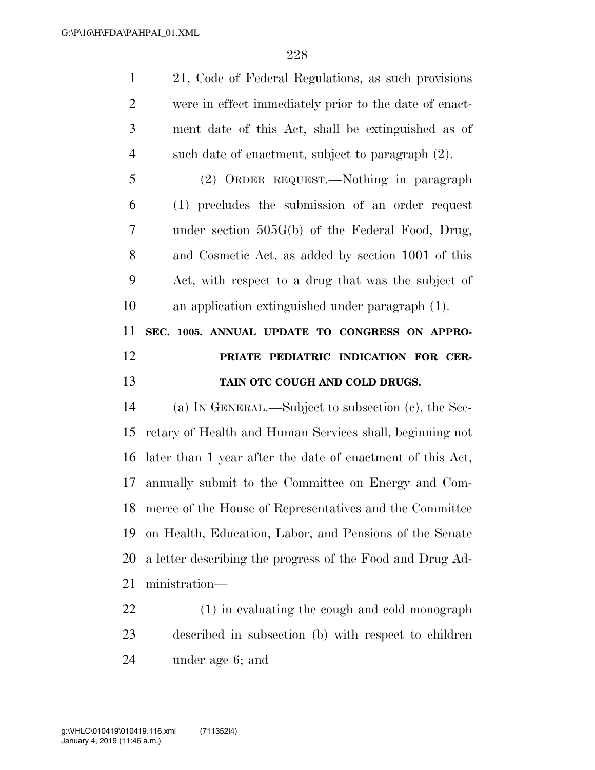| $\mathbf{1}$   | 21, Code of Federal Regulations, as such provisions        |
|----------------|------------------------------------------------------------|
| $\overline{2}$ | were in effect immediately prior to the date of enact-     |
| 3              | ment date of this Act, shall be extinguished as of         |
| $\overline{4}$ | such date of enactment, subject to paragraph (2).          |
| 5              | (2) ORDER REQUEST.—Nothing in paragraph                    |
| 6              | (1) precludes the submission of an order request           |
| 7              | under section 505G(b) of the Federal Food, Drug,           |
| 8              | and Cosmetic Act, as added by section 1001 of this         |
| 9              | Act, with respect to a drug that was the subject of        |
| 10             | an application extinguished under paragraph (1).           |
| 11             | SEC. 1005. ANNUAL UPDATE TO CONGRESS ON APPRO-             |
|                |                                                            |
| 12             | PRIATE PEDIATRIC INDICATION FOR CER-                       |
| 13             | TAIN OTC COUGH AND COLD DRUGS.                             |
| 14             | (a) IN GENERAL.—Subject to subsection $(c)$ , the Sec-     |
| 15             | retary of Health and Human Services shall, beginning not   |
| 16             | later than 1 year after the date of enactment of this Act, |
|                | annually submit to the Committee on Energy and Com-        |
| 17<br>18       | merce of the House of Representatives and the Committee    |
| 19             | on Health, Education, Labor, and Pensions of the Senate    |
| 20             | a letter describing the progress of the Food and Drug Ad-  |
| 21             | ministration—                                              |

 described in subsection (b) with respect to children under age 6; and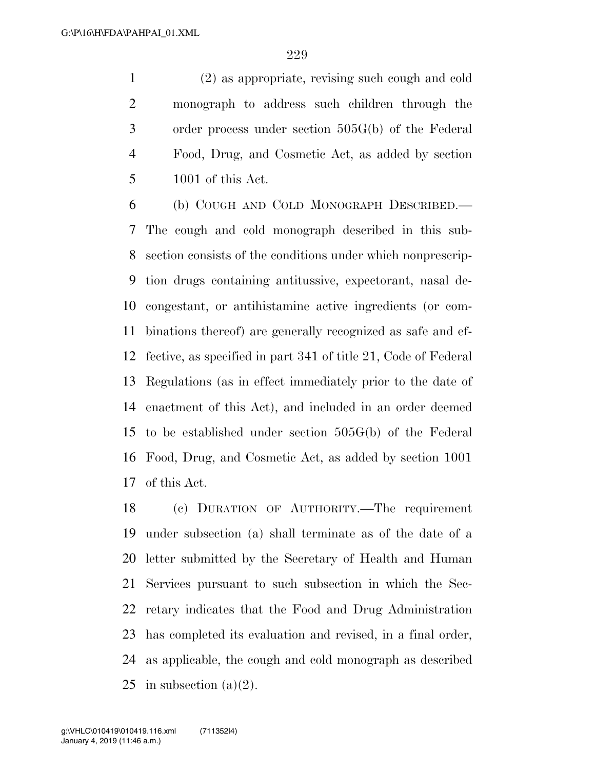(2) as appropriate, revising such cough and cold monograph to address such children through the order process under section 505G(b) of the Federal Food, Drug, and Cosmetic Act, as added by section 1001 of this Act.

 (b) COUGH AND COLD MONOGRAPH DESCRIBED.— The cough and cold monograph described in this sub- section consists of the conditions under which nonprescrip- tion drugs containing antitussive, expectorant, nasal de- congestant, or antihistamine active ingredients (or com- binations thereof) are generally recognized as safe and ef- fective, as specified in part 341 of title 21, Code of Federal Regulations (as in effect immediately prior to the date of enactment of this Act), and included in an order deemed to be established under section 505G(b) of the Federal Food, Drug, and Cosmetic Act, as added by section 1001 of this Act.

 (c) DURATION OF AUTHORITY.—The requirement under subsection (a) shall terminate as of the date of a letter submitted by the Secretary of Health and Human Services pursuant to such subsection in which the Sec- retary indicates that the Food and Drug Administration has completed its evaluation and revised, in a final order, as applicable, the cough and cold monograph as described 25 in subsection  $(a)(2)$ .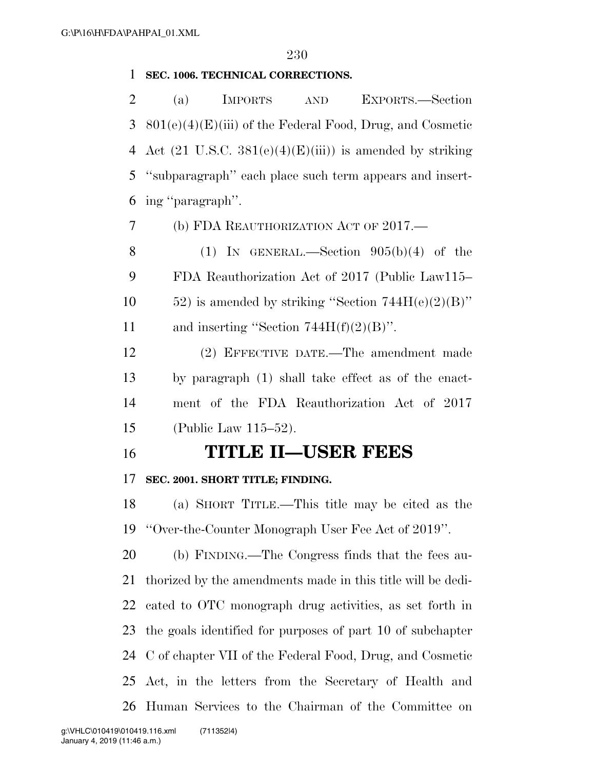### **SEC. 1006. TECHNICAL CORRECTIONS.**

 (a) IMPORTS AND EXPORTS.—Section 801(e)(4)(E)(iii) of the Federal Food, Drug, and Cosmetic 4 Act  $(21 \text{ U.S.C. } 381(e)(4)(E)(iii))$  is amended by striking ''subparagraph'' each place such term appears and insert-ing ''paragraph''.

(b) FDA REAUTHORIZATION ACT OF 2017.—

8 (1) IN GENERAL.—Section  $905(b)(4)$  of the FDA Reauthorization Act of 2017 (Public Law115– 10 ) is amended by striking "Section  $744H(e)(2)(B)$ " 11 and inserting "Section  $744H(f)(2)(B)$ ".

 (2) EFFECTIVE DATE.—The amendment made by paragraph (1) shall take effect as of the enact- ment of the FDA Reauthorization Act of 2017 (Public Law 115–52).

**TITLE II—USER FEES** 

# **SEC. 2001. SHORT TITLE; FINDING.**

 (a) SHORT TITLE.—This title may be cited as the ''Over-the-Counter Monograph User Fee Act of 2019''.

 (b) FINDING.—The Congress finds that the fees au- thorized by the amendments made in this title will be dedi- cated to OTC monograph drug activities, as set forth in the goals identified for purposes of part 10 of subchapter C of chapter VII of the Federal Food, Drug, and Cosmetic Act, in the letters from the Secretary of Health and Human Services to the Chairman of the Committee on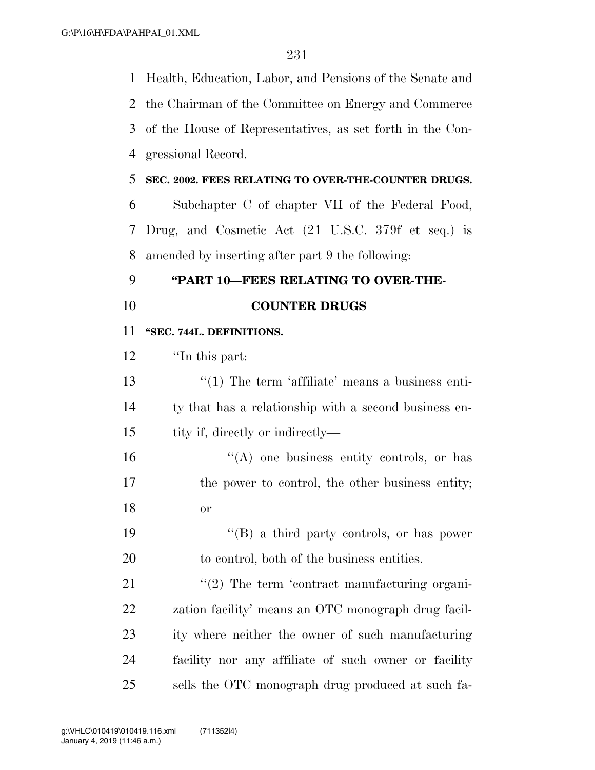Health, Education, Labor, and Pensions of the Senate and

 the Chairman of the Committee on Energy and Commerce of the House of Representatives, as set forth in the Con- gressional Record. **SEC. 2002. FEES RELATING TO OVER-THE-COUNTER DRUGS.**  Subchapter C of chapter VII of the Federal Food, Drug, and Cosmetic Act (21 U.S.C. 379f et seq.) is amended by inserting after part 9 the following: **''PART 10—FEES RELATING TO OVER-THE- COUNTER DRUGS ''SEC. 744L. DEFINITIONS.**  ''In this part: 13 ''(1) The term 'affiliate' means a business enti- ty that has a relationship with a second business en-15 tity if, directly or indirectly— ''(A) one business entity controls, or has 17 the power to control, the other business entity; or ''(B) a third party controls, or has power to control, both of the business entities.  $\frac{1}{2}$  The term 'contract manufacturing organi- zation facility' means an OTC monograph drug facil- ity where neither the owner of such manufacturing facility nor any affiliate of such owner or facility sells the OTC monograph drug produced at such fa-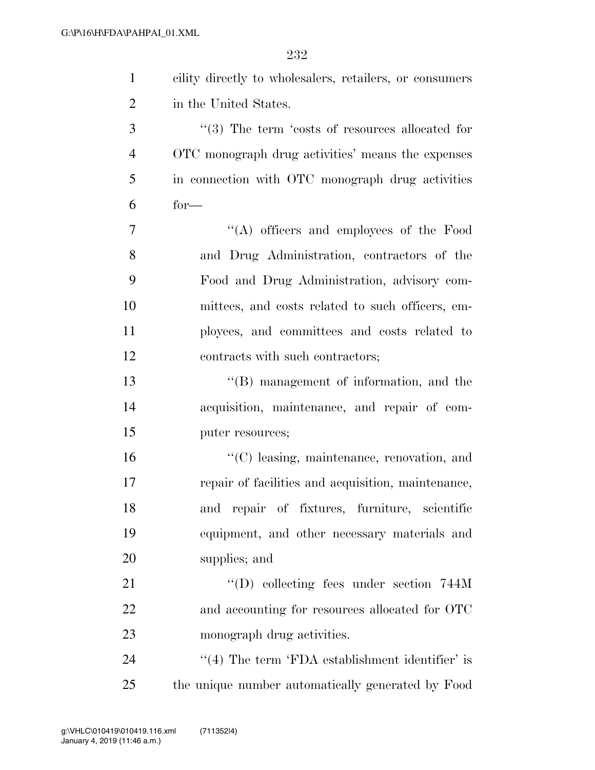| $\mathbf{1}$   | cility directly to wholesalers, retailers, or consumers |
|----------------|---------------------------------------------------------|
| $\overline{2}$ | in the United States.                                   |
| 3              | $\lq(3)$ The term 'costs of resources allocated for     |
| $\overline{4}$ | OTC monograph drug activities' means the expenses       |
| 5              | in connection with OTC monograph drug activities        |
| 6              | $for-$                                                  |
| $\overline{7}$ | "(A) officers and employees of the Food                 |
| 8              | and Drug Administration, contractors of the             |
| 9              | Food and Drug Administration, advisory com-             |
| 10             | mittees, and costs related to such officers, em-        |
| 11             | ployees, and committees and costs related to            |
| 12             | contracts with such contractors;                        |
| 13             | $\lq\lq$ (B) management of information, and the         |
| 14             | acquisition, maintenance, and repair of com-            |
| 15             | puter resources;                                        |
| 16             | "(C) leasing, maintenance, renovation, and              |
| 17             | repair of facilities and acquisition, maintenance,      |
| 18             | and repair of fixtures, furniture, scientific           |
| 19             | equipment, and other necessary materials and            |
| 20             | supplies; and                                           |
| 21             | $\lq\lq$ (D) collecting fees under section 744M         |
| 22             | and accounting for resources allocated for OTC          |
| 23             | monograph drug activities.                              |
| 24             | $\cdot$ (4) The term 'FDA establishment identifier' is  |
| 25             | the unique number automatically generated by Food       |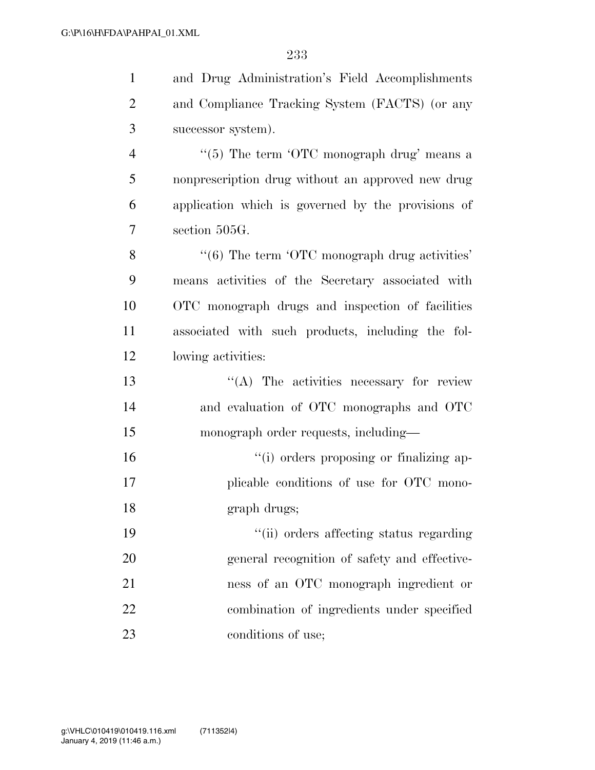| $\mathbf{1}$   | and Drug Administration's Field Accomplishments                       |
|----------------|-----------------------------------------------------------------------|
| $\overline{2}$ | and Compliance Tracking System (FACTS) (or any                        |
| 3              | successor system).                                                    |
| $\overline{4}$ | " $(5)$ The term 'OTC monograph drug' means a                         |
| 5              | nonprescription drug without an approved new drug                     |
| 6              | application which is governed by the provisions of                    |
| 7              | section 505G.                                                         |
| 8              | $\cdot\cdot\cdot$ (6) The term $\cdot$ OTC monograph drug activities' |
| 9              | means activities of the Secretary associated with                     |
| 10             | OTC monograph drugs and inspection of facilities                      |
| 11             | associated with such products, including the fol-                     |
| 12             | lowing activities:                                                    |
| 13             | $\lq\lq$ . The activities necessary for review                        |
| 14             | and evaluation of OTC monographs and OTC                              |
| 15             | monograph order requests, including—                                  |
| 16             | "(i) orders proposing or finalizing ap-                               |
| 17             | plicable conditions of use for OTC mono-                              |
| 18             | graph drugs;                                                          |
| 19             | "(ii) orders affecting status regarding                               |
| 20             | general recognition of safety and effective-                          |
| 21             | ness of an OTC monograph ingredient or                                |
| 22             | combination of ingredients under specified                            |
| 23             | conditions of use;                                                    |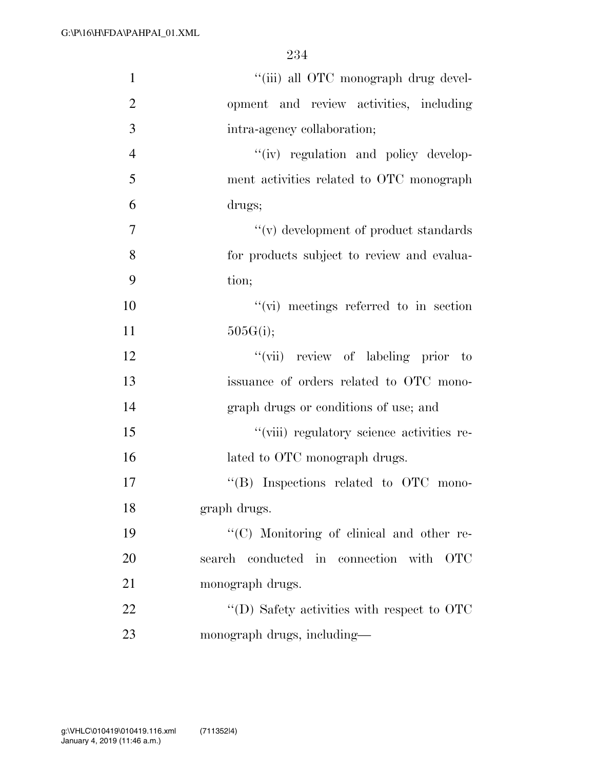| $\mathbf{1}$   | "(iii) all OTC monograph drug devel-               |
|----------------|----------------------------------------------------|
| $\overline{2}$ | opment and review activities, including            |
| 3              | intra-agency collaboration;                        |
| $\overline{4}$ | "(iv) regulation and policy develop-               |
| 5              | ment activities related to OTC monograph           |
| 6              | drugs;                                             |
| 7              | $``(v)$ development of product standards           |
| 8              | for products subject to review and evalua-         |
| 9              | tion;                                              |
| 10             | $\lq\lq$ (vi) meetings referred to in section      |
| 11             | 505G(i);                                           |
| 12             | "(vii) review of labeling prior to                 |
| 13             | issuance of orders related to OTC mono-            |
| 14             | graph drugs or conditions of use; and              |
| 15             | "(viii) regulatory science activities re-          |
| 16             | lated to OTC monograph drugs.                      |
| 17             | $\lq\lq$ . Inspections related to OTC mono-        |
| 18             | graph drugs.                                       |
| 19             | "(C) Monitoring of clinical and other re-          |
| 20             | search conducted in connection with<br><b>OTC</b>  |
| 21             | monograph drugs.                                   |
| 22             | $\lq\lq$ (D) Safety activities with respect to OTC |
| 23             | monograph drugs, including—                        |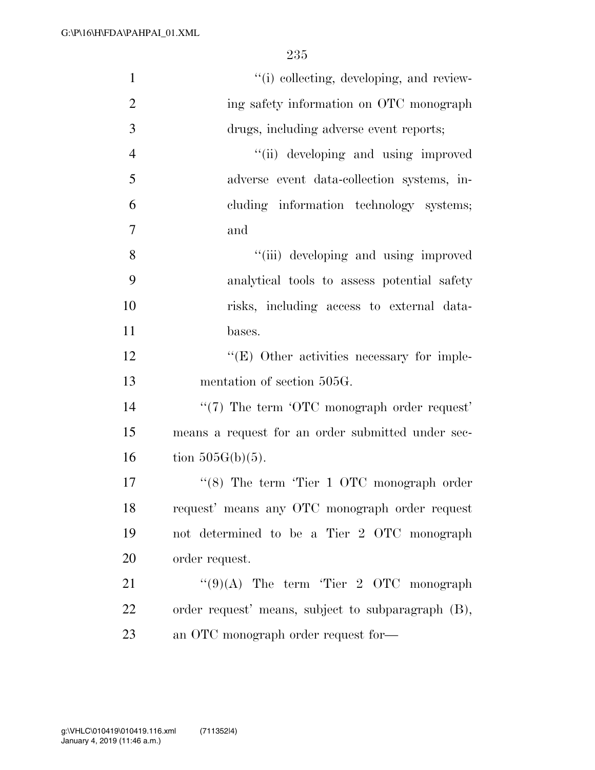| $\mathbf{1}$   | "(i) collecting, developing, and review-           |
|----------------|----------------------------------------------------|
| $\overline{2}$ | ing safety information on OTC monograph            |
| $\mathfrak{Z}$ | drugs, including adverse event reports;            |
| $\overline{4}$ | "(ii) developing and using improved                |
| 5              | adverse event data-collection systems, in-         |
| 6              | cluding information technology systems;            |
| $\overline{7}$ | and                                                |
| 8              | "(iii) developing and using improved               |
| 9              | analytical tools to assess potential safety        |
| 10             | risks, including access to external data-          |
| 11             | bases.                                             |
| 12             | $\lq\lq$ (E) Other activities necessary for imple- |
| 13             | mentation of section 505G.                         |
| 14             | $\lq(7)$ The term 'OTC monograph order request'    |
| 15             | means a request for an order submitted under sec-  |
| 16             | tion $505G(b)(5)$ .                                |
| 17             | " $(8)$ The term 'Tier 1 OTC monograph order       |
| 18             | request' means any OTC monograph order request     |
| 19             | not determined to be a Tier 2 OTC monograph        |
| 20             | order request.                                     |
| 21             | " $(9)(A)$ The term 'Tier 2 OTC monograph"         |
| 22             | order request' means, subject to subparagraph (B), |
| 23             | an OTC monograph order request for-                |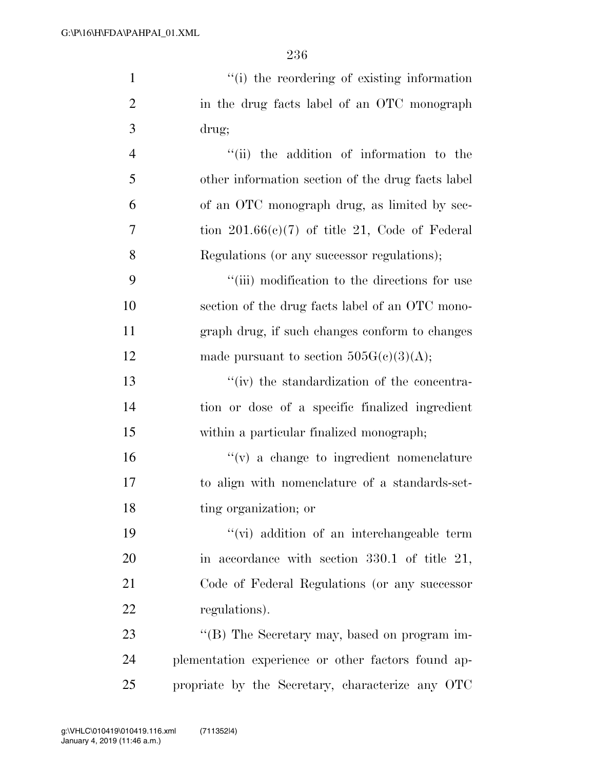1  $"$ (i) the reordering of existing information

| $\overline{2}$ | in the drug facts label of an OTC monograph        |
|----------------|----------------------------------------------------|
| 3              | drug;                                              |
| $\overline{4}$ | "(ii) the addition of information to the           |
| 5              | other information section of the drug facts label  |
| 6              | of an OTC monograph drug, as limited by sec-       |
| 7              | tion $201.66(c)(7)$ of title 21, Code of Federal   |
| 8              | Regulations (or any successor regulations);        |
| 9              | "(iii) modification to the directions for use      |
| 10             | section of the drug facts label of an OTC mono-    |
| 11             | graph drug, if such changes conform to changes     |
| 12             | made pursuant to section $505G(c)(3)(A);$          |
| 13             | "(iv) the standardization of the concentra-        |
| 14             | tion or dose of a specific finalized ingredient    |
| 15             | within a particular finalized monograph;           |
| 16             | $f'(v)$ a change to ingredient nomenclature        |
| 17             | to align with nomenclature of a standards-set-     |
| 18             | ting organization; or                              |
| 19             | "(vi) addition of an interchangeable term          |
| 20             | in accordance with section $330.1$ of title 21,    |
| 21             | Code of Federal Regulations (or any successor      |
| 22             | regulations).                                      |
| 23             | "(B) The Secretary may, based on program im-       |
| 24             | plementation experience or other factors found ap- |
| 25             | propriate by the Secretary, characterize any OTC   |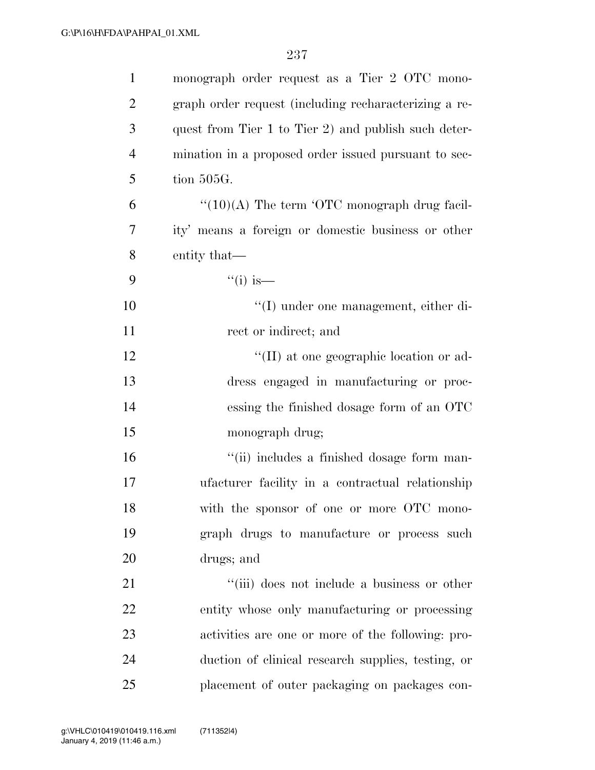| $\mathbf{1}$   | monograph order request as a Tier 2 OTC mono-                  |
|----------------|----------------------------------------------------------------|
| $\overline{2}$ | graph order request (including recharacterizing a re-          |
| 3              | quest from Tier 1 to Tier 2) and publish such deter-           |
| $\overline{4}$ | mination in a proposed order issued pursuant to sec-           |
| 5              | tion 505G.                                                     |
| 6              | $\cdot\cdot(10)(A)$ The term $\cdot$ OTC monograph drug facil- |
| 7              | ity' means a foreign or domestic business or other             |
| 8              | entity that—                                                   |
| 9              | $``(i)$ is—                                                    |
| 10             | "(I) under one management, either di-                          |
| 11             | rect or indirect; and                                          |
| 12             | "(II) at one geographic location or ad-                        |
| 13             | dress engaged in manufacturing or proc-                        |
| 14             | essing the finished dosage form of an OTC                      |
| 15             | monograph drug;                                                |
| 16             | "(ii) includes a finished dosage form man-                     |
| 17             | ufacturer facility in a contractual relationship               |
| 18             | with the sponsor of one or more OTC mono-                      |
| 19             | graph drugs to manufacture or process such                     |
| <b>20</b>      | drugs; and                                                     |
| 21             | "(iii) does not include a business or other                    |
| 22             | entity whose only manufacturing or processing                  |
| 23             | activities are one or more of the following: pro-              |
| 24             | duction of clinical research supplies, testing, or             |
| 25             | placement of outer packaging on packages con-                  |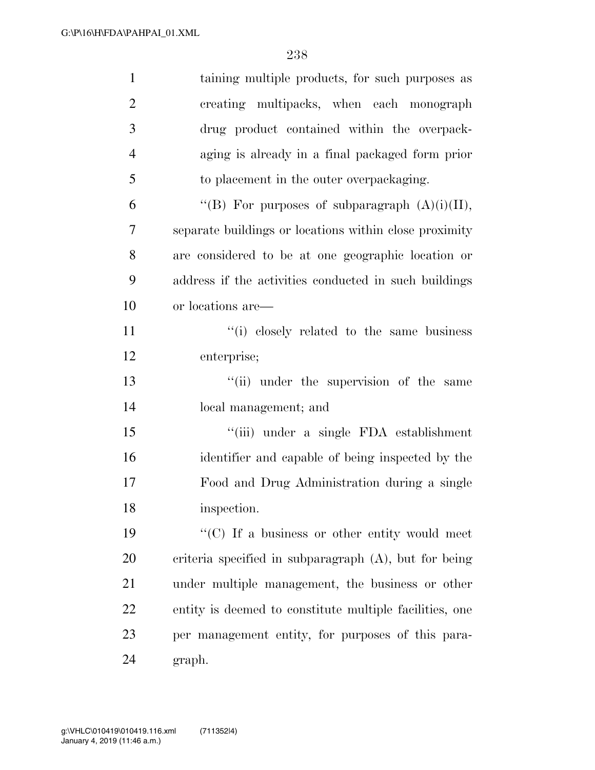| $\mathbf{1}$   | taining multiple products, for such purposes as         |
|----------------|---------------------------------------------------------|
| $\overline{2}$ | creating multipacks, when each monograph                |
| 3              | drug product contained within the overpack-             |
| $\overline{4}$ | aging is already in a final packaged form prior         |
| 5              | to placement in the outer overpackaging.                |
| 6              | "(B) For purposes of subparagraph $(A)(i)(II)$ ,        |
| 7              | separate buildings or locations within close proximity  |
| 8              | are considered to be at one geographic location or      |
| 9              | address if the activities conducted in such buildings   |
| 10             | or locations are—                                       |
| 11             | "(i) closely related to the same business               |
| 12             | enterprise;                                             |
| 13             | "(ii) under the supervision of the same                 |
| 14             | local management; and                                   |
| 15             | "(iii) under a single FDA establishment                 |
| 16             | identifier and capable of being inspected by the        |
| 17             | Food and Drug Administration during a single            |
| 18             | inspection.                                             |
| 19             | "(C) If a business or other entity would meet           |
| 20             | criteria specified in subparagraph (A), but for being   |
| 21             | under multiple management, the business or other        |
| 22             | entity is deemed to constitute multiple facilities, one |
| 23             | per management entity, for purposes of this para-       |
| 24             | graph.                                                  |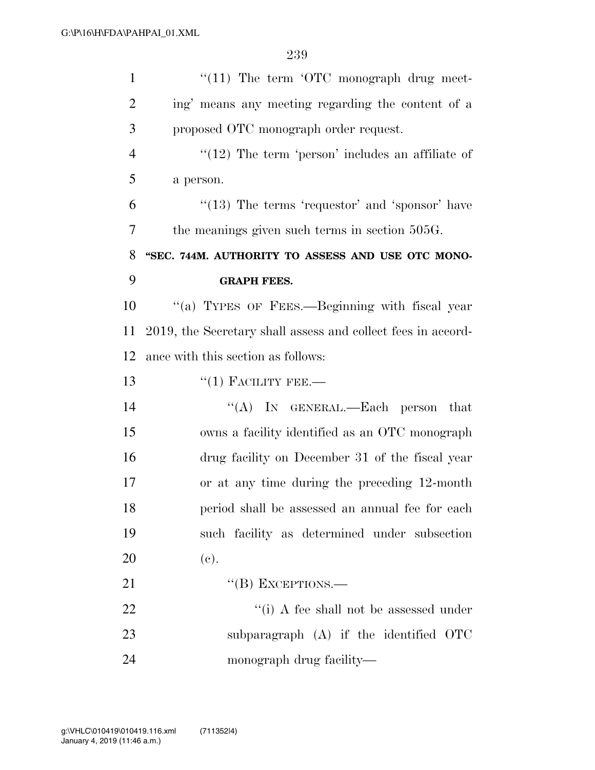| $\mathbf{1}$   | $\lq(11)$ The term $\lq$ OTC monograph drug meet-            |
|----------------|--------------------------------------------------------------|
| $\overline{2}$ | ing' means any meeting regarding the content of a            |
| 3              | proposed OTC monograph order request.                        |
| $\overline{4}$ | $\lq(12)$ The term 'person' includes an affiliate of         |
| 5              | a person.                                                    |
| 6              | $\cdot$ (13) The terms 'requestor' and 'sponsor' have        |
| 7              | the meanings given such terms in section 505G.               |
| 8              | "SEC. 744M. AUTHORITY TO ASSESS AND USE OTC MONO-            |
| 9              | <b>GRAPH FEES.</b>                                           |
| 10             | "(a) TYPES OF FEES.—Beginning with fiscal year               |
| 11             | 2019, the Secretary shall assess and collect fees in accord- |
| 12             | ance with this section as follows:                           |
| 13             | $``(1)$ FACILITY FEE.—                                       |
| 14             | "(A) IN GENERAL.—Each person that                            |
| 15             | owns a facility identified as an OTC monograph               |
| 16             | drug facility on December 31 of the fiscal year              |
| 17             | or at any time during the preceding 12-month                 |
| 18             | period shall be assessed an annual fee for each              |
| 19             | such facility as determined under subsection                 |
| 20             | (e).                                                         |
| 21             | $\lq\lq (B)$ EXCEPTIONS.—                                    |
| 22             | "(i) A fee shall not be assessed under                       |
| 23             | subparagraph $(A)$ if the identified OTC                     |
| 24             | monograph drug facility—                                     |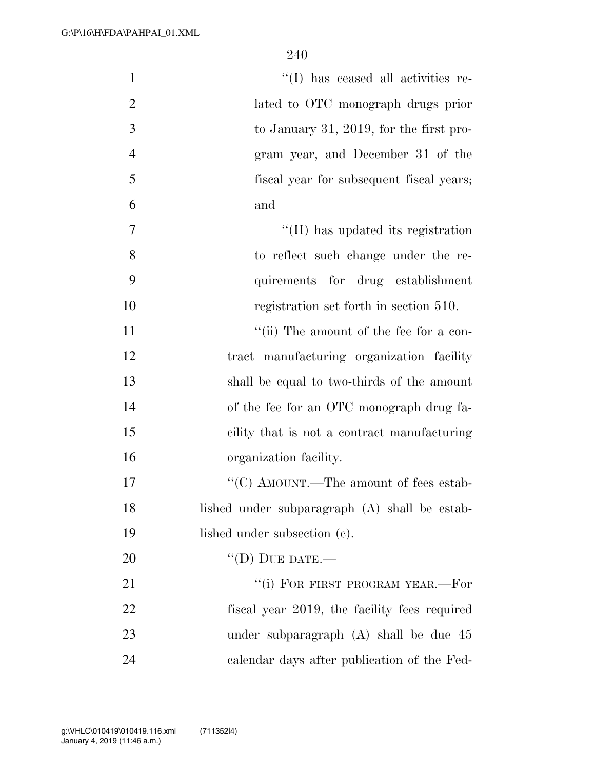| $\mathbf{1}$   | "(I) has ceased all activities re-            |
|----------------|-----------------------------------------------|
| $\overline{2}$ | lated to OTC monograph drugs prior            |
| 3              | to January 31, 2019, for the first pro-       |
| $\overline{4}$ | gram year, and December 31 of the             |
| 5              | fiscal year for subsequent fiscal years;      |
| 6              | and                                           |
| 7              | "(II) has updated its registration            |
| 8              | to reflect such change under the re-          |
| 9              | quirements for drug establishment             |
| 10             | registration set forth in section 510.        |
| 11             | "(ii) The amount of the fee for a con-        |
| 12             | tract manufacturing organization facility     |
| 13             | shall be equal to two-thirds of the amount    |
| 14             | of the fee for an OTC monograph drug fa-      |
| 15             | cility that is not a contract manufacturing   |
| 16             | organization facility.                        |
| 17             | "(C) AMOUNT.—The amount of fees estab-        |
| 18             | lished under subparagraph (A) shall be estab- |
| 19             | lished under subsection (c).                  |
| 20             | $\lq\lq$ (D) DUE DATE.—                       |
| 21             | "(i) FOR FIRST PROGRAM YEAR.—For              |
| 22             | fiscal year 2019, the facility fees required  |
| 23             | under subparagraph (A) shall be due 45        |
| 24             | calendar days after publication of the Fed-   |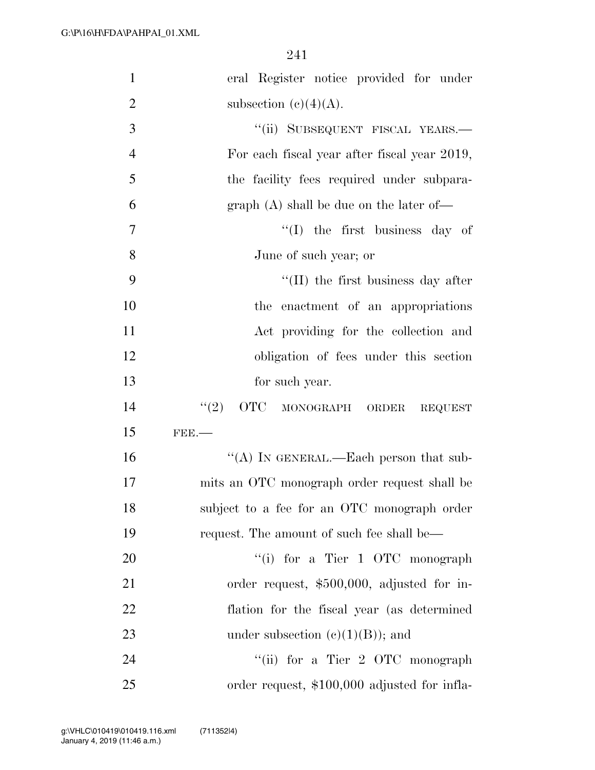| $\mathbf{1}$   | eral Register notice provided for under                                                        |
|----------------|------------------------------------------------------------------------------------------------|
| $\overline{2}$ | subsection (c)(4)(A).                                                                          |
| $\mathfrak{Z}$ | "(ii) SUBSEQUENT FISCAL YEARS.-                                                                |
|                |                                                                                                |
| $\overline{4}$ | For each fiscal year after fiscal year 2019,                                                   |
| 5              | the facility fees required under subpara-                                                      |
| 6              | graph $(A)$ shall be due on the later of-                                                      |
| 7              | $\lq(1)$ the first business day of                                                             |
| 8              | June of such year; or                                                                          |
| 9              | $\lq$ (II) the first business day after                                                        |
| 10             | the enactment of an appropriations                                                             |
| 11             | Act providing for the collection and                                                           |
| 12             | obligation of fees under this section                                                          |
| 13             | for such year.                                                                                 |
| 14             | $\text{``(2)} \quad \text{OTC} \quad \text{MONOGRAPH} \quad \text{ORDER} \quad \text{REQUEST}$ |
| 15             | $FBE$ .                                                                                        |
| 16             | "(A) IN GENERAL.—Each person that sub-                                                         |
| 17             | mits an OTC monograph order request shall be                                                   |
| 18             | subject to a fee for an OTC monograph order                                                    |
| 19             | request. The amount of such fee shall be—                                                      |
| 20             | "(i) for a Tier 1 OTC monograph                                                                |
| 21             | order request, \$500,000, adjusted for in-                                                     |
| 22             | flation for the fiscal year (as determined                                                     |
| 23             | under subsection $(c)(1)(B)$ ; and                                                             |
| 24             | "(ii) for a Tier 2 OTC monograph                                                               |
| 25             | order request, \$100,000 adjusted for infla-                                                   |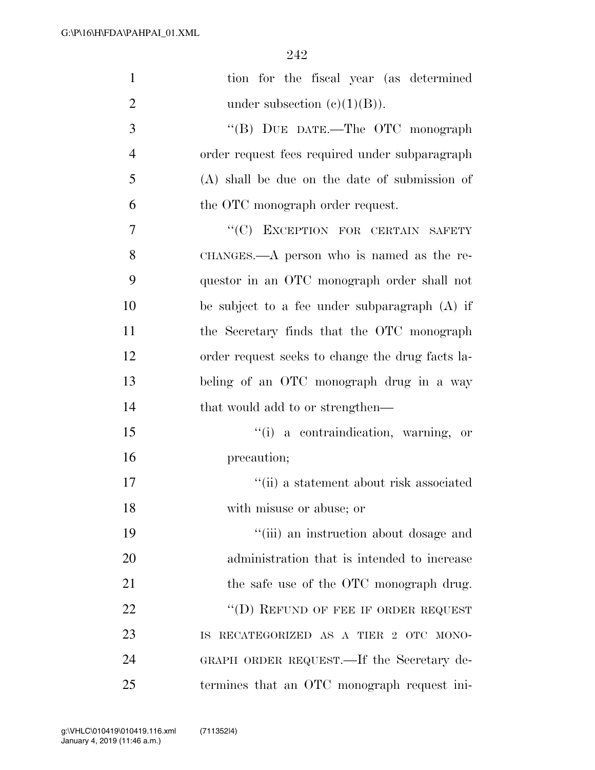| $\mathbf{1}$   | tion for the fiscal year (as determined          |
|----------------|--------------------------------------------------|
| $\overline{2}$ | under subsection $(e)(1)(B)$ ).                  |
| 3              | "(B) DUE DATE.—The OTC monograph                 |
| $\overline{4}$ | order request fees required under subparagraph   |
| 5              | $(A)$ shall be due on the date of submission of  |
| 6              | the OTC monograph order request.                 |
| 7              | "(C) EXCEPTION FOR CERTAIN SAFETY                |
| 8              | CHANGES.—A person who is named as the re-        |
| 9              | questor in an OTC monograph order shall not      |
| 10             | be subject to a fee under subparagraph $(A)$ if  |
| 11             | the Secretary finds that the OTC monograph       |
| 12             | order request seeks to change the drug facts la- |
| 13             | beling of an OTC monograph drug in a way         |
| 14             | that would add to or strengthen—                 |
| 15             | "(i) a contraindication, warning, or             |
| 16             | precaution;                                      |
| 17             | "(ii) a statement about risk associated          |
| 18             | with misuse or abuse; or                         |
| 19             | "(iii) an instruction about dosage and           |
| 20             | administration that is intended to increase      |
| 21             | the safe use of the OTC monograph drug.          |
| 22             | "(D) REFUND OF FEE IF ORDER REQUEST              |
| 23             | RECATEGORIZED AS A TIER 2 OTC MONO-<br>IS-       |
| 24             | GRAPH ORDER REQUEST.—If the Secretary de-        |
| 25             | termines that an OTC monograph request ini-      |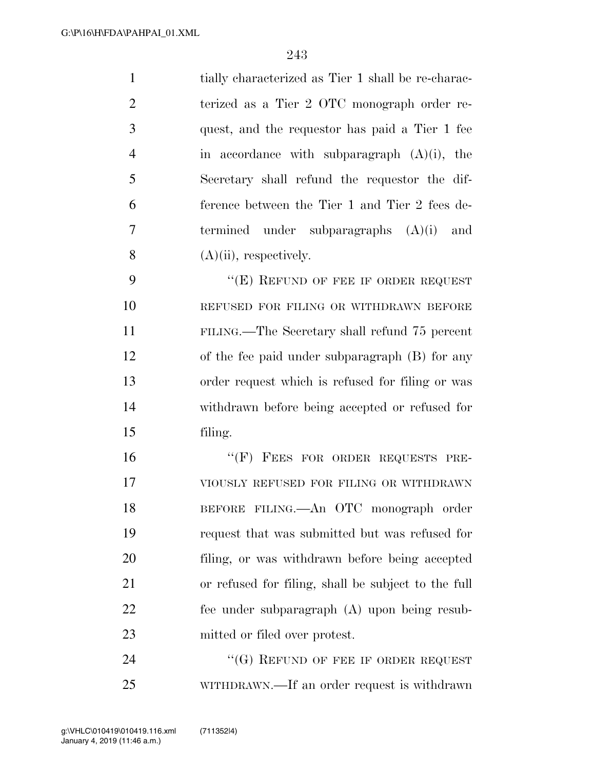tially characterized as Tier 1 shall be re-charac- terized as a Tier 2 OTC monograph order re- quest, and the requestor has paid a Tier 1 fee in accordance with subparagraph (A)(i), the Secretary shall refund the requestor the dif- ference between the Tier 1 and Tier 2 fees de- termined under subparagraphs (A)(i) and  $(A)(ii)$ , respectively.

9 "(E) REFUND OF FEE IF ORDER REQUEST REFUSED FOR FILING OR WITHDRAWN BEFORE FILING.—The Secretary shall refund 75 percent of the fee paid under subparagraph (B) for any order request which is refused for filing or was withdrawn before being accepted or refused for filing.

16 "(F) FEES FOR ORDER REQUESTS PRE- VIOUSLY REFUSED FOR FILING OR WITHDRAWN BEFORE FILING.—An OTC monograph order request that was submitted but was refused for filing, or was withdrawn before being accepted or refused for filing, shall be subject to the full fee under subparagraph (A) upon being resub-mitted or filed over protest.

24 "(G) REFUND OF FEE IF ORDER REQUEST WITHDRAWN.—If an order request is withdrawn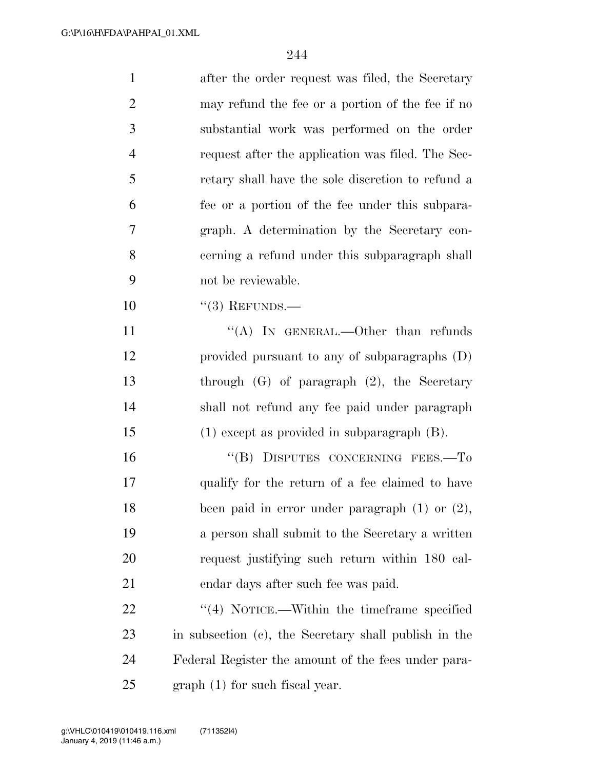| $\mathbf{1}$   | after the order request was filed, the Secretary      |
|----------------|-------------------------------------------------------|
| $\overline{2}$ | may refund the fee or a portion of the fee if no      |
| 3              | substantial work was performed on the order           |
| $\overline{4}$ | request after the application was filed. The Sec-     |
| 5              | retary shall have the sole discretion to refund a     |
| 6              | fee or a portion of the fee under this subpara-       |
| 7              | graph. A determination by the Secretary con-          |
| 8              | cerning a refund under this subparagraph shall        |
| 9              | not be reviewable.                                    |
| 10             | $``(3)$ REFUNDS.—                                     |
| 11             | "(A) IN GENERAL.—Other than refunds                   |
| 12             | provided pursuant to any of subparagraphs (D)         |
| 13             | through $(G)$ of paragraph $(2)$ , the Secretary      |
| 14             | shall not refund any fee paid under paragraph         |
| 15             | $(1)$ except as provided in subparagraph $(B)$ .      |
| 16             | "(B) DISPUTES CONCERNING FEES.-To                     |
| 17             | qualify for the return of a fee claimed to have       |
| 18             | been paid in error under paragraph $(1)$ or $(2)$ ,   |
| 19             | a person shall submit to the Secretary a written      |
| 20             | request justifying such return within 180 cal-        |
| 21             | endar days after such fee was paid.                   |
| 22             | $\lq(4)$ NOTICE.—Within the time frame specified      |
| 23             | in subsection (c), the Secretary shall publish in the |
| 24             | Federal Register the amount of the fees under para-   |
| 25             | $graph(1)$ for such fiscal year.                      |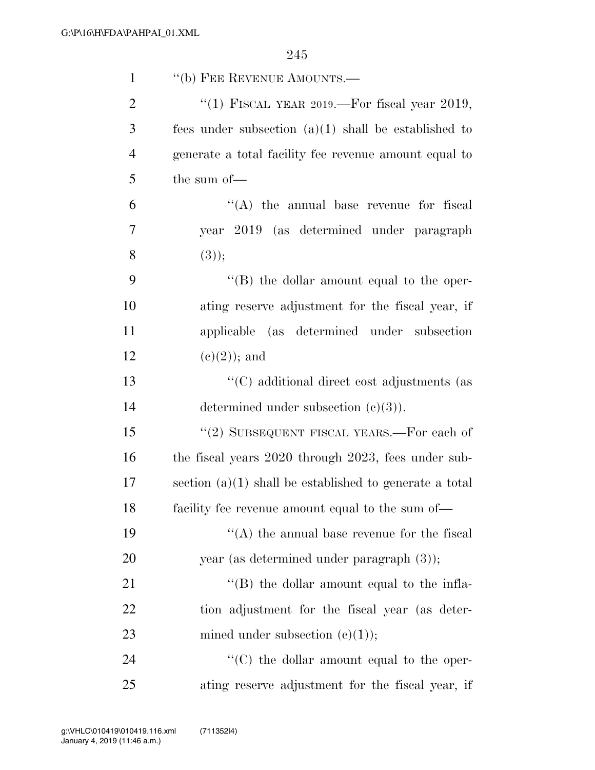| $\mathbf{1}$   | "(b) FEE REVENUE AMOUNTS.-                                |
|----------------|-----------------------------------------------------------|
| $\overline{2}$ | "(1) FISCAL YEAR 2019.—For fiscal year 2019,              |
| 3              | fees under subsection $(a)(1)$ shall be established to    |
| $\overline{4}$ | generate a total facility fee revenue amount equal to     |
| 5              | the sum of-                                               |
| 6              | $\lq\lq$ the annual base revenue for fiscal               |
| 7              | year 2019 (as determined under paragraph                  |
| 8              | (3));                                                     |
| 9              | "(B) the dollar amount equal to the oper-                 |
| 10             | ating reserve adjustment for the fiscal year, if          |
| 11             | applicable (as determined under subsection                |
| 12             | $(e)(2)$ ; and                                            |
| 13             | "(C) additional direct cost adjustments (as               |
| 14             | determined under subsection $(c)(3)$ ).                   |
| 15             | "(2) SUBSEQUENT FISCAL YEARS.—For each of                 |
| 16             | the fiscal years 2020 through 2023, fees under sub-       |
| 17             | section $(a)(1)$ shall be established to generate a total |
| 18             | facility fee revenue amount equal to the sum of—          |
| 19             | $\lq\lq$ the annual base revenue for the fiscal           |
| 20             | year (as determined under paragraph $(3)$ );              |
| 21             | $\lq$ (B) the dollar amount equal to the infla-           |
| 22             | tion adjustment for the fiscal year (as deter-            |
| 23             | mined under subsection $(c)(1)$ ;                         |
| 24             | "(C) the dollar amount equal to the oper-                 |
| 25             | ating reserve adjustment for the fiscal year, if          |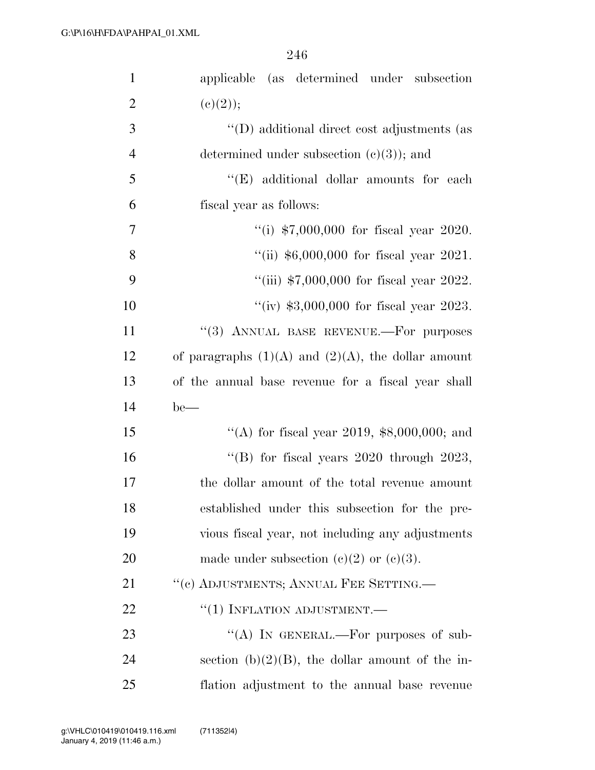| $\mathbf{1}$   | applicable (as determined under subsection              |
|----------------|---------------------------------------------------------|
| $\overline{2}$ | (c)(2));                                                |
| 3              | "(D) additional direct cost adjustments (as             |
| $\overline{4}$ | determined under subsection $(c)(3)$ ; and              |
| 5              | "(E) additional dollar amounts for each                 |
| 6              | fiscal year as follows:                                 |
| $\tau$         | "(i) $$7,000,000$ for fiscal year 2020.                 |
| 8              | "(ii) $$6,000,000$ for fiscal year 2021.                |
| 9              | "(iii) $$7,000,000$ for fiscal year 2022.               |
| 10             | "(iv) $$3,000,000$ for fiscal year 2023.                |
| 11             | "(3) ANNUAL BASE REVENUE.—For purposes                  |
| 12             | of paragraphs $(1)(A)$ and $(2)(A)$ , the dollar amount |
| 13             | of the annual base revenue for a fiscal year shall      |
| 14             | $be$ —                                                  |
| 15             | "(A) for fiscal year 2019, $$8,000,000$ ; and           |
| 16             | "(B) for fiscal years $2020$ through $2023$ ,           |
| 17             | the dollar amount of the total revenue amount           |
| 18             | established under this subsection for the pre-          |
| 19             | vious fiscal year, not including any adjustments        |
| 20             | made under subsection (c)(2) or (c)(3).                 |
| 21             | "(c) ADJUSTMENTS; ANNUAL FEE SETTING.—                  |
| 22             | $``(1)$ INFLATION ADJUSTMENT.—                          |
| 23             | "(A) IN GENERAL.—For purposes of sub-                   |
| 24             | section (b) $(2)(B)$ , the dollar amount of the in-     |
| 25             | flation adjustment to the annual base revenue           |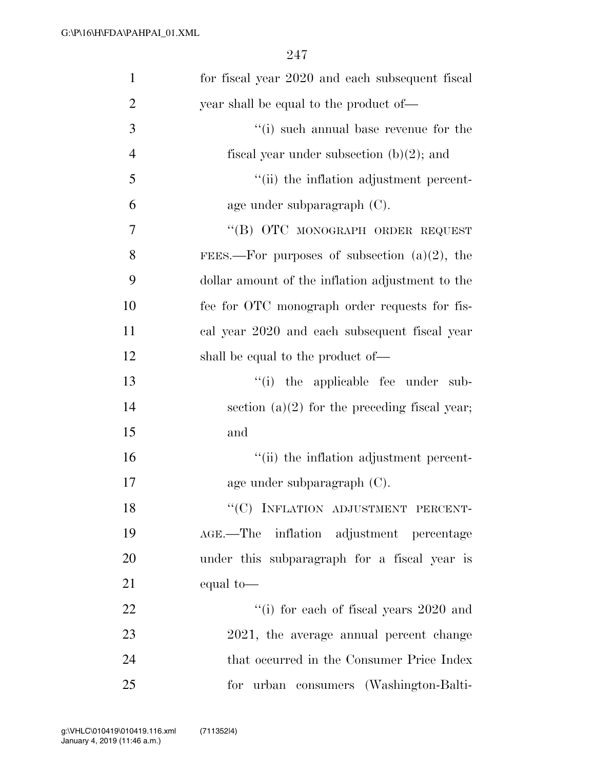| $\mathbf{1}$   | for fiscal year 2020 and each subsequent fiscal  |
|----------------|--------------------------------------------------|
| $\overline{2}$ | year shall be equal to the product of—           |
| 3              | "(i) such annual base revenue for the            |
| $\overline{4}$ | fiscal year under subsection $(b)(2)$ ; and      |
| 5              | "(ii) the inflation adjustment percent-          |
| 6              | age under subparagraph $(C)$ .                   |
| 7              | "(B) OTC MONOGRAPH ORDER REQUEST                 |
| 8              | FEES.—For purposes of subsection $(a)(2)$ , the  |
| 9              | dollar amount of the inflation adjustment to the |
| 10             | fee for OTC monograph order requests for fis-    |
| 11             | cal year 2020 and each subsequent fiscal year    |
| 12             | shall be equal to the product of—                |
| 13             | "(i) the applicable fee under sub-               |
| 14             | section $(a)(2)$ for the preceding fiscal year;  |
| 15             | and                                              |
| 16             | "(ii) the inflation adjustment percent-          |
| 17             | age under subparagraph $(C)$ .                   |
| 18             | "(C) INFLATION ADJUSTMENT PERCENT-               |
| 19             | AGE.—The inflation adjustment percentage         |
| 20             | under this subparagraph for a fiscal year is     |
| 21             | equal to-                                        |
| 22             | "(i) for each of fiscal years 2020 and           |
| 23             | 2021, the average annual percent change          |
| 24             | that occurred in the Consumer Price Index        |
| 25             | for urban consumers (Washington-Balti-           |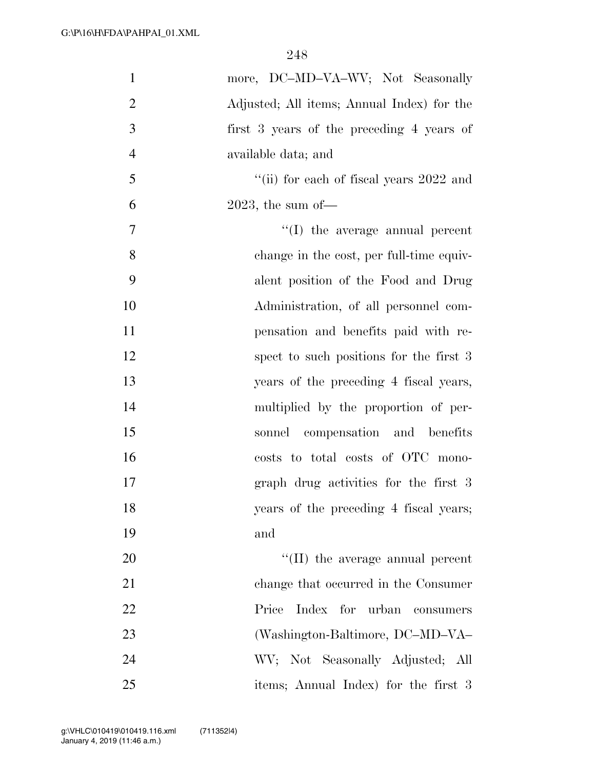| $\mathbf{1}$   | more, DC-MD-VA-WV; Not Seasonally          |
|----------------|--------------------------------------------|
| $\overline{2}$ | Adjusted; All items; Annual Index) for the |
| 3              | first 3 years of the preceding 4 years of  |
| $\overline{4}$ | available data; and                        |
| 5              | "(ii) for each of fiscal years $2022$ and  |
| 6              | $2023$ , the sum of                        |
| 7              | $\lq\lq$ (I) the average annual percent    |
| 8              | change in the cost, per full-time equiv-   |
| 9              | alent position of the Food and Drug        |
| 10             | Administration, of all personnel com-      |
| 11             | pensation and benefits paid with re-       |
| 12             | spect to such positions for the first 3    |
| 13             | years of the preceding 4 fiscal years,     |
| 14             | multiplied by the proportion of per-       |
| 15             | sonnel compensation and benefits           |
| 16             | costs to total costs of OTC mono-          |
| 17             | graph drug activities for the first 3      |
| 18             | years of the preceding 4 fiscal years;     |
| 19             | and                                        |
| 20             | "(II) the average annual percent           |
| 21             | change that occurred in the Consumer       |
| 22             | Index for<br>urban<br>Price<br>consumers   |
| 23             | (Washington-Baltimore, DC-MD-VA-           |
| 24             | WV; Not Seasonally Adjusted; All           |
| 25             | items; Annual Index) for the first 3       |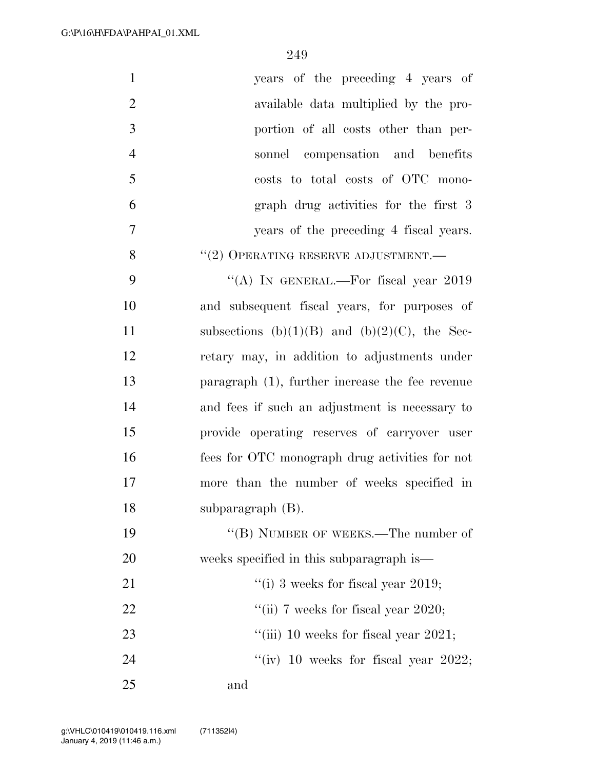| $\mathbf{1}$   | years of the preceding 4 years of                    |
|----------------|------------------------------------------------------|
| $\overline{2}$ | available data multiplied by the pro-                |
| 3              | portion of all costs other than per-                 |
| $\overline{4}$ | sonnel compensation and benefits                     |
| 5              | costs to total costs of OTC mono-                    |
| 6              | graph drug activities for the first 3                |
| $\tau$         | years of the preceding 4 fiscal years.               |
| 8              | $``(2)$ OPERATING RESERVE ADJUSTMENT.—               |
| 9              | "(A) IN GENERAL.—For fiscal year $2019$              |
| 10             | and subsequent fiscal years, for purposes of         |
| 11             | subsections (b) $(1)(B)$ and (b) $(2)(C)$ , the Sec- |
| 12             | retary may, in addition to adjustments under         |
| 13             | paragraph $(1)$ , further increase the fee revenue   |
| 14             | and fees if such an adjustment is necessary to       |
| 15             | provide operating reserves of carryover user         |
| 16             | fees for OTC monograph drug activities for not       |
| 17             | more than the number of weeks specified in           |
| 18             | subparagraph (B).                                    |
| 19             | "(B) NUMBER OF WEEKS.—The number of                  |
| 20             | weeks specified in this subparagraph is—             |
| 21             | "(i) 3 weeks for fiscal year 2019;                   |
| 22             | "(ii) 7 weeks for fiscal year 2020;                  |
| 23             | "(iii) 10 weeks for fiscal year $2021$ ;             |
| 24             | "(iv) 10 weeks for fiscal year 2022;                 |
| 25             | and                                                  |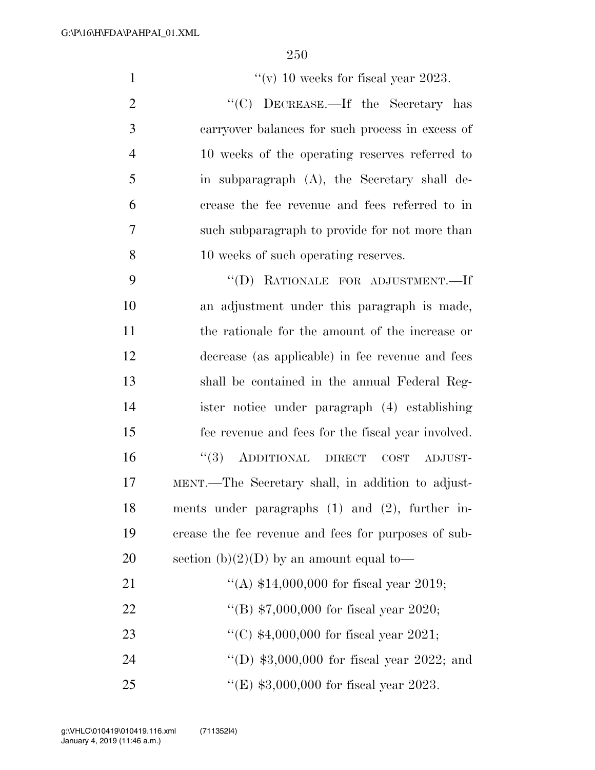$\frac{1}{\sqrt{v}}$  10 weeks for fiscal year 2023. 2 "<sup>'</sup>(C) DECREASE.—If the Secretary has carryover balances for such process in excess of 10 weeks of the operating reserves referred to in subparagraph (A), the Secretary shall de- crease the fee revenue and fees referred to in such subparagraph to provide for not more than 10 weeks of such operating reserves. ''(D) RATIONALE FOR ADJUSTMENT.—If an adjustment under this paragraph is made, the rationale for the amount of the increase or decrease (as applicable) in fee revenue and fees shall be contained in the annual Federal Reg- ister notice under paragraph (4) establishing fee revenue and fees for the fiscal year involved. ''(3) ADDITIONAL DIRECT COST ADJUST- MENT.—The Secretary shall, in addition to adjust-ments under paragraphs (1) and (2), further in-

 crease the fee revenue and fees for purposes of sub-20 section  $(b)(2)(D)$  by an amount equal to- ''(A) \$14,000,000 for fiscal year 2019; ''(B) \$7,000,000 for fiscal year 2020; ''(C) \$4,000,000 for fiscal year 2021; 24 "(D) \$3,000,000 for fiscal year 2022; and ''(E) \$3,000,000 for fiscal year 2023.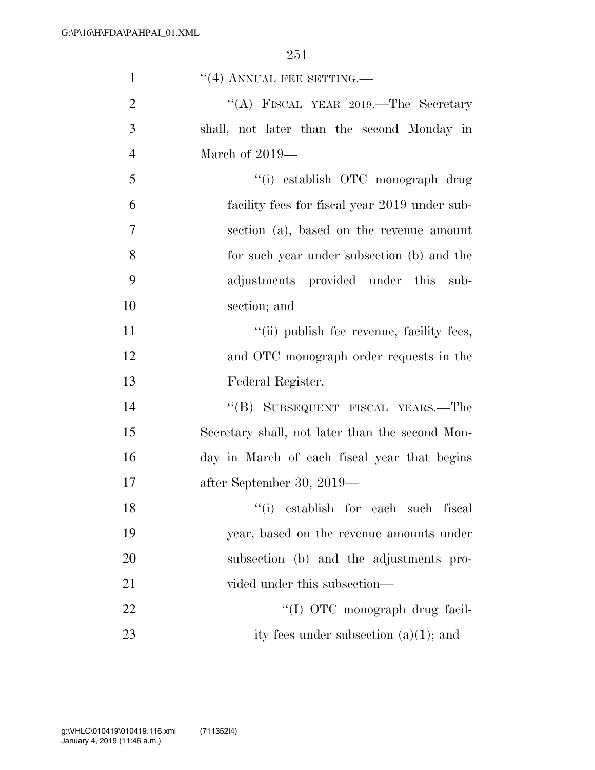| $\mathbf{1}$   | $\cdot$ (4) ANNUAL FEE SETTING.—                |
|----------------|-------------------------------------------------|
| $\overline{2}$ | "(A) FISCAL YEAR 2019.—The Secretary            |
| 3              | shall, not later than the second Monday in      |
| $\overline{4}$ | March of $2019-$                                |
| 5              | "(i) establish OTC monograph drug               |
| 6              | facility fees for fiscal year 2019 under sub-   |
| 7              | section (a), based on the revenue amount        |
| 8              | for such year under subsection (b) and the      |
| 9              | adjustments provided under this sub-            |
| 10             | section; and                                    |
| 11             | "(ii) publish fee revenue, facility fees,       |
| 12             | and OTC monograph order requests in the         |
| 13             | Federal Register.                               |
| 14             | "(B) SUBSEQUENT FISCAL YEARS.—The               |
| 15             | Secretary shall, not later than the second Mon- |
| 16             | day in March of each fiscal year that begins    |
| 17             | after September 30, 2019—                       |
| 18             | "(i) establish for each such fiscal             |
| 19             | year, based on the revenue amounts under        |
| <b>20</b>      | subsection (b) and the adjustments pro-         |
| 21             | vided under this subsection—                    |
| 22             | "(I) OTC monograph drug facil-                  |
| 23             | ity fees under subsection $(a)(1)$ ; and        |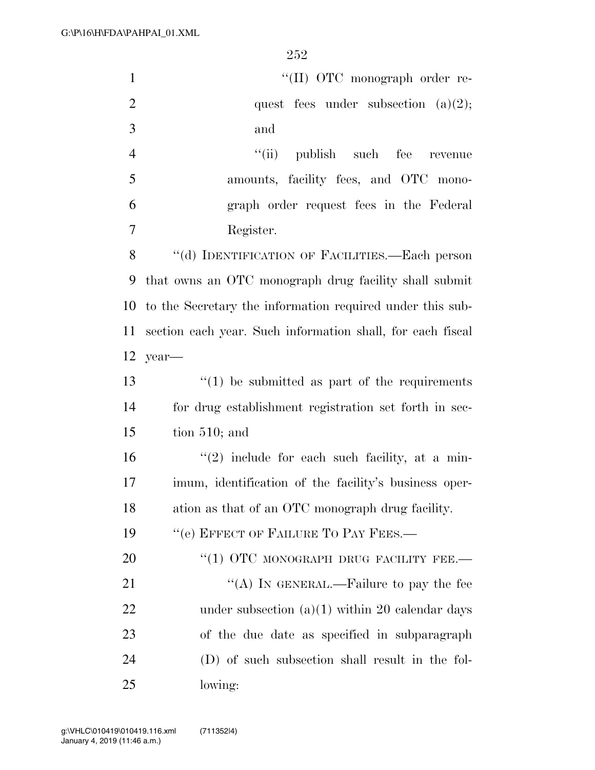| $\mathbf{1}$   | "(II) OTC monograph order re-                              |
|----------------|------------------------------------------------------------|
| $\overline{2}$ | quest fees under subsection $(a)(2)$ ;                     |
| 3              | and                                                        |
| $\overline{4}$ | "(ii) publish such fee revenue                             |
| 5              | amounts, facility fees, and OTC mono-                      |
| 6              | graph order request fees in the Federal                    |
| 7              | Register.                                                  |
| 8              | "(d) IDENTIFICATION OF FACILITIES.—Each person             |
| 9              | that owns an OTC monograph drug facility shall submit      |
| 10             | to the Secretary the information required under this sub-  |
| 11             | section each year. Such information shall, for each fiscal |
| 12             | year-                                                      |
| 13             | $\cdot$ (1) be submitted as part of the requirements       |
| 14             | for drug establishment registration set forth in sec-      |
| 15             | tion $510$ ; and                                           |
| 16             | $\lq(2)$ include for each such facility, at a min-         |
| 17             | imum, identification of the facility's business oper-      |
| 18             | ation as that of an OTC monograph drug facility.           |
| 19             | "(e) EFFECT OF FAILURE TO PAY FEES.-                       |
| 20             | "(1) OTC MONOGRAPH DRUG FACILITY FEE.-                     |
| 21             | "(A) IN GENERAL.—Failure to pay the fee                    |
| 22             | under subsection $(a)(1)$ within 20 calendar days          |
| 23             | of the due date as specified in subparagraph               |
| 24             | (D) of such subsection shall result in the fol-            |
| 25             | lowing:                                                    |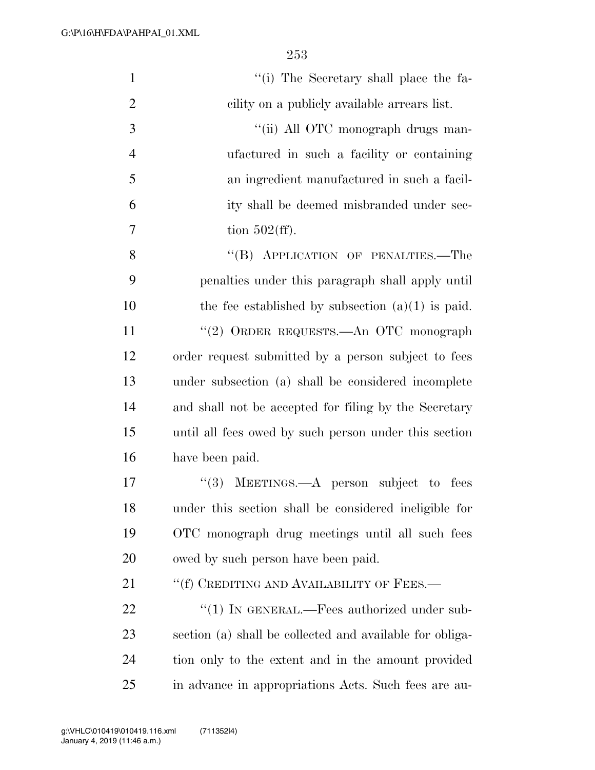| $\mathbf{1}$   | "(i) The Secretary shall place the fa-                   |
|----------------|----------------------------------------------------------|
| $\overline{2}$ | cility on a publicly available arrears list.             |
| $\mathfrak{Z}$ | "(ii) All OTC monograph drugs man-                       |
| $\overline{4}$ | ufactured in such a facility or containing               |
| 5              | an ingredient manufactured in such a facil-              |
| 6              | ity shall be deemed misbranded under sec-                |
| 7              | tion $502(ff)$ .                                         |
| 8              | "(B) APPLICATION OF PENALTIES.—The                       |
| 9              | penalties under this paragraph shall apply until         |
| 10             | the fee established by subsection $(a)(1)$ is paid.      |
| 11             | "(2) ORDER REQUESTS.—An OTC monograph                    |
| 12             | order request submitted by a person subject to fees      |
| 13             | under subsection (a) shall be considered incomplete      |
| 14             | and shall not be accepted for filing by the Secretary    |
| 15             | until all fees owed by such person under this section    |
| 16             | have been paid.                                          |
| 17             | "(3) MEETINGS.—A person subject<br>fees<br>to            |
| 18             | under this section shall be considered ineligible for    |
| 19             | OTC monograph drug meetings until all such fees          |
| 20             | owed by such person have been paid.                      |
| 21             | "(f) CREDITING AND AVAILABILITY OF FEES.—                |
| 22             | "(1) IN GENERAL.—Fees authorized under sub-              |
| 23             | section (a) shall be collected and available for obliga- |
| 24             | tion only to the extent and in the amount provided       |
| 25             | in advance in appropriations Acts. Such fees are au-     |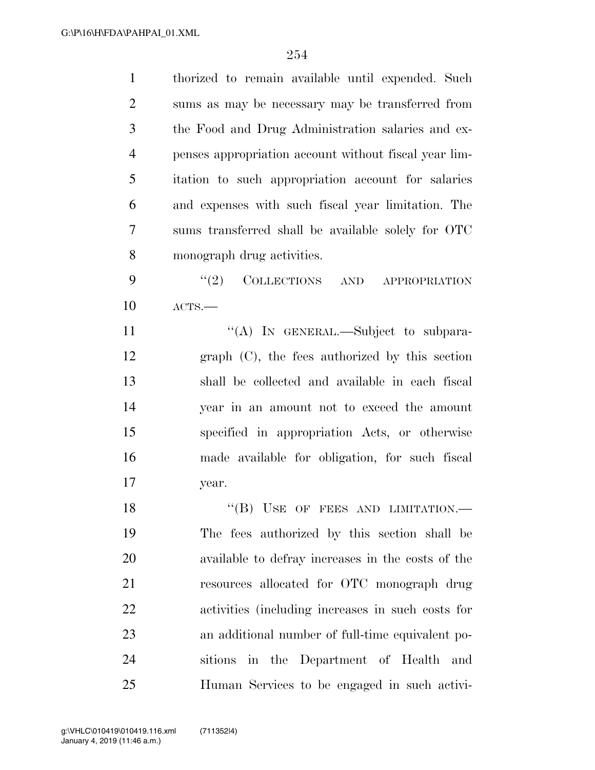| $\mathbf{1}$   | thorized to remain available until expended. Such     |
|----------------|-------------------------------------------------------|
| $\overline{2}$ | sums as may be necessary may be transferred from      |
| 3              | the Food and Drug Administration salaries and ex-     |
| $\overline{4}$ | penses appropriation account without fiscal year lim- |
| 5              | itation to such appropriation account for salaries    |
| 6              | and expenses with such fiscal year limitation. The    |
| $\tau$         | sums transferred shall be available solely for OTC    |
| 8              | monograph drug activities.                            |
| 9              | COLLECTIONS AND APPROPRIATION<br>(2)                  |
| 10             | ACTS.                                                 |
| 11             | "(A) IN GENERAL.—Subject to subpara-                  |
| 12             | $graph$ $(C)$ , the fees authorized by this section   |
| 13             | shall be collected and available in each fiscal       |
| 14             | year in an amount not to exceed the amount            |
| 15             | specified in appropriation Acts, or otherwise         |
| 16             | made available for obligation, for such fiscal        |
| 17             | year.                                                 |
| 18             | $``$ (B) USE OF FEES AND LIMITATION.—                 |
| 19             | The fees authorized by this section shall be          |
| <b>20</b>      | available to defray increases in the costs of the     |
| 21             | resources allocated for OTC monograph drug            |
| 22             | activities (including increases in such costs for     |
| 23             | an additional number of full-time equivalent po-      |
| 24             | sitions in the Department of Health and               |
| 25             | Human Services to be engaged in such activi-          |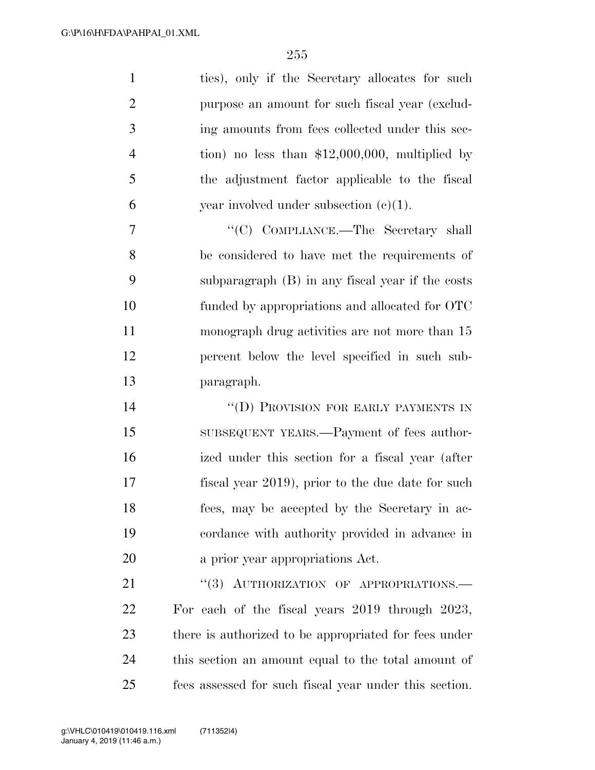| $\mathbf{1}$   | ties), only if the Secretary allocates for such        |
|----------------|--------------------------------------------------------|
| $\overline{2}$ | purpose an amount for such fiscal year (exclud-        |
| 3              | ing amounts from fees collected under this sec-        |
| $\overline{4}$ | tion) no less than $$12,000,000$ , multiplied by       |
| 5              | the adjustment factor applicable to the fiscal         |
| 6              | year involved under subsection $(c)(1)$ .              |
| 7              | "(C) COMPLIANCE.—The Secretary shall                   |
| 8              | be considered to have met the requirements of          |
| 9              | subparagraph (B) in any fiscal year if the costs       |
| 10             | funded by appropriations and allocated for OTC         |
| 11             | monograph drug activities are not more than 15         |
| 12             | percent below the level specified in such sub-         |
| 13             | paragraph.                                             |
| 14             | "(D) PROVISION FOR EARLY PAYMENTS IN                   |
| 15             | SUBSEQUENT YEARS.—Payment of fees author-              |
| 16             | ized under this section for a fiscal year (after       |
| 17             | fiscal year 2019), prior to the due date for such      |
| 18             | fees, may be accepted by the Secretary in ac-          |
| 19             | cordance with authority provided in advance in         |
| 20             | a prior year appropriations Act.                       |
| 21             | "(3) AUTHORIZATION OF APPROPRIATIONS.-                 |
| 22             | For each of the fiscal years 2019 through 2023,        |
| 23             | there is authorized to be appropriated for fees under  |
| 24             | this section an amount equal to the total amount of    |
| 25             | fees assessed for such fiscal year under this section. |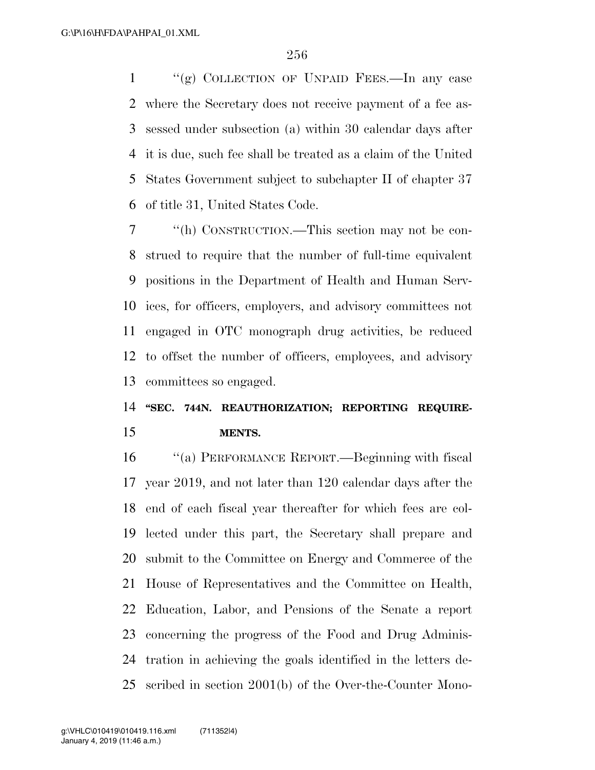"(g) COLLECTION OF UNPAID FEES.—In any case where the Secretary does not receive payment of a fee as- sessed under subsection (a) within 30 calendar days after it is due, such fee shall be treated as a claim of the United States Government subject to subchapter II of chapter 37 of title 31, United States Code.

 ''(h) CONSTRUCTION.—This section may not be con- strued to require that the number of full-time equivalent positions in the Department of Health and Human Serv- ices, for officers, employers, and advisory committees not engaged in OTC monograph drug activities, be reduced to offset the number of officers, employees, and advisory committees so engaged.

## **''SEC. 744N. REAUTHORIZATION; REPORTING REQUIRE-MENTS.**

 ''(a) PERFORMANCE REPORT.—Beginning with fiscal year 2019, and not later than 120 calendar days after the end of each fiscal year thereafter for which fees are col- lected under this part, the Secretary shall prepare and submit to the Committee on Energy and Commerce of the House of Representatives and the Committee on Health, Education, Labor, and Pensions of the Senate a report concerning the progress of the Food and Drug Adminis- tration in achieving the goals identified in the letters de-scribed in section 2001(b) of the Over-the-Counter Mono-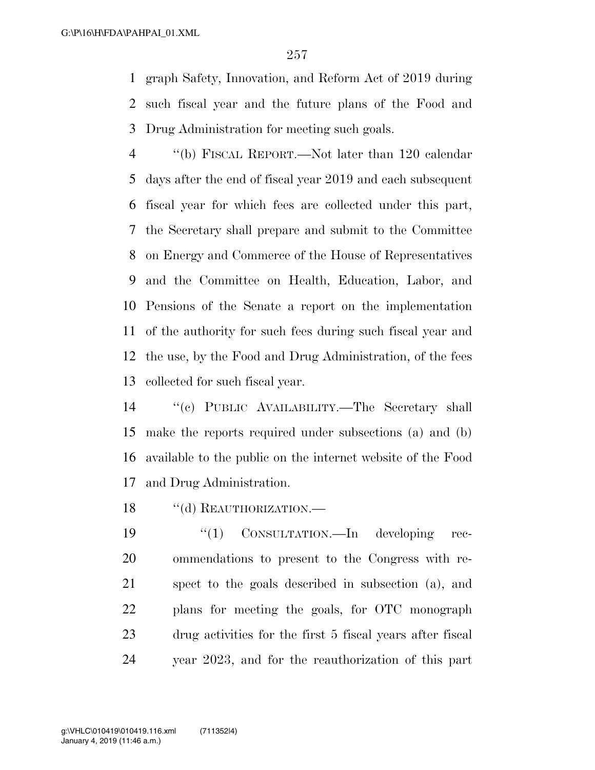graph Safety, Innovation, and Reform Act of 2019 during such fiscal year and the future plans of the Food and Drug Administration for meeting such goals.

 ''(b) FISCAL REPORT.—Not later than 120 calendar days after the end of fiscal year 2019 and each subsequent fiscal year for which fees are collected under this part, the Secretary shall prepare and submit to the Committee on Energy and Commerce of the House of Representatives and the Committee on Health, Education, Labor, and Pensions of the Senate a report on the implementation of the authority for such fees during such fiscal year and the use, by the Food and Drug Administration, of the fees collected for such fiscal year.

 ''(c) PUBLIC AVAILABILITY.—The Secretary shall make the reports required under subsections (a) and (b) available to the public on the internet website of the Food and Drug Administration.

18 "(d) REAUTHORIZATION.—

 $\frac{1}{2}$  CONSULTATION.—In developing rec- ommendations to present to the Congress with re- spect to the goals described in subsection (a), and plans for meeting the goals, for OTC monograph drug activities for the first 5 fiscal years after fiscal year 2023, and for the reauthorization of this part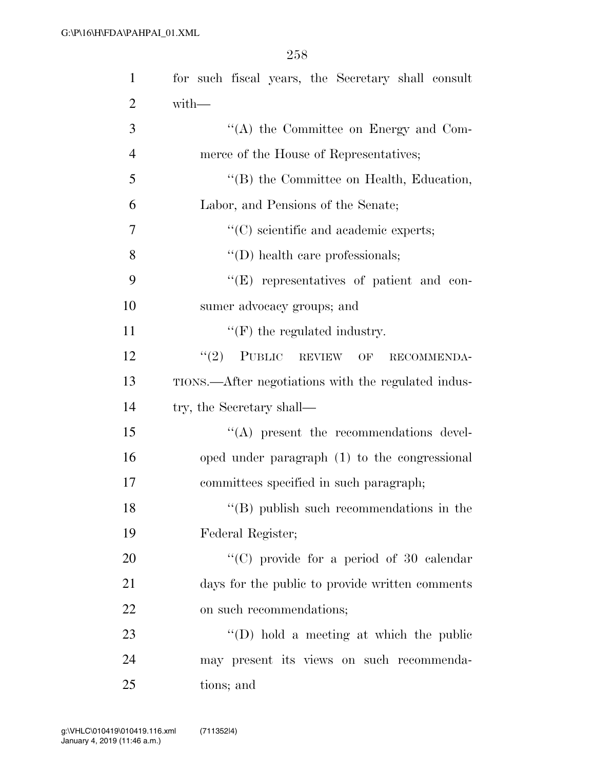| $\mathbf{1}$   | for such fiscal years, the Secretary shall consult  |
|----------------|-----------------------------------------------------|
| $\overline{2}$ | with-                                               |
| 3              | $\lq\lq$ the Committee on Energy and Com-           |
| $\overline{4}$ | merce of the House of Representatives;              |
| 5              | "(B) the Committee on Health, Education,            |
| 6              | Labor, and Pensions of the Senate;                  |
| 7              | $\lq\lq$ (C) scientific and academic experts;       |
| 8              | $\lq\lq$ (D) health care professionals;             |
| 9              | $\lq\lq(E)$ representatives of patient and con-     |
| 10             | sumer advocacy groups; and                          |
| 11             | $\lq\lq(F)$ the regulated industry.                 |
| 12             | $(2)$ PUBLIC REVIEW OF<br>RECOMMENDA-               |
| 13             | TIONS.—After negotiations with the regulated indus- |
| 14             | try, the Secretary shall—                           |
| 15             | $\lq\lq$ present the recommendations devel-         |
| 16             | oped under paragraph (1) to the congressional       |
| 17             | committees specified in such paragraph;             |
| 18             | $\lq\lq (B)$ publish such recommendations in the    |
| 19             | Federal Register;                                   |
| 20             | "(C) provide for a period of 30 calendar            |
| 21             | days for the public to provide written comments     |
| 22             | on such recommendations;                            |
| 23             | $\lq\lq$ (D) hold a meeting at which the public     |
| 24             | may present its views on such recommenda-           |
| 25             | tions; and                                          |